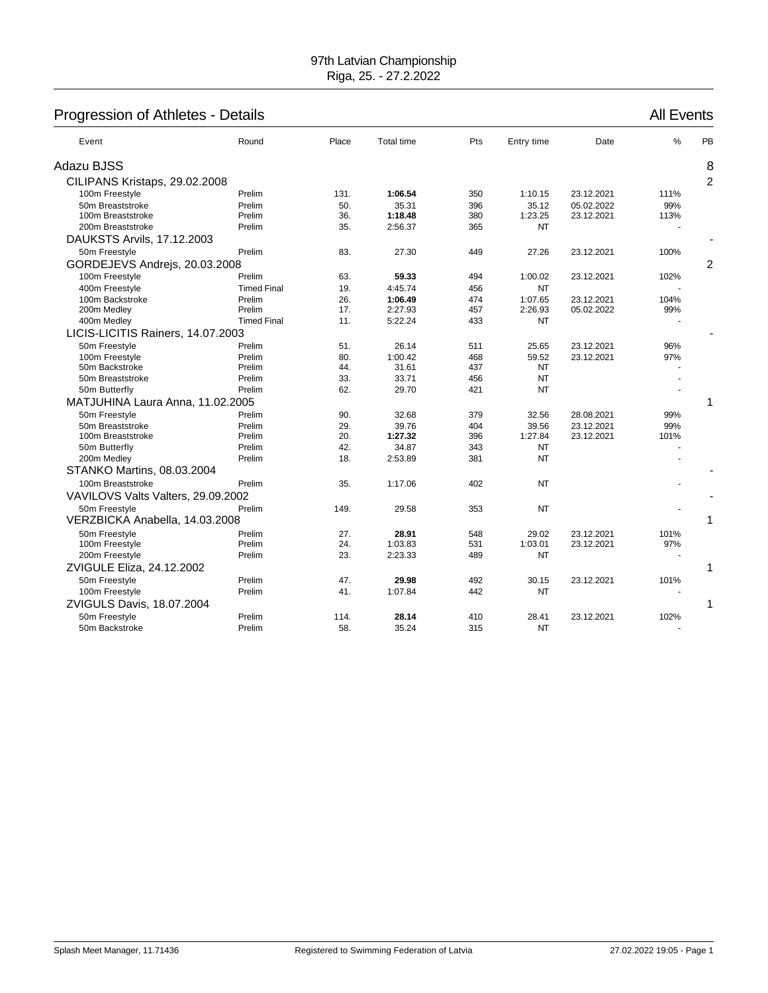# Progression of Athletes - Details **All Events** All Events

| Event                              | Round              | Place | Total time | Pts | Entry time | Date       | $\%$ | PB             |
|------------------------------------|--------------------|-------|------------|-----|------------|------------|------|----------------|
| Adazu BJSS                         |                    |       |            |     |            |            |      | 8              |
| CILIPANS Kristaps, 29.02.2008      |                    |       |            |     |            |            |      | $\overline{2}$ |
| 100m Freestyle                     | Prelim             | 131.  | 1:06.54    | 350 | 1:10.15    | 23.12.2021 | 111% |                |
| 50m Breaststroke                   | Prelim             | 50.   | 35.31      | 396 | 35.12      | 05.02.2022 | 99%  |                |
| 100m Breaststroke                  | Prelim             | 36.   | 1:18.48    | 380 | 1:23.25    | 23.12.2021 | 113% |                |
| 200m Breaststroke                  | Prelim             | 35.   | 2:56.37    | 365 | <b>NT</b>  |            |      |                |
| DAUKSTS Arvils, 17.12.2003         |                    |       |            |     |            |            |      |                |
| 50m Freestyle                      | Prelim             | 83.   | 27.30      | 449 | 27.26      | 23.12.2021 | 100% |                |
| GORDEJEVS Andrejs, 20.03.2008      |                    |       |            |     |            |            |      | $\overline{2}$ |
| 100m Freestyle                     | Prelim             | 63.   | 59.33      | 494 | 1:00.02    | 23.12.2021 | 102% |                |
| 400m Freestyle                     | <b>Timed Final</b> | 19.   | 4:45.74    | 456 | <b>NT</b>  |            |      |                |
| 100m Backstroke                    | Prelim             | 26.   | 1:06.49    | 474 | 1:07.65    | 23.12.2021 | 104% |                |
| 200m Medley                        | Prelim             | 17.   | 2:27.93    | 457 | 2:26.93    | 05.02.2022 | 99%  |                |
| 400m Medley                        | <b>Timed Final</b> | 11.   | 5:22.24    | 433 | <b>NT</b>  |            |      |                |
| LICIS-LICITIS Rainers, 14.07.2003  |                    |       |            |     |            |            |      |                |
| 50m Freestyle                      | Prelim             | 51.   | 26.14      | 511 | 25.65      | 23.12.2021 | 96%  |                |
| 100m Freestyle                     | Prelim             | 80.   | 1:00.42    | 468 | 59.52      | 23.12.2021 | 97%  |                |
| 50m Backstroke                     | Prelim             | 44.   | 31.61      | 437 | NT         |            |      |                |
| 50m Breaststroke                   | Prelim             | 33.   | 33.71      | 456 | <b>NT</b>  |            |      |                |
| 50m Butterfly                      | Prelim             | 62.   | 29.70      | 421 | <b>NT</b>  |            |      |                |
| MATJUHINA Laura Anna, 11.02.2005   |                    |       |            |     |            |            |      | 1              |
| 50m Freestyle                      | Prelim             | 90.   | 32.68      | 379 | 32.56      | 28.08.2021 | 99%  |                |
| 50m Breaststroke                   | Prelim             | 29.   | 39.76      | 404 | 39.56      | 23.12.2021 | 99%  |                |
| 100m Breaststroke                  | Prelim             | 20.   | 1:27.32    | 396 | 1:27.84    | 23.12.2021 | 101% |                |
| 50m Butterfly                      | Prelim             | 42.   | 34.87      | 343 | NT         |            |      |                |
| 200m Medley                        | Prelim             | 18.   | 2:53.89    | 381 | <b>NT</b>  |            |      |                |
| STANKO Martins, 08.03.2004         |                    |       |            |     |            |            |      |                |
| 100m Breaststroke                  | Prelim             | 35.   | 1:17.06    | 402 | <b>NT</b>  |            |      |                |
| VAVILOVS Valts Valters, 29.09.2002 |                    |       |            |     |            |            |      |                |
| 50m Freestyle                      | Prelim             | 149.  | 29.58      | 353 | <b>NT</b>  |            |      |                |
| VERZBICKA Anabella, 14.03.2008     |                    |       |            |     |            |            |      | 1              |
| 50m Freestyle                      | Prelim             | 27.   | 28.91      | 548 | 29.02      | 23.12.2021 | 101% |                |
| 100m Freestyle                     | Prelim             | 24.   | 1:03.83    | 531 | 1:03.01    | 23.12.2021 | 97%  |                |
| 200m Freestyle                     | Prelim             | 23.   | 2:23.33    | 489 | <b>NT</b>  |            |      |                |
| ZVIGULE Eliza, 24.12.2002          |                    |       |            |     |            |            |      | 1              |
| 50m Freestyle                      | Prelim             | 47.   | 29.98      | 492 | 30.15      | 23.12.2021 | 101% |                |
| 100m Freestyle                     | Prelim             | 41.   | 1:07.84    | 442 | <b>NT</b>  |            |      |                |
| ZVIGULS Davis, 18.07.2004          |                    |       |            |     |            |            |      | 1              |
| 50m Freestyle                      | Prelim             | 114.  | 28.14      | 410 | 28.41      | 23.12.2021 | 102% |                |
| 50m Backstroke                     | Prelim             | 58.   | 35.24      | 315 | <b>NT</b>  |            |      |                |
|                                    |                    |       |            |     |            |            |      |                |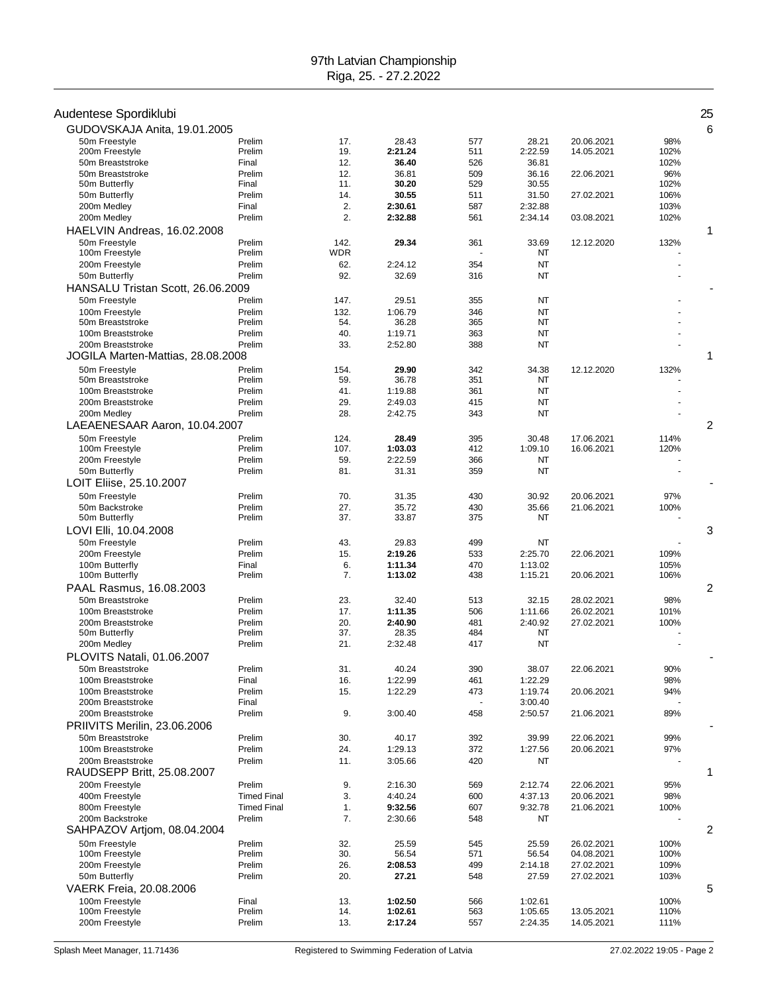| Audentese Spordiklubi                  |                    |            |                    |            |                    |                          |              | 25 |
|----------------------------------------|--------------------|------------|--------------------|------------|--------------------|--------------------------|--------------|----|
| GUDOVSKAJA Anita, 19.01.2005           |                    |            |                    |            |                    |                          |              | 6  |
| 50m Freestyle                          | Prelim             | 17.        | 28.43              | 577        | 28.21              | 20.06.2021               | 98%          |    |
| 200m Freestyle                         | Prelim             | 19.        | 2:21.24            | 511        | 2:22.59            | 14.05.2021               | 102%         |    |
| 50m Breaststroke                       | Final              | 12.        | 36.40              | 526        | 36.81              |                          | 102%         |    |
| 50m Breaststroke                       | Prelim             | 12.        | 36.81              | 509        | 36.16              | 22.06.2021               | 96%          |    |
| 50m Butterfly                          | Final              | 11.        | 30.20              | 529        | 30.55              |                          | 102%         |    |
| 50m Butterfly                          | Prelim             | 14.        | 30.55              | 511        | 31.50              | 27.02.2021               | 106%         |    |
| 200m Medley                            | Final              | 2.         | 2:30.61            | 587        | 2:32.88            |                          | 103%         |    |
| 200m Medley                            | Prelim             | 2.         | 2:32.88            | 561        | 2:34.14            | 03.08.2021               | 102%         |    |
| HAELVIN Andreas, 16.02.2008            |                    |            |                    |            |                    |                          |              | 1  |
| 50m Freestyle                          | Prelim             | 142.       | 29.34              | 361        | 33.69              | 12.12.2020               | 132%         |    |
| 100m Freestyle                         | Prelim             | WDR        |                    |            | NT                 |                          |              |    |
| 200m Freestyle                         | Prelim             | 62.        | 2:24.12            | 354        | <b>NT</b>          |                          |              |    |
| 50m Butterfly                          | Prelim             | 92.        | 32.69              | 316        | <b>NT</b>          |                          |              |    |
| HANSALU Tristan Scott, 26.06.2009      |                    |            |                    |            |                    |                          |              |    |
| 50m Freestyle                          | Prelim             | 147.       | 29.51              | 355        | NT                 |                          |              |    |
| 100m Freestyle                         | Prelim             | 132.       | 1:06.79            | 346        | <b>NT</b>          |                          |              |    |
| 50m Breaststroke                       | Prelim             | 54.        | 36.28              | 365        | <b>NT</b>          |                          |              |    |
| 100m Breaststroke                      | Prelim             | 40.        | 1:19.71            | 363        | <b>NT</b>          |                          |              |    |
| 200m Breaststroke                      | Prelim             | 33.        | 2:52.80            | 388        | <b>NT</b>          |                          |              |    |
| JOGILA Marten-Mattias, 28.08.2008      |                    |            |                    |            |                    |                          |              | 1  |
| 50m Freestyle                          | Prelim             | 154.       | 29.90              | 342        | 34.38              | 12.12.2020               | 132%         |    |
| 50m Breaststroke                       | Prelim             | 59.        | 36.78              | 351        | NT                 |                          |              |    |
| 100m Breaststroke                      | Prelim             | 41.        | 1:19.88            | 361        | <b>NT</b>          |                          |              |    |
| 200m Breaststroke                      | Prelim             | 29.        | 2:49.03            | 415        | <b>NT</b>          |                          |              |    |
| 200m Medley                            | Prelim             | 28.        | 2:42.75            | 343        | <b>NT</b>          |                          |              |    |
| LAEAENESAAR Aaron, 10.04.2007          |                    |            |                    |            |                    |                          |              | 2  |
| 50m Freestyle                          | Prelim             | 124.       | 28.49              | 395        | 30.48              | 17.06.2021               | 114%         |    |
| 100m Freestyle                         | Prelim             | 107.       | 1:03.03            | 412        | 1:09.10            | 16.06.2021               | 120%         |    |
| 200m Freestyle                         | Prelim             | 59.        | 2:22.59            | 366        | NT                 |                          |              |    |
| 50m Butterfly                          | Prelim             | 81.        | 31.31              | 359        | NT                 |                          |              |    |
| LOIT Eliise, 25.10.2007                |                    |            |                    |            |                    |                          |              |    |
|                                        | Prelim             | 70.        |                    |            |                    |                          |              |    |
| 50m Freestyle<br>50m Backstroke        | Prelim             | 27.        | 31.35<br>35.72     | 430<br>430 | 30.92<br>35.66     | 20.06.2021<br>21.06.2021 | 97%          |    |
| 50m Butterfly                          | Prelim             | 37.        | 33.87              | 375        | <b>NT</b>          |                          | 100%         |    |
| LOVI Elli, 10.04.2008                  |                    |            |                    |            |                    |                          |              | 3  |
|                                        |                    |            |                    |            |                    |                          |              |    |
| 50m Freestyle                          | Prelim<br>Prelim   | 43.        | 29.83              | 499        | NT                 |                          |              |    |
| 200m Freestyle                         |                    | 15.        | 2:19.26<br>1:11.34 | 533        | 2:25.70            | 22.06.2021               | 109%         |    |
| 100m Butterfly<br>100m Butterfly       | Final<br>Prelim    | 6.<br>7.   | 1:13.02            | 470<br>438 | 1:13.02<br>1:15.21 | 20.06.2021               | 105%<br>106% |    |
| PAAL Rasmus, 16.08.2003                |                    |            |                    |            |                    |                          |              | 2  |
| 50m Breaststroke                       |                    |            |                    |            |                    |                          |              |    |
|                                        | Prelim<br>Prelim   | 23.        | 32.40              | 513        | 32.15              | 28.02.2021               | 98%          |    |
| 100m Breaststroke                      |                    | 17.        | 1:11.35            | 506        | 1:11.66            | 26.02.2021               | 101%         |    |
| 200m Breaststroke<br>50m Butterfly     | Prelim<br>Prelim   | 20.<br>37. | 2:40.90<br>28.35   | 481<br>484 | 2:40.92<br>NT      | 27.02.2021               | 100%         |    |
| 200m Medley                            | Prelim             | 21.        | 2:32.48            | 417        | NT                 |                          |              |    |
|                                        |                    |            |                    |            |                    |                          |              |    |
| PLOVITS Natali, 01.06.2007             |                    |            |                    |            |                    |                          |              |    |
| 50m Breaststroke                       | Prelim             | 31.        | 40.24              | 390        | 38.07              | 22.06.2021               | 90%          |    |
| 100m Breaststroke                      | Final              | 16.        | 1:22.99            | 461        | 1:22.29            |                          | 98%          |    |
| 100m Breaststroke<br>200m Breaststroke | Prelim             | 15.        | 1:22.29            | 473        | 1:19.74<br>3:00.40 | 20.06.2021               | 94%          |    |
|                                        | Final<br>Prelim    | 9.         |                    | 458        | 2:50.57            |                          |              |    |
| 200m Breaststroke                      |                    |            | 3:00.40            |            |                    | 21.06.2021               | 89%          |    |
| PRIIVITS Merilin, 23.06.2006           |                    |            |                    |            |                    |                          |              |    |
| 50m Breaststroke                       | Prelim             | 30.        | 40.17              | 392        | 39.99              | 22.06.2021               | 99%          |    |
| 100m Breaststroke                      | Prelim             | 24.        | 1:29.13            | 372        | 1:27.56            | 20.06.2021               | 97%          |    |
| 200m Breaststroke                      | Prelim             | 11.        | 3:05.66            | 420        | NT                 |                          |              |    |
| RAUDSEPP Britt, 25.08.2007             |                    |            |                    |            |                    |                          |              | 1  |
| 200m Freestyle                         | Prelim             | 9.         | 2:16.30            | 569        | 2:12.74            | 22.06.2021               | 95%          |    |
| 400m Freestyle                         | <b>Timed Final</b> | 3.         | 4:40.24            | 600        | 4:37.13            | 20.06.2021               | 98%          |    |
| 800m Freestyle                         | <b>Timed Final</b> | 1.         | 9:32.56            | 607        | 9:32.78            | 21.06.2021               | 100%         |    |
| 200m Backstroke                        | Prelim             | 7.         | 2:30.66            | 548        | NT                 |                          |              |    |
| SAHPAZOV Artjom, 08.04.2004            |                    |            |                    |            |                    |                          |              | 2  |
| 50m Freestyle                          | Prelim             | 32.        | 25.59              | 545        | 25.59              | 26.02.2021               | 100%         |    |
| 100m Freestyle                         | Prelim             | 30.        | 56.54              | 571        | 56.54              | 04.08.2021               | 100%         |    |
| 200m Freestyle                         | Prelim             | 26.        | 2:08.53            | 499        | 2:14.18            | 27.02.2021               | 109%         |    |
| 50m Butterfly                          | Prelim             | 20.        | 27.21              | 548        | 27.59              | 27.02.2021               | 103%         |    |
| VAERK Freia, 20.08.2006                |                    |            |                    |            |                    |                          |              | 5  |
| 100m Freestyle                         | Final              | 13.        | 1:02.50            | 566        | 1:02.61            |                          | 100%         |    |
| 100m Freestyle                         | Prelim             | 14.        | 1:02.61            | 563        | 1:05.65            | 13.05.2021               | 110%         |    |
| 200m Freestyle                         | Prelim             | 13.        | 2:17.24            | 557        | 2:24.35            | 14.05.2021               | 111%         |    |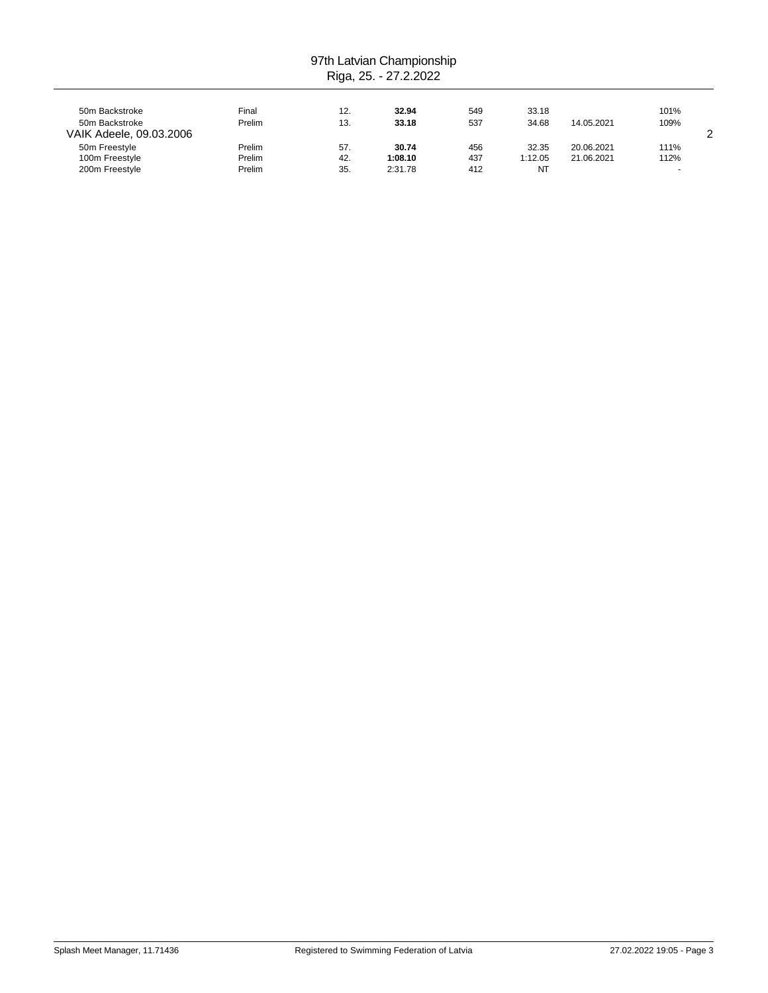| 50m Backstroke<br>50m Backstroke<br>VAIK Adeele, 09.03.2006 | Final<br>Prelim            | 12.<br>13.        | 32.94<br>33.18              | 549<br>537        | 33.18<br>34.68         | 14.05.2021               | 101%<br>109%      | ົ |
|-------------------------------------------------------------|----------------------------|-------------------|-----------------------------|-------------------|------------------------|--------------------------|-------------------|---|
| 50m Freestyle<br>100m Freestyle<br>200m Freestyle           | Prelim<br>Prelim<br>Prelim | 57.<br>42.<br>35. | 30.74<br>1:08.10<br>2:31.78 | 456<br>437<br>412 | 32.35<br>1:12.05<br>NT | 20.06.2021<br>21.06.2021 | 111%<br>112%<br>- |   |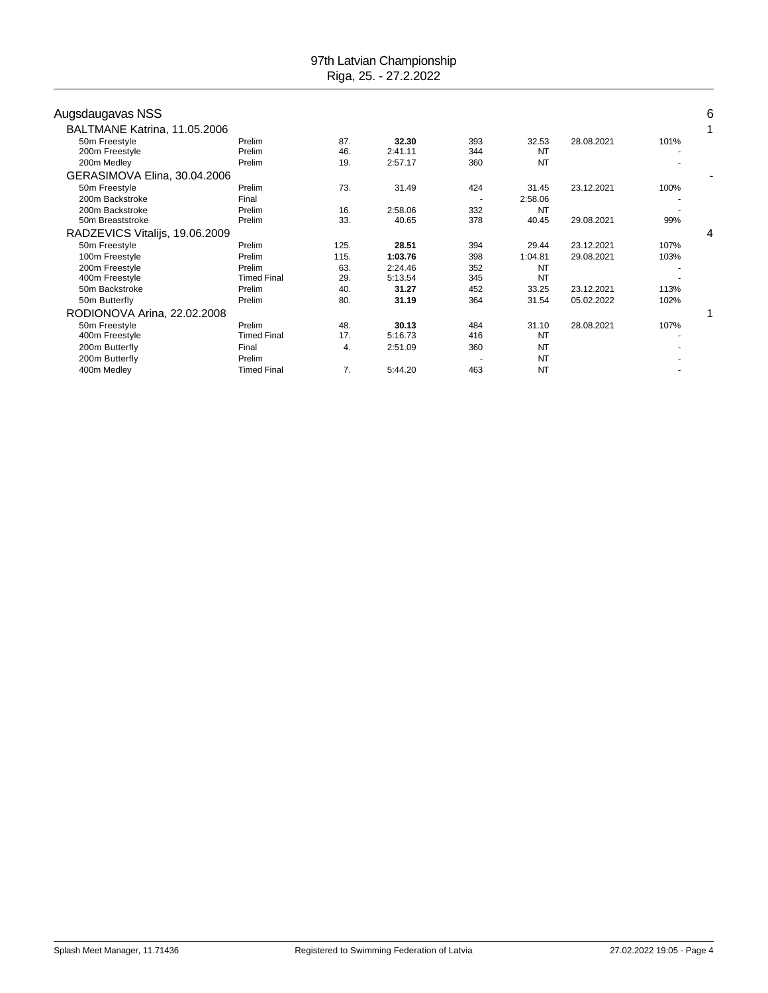| Augsdaugavas NSS               |                    |      |         |     |           |            |      | 6 |
|--------------------------------|--------------------|------|---------|-----|-----------|------------|------|---|
| BALTMANE Katrina, 11.05.2006   |                    |      |         |     |           |            |      | 1 |
| 50m Freestyle                  | Prelim             | 87.  | 32.30   | 393 | 32.53     | 28.08.2021 | 101% |   |
| 200m Freestyle                 | Prelim             | 46.  | 2:41.11 | 344 | <b>NT</b> |            |      |   |
| 200m Medley                    | Prelim             | 19.  | 2:57.17 | 360 | <b>NT</b> |            |      |   |
| GERASIMOVA Elina, 30.04.2006   |                    |      |         |     |           |            |      |   |
| 50m Freestyle                  | Prelim             | 73.  | 31.49   | 424 | 31.45     | 23.12.2021 | 100% |   |
| 200m Backstroke                | Final              |      |         |     | 2:58.06   |            |      |   |
| 200m Backstroke                | Prelim             | 16.  | 2:58.06 | 332 | <b>NT</b> |            |      |   |
| 50m Breaststroke               | Prelim             | 33.  | 40.65   | 378 | 40.45     | 29.08.2021 | 99%  |   |
| RADZEVICS Vitalijs, 19.06.2009 |                    |      |         |     |           |            |      | 4 |
| 50m Freestyle                  | Prelim             | 125. | 28.51   | 394 | 29.44     | 23.12.2021 | 107% |   |
| 100m Freestyle                 | Prelim             | 115. | 1:03.76 | 398 | 1:04.81   | 29.08.2021 | 103% |   |
| 200m Freestyle                 | Prelim             | 63.  | 2:24.46 | 352 | <b>NT</b> |            |      |   |
| 400m Freestyle                 | <b>Timed Final</b> | 29.  | 5:13.54 | 345 | <b>NT</b> |            |      |   |
| 50m Backstroke                 | Prelim             | 40.  | 31.27   | 452 | 33.25     | 23.12.2021 | 113% |   |
| 50m Butterfly                  | Prelim             | 80.  | 31.19   | 364 | 31.54     | 05.02.2022 | 102% |   |
| RODIONOVA Arina, 22.02.2008    |                    |      |         |     |           |            |      |   |
| 50m Freestyle                  | Prelim             | 48.  | 30.13   | 484 | 31.10     | 28.08.2021 | 107% |   |
| 400m Freestyle                 | <b>Timed Final</b> | 17.  | 5:16.73 | 416 | <b>NT</b> |            |      |   |
| 200m Butterfly                 | Final              | 4.   | 2:51.09 | 360 | <b>NT</b> |            |      |   |
| 200m Butterfly                 | Prelim             |      |         |     | <b>NT</b> |            |      |   |
| 400m Medley                    | <b>Timed Final</b> | 7.   | 5:44.20 | 463 | <b>NT</b> |            |      |   |
|                                |                    |      |         |     |           |            |      |   |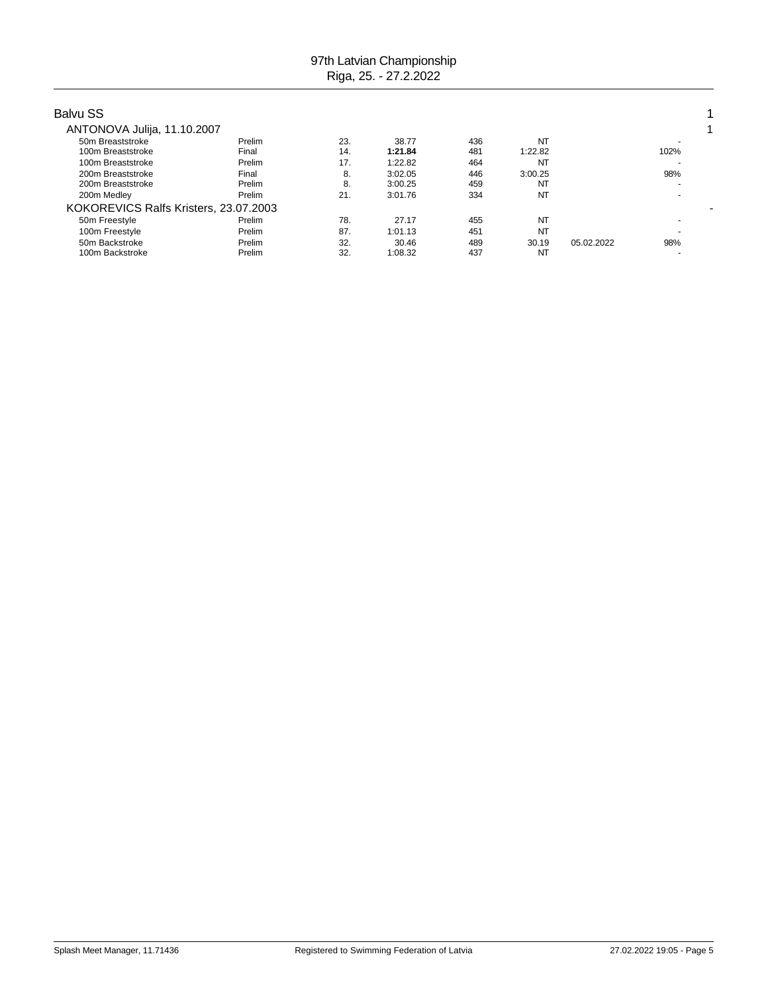| <b>Balvu SS</b>                       |        |     |         |     |           |            |      |  |
|---------------------------------------|--------|-----|---------|-----|-----------|------------|------|--|
| ANTONOVA Julija, 11.10.2007           |        |     |         |     |           |            |      |  |
| 50m Breaststroke                      | Prelim | 23. | 38.77   | 436 | NT        |            |      |  |
| 100m Breaststroke                     | Final  | 14. | 1:21.84 | 481 | 1:22.82   |            | 102% |  |
| 100m Breaststroke                     | Prelim | 17. | 1:22.82 | 464 | NT        |            |      |  |
| 200m Breaststroke                     | Final  | 8.  | 3:02.05 | 446 | 3:00.25   |            | 98%  |  |
| 200m Breaststroke                     | Prelim | 8.  | 3:00.25 | 459 | NT        |            |      |  |
| 200m Medley                           | Prelim | 21. | 3:01.76 | 334 | <b>NT</b> |            |      |  |
| KOKOREVICS Ralfs Kristers, 23.07.2003 |        |     |         |     |           |            |      |  |
| 50m Freestyle                         | Prelim | 78. | 27.17   | 455 | NT        |            |      |  |
| 100m Freestyle                        | Prelim | 87. | 1:01.13 | 451 | <b>NT</b> |            |      |  |
| 50m Backstroke                        | Prelim | 32. | 30.46   | 489 | 30.19     | 05.02.2022 | 98%  |  |
| 100m Backstroke                       | Prelim | 32. | 1:08.32 | 437 | NT        |            |      |  |
|                                       |        |     |         |     |           |            |      |  |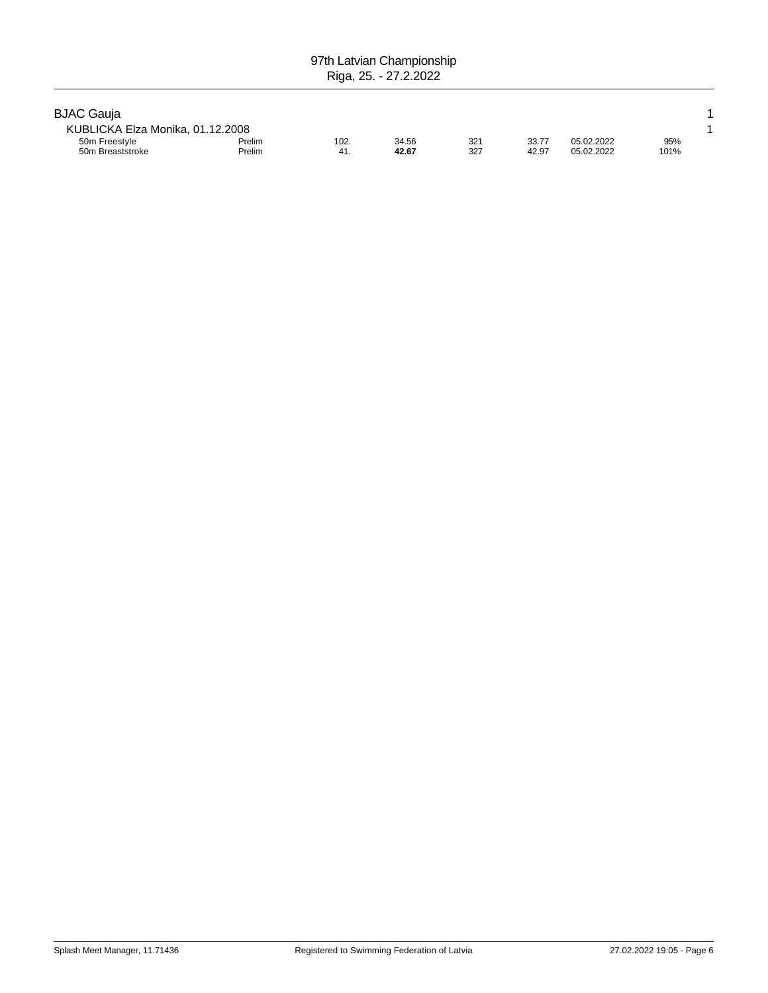| <b>BJAC Gauja</b>                 |                  |             |                |            |                |                          |             |  |
|-----------------------------------|------------------|-------------|----------------|------------|----------------|--------------------------|-------------|--|
| KUBLICKA Elza Monika, 01.12.2008  |                  |             |                |            |                |                          |             |  |
| 50m Freestyle<br>50m Breaststroke | Prelim<br>Prelim | 102.<br>41. | 34.56<br>42.67 | 321<br>327 | 33.77<br>42.97 | 05.02.2022<br>05.02.2022 | 95%<br>101% |  |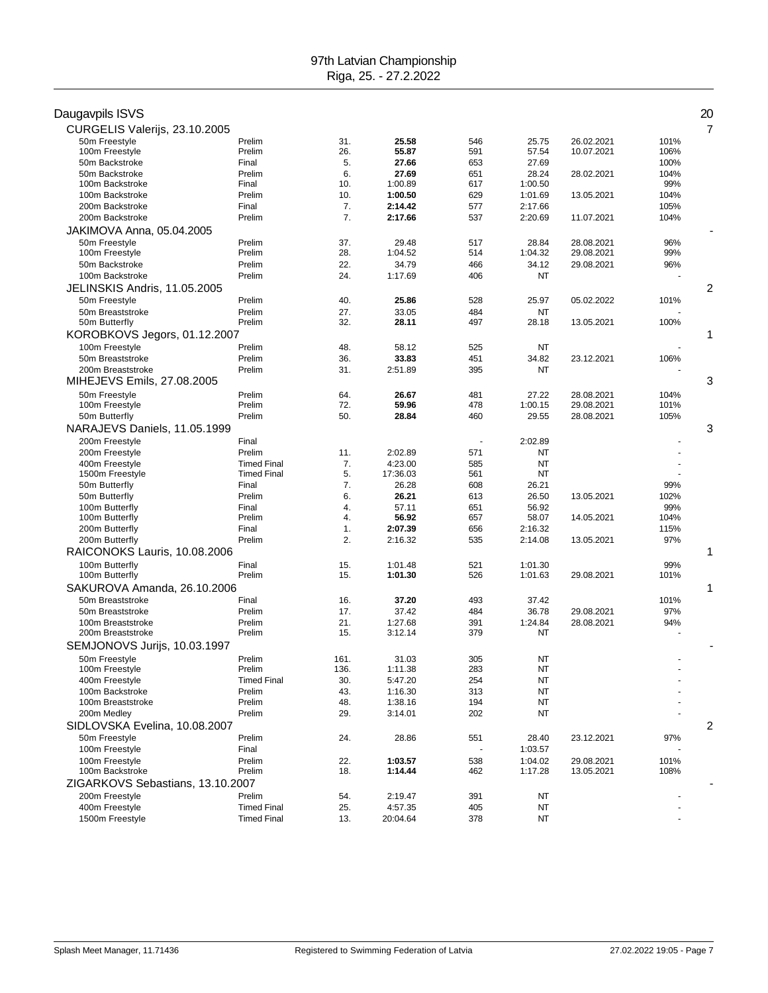| Daugavpils ISVS                        |                    |              |                    |            |                  |                          |              | 20 |
|----------------------------------------|--------------------|--------------|--------------------|------------|------------------|--------------------------|--------------|----|
| CURGELIS Valerijs, 23.10.2005          |                    |              |                    |            |                  |                          |              | 7  |
| 50m Freestyle                          | Prelim             | 31.          | 25.58              | 546        | 25.75            | 26.02.2021               | 101%         |    |
| 100m Freestyle<br>50m Backstroke       | Prelim<br>Final    | 26.<br>5.    | 55.87<br>27.66     | 591<br>653 | 57.54<br>27.69   | 10.07.2021               | 106%<br>100% |    |
| 50m Backstroke                         | Prelim             | 6.           | 27.69              | 651        | 28.24            | 28.02.2021               | 104%         |    |
| 100m Backstroke                        | Final              | 10.          | 1:00.89            | 617        | 1:00.50          |                          | 99%          |    |
| 100m Backstroke                        | Prelim             | 10.          | 1:00.50            | 629        | 1:01.69          | 13.05.2021               | 104%         |    |
| 200m Backstroke                        | Final              | 7.           | 2:14.42            | 577        | 2:17.66          |                          | 105%         |    |
| 200m Backstroke                        | Prelim             | 7.           | 2:17.66            | 537        | 2:20.69          | 11.07.2021               | 104%         |    |
| JAKIMOVA Anna, 05.04.2005              |                    |              |                    |            |                  |                          |              |    |
| 50m Freestyle                          | Prelim             | 37.          | 29.48              | 517        | 28.84            | 28.08.2021               | 96%          |    |
| 100m Freestyle                         | Prelim             | 28.          | 1:04.52            | 514        | 1:04.32          | 29.08.2021               | 99%          |    |
| 50m Backstroke                         | Prelim             | 22.          | 34.79              | 466        | 34.12            | 29.08.2021               | 96%          |    |
| 100m Backstroke                        | Prelim             | 24.          | 1:17.69            | 406        | NT               |                          |              |    |
| JELINSKIS Andris, 11.05.2005           |                    |              |                    |            |                  |                          |              | 2  |
| 50m Freestyle                          | Prelim             | 40.          | 25.86              | 528        | 25.97            | 05.02.2022               | 101%         |    |
| 50m Breaststroke                       | Prelim             | 27.          | 33.05              | 484        | NT               |                          |              |    |
| 50m Butterfly                          | Prelim             | 32.          | 28.11              | 497        | 28.18            | 13.05.2021               | 100%         |    |
| KOROBKOVS Jegors, 01.12.2007           |                    |              |                    |            |                  |                          |              | 1  |
| 100m Freestyle                         | Prelim             | 48.          | 58.12              | 525        | NT               |                          |              |    |
| 50m Breaststroke                       | Prelim             | 36.          | 33.83              | 451        | 34.82            | 23.12.2021               | 106%         |    |
| 200m Breaststroke                      | Prelim             | 31.          | 2:51.89            | 395        | NT               |                          |              |    |
| MIHEJEVS Emils, 27.08.2005             |                    |              |                    |            |                  |                          |              | 3  |
| 50m Freestyle                          | Prelim             | 64.          | 26.67              | 481        | 27.22            | 28.08.2021               | 104%         |    |
| 100m Freestyle<br>50m Butterfly        | Prelim<br>Prelim   | 72.<br>50.   | 59.96<br>28.84     | 478<br>460 | 1:00.15<br>29.55 | 29.08.2021<br>28.08.2021 | 101%<br>105% |    |
| NARAJEVS Daniels, 11.05.1999           |                    |              |                    |            |                  |                          |              | 3  |
|                                        |                    |              |                    |            |                  |                          |              |    |
| 200m Freestyle<br>200m Freestyle       | Final<br>Prelim    | 11.          | 2:02.89            | 571        | 2:02.89<br>NT    |                          |              |    |
| 400m Freestyle                         | <b>Timed Final</b> | 7.           | 4:23.00            | 585        | <b>NT</b>        |                          |              |    |
| 1500m Freestyle                        | <b>Timed Final</b> | 5.           | 17:36.03           | 561        | NT               |                          |              |    |
| 50m Butterfly                          | Final              | 7.           | 26.28              | 608        | 26.21            |                          | 99%          |    |
| 50m Butterfly                          | Prelim             | 6.           | 26.21              | 613        | 26.50            | 13.05.2021               | 102%         |    |
| 100m Butterfly                         | Final              | 4.           | 57.11              | 651        | 56.92            |                          | 99%          |    |
| 100m Butterfly                         | Prelim             | 4.           | 56.92              | 657        | 58.07            | 14.05.2021               | 104%         |    |
| 200m Butterfly                         | Final              | 1.           | 2:07.39            | 656        | 2:16.32          |                          | 115%         |    |
| 200m Butterfly                         | Prelim             | 2.           | 2:16.32            | 535        | 2:14.08          | 13.05.2021               | 97%          |    |
| RAICONOKS Lauris, 10.08.2006           |                    |              |                    |            |                  |                          |              | 1  |
| 100m Butterfly                         | Final              | 15.          | 1:01.48            | 521        | 1:01.30          |                          | 99%          |    |
| 100m Butterfly                         | Prelim             | 15.          | 1:01.30            | 526        | 1:01.63          | 29.08.2021               | 101%         |    |
| SAKUROVA Amanda, 26.10.2006            |                    |              |                    |            |                  |                          |              | 1  |
| 50m Breaststroke                       | Final              | 16.          | 37.20              | 493        | 37.42            |                          | 101%         |    |
| 50m Breaststroke                       | Prelim             | 17.<br>21.   | 37.42              | 484        | 36.78            | 29.08.2021<br>28.08.2021 | 97%          |    |
| 100m Breaststroke<br>200m Breaststroke | Prelim<br>Prelim   | 15.          | 1:27.68<br>3:12.14 | 391<br>379 | 1:24.84<br>ΝT    |                          | 94%          |    |
| SEMJONOVS Jurijs, 10.03.1997           |                    |              |                    |            |                  |                          |              |    |
|                                        |                    |              |                    |            |                  |                          |              |    |
| 50m Freestyle<br>100m Freestyle        | Prelim<br>Prelim   | 161.<br>136. | 31.03<br>1:11.38   | 305<br>283 | NT<br>NT         |                          |              |    |
| 400m Freestyle                         | <b>Timed Final</b> | 30.          | 5:47.20            | 254        | NT               |                          |              |    |
| 100m Backstroke                        | Prelim             | 43.          | 1:16.30            | 313        | NT               |                          |              |    |
| 100m Breaststroke                      | Prelim             | 48.          | 1:38.16            | 194        | NT               |                          |              |    |
| 200m Medley                            | Prelim             | 29.          | 3:14.01            | 202        | NT               |                          |              |    |
| SIDLOVSKA Evelina, 10.08.2007          |                    |              |                    |            |                  |                          |              | 2  |
| 50m Freestyle                          | Prelim             | 24.          | 28.86              | 551        | 28.40            | 23.12.2021               | 97%          |    |
| 100m Freestyle                         | Final              |              |                    |            | 1:03.57          |                          |              |    |
| 100m Freestyle                         | Prelim             | 22.          | 1:03.57            | 538        | 1:04.02          | 29.08.2021               | 101%         |    |
| 100m Backstroke                        | Prelim             | 18.          | 1:14.44            | 462        | 1:17.28          | 13.05.2021               | 108%         |    |
| ZIGARKOVS Sebastians, 13.10.2007       |                    |              |                    |            |                  |                          |              |    |
| 200m Freestyle                         | Prelim             | 54.          | 2:19.47            | 391        | NT               |                          |              |    |
| 400m Freestyle                         | <b>Timed Final</b> | 25.          | 4:57.35            | 405        | NT               |                          |              |    |
| 1500m Freestyle                        | <b>Timed Final</b> | 13.          | 20:04.64           | 378        | NT               |                          |              |    |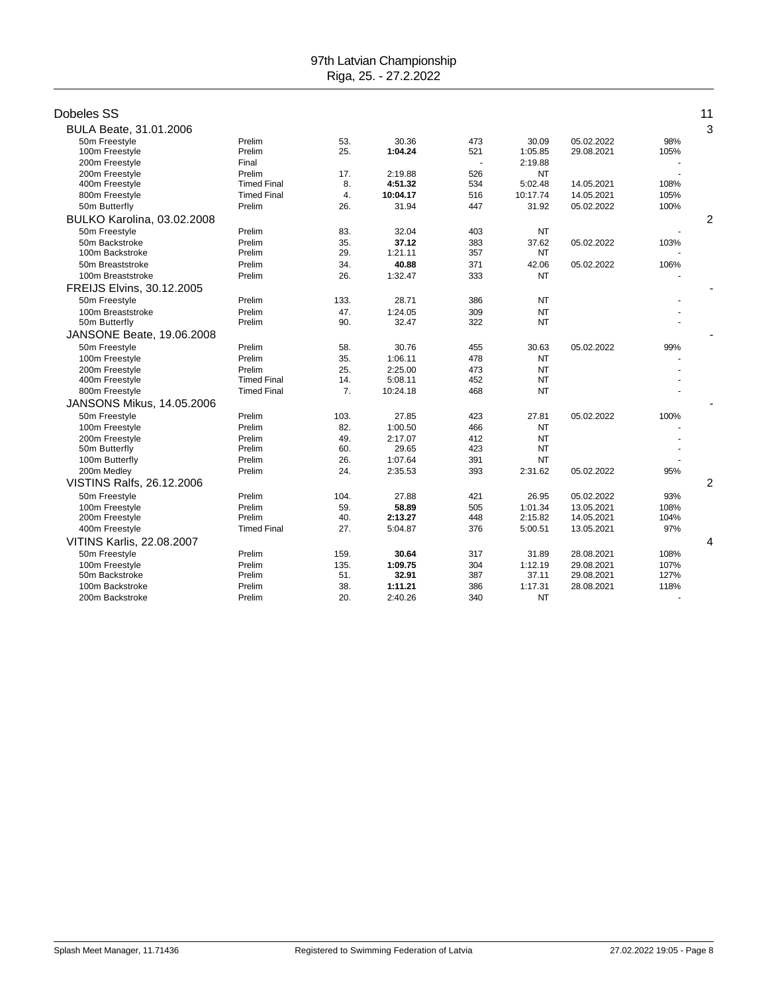| Dobeles SS                       |                    |                |                  |            |           |                          |             | 11             |
|----------------------------------|--------------------|----------------|------------------|------------|-----------|--------------------------|-------------|----------------|
|                                  |                    |                |                  |            |           |                          |             | 3              |
| BULA Beate, 31.01.2006           | Prelim             |                |                  |            | 30.09     |                          |             |                |
| 50m Freestyle<br>100m Freestyle  | Prelim             | 53.<br>25.     | 30.36<br>1:04.24 | 473<br>521 | 1:05.85   | 05.02.2022<br>29.08.2021 | 98%<br>105% |                |
| 200m Freestyle                   | Final              |                |                  |            | 2:19.88   |                          |             |                |
| 200m Freestvle                   | Prelim             | 17.            | 2:19.88          | 526        | <b>NT</b> |                          |             |                |
| 400m Freestyle                   | <b>Timed Final</b> | 8.             | 4:51.32          | 534        | 5:02.48   | 14.05.2021               | 108%        |                |
| 800m Freestyle                   | <b>Timed Final</b> | 4.             | 10:04.17         | 516        | 10:17.74  | 14.05.2021               | 105%        |                |
| 50m Butterfly                    | Prelim             | 26.            | 31.94            | 447        | 31.92     | 05.02.2022               | 100%        |                |
| BULKO Karolina, 03.02.2008       |                    |                |                  |            |           |                          |             | 2              |
| 50m Freestyle                    | Prelim             | 83.            | 32.04            | 403        | <b>NT</b> |                          |             |                |
| 50m Backstroke                   | Prelim             | 35.            | 37.12            | 383        | 37.62     | 05.02.2022               | 103%        |                |
| 100m Backstroke                  | Prelim             | 29.            | 1:21.11          | 357        | NT        |                          |             |                |
| 50m Breaststroke                 | Prelim             | 34.            | 40.88            | 371        | 42.06     | 05.02.2022               | 106%        |                |
| 100m Breaststroke                | Prelim             | 26.            | 1:32.47          | 333        | <b>NT</b> |                          |             |                |
| FREIJS Elvins, 30.12.2005        |                    |                |                  |            |           |                          |             |                |
| 50m Freestyle                    | Prelim             | 133.           | 28.71            | 386        | <b>NT</b> |                          |             |                |
| 100m Breaststroke                | Prelim             | 47.            | 1:24.05          | 309        | <b>NT</b> |                          |             |                |
| 50m Butterfly                    | Prelim             | 90.            | 32.47            | 322        | <b>NT</b> |                          |             |                |
| JANSONE Beate, 19.06.2008        |                    |                |                  |            |           |                          |             |                |
| 50m Freestyle                    | Prelim             | 58.            | 30.76            | 455        | 30.63     | 05.02.2022               | 99%         |                |
| 100m Freestyle                   | Prelim             | 35.            | 1:06.11          | 478        | <b>NT</b> |                          |             |                |
| 200m Freestyle                   | Prelim             | 25.            | 2:25.00          | 473        | NT        |                          |             |                |
| 400m Freestyle                   | <b>Timed Final</b> | 14.            | 5:08.11          | 452        | <b>NT</b> |                          |             |                |
| 800m Freestyle                   | <b>Timed Final</b> | 7 <sub>1</sub> | 10:24.18         | 468        | <b>NT</b> |                          |             |                |
| <b>JANSONS Mikus, 14,05,2006</b> |                    |                |                  |            |           |                          |             |                |
| 50m Freestyle                    | Prelim             | 103.           | 27.85            | 423        | 27.81     | 05.02.2022               | 100%        |                |
| 100m Freestyle                   | Prelim             | 82.            | 1:00.50          | 466        | <b>NT</b> |                          |             |                |
| 200m Freestyle                   | Prelim             | 49.            | 2:17.07          | 412        | NT        |                          |             |                |
| 50m Butterfly                    | Prelim             | 60.            | 29.65            | 423        | <b>NT</b> |                          |             |                |
| 100m Butterfly                   | Prelim             | 26.            | 1:07.64          | 391        | <b>NT</b> |                          |             |                |
| 200m Medley                      | Prelim             | 24.            | 2:35.53          | 393        | 2:31.62   | 05.02.2022               | 95%         |                |
| VISTINS Ralfs, 26.12.2006        |                    |                |                  |            |           |                          |             | $\overline{2}$ |
| 50m Freestyle                    | Prelim             | 104.           | 27.88            | 421        | 26.95     | 05.02.2022               | 93%         |                |
| 100m Freestyle                   | Prelim             | 59.            | 58.89            | 505        | 1:01.34   | 13.05.2021               | 108%        |                |
| 200m Freestyle                   | Prelim             | 40.            | 2:13.27          | 448        | 2:15.82   | 14.05.2021               | 104%        |                |
| 400m Freestyle                   | <b>Timed Final</b> | 27.            | 5:04.87          | 376        | 5:00.51   | 13.05.2021               | 97%         |                |
| VITINS Karlis, 22.08.2007        |                    |                |                  |            |           |                          |             | 4              |
| 50m Freestyle                    | Prelim             | 159.           | 30.64            | 317        | 31.89     | 28.08.2021               | 108%        |                |
| 100m Freestyle                   | Prelim             | 135.           | 1:09.75          | 304        | 1:12.19   | 29.08.2021               | 107%        |                |
| 50m Backstroke                   | Prelim             | 51.            | 32.91            | 387        | 37.11     | 29.08.2021               | 127%        |                |
| 100m Backstroke                  | Prelim             | 38.            | 1:11.21          | 386        | 1:17.31   | 28.08.2021               | 118%        |                |
| 200m Backstroke                  | Prelim             | 20.            | 2:40.26          | 340        | <b>NT</b> |                          |             |                |
|                                  |                    |                |                  |            |           |                          |             |                |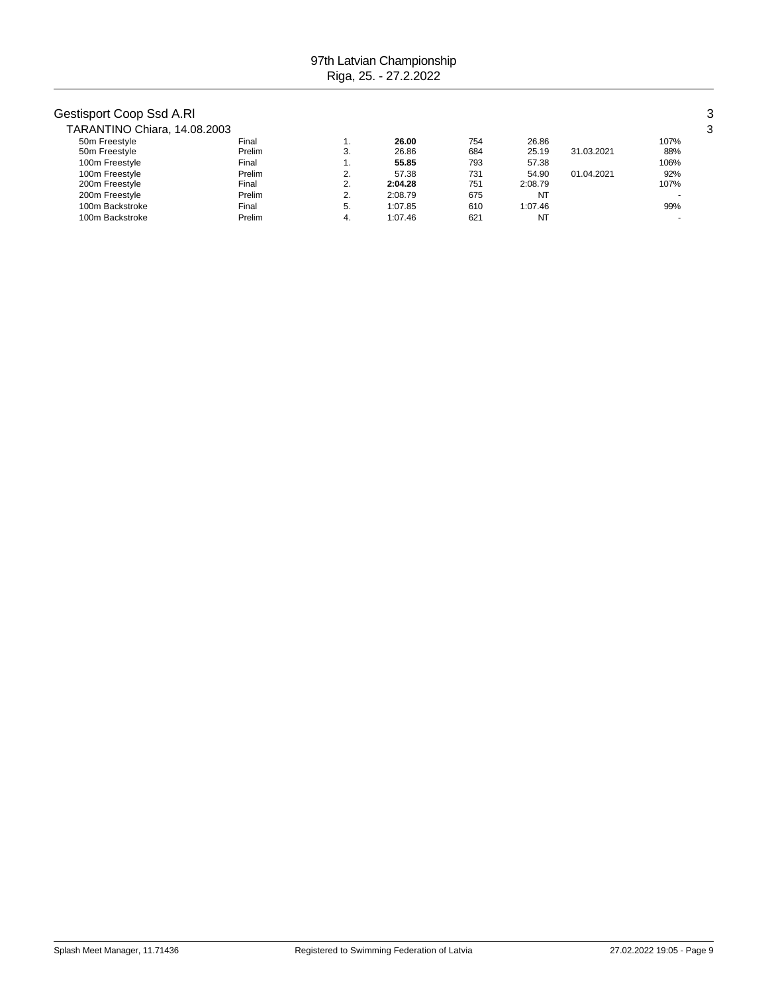# Gestisport Coop Ssd A.Rl 3

| TARANTINO Chiara, 14.08.2003 |        |          |         |     |         |            |      | 3 |
|------------------------------|--------|----------|---------|-----|---------|------------|------|---|
| 50m Freestyle                | Final  |          | 26.00   | 754 | 26.86   |            | 107% |   |
| 50m Freestyle                | Prelim | 3.       | 26.86   | 684 | 25.19   | 31.03.2021 | 88%  |   |
| 100m Freestyle               | Final  |          | 55.85   | 793 | 57.38   |            | 106% |   |
| 100m Freestyle               | Prelim | ົ<br>۷.  | 57.38   | 731 | 54.90   | 01.04.2021 | 92%  |   |
| 200m Freestyle               | Final  | ۷.       | 2:04.28 | 751 | 2:08.79 |            | 107% |   |
| 200m Freestyle               | Prelim | C.<br>۷. | 2:08.79 | 675 | NT      |            |      |   |
| 100m Backstroke              | Final  | -5.      | 1:07.85 | 610 | 1:07.46 |            | 99%  |   |
| 100m Backstroke              | Prelim | 4.       | 1:07.46 | 621 | NT      |            |      |   |
|                              |        |          |         |     |         |            |      |   |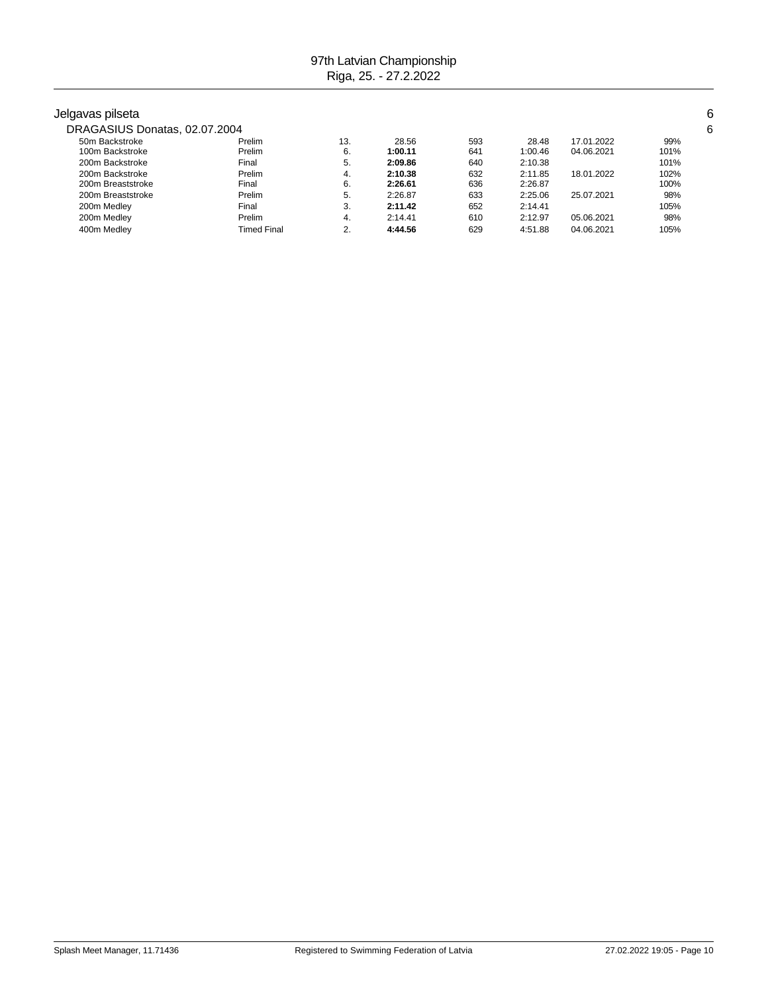400m Medley Timed Final 2. **4:44.56** 629 4:51.88 04.06.2021 105%

| Jelgavas pilseta              |        |     |         |     |         |            |      | 6 |
|-------------------------------|--------|-----|---------|-----|---------|------------|------|---|
| DRAGASIUS Donatas, 02.07.2004 |        |     |         |     |         |            |      | 6 |
| 50m Backstroke                | Prelim | 13. | 28.56   | 593 | 28.48   | 17.01.2022 | 99%  |   |
| 100m Backstroke               | Prelim | 6.  | 1:00.11 | 641 | 1:00.46 | 04.06.2021 | 101% |   |
| 200m Backstroke               | Final  | 5.  | 2:09.86 | 640 | 2:10.38 |            | 101% |   |
| 200m Backstroke               | Prelim | 4.  | 2:10.38 | 632 | 2:11.85 | 18.01.2022 | 102% |   |
| 200m Breaststroke             | Final  | 6.  | 2:26.61 | 636 | 2:26.87 |            | 100% |   |
| 200m Breaststroke             | Prelim | 5.  | 2:26.87 | 633 | 2:25.06 | 25.07.2021 | 98%  |   |
| 200m Medley                   | Final  | 3.  | 2:11.42 | 652 | 2:14.41 |            | 105% |   |
| 200m Medley                   | Prelim | 4.  | 2:14.41 | 610 | 2:12.97 | 05.06.2021 | 98%  |   |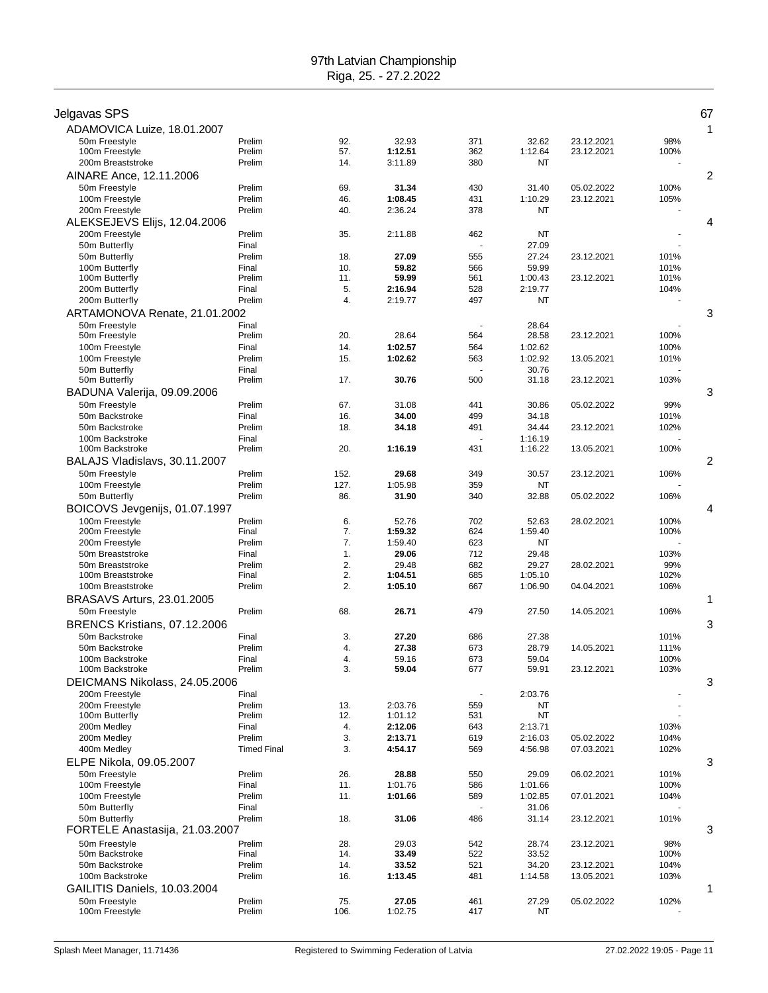|                                |                                                                                                                                                                                                                                                                                                                                 |                                                                                                                                                                                                  |                                                                                                                                                                                                                                                                                                   |                                                                                                                                                                                                         |                                                                                                                                                                                                                                                                                                               |                                                                                                                                                                                                  | 67                                                                                                                                                                        |
|--------------------------------|---------------------------------------------------------------------------------------------------------------------------------------------------------------------------------------------------------------------------------------------------------------------------------------------------------------------------------|--------------------------------------------------------------------------------------------------------------------------------------------------------------------------------------------------|---------------------------------------------------------------------------------------------------------------------------------------------------------------------------------------------------------------------------------------------------------------------------------------------------|---------------------------------------------------------------------------------------------------------------------------------------------------------------------------------------------------------|---------------------------------------------------------------------------------------------------------------------------------------------------------------------------------------------------------------------------------------------------------------------------------------------------------------|--------------------------------------------------------------------------------------------------------------------------------------------------------------------------------------------------|---------------------------------------------------------------------------------------------------------------------------------------------------------------------------|
|                                |                                                                                                                                                                                                                                                                                                                                 |                                                                                                                                                                                                  |                                                                                                                                                                                                                                                                                                   |                                                                                                                                                                                                         |                                                                                                                                                                                                                                                                                                               |                                                                                                                                                                                                  | 1                                                                                                                                                                         |
|                                |                                                                                                                                                                                                                                                                                                                                 |                                                                                                                                                                                                  |                                                                                                                                                                                                                                                                                                   |                                                                                                                                                                                                         |                                                                                                                                                                                                                                                                                                               |                                                                                                                                                                                                  |                                                                                                                                                                           |
| Prelim                         | 14.                                                                                                                                                                                                                                                                                                                             | 3:11.89                                                                                                                                                                                          | 380                                                                                                                                                                                                                                                                                               | <b>NT</b>                                                                                                                                                                                               |                                                                                                                                                                                                                                                                                                               |                                                                                                                                                                                                  |                                                                                                                                                                           |
|                                |                                                                                                                                                                                                                                                                                                                                 |                                                                                                                                                                                                  |                                                                                                                                                                                                                                                                                                   |                                                                                                                                                                                                         |                                                                                                                                                                                                                                                                                                               |                                                                                                                                                                                                  | 2                                                                                                                                                                         |
| Prelim                         | 69.                                                                                                                                                                                                                                                                                                                             | 31.34                                                                                                                                                                                            | 430                                                                                                                                                                                                                                                                                               | 31.40                                                                                                                                                                                                   | 05.02.2022                                                                                                                                                                                                                                                                                                    | 100%                                                                                                                                                                                             |                                                                                                                                                                           |
| Prelim                         | 46.                                                                                                                                                                                                                                                                                                                             | 1:08.45                                                                                                                                                                                          | 431                                                                                                                                                                                                                                                                                               | 1:10.29                                                                                                                                                                                                 | 23.12.2021                                                                                                                                                                                                                                                                                                    | 105%                                                                                                                                                                                             |                                                                                                                                                                           |
|                                |                                                                                                                                                                                                                                                                                                                                 |                                                                                                                                                                                                  |                                                                                                                                                                                                                                                                                                   |                                                                                                                                                                                                         |                                                                                                                                                                                                                                                                                                               |                                                                                                                                                                                                  |                                                                                                                                                                           |
|                                |                                                                                                                                                                                                                                                                                                                                 |                                                                                                                                                                                                  |                                                                                                                                                                                                                                                                                                   |                                                                                                                                                                                                         |                                                                                                                                                                                                                                                                                                               |                                                                                                                                                                                                  | 4                                                                                                                                                                         |
|                                |                                                                                                                                                                                                                                                                                                                                 |                                                                                                                                                                                                  |                                                                                                                                                                                                                                                                                                   |                                                                                                                                                                                                         |                                                                                                                                                                                                                                                                                                               |                                                                                                                                                                                                  |                                                                                                                                                                           |
| Prelim                         | 18.                                                                                                                                                                                                                                                                                                                             | 27.09                                                                                                                                                                                            | 555                                                                                                                                                                                                                                                                                               | 27.24                                                                                                                                                                                                   | 23.12.2021                                                                                                                                                                                                                                                                                                    | 101%                                                                                                                                                                                             |                                                                                                                                                                           |
| Final                          | 10.                                                                                                                                                                                                                                                                                                                             | 59.82                                                                                                                                                                                            | 566                                                                                                                                                                                                                                                                                               | 59.99                                                                                                                                                                                                   |                                                                                                                                                                                                                                                                                                               | 101%                                                                                                                                                                                             |                                                                                                                                                                           |
|                                |                                                                                                                                                                                                                                                                                                                                 |                                                                                                                                                                                                  |                                                                                                                                                                                                                                                                                                   | 1:00.43                                                                                                                                                                                                 |                                                                                                                                                                                                                                                                                                               |                                                                                                                                                                                                  |                                                                                                                                                                           |
|                                |                                                                                                                                                                                                                                                                                                                                 |                                                                                                                                                                                                  |                                                                                                                                                                                                                                                                                                   |                                                                                                                                                                                                         |                                                                                                                                                                                                                                                                                                               |                                                                                                                                                                                                  |                                                                                                                                                                           |
|                                |                                                                                                                                                                                                                                                                                                                                 |                                                                                                                                                                                                  |                                                                                                                                                                                                                                                                                                   |                                                                                                                                                                                                         |                                                                                                                                                                                                                                                                                                               |                                                                                                                                                                                                  | 3                                                                                                                                                                         |
|                                |                                                                                                                                                                                                                                                                                                                                 |                                                                                                                                                                                                  |                                                                                                                                                                                                                                                                                                   |                                                                                                                                                                                                         |                                                                                                                                                                                                                                                                                                               |                                                                                                                                                                                                  |                                                                                                                                                                           |
| Prelim                         | 20.                                                                                                                                                                                                                                                                                                                             | 28.64                                                                                                                                                                                            | 564                                                                                                                                                                                                                                                                                               | 28.58                                                                                                                                                                                                   | 23.12.2021                                                                                                                                                                                                                                                                                                    | 100%                                                                                                                                                                                             |                                                                                                                                                                           |
| Final                          | 14.                                                                                                                                                                                                                                                                                                                             | 1:02.57                                                                                                                                                                                          | 564                                                                                                                                                                                                                                                                                               | 1:02.62                                                                                                                                                                                                 |                                                                                                                                                                                                                                                                                                               | 100%                                                                                                                                                                                             |                                                                                                                                                                           |
|                                |                                                                                                                                                                                                                                                                                                                                 |                                                                                                                                                                                                  |                                                                                                                                                                                                                                                                                                   |                                                                                                                                                                                                         |                                                                                                                                                                                                                                                                                                               |                                                                                                                                                                                                  |                                                                                                                                                                           |
|                                |                                                                                                                                                                                                                                                                                                                                 |                                                                                                                                                                                                  |                                                                                                                                                                                                                                                                                                   |                                                                                                                                                                                                         |                                                                                                                                                                                                                                                                                                               |                                                                                                                                                                                                  |                                                                                                                                                                           |
|                                |                                                                                                                                                                                                                                                                                                                                 |                                                                                                                                                                                                  |                                                                                                                                                                                                                                                                                                   |                                                                                                                                                                                                         |                                                                                                                                                                                                                                                                                                               |                                                                                                                                                                                                  | 3                                                                                                                                                                         |
|                                |                                                                                                                                                                                                                                                                                                                                 |                                                                                                                                                                                                  |                                                                                                                                                                                                                                                                                                   |                                                                                                                                                                                                         |                                                                                                                                                                                                                                                                                                               |                                                                                                                                                                                                  |                                                                                                                                                                           |
| Final                          | 16.                                                                                                                                                                                                                                                                                                                             | 34.00                                                                                                                                                                                            | 499                                                                                                                                                                                                                                                                                               | 34.18                                                                                                                                                                                                   |                                                                                                                                                                                                                                                                                                               | 101%                                                                                                                                                                                             |                                                                                                                                                                           |
| Prelim                         | 18.                                                                                                                                                                                                                                                                                                                             | 34.18                                                                                                                                                                                            | 491                                                                                                                                                                                                                                                                                               | 34.44                                                                                                                                                                                                   | 23.12.2021                                                                                                                                                                                                                                                                                                    | 102%                                                                                                                                                                                             |                                                                                                                                                                           |
| Final                          |                                                                                                                                                                                                                                                                                                                                 |                                                                                                                                                                                                  |                                                                                                                                                                                                                                                                                                   |                                                                                                                                                                                                         |                                                                                                                                                                                                                                                                                                               |                                                                                                                                                                                                  |                                                                                                                                                                           |
|                                |                                                                                                                                                                                                                                                                                                                                 |                                                                                                                                                                                                  |                                                                                                                                                                                                                                                                                                   |                                                                                                                                                                                                         |                                                                                                                                                                                                                                                                                                               |                                                                                                                                                                                                  | 2                                                                                                                                                                         |
|                                |                                                                                                                                                                                                                                                                                                                                 |                                                                                                                                                                                                  |                                                                                                                                                                                                                                                                                                   |                                                                                                                                                                                                         |                                                                                                                                                                                                                                                                                                               |                                                                                                                                                                                                  |                                                                                                                                                                           |
| Prelim                         |                                                                                                                                                                                                                                                                                                                                 |                                                                                                                                                                                                  |                                                                                                                                                                                                                                                                                                   |                                                                                                                                                                                                         |                                                                                                                                                                                                                                                                                                               |                                                                                                                                                                                                  |                                                                                                                                                                           |
| Prelim                         | 86.                                                                                                                                                                                                                                                                                                                             | 31.90                                                                                                                                                                                            | 340                                                                                                                                                                                                                                                                                               | 32.88                                                                                                                                                                                                   | 05.02.2022                                                                                                                                                                                                                                                                                                    | 106%                                                                                                                                                                                             |                                                                                                                                                                           |
| BOICOVS Jevgenijs, 01.07.1997  |                                                                                                                                                                                                                                                                                                                                 |                                                                                                                                                                                                  |                                                                                                                                                                                                                                                                                                   |                                                                                                                                                                                                         |                                                                                                                                                                                                                                                                                                               |                                                                                                                                                                                                  | 4                                                                                                                                                                         |
| Prelim                         | 6.                                                                                                                                                                                                                                                                                                                              | 52.76                                                                                                                                                                                            | 702                                                                                                                                                                                                                                                                                               | 52.63                                                                                                                                                                                                   | 28.02.2021                                                                                                                                                                                                                                                                                                    | 100%                                                                                                                                                                                             |                                                                                                                                                                           |
|                                |                                                                                                                                                                                                                                                                                                                                 |                                                                                                                                                                                                  |                                                                                                                                                                                                                                                                                                   |                                                                                                                                                                                                         |                                                                                                                                                                                                                                                                                                               |                                                                                                                                                                                                  |                                                                                                                                                                           |
|                                |                                                                                                                                                                                                                                                                                                                                 |                                                                                                                                                                                                  |                                                                                                                                                                                                                                                                                                   |                                                                                                                                                                                                         |                                                                                                                                                                                                                                                                                                               |                                                                                                                                                                                                  |                                                                                                                                                                           |
| Prelim                         |                                                                                                                                                                                                                                                                                                                                 | 29.48                                                                                                                                                                                            | 682                                                                                                                                                                                                                                                                                               |                                                                                                                                                                                                         | 28.02.2021                                                                                                                                                                                                                                                                                                    |                                                                                                                                                                                                  |                                                                                                                                                                           |
| Final                          | 2.                                                                                                                                                                                                                                                                                                                              | 1:04.51                                                                                                                                                                                          | 685                                                                                                                                                                                                                                                                                               | 1:05.10                                                                                                                                                                                                 |                                                                                                                                                                                                                                                                                                               | 102%                                                                                                                                                                                             |                                                                                                                                                                           |
| Prelim                         | 2.                                                                                                                                                                                                                                                                                                                              | 1:05.10                                                                                                                                                                                          | 667                                                                                                                                                                                                                                                                                               | 1:06.90                                                                                                                                                                                                 | 04.04.2021                                                                                                                                                                                                                                                                                                    | 106%                                                                                                                                                                                             |                                                                                                                                                                           |
|                                |                                                                                                                                                                                                                                                                                                                                 |                                                                                                                                                                                                  |                                                                                                                                                                                                                                                                                                   |                                                                                                                                                                                                         |                                                                                                                                                                                                                                                                                                               |                                                                                                                                                                                                  | 1                                                                                                                                                                         |
|                                |                                                                                                                                                                                                                                                                                                                                 |                                                                                                                                                                                                  |                                                                                                                                                                                                                                                                                                   |                                                                                                                                                                                                         |                                                                                                                                                                                                                                                                                                               |                                                                                                                                                                                                  |                                                                                                                                                                           |
|                                |                                                                                                                                                                                                                                                                                                                                 |                                                                                                                                                                                                  |                                                                                                                                                                                                                                                                                                   |                                                                                                                                                                                                         |                                                                                                                                                                                                                                                                                                               |                                                                                                                                                                                                  | 3                                                                                                                                                                         |
|                                |                                                                                                                                                                                                                                                                                                                                 |                                                                                                                                                                                                  |                                                                                                                                                                                                                                                                                                   |                                                                                                                                                                                                         |                                                                                                                                                                                                                                                                                                               |                                                                                                                                                                                                  |                                                                                                                                                                           |
|                                |                                                                                                                                                                                                                                                                                                                                 |                                                                                                                                                                                                  |                                                                                                                                                                                                                                                                                                   |                                                                                                                                                                                                         |                                                                                                                                                                                                                                                                                                               |                                                                                                                                                                                                  |                                                                                                                                                                           |
| Prelim                         | 3.                                                                                                                                                                                                                                                                                                                              | 59.04                                                                                                                                                                                            | 677                                                                                                                                                                                                                                                                                               | 59.91                                                                                                                                                                                                   | 23.12.2021                                                                                                                                                                                                                                                                                                    | 103%                                                                                                                                                                                             |                                                                                                                                                                           |
| DEICMANS Nikolass, 24.05.2006  |                                                                                                                                                                                                                                                                                                                                 |                                                                                                                                                                                                  |                                                                                                                                                                                                                                                                                                   |                                                                                                                                                                                                         |                                                                                                                                                                                                                                                                                                               |                                                                                                                                                                                                  | 3                                                                                                                                                                         |
| Final                          |                                                                                                                                                                                                                                                                                                                                 |                                                                                                                                                                                                  |                                                                                                                                                                                                                                                                                                   | 2:03.76                                                                                                                                                                                                 |                                                                                                                                                                                                                                                                                                               |                                                                                                                                                                                                  |                                                                                                                                                                           |
|                                |                                                                                                                                                                                                                                                                                                                                 |                                                                                                                                                                                                  |                                                                                                                                                                                                                                                                                                   |                                                                                                                                                                                                         |                                                                                                                                                                                                                                                                                                               |                                                                                                                                                                                                  |                                                                                                                                                                           |
| Final                          | 4.                                                                                                                                                                                                                                                                                                                              |                                                                                                                                                                                                  |                                                                                                                                                                                                                                                                                                   |                                                                                                                                                                                                         |                                                                                                                                                                                                                                                                                                               | 103%                                                                                                                                                                                             |                                                                                                                                                                           |
| Prelim                         | 3.                                                                                                                                                                                                                                                                                                                              | 2:13.71                                                                                                                                                                                          | 619                                                                                                                                                                                                                                                                                               | 2:16.03                                                                                                                                                                                                 | 05.02.2022                                                                                                                                                                                                                                                                                                    | 104%                                                                                                                                                                                             |                                                                                                                                                                           |
| <b>Timed Final</b>             | 3.                                                                                                                                                                                                                                                                                                                              | 4:54.17                                                                                                                                                                                          | 569                                                                                                                                                                                                                                                                                               | 4:56.98                                                                                                                                                                                                 | 07.03.2021                                                                                                                                                                                                                                                                                                    | 102%                                                                                                                                                                                             |                                                                                                                                                                           |
|                                |                                                                                                                                                                                                                                                                                                                                 |                                                                                                                                                                                                  |                                                                                                                                                                                                                                                                                                   |                                                                                                                                                                                                         |                                                                                                                                                                                                                                                                                                               |                                                                                                                                                                                                  | 3                                                                                                                                                                         |
|                                |                                                                                                                                                                                                                                                                                                                                 |                                                                                                                                                                                                  |                                                                                                                                                                                                                                                                                                   |                                                                                                                                                                                                         |                                                                                                                                                                                                                                                                                                               |                                                                                                                                                                                                  |                                                                                                                                                                           |
|                                |                                                                                                                                                                                                                                                                                                                                 |                                                                                                                                                                                                  |                                                                                                                                                                                                                                                                                                   |                                                                                                                                                                                                         |                                                                                                                                                                                                                                                                                                               |                                                                                                                                                                                                  |                                                                                                                                                                           |
| Final                          |                                                                                                                                                                                                                                                                                                                                 |                                                                                                                                                                                                  |                                                                                                                                                                                                                                                                                                   |                                                                                                                                                                                                         |                                                                                                                                                                                                                                                                                                               |                                                                                                                                                                                                  |                                                                                                                                                                           |
| Prelim                         | 18.                                                                                                                                                                                                                                                                                                                             | 31.06                                                                                                                                                                                            | 486                                                                                                                                                                                                                                                                                               | 31.14                                                                                                                                                                                                   | 23.12.2021                                                                                                                                                                                                                                                                                                    | 101%                                                                                                                                                                                             |                                                                                                                                                                           |
| FORTELE Anastasija, 21.03.2007 |                                                                                                                                                                                                                                                                                                                                 |                                                                                                                                                                                                  |                                                                                                                                                                                                                                                                                                   |                                                                                                                                                                                                         |                                                                                                                                                                                                                                                                                                               |                                                                                                                                                                                                  | 3                                                                                                                                                                         |
| Prelim                         | 28.                                                                                                                                                                                                                                                                                                                             | 29.03                                                                                                                                                                                            | 542                                                                                                                                                                                                                                                                                               | 28.74                                                                                                                                                                                                   | 23.12.2021                                                                                                                                                                                                                                                                                                    | 98%                                                                                                                                                                                              |                                                                                                                                                                           |
|                                |                                                                                                                                                                                                                                                                                                                                 |                                                                                                                                                                                                  |                                                                                                                                                                                                                                                                                                   |                                                                                                                                                                                                         |                                                                                                                                                                                                                                                                                                               |                                                                                                                                                                                                  |                                                                                                                                                                           |
|                                |                                                                                                                                                                                                                                                                                                                                 |                                                                                                                                                                                                  |                                                                                                                                                                                                                                                                                                   |                                                                                                                                                                                                         |                                                                                                                                                                                                                                                                                                               |                                                                                                                                                                                                  |                                                                                                                                                                           |
|                                |                                                                                                                                                                                                                                                                                                                                 |                                                                                                                                                                                                  |                                                                                                                                                                                                                                                                                                   |                                                                                                                                                                                                         |                                                                                                                                                                                                                                                                                                               |                                                                                                                                                                                                  | 1                                                                                                                                                                         |
| Prelim                         | 75.                                                                                                                                                                                                                                                                                                                             | 27.05                                                                                                                                                                                            | 461                                                                                                                                                                                                                                                                                               | 27.29                                                                                                                                                                                                   | 05.02.2022                                                                                                                                                                                                                                                                                                    | 102%                                                                                                                                                                                             |                                                                                                                                                                           |
| Prelim                         | 106.                                                                                                                                                                                                                                                                                                                            | 1:02.75                                                                                                                                                                                          | 417                                                                                                                                                                                                                                                                                               | NT                                                                                                                                                                                                      |                                                                                                                                                                                                                                                                                                               |                                                                                                                                                                                                  |                                                                                                                                                                           |
|                                | Prelim<br>Prelim<br>Prelim<br>Prelim<br>Final<br>Prelim<br>Final<br>Prelim<br>ARTAMONOVA Renate, 21.01.2002<br>Final<br>Prelim<br>Final<br>Prelim<br>Prelim<br>Prelim<br>Prelim<br>Final<br>Prelim<br>Final<br>Prelim<br>Final<br>Prelim<br>Final<br>Prelim<br>Prelim<br>Prelim<br>Final<br>Prelim<br>Final<br>Prelim<br>Prelim | 92.<br>57.<br>40.<br>35.<br>11.<br>5.<br>4.<br>15.<br>17.<br>67.<br>20.<br>152.<br>127.<br>7.<br>7.<br>1.<br>2.<br>68.<br>3.<br>4.<br>4.<br>13.<br>12.<br>26.<br>11.<br>11.<br>14.<br>14.<br>16. | 32.93<br>1:12.51<br>2:36.24<br>2:11.88<br>59.99<br>2:16.94<br>2:19.77<br>1:02.62<br>30.76<br>31.08<br>1:16.19<br>29.68<br>1:05.98<br>1:59.32<br>1:59.40<br>29.06<br>26.71<br>27.20<br>27.38<br>59.16<br>2:03.76<br>1:01.12<br>2:12.06<br>28.88<br>1:01.76<br>1:01.66<br>33.49<br>33.52<br>1:13.45 | 371<br>362<br>378<br>462<br>561<br>528<br>497<br>563<br>500<br>441<br>431<br>349<br>359<br>624<br>623<br>712<br>479<br>686<br>673<br>673<br>559<br>531<br>643<br>550<br>586<br>589<br>522<br>521<br>481 | 32.62<br>1:12.64<br>NT<br>NT<br>27.09<br>2:19.77<br>NT<br>28.64<br>1:02.92<br>30.76<br>31.18<br>30.86<br>1:16.19<br>1:16.22<br>30.57<br>NT<br>1:59.40<br>NT<br>29.48<br>29.27<br>27.50<br>27.38<br>28.79<br>59.04<br>NT<br>NT<br>2:13.71<br>29.09<br>1:01.66<br>1:02.85<br>31.06<br>33.52<br>34.20<br>1:14.58 | 23.12.2021<br>23.12.2021<br>23.12.2021<br>13.05.2021<br>23.12.2021<br>05.02.2022<br>13.05.2021<br>23.12.2021<br>14.05.2021<br>14.05.2021<br>06.02.2021<br>07.01.2021<br>23.12.2021<br>13.05.2021 | 98%<br>100%<br>101%<br>104%<br>101%<br>103%<br>99%<br>100%<br>106%<br>100%<br>103%<br>99%<br>106%<br>101%<br>111%<br>100%<br>101%<br>100%<br>104%<br>100%<br>104%<br>103% |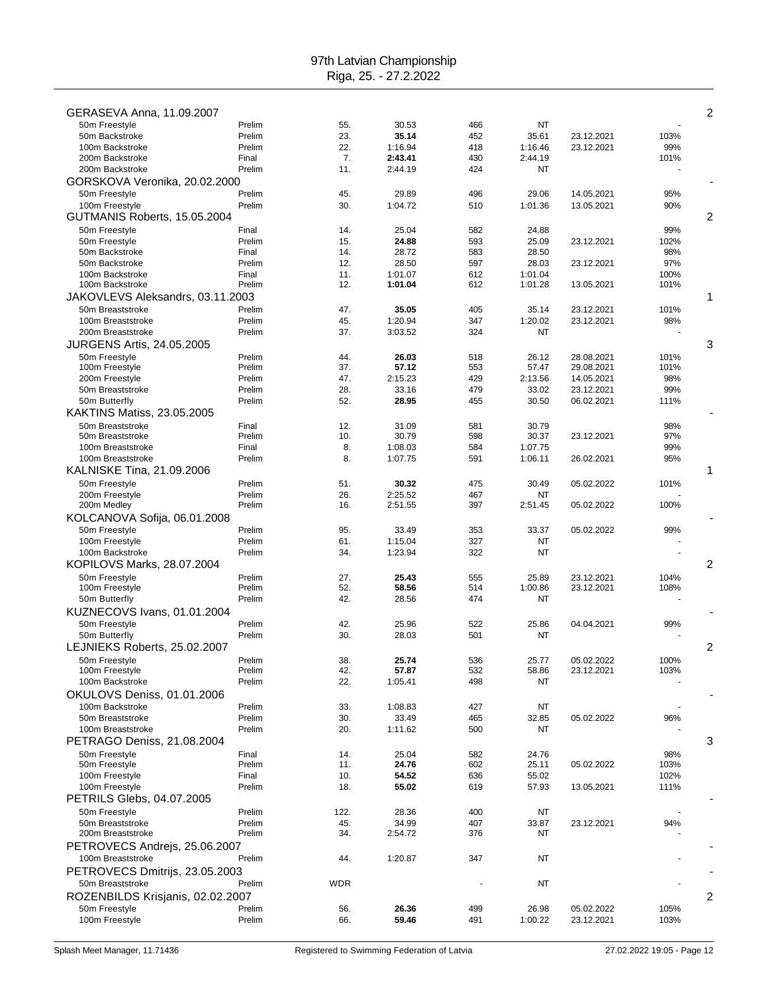| GERASEVA Anna, 11.09.2007         |                  |            |                  |            |                  |                          |              | 2 |
|-----------------------------------|------------------|------------|------------------|------------|------------------|--------------------------|--------------|---|
| 50m Freestyle                     | Prelim           | 55.        | 30.53            | 466        | NT               |                          |              |   |
| 50m Backstroke                    | Prelim           | 23.        | 35.14            | 452        | 35.61            | 23.12.2021               | 103%         |   |
| 100m Backstroke                   | Prelim           | 22.        | 1:16.94          | 418        | 1:16.46          | 23.12.2021               | 99%          |   |
| 200m Backstroke                   | Final            | 7.         | 2:43.41          | 430        | 2:44.19          |                          | 101%         |   |
| 200m Backstroke                   | Prelim           | 11.        | 2:44.19          | 424        | NT               |                          |              |   |
| GORSKOVA Veronika, 20.02.2000     |                  |            |                  |            |                  |                          |              |   |
| 50m Freestyle                     | Prelim           | 45.        | 29.89            | 496        | 29.06            | 14.05.2021               | 95%          |   |
| 100m Freestyle                    | Prelim           | 30.        | 1:04.72          | 510        | 1:01.36          | 13.05.2021               | 90%          |   |
| GUTMANIS Roberts, 15.05.2004      |                  |            |                  |            |                  |                          |              | 2 |
| 50m Freestyle                     | Final            | 14.        | 25.04            | 582        | 24.88            |                          | 99%          |   |
| 50m Freestyle                     | Prelim           | 15.        | 24.88            | 593        | 25.09            | 23.12.2021               | 102%         |   |
| 50m Backstroke<br>50m Backstroke  | Final            | 14.        | 28.72            | 583        | 28.50            |                          | 98%          |   |
| 100m Backstroke                   | Prelim<br>Final  | 12.<br>11. | 28.50<br>1:01.07 | 597<br>612 | 28.03<br>1:01.04 | 23.12.2021               | 97%<br>100%  |   |
| 100m Backstroke                   | Prelim           | 12.        | 1:01.04          | 612        | 1:01.28          | 13.05.2021               | 101%         |   |
| JAKOVLEVS Aleksandrs, 03.11.2003  |                  |            |                  |            |                  |                          |              | 1 |
| 50m Breaststroke                  | Prelim           | 47.        | 35.05            | 405        | 35.14            | 23.12.2021               | 101%         |   |
| 100m Breaststroke                 | Prelim           | 45.        | 1:20.94          | 347        | 1:20.02          | 23.12.2021               | 98%          |   |
| 200m Breaststroke                 | Prelim           | 37.        | 3:03.52          | 324        | <b>NT</b>        |                          |              |   |
| <b>JURGENS Artis, 24.05.2005</b>  |                  |            |                  |            |                  |                          |              | 3 |
| 50m Freestyle                     | Prelim           | 44.        | 26.03            | 518        | 26.12            | 28.08.2021               | 101%         |   |
| 100m Freestyle                    | Prelim           | 37.        | 57.12            | 553        | 57.47            | 29.08.2021               | 101%         |   |
| 200m Freestyle                    | Prelim           | 47.        | 2:15.23          | 429        | 2:13.56          | 14.05.2021               | 98%          |   |
| 50m Breaststroke                  | Prelim           | 28.        | 33.16            | 479        | 33.02            | 23.12.2021               | 99%          |   |
| 50m Butterfly                     | Prelim           | 52.        | 28.95            | 455        | 30.50            | 06.02.2021               | 111%         |   |
| <b>KAKTINS Matiss, 23.05.2005</b> |                  |            |                  |            |                  |                          |              |   |
| 50m Breaststroke                  | Final            | 12.        | 31.09            | 581        | 30.79            |                          | 98%          |   |
| 50m Breaststroke                  | Prelim           | 10.        | 30.79            | 598        | 30.37            | 23.12.2021               | 97%          |   |
| 100m Breaststroke                 | Final            | 8.         | 1:08.03          | 584        | 1:07.75          |                          | 99%          |   |
| 100m Breaststroke                 | Prelim           | 8.         | 1:07.75          | 591        | 1:06.11          | 26.02.2021               | 95%          |   |
| KALNISKE Tina, 21.09.2006         |                  |            |                  |            |                  |                          |              | 1 |
| 50m Freestyle                     | Prelim           | 51.        | 30.32            | 475        | 30.49            | 05.02.2022               | 101%         |   |
| 200m Freestyle                    | Prelim           | 26.        | 2:25.52          | 467        | NT               |                          |              |   |
| 200m Medley                       | Prelim           | 16.        | 2:51.55          | 397        | 2:51.45          | 05.02.2022               | 100%         |   |
| KOLCANOVA Sofija, 06.01.2008      |                  |            |                  |            |                  |                          |              |   |
| 50m Freestyle                     | Prelim           | 95.        | 33.49            | 353        | 33.37            | 05.02.2022               | 99%          |   |
| 100m Freestyle                    | Prelim           | 61.        | 1:15.04          | 327        | NT               |                          |              |   |
| 100m Backstroke                   | Prelim           | 34.        | 1:23.94          | 322        | NT               |                          |              |   |
| KOPILOVS Marks, 28.07.2004        |                  |            |                  |            |                  |                          |              | 2 |
| 50m Freestyle                     | Prelim<br>Prelim | 27.<br>52. | 25.43<br>58.56   | 555<br>514 | 25.89<br>1:00.86 | 23.12.2021<br>23.12.2021 | 104%<br>108% |   |
| 100m Freestyle<br>50m Butterfly   | Prelim           | 42.        | 28.56            | 474        | NT               |                          |              |   |
| KUZNECOVS Ivans, 01.01.2004       |                  |            |                  |            |                  |                          |              |   |
| 50m Freestyle                     | Prelim           | 42.        | 25.96            | 522        | 25.86            | 04.04.2021               | 99%          |   |
| 50m Butterfly                     | Prelim           | 30.        | 28.03            | 501        | NT               |                          |              |   |
| LEJNIEKS Roberts, 25.02.2007      |                  |            |                  |            |                  |                          |              | 2 |
| 50m Freestyle                     | Prelim           | 38.        | 25.74            | 536        | 2577             | 05.02.2022               | 100%         |   |
| 100m Freestyle                    | Prelim           | 42.        | 57.87            | 532        | 58.86            | 23.12.2021               | 103%         |   |
| 100m Backstroke                   | Prelim           | 22.        | 1:05.41          | 498        | NT               |                          |              |   |
| OKULOVS Deniss, 01.01.2006        |                  |            |                  |            |                  |                          |              |   |
| 100m Backstroke                   | Prelim           | 33.        | 1:08.83          | 427        | NT               |                          |              |   |
| 50m Breaststroke                  | Prelim           | 30.        | 33.49            | 465        | 32.85            | 05.02.2022               | 96%          |   |
| 100m Breaststroke                 | Prelim           | 20.        | 1:11.62          | 500        | NT               |                          |              |   |
| PETRAGO Deniss, 21.08.2004        |                  |            |                  |            |                  |                          |              | 3 |
| 50m Freestyle                     | Final            | 14.        | 25.04            | 582        | 24.76            |                          | 98%          |   |
| 50m Freestyle                     | Prelim           | 11.        | 24.76            | 602        | 25.11            | 05.02.2022               | 103%         |   |
| 100m Freestyle                    | Final            | 10.        | 54.52            | 636        | 55.02            |                          | 102%         |   |
| 100m Freestyle                    | Prelim           | 18.        | 55.02            | 619        | 57.93            | 13.05.2021               | 111%         |   |
| PETRILS Glebs, 04.07.2005         |                  |            |                  |            |                  |                          |              |   |
| 50m Freestyle                     | Prelim           | 122.       | 28.36            | 400        | NT               |                          |              |   |
| 50m Breaststroke                  | Prelim           | 45.        | 34.99            | 407        | 33.87            | 23.12.2021               | 94%          |   |
| 200m Breaststroke                 | Prelim           | 34.        | 2:54.72          | 376        | NT               |                          |              |   |
| PETROVECS Andrejs, 25.06.2007     |                  |            |                  |            |                  |                          |              |   |
| 100m Breaststroke                 | Prelim           | 44.        | 1:20.87          | 347        | NT               |                          |              |   |
| PETROVECS Dmitrijs, 23.05.2003    |                  |            |                  |            |                  |                          |              |   |
| 50m Breaststroke                  | Prelim           | <b>WDR</b> |                  |            | NT               |                          |              |   |
| ROZENBILDS Krisjanis, 02.02.2007  |                  |            |                  |            |                  |                          |              | 2 |
| 50m Freestyle                     | Prelim           | 56.        | 26.36            | 499        | 26.98            | 05.02.2022               | 105%         |   |
| 100m Freestyle                    | Prelim           | 66.        | 59.46            | 491        | 1:00.22          | 23.12.2021               | 103%         |   |
|                                   |                  |            |                  |            |                  |                          |              |   |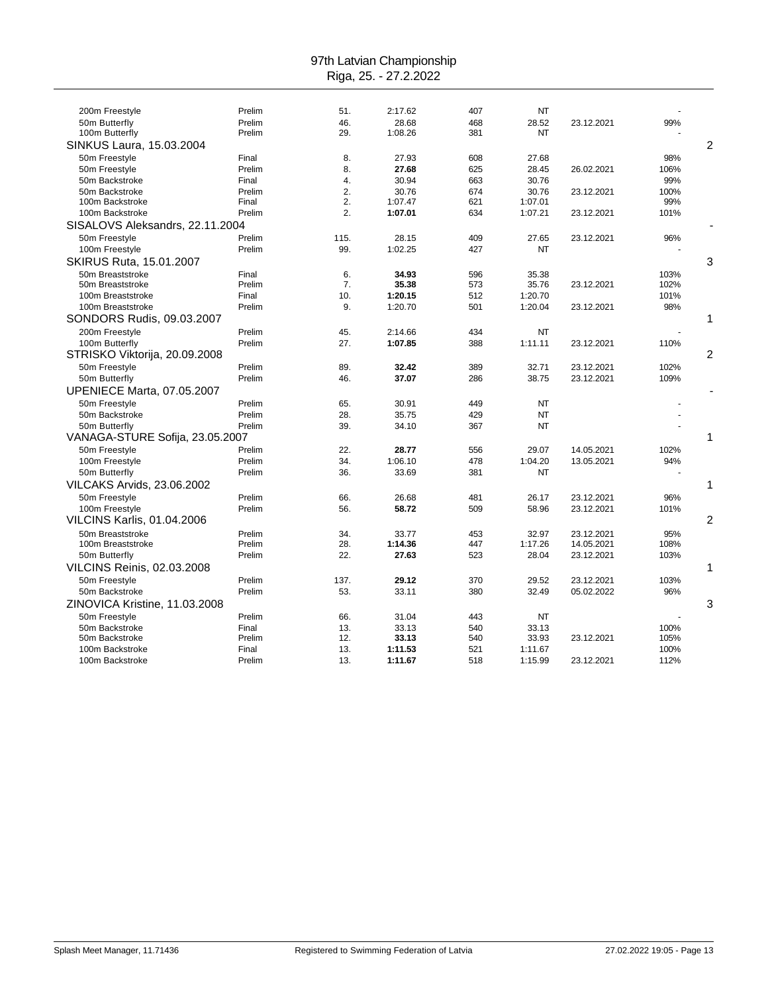| 200m Freestyle                    | Prelim | 51.  | 2:17.62 | 407 | NT        |            |      |   |
|-----------------------------------|--------|------|---------|-----|-----------|------------|------|---|
| 50m Butterfly                     | Prelim | 46.  | 28.68   | 468 | 28.52     | 23.12.2021 | 99%  |   |
| 100m Butterfly                    | Prelim | 29.  | 1:08.26 | 381 | NT        |            |      |   |
| SINKUS Laura, 15.03.2004          |        |      |         |     |           |            |      | 2 |
| 50m Freestyle                     | Final  | 8.   | 27.93   | 608 | 27.68     |            | 98%  |   |
| 50m Freestyle                     | Prelim | 8.   | 27.68   | 625 | 28.45     | 26.02.2021 | 106% |   |
| 50m Backstroke                    | Final  | 4.   | 30.94   | 663 | 30.76     |            | 99%  |   |
| 50m Backstroke                    | Prelim | 2.   | 30.76   | 674 | 30.76     | 23.12.2021 | 100% |   |
| 100m Backstroke                   | Final  | 2.   | 1:07.47 | 621 | 1:07.01   |            | 99%  |   |
| 100m Backstroke                   | Prelim | 2.   | 1:07.01 | 634 | 1:07.21   | 23.12.2021 | 101% |   |
| SISALOVS Aleksandrs, 22.11.2004   |        |      |         |     |           |            |      |   |
| 50m Freestyle                     | Prelim | 115. | 28.15   | 409 | 27.65     | 23.12.2021 | 96%  |   |
| 100m Freestyle                    | Prelim | 99.  | 1:02.25 | 427 | NT        |            |      |   |
| SKIRUS Ruta, 15.01.2007           |        |      |         |     |           |            |      | 3 |
| 50m Breaststroke                  | Final  | 6.   | 34.93   | 596 | 35.38     |            | 103% |   |
| 50m Breaststroke                  | Prelim | 7.   | 35.38   | 573 | 35.76     | 23.12.2021 | 102% |   |
| 100m Breaststroke                 | Final  | 10.  | 1:20.15 | 512 | 1:20.70   |            | 101% |   |
| 100m Breaststroke                 | Prelim | 9.   | 1:20.70 | 501 | 1:20.04   | 23.12.2021 | 98%  |   |
| SONDORS Rudis, 09.03.2007         |        |      |         |     |           |            |      | 1 |
| 200m Freestyle                    | Prelim | 45.  | 2:14.66 | 434 | <b>NT</b> |            |      |   |
| 100m Butterfly                    | Prelim | 27.  | 1:07.85 | 388 | 1:11.11   | 23.12.2021 | 110% |   |
| STRISKO Viktorija, 20.09.2008     |        |      |         |     |           |            |      | 2 |
| 50m Freestyle                     | Prelim | 89.  | 32.42   | 389 | 32.71     | 23.12.2021 | 102% |   |
| 50m Butterfly                     | Prelim | 46.  | 37.07   | 286 | 38.75     | 23.12.2021 | 109% |   |
| <b>UPENIECE Marta, 07.05.2007</b> |        |      |         |     |           |            |      |   |
| 50m Freestyle                     | Prelim | 65.  | 30.91   | 449 | <b>NT</b> |            |      |   |
| 50m Backstroke                    | Prelim | 28.  | 35.75   | 429 | <b>NT</b> |            |      |   |
| 50m Butterfly                     | Prelim | 39.  | 34.10   | 367 | <b>NT</b> |            |      |   |
| VANAGA-STURE Sofija, 23.05.2007   |        |      |         |     |           |            |      | 1 |
| 50m Freestyle                     | Prelim | 22.  | 28.77   | 556 | 29.07     | 14.05.2021 | 102% |   |
| 100m Freestyle                    | Prelim | 34.  | 1:06.10 | 478 | 1:04.20   | 13.05.2021 | 94%  |   |
| 50m Butterfly                     | Prelim | 36.  | 33.69   | 381 | NT        |            |      |   |
| <b>VILCAKS Arvids, 23.06.2002</b> |        |      |         |     |           |            |      | 1 |
|                                   |        |      |         |     |           |            |      |   |
| 50m Freestyle                     | Prelim | 66.  | 26.68   | 481 | 26.17     | 23.12.2021 | 96%  |   |
| 100m Freestyle                    | Prelim | 56.  | 58.72   | 509 | 58.96     | 23.12.2021 | 101% |   |
| <b>VILCINS Karlis, 01.04.2006</b> |        |      |         |     |           |            |      | 2 |
| 50m Breaststroke                  | Prelim | 34.  | 33.77   | 453 | 32.97     | 23.12.2021 | 95%  |   |
| 100m Breaststroke                 | Prelim | 28.  | 1:14.36 | 447 | 1:17.26   | 14.05.2021 | 108% |   |
| 50m Butterfly                     | Prelim | 22.  | 27.63   | 523 | 28.04     | 23.12.2021 | 103% |   |
| VILCINS Reinis, 02.03.2008        |        |      |         |     |           |            |      | 1 |
| 50m Freestyle                     | Prelim | 137. | 29.12   | 370 | 29.52     | 23.12.2021 | 103% |   |
| 50m Backstroke                    | Prelim | 53.  | 33.11   | 380 | 32.49     | 05.02.2022 | 96%  |   |
| ZINOVICA Kristine, 11.03.2008     |        |      |         |     |           |            |      | 3 |
| 50m Freestyle                     | Prelim | 66.  | 31.04   | 443 | <b>NT</b> |            |      |   |
| 50m Backstroke                    | Final  | 13.  | 33.13   | 540 | 33.13     |            | 100% |   |
| 50m Backstroke                    | Prelim | 12.  | 33.13   | 540 | 33.93     | 23.12.2021 | 105% |   |
| 100m Backstroke                   | Final  | 13.  | 1:11.53 | 521 | 1:11.67   |            | 100% |   |
| 100m Backstroke                   | Prelim | 13.  | 1:11.67 | 518 | 1:15.99   | 23.12.2021 | 112% |   |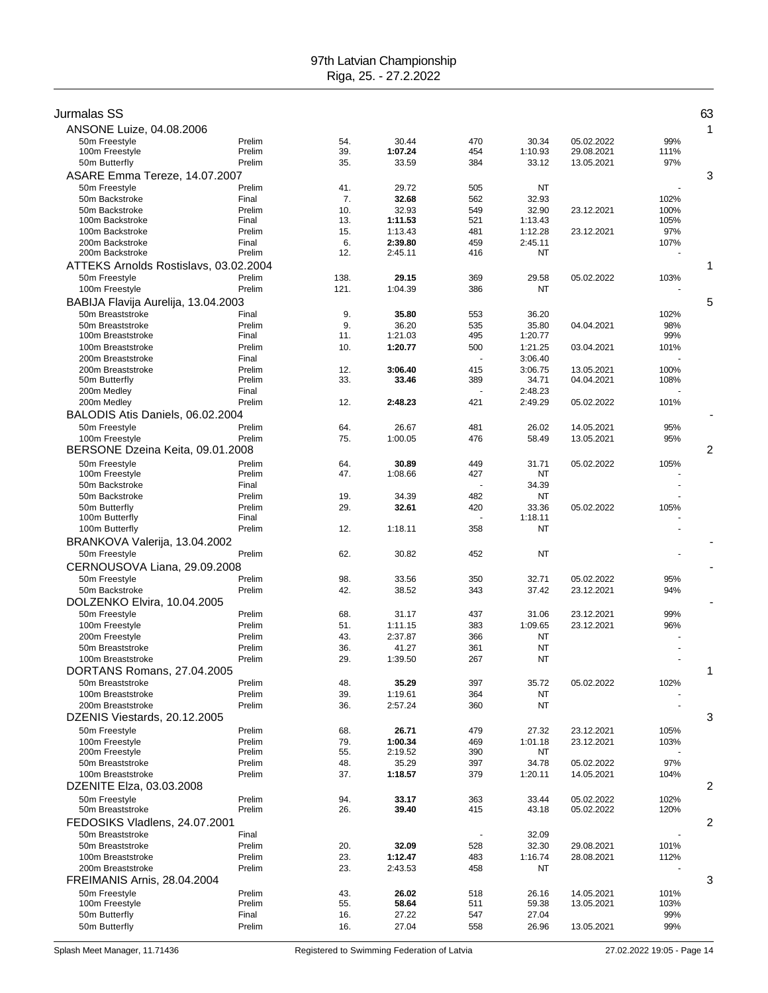| Jurmalas SS                                     |                  |            |                    |            |                    |                          |             | 63 |
|-------------------------------------------------|------------------|------------|--------------------|------------|--------------------|--------------------------|-------------|----|
| ANSONE Luize, 04.08.2006                        |                  |            |                    |            |                    |                          |             | 1  |
| 50m Freestyle                                   | Prelim           | 54.        | 30.44              | 470        | 30.34              | 05.02.2022               | 99%         |    |
| 100m Freestyle                                  | Prelim           | 39.        | 1:07.24            | 454        | 1:10.93            | 29.08.2021               | 111%        |    |
| 50m Butterfly                                   | Prelim           | 35.        | 33.59              | 384        | 33.12              | 13.05.2021               | 97%         |    |
| ASARE Emma Tereze, 14.07.2007                   |                  |            |                    |            |                    |                          |             | 3  |
| 50m Freestyle                                   | Prelim           | 41.        | 29.72              | 505        | NT                 |                          |             |    |
| 50m Backstroke                                  | Final            | 7.         | 32.68              | 562        | 32.93              |                          | 102%        |    |
| 50m Backstroke                                  | Prelim           | 10.        | 32.93              | 549        | 32.90              | 23.12.2021               | 100%        |    |
| 100m Backstroke                                 | Final            | 13.        | 1:11.53            | 521        | 1:13.43            | 23.12.2021               | 105%        |    |
| 100m Backstroke<br>200m Backstroke              | Prelim<br>Final  | 15.<br>6.  | 1:13.43<br>2:39.80 | 481<br>459 | 1:12.28<br>2:45.11 |                          | 97%<br>107% |    |
| 200m Backstroke                                 | Prelim           | 12.        | 2:45.11            | 416        | NT                 |                          |             |    |
| ATTEKS Arnolds Rostislavs, 03.02.2004           |                  |            |                    |            |                    |                          |             | 1  |
| 50m Freestyle                                   | Prelim           | 138.       | 29.15              | 369        | 29.58              | 05.02.2022               | 103%        |    |
| 100m Freestyle                                  | Prelim           | 121.       | 1:04.39            | 386        | <b>NT</b>          |                          |             |    |
| BABIJA Flavija Aurelija, 13.04.2003             |                  |            |                    |            |                    |                          |             | 5  |
| 50m Breaststroke                                | Final            | 9.         | 35.80              | 553        | 36.20              |                          | 102%        |    |
| 50m Breaststroke                                | Prelim           | 9.         | 36.20              | 535        | 35.80              | 04.04.2021               | 98%         |    |
| 100m Breaststroke                               | Final            | 11.        | 1:21.03            | 495        | 1:20.77            |                          | 99%         |    |
| 100m Breaststroke                               | Prelim           | 10.        | 1:20.77            | 500        | 1:21.25            | 03.04.2021               | 101%        |    |
| 200m Breaststroke<br>200m Breaststroke          | Final<br>Prelim  | 12.        | 3:06.40            | 415        | 3:06.40<br>3:06.75 | 13.05.2021               | 100%        |    |
| 50m Butterfly                                   | Prelim           | 33.        | 33.46              | 389        | 34.71              | 04.04.2021               | 108%        |    |
| 200m Medley                                     | Final            |            |                    |            | 2:48.23            |                          |             |    |
| 200m Medley                                     | Prelim           | 12.        | 2:48.23            | 421        | 2:49.29            | 05.02.2022               | 101%        |    |
| BALODIS Atis Daniels, 06.02.2004                |                  |            |                    |            |                    |                          |             |    |
| 50m Freestyle                                   | Prelim           | 64.        | 26.67              | 481        | 26.02              | 14.05.2021               | 95%         |    |
| 100m Freestyle                                  | Prelim           | 75.        | 1:00.05            | 476        | 58.49              | 13.05.2021               | 95%         |    |
| BERSONE Dzeina Keita, 09.01.2008                |                  |            |                    |            |                    |                          |             | 2  |
| 50m Freestyle                                   | Prelim           | 64.        | 30.89              | 449        | 31.71              | 05.02.2022               | 105%        |    |
| 100m Freestyle                                  | Prelim           | 47.        | 1:08.66            | 427        | NT                 |                          |             |    |
| 50m Backstroke                                  | Final            |            |                    |            | 34.39              |                          |             |    |
| 50m Backstroke<br>50m Butterfly                 | Prelim<br>Prelim | 19.<br>29. | 34.39<br>32.61     | 482<br>420 | NT<br>33.36        | 05.02.2022               | 105%        |    |
| 100m Butterfly                                  | Final            |            |                    |            | 1:18.11            |                          |             |    |
| 100m Butterfly                                  | Prelim           | 12.        | 1:18.11            | 358        | NT                 |                          |             |    |
| BRANKOVA Valerija, 13.04.2002                   |                  |            |                    |            |                    |                          |             |    |
| 50m Freestyle                                   | Prelim           | 62.        | 30.82              | 452        | <b>NT</b>          |                          |             |    |
| CERNOUSOVA Liana, 29.09.2008                    |                  |            |                    |            |                    |                          |             |    |
| 50m Freestyle                                   | Prelim           | 98.        | 33.56              | 350        | 32.71              | 05.02.2022               | 95%         |    |
| 50m Backstroke                                  | Prelim           | 42.        | 38.52              | 343        | 37.42              | 23.12.2021               | 94%         |    |
| DOLZENKO Elvira, 10.04.2005                     |                  |            |                    |            |                    |                          |             |    |
| 50m Freestyle                                   | Prelim           | 68.        | 31.17              | 437        | 31.06              | 23.12.2021               | 99%         |    |
| 100m Freestyle                                  | Prelim           | 51.        | 1:11.15            | 383        | 1:09.65            | 23.12.2021               | 96%         |    |
| 200m Freestyle                                  | Prelim           | 43.        | 2:37.87            | 366        | ΝT                 |                          |             |    |
| 50m Breaststroke                                | Prelim           | 36.        | 41.27              | 361        | <b>NT</b>          |                          |             |    |
| 100m Breaststroke<br>DORTANS Romans, 27.04.2005 | Prelim           | 29.        | 1:39.50            | 267        | NT                 |                          |             | 1  |
| 50m Breaststroke                                | Prelim           | 48.        | 35.29              | 397        | 35.72              | 05.02.2022               | 102%        |    |
| 100m Breaststroke                               | Prelim           | 39.        | 1:19.61            | 364        | NT                 |                          |             |    |
| 200m Breaststroke                               | Prelim           | 36.        | 2:57.24            | 360        | <b>NT</b>          |                          |             |    |
| DZENIS Viestards, 20.12.2005                    |                  |            |                    |            |                    |                          |             | 3  |
| 50m Freestyle                                   | Prelim           | 68.        | 26.71              | 479        | 27.32              | 23.12.2021               | 105%        |    |
| 100m Freestyle                                  | Prelim           | 79.        | 1:00.34            | 469        | 1:01.18            | 23.12.2021               | 103%        |    |
| 200m Freestyle                                  | Prelim           | 55.        | 2:19.52            | 390        | NT                 |                          |             |    |
| 50m Breaststroke                                | Prelim           | 48.        | 35.29              | 397        | 34.78              | 05.02.2022               | 97%         |    |
| 100m Breaststroke                               | Prelim           | 37.        | 1:18.57            | 379        | 1:20.11            | 14.05.2021               | 104%        |    |
| DZENITE Elza, 03.03.2008                        |                  |            |                    |            |                    |                          |             | 2  |
| 50m Freestyle                                   | Prelim           | 94.        | 33.17              | 363        | 33.44              | 05.02.2022               | 102%        |    |
| 50m Breaststroke                                | Prelim           | 26.        | 39.40              | 415        | 43.18              | 05.02.2022               | 120%        |    |
| FEDOSIKS Vladlens, 24.07.2001                   |                  |            |                    |            |                    |                          |             | 2  |
| 50m Breaststroke<br>50m Breaststroke            | Final            |            |                    | 528        | 32.09              |                          | 101%        |    |
| 100m Breaststroke                               | Prelim<br>Prelim | 20.<br>23. | 32.09<br>1:12.47   | 483        | 32.30<br>1:16.74   | 29.08.2021<br>28.08.2021 | 112%        |    |
| 200m Breaststroke                               | Prelim           | 23.        | 2:43.53            | 458        | NT                 |                          |             |    |
| FREIMANIS Arnis, 28.04.2004                     |                  |            |                    |            |                    |                          |             | 3  |
| 50m Freestyle                                   | Prelim           | 43.        | 26.02              | 518        | 26.16              | 14.05.2021               | 101%        |    |
| 100m Freestyle                                  | Prelim           | 55.        | 58.64              | 511        | 59.38              | 13.05.2021               | 103%        |    |
| 50m Butterfly                                   | Final            | 16.        | 27.22              | 547        | 27.04              |                          | 99%         |    |
| 50m Butterfly                                   | Prelim           | 16.        | 27.04              | 558        | 26.96              | 13.05.2021               | 99%         |    |
|                                                 |                  |            |                    |            |                    |                          |             |    |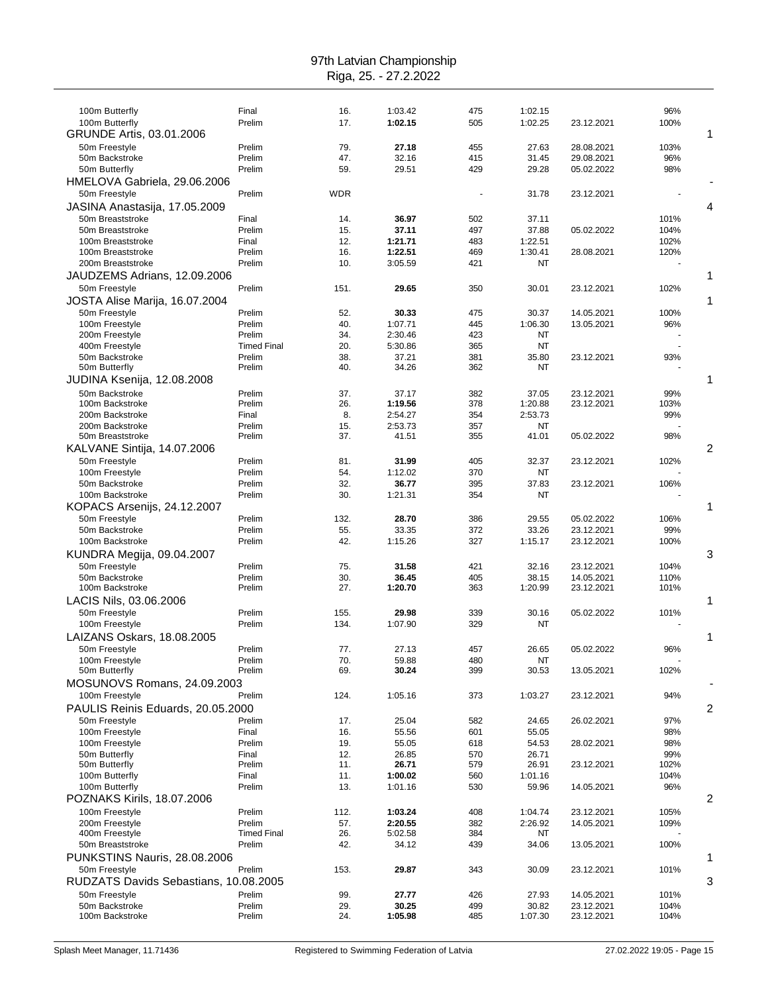| 100m Butterfly                                   | Final                        | 16.        | 1:03.42            | 475        | 1:02.15          |                          | 96%          |   |
|--------------------------------------------------|------------------------------|------------|--------------------|------------|------------------|--------------------------|--------------|---|
| 100m Butterfly                                   | Prelim                       | 17.        | 1:02.15            | 505        | 1:02.25          | 23.12.2021               | 100%         |   |
| GRUNDE Artis, 03.01.2006                         |                              |            |                    |            |                  |                          |              | 1 |
| 50m Freestyle                                    | Prelim                       | 79.        | 27.18              | 455        | 27.63            | 28.08.2021               | 103%         |   |
| 50m Backstroke                                   | Prelim                       | 47.        | 32.16              | 415        | 31.45            | 29.08.2021               | 96%          |   |
| 50m Butterfly                                    | Prelim                       | 59.        | 29.51              | 429        | 29.28            | 05.02.2022               | 98%          |   |
| HMELOVA Gabriela, 29.06.2006                     |                              |            |                    |            |                  |                          |              |   |
| 50m Freestyle                                    | Prelim                       | WDR        |                    |            | 31.78            | 23.12.2021               |              |   |
| JASINA Anastasija, 17.05.2009                    |                              |            |                    |            |                  |                          |              | 4 |
| 50m Breaststroke                                 | Final                        | 14.        | 36.97              | 502        | 37.11            |                          | 101%         |   |
| 50m Breaststroke                                 | Prelim                       | 15.        | 37.11              | 497        | 37.88            | 05.02.2022               | 104%         |   |
| 100m Breaststroke                                | Final                        | 12.        | 1:21.71            | 483        | 1:22.51          |                          | 102%         |   |
| 100m Breaststroke<br>200m Breaststroke           | Prelim                       | 16.<br>10. | 1:22.51<br>3:05.59 | 469<br>421 | 1:30.41<br>NT    | 28.08.2021               | 120%         |   |
|                                                  | Prelim                       |            |                    |            |                  |                          |              |   |
| JAUDZEMS Adrians, 12.09.2006                     |                              |            |                    |            |                  |                          |              | 1 |
| 50m Freestyle                                    | Prelim                       | 151.       | 29.65              | 350        | 30.01            | 23.12.2021               | 102%         | 1 |
| JOSTA Alise Marija, 16.07.2004                   |                              |            |                    |            |                  |                          |              |   |
| 50m Freestyle<br>100m Freestyle                  | Prelim<br>Prelim             | 52.<br>40. | 30.33<br>1:07.71   | 475<br>445 | 30.37<br>1:06.30 | 14.05.2021<br>13.05.2021 | 100%<br>96%  |   |
| 200m Freestyle                                   | Prelim                       | 34.        | 2:30.46            | 423        | NT               |                          |              |   |
| 400m Freestyle                                   | <b>Timed Final</b>           | 20.        | 5:30.86            | 365        | NT               |                          |              |   |
| 50m Backstroke                                   | Prelim                       | 38.        | 37.21              | 381        | 35.80            | 23.12.2021               | 93%          |   |
| 50m Butterfly                                    | Prelim                       | 40.        | 34.26              | 362        | NT               |                          |              |   |
| JUDINA Ksenija, 12.08.2008                       |                              |            |                    |            |                  |                          |              | 1 |
| 50m Backstroke                                   | Prelim                       | 37.        | 37.17              | 382        | 37.05            | 23.12.2021               | 99%          |   |
| 100m Backstroke                                  | Prelim                       | 26.        | 1:19.56            | 378        | 1:20.88          | 23.12.2021               | 103%         |   |
| 200m Backstroke                                  | Final                        | 8.         | 2:54.27            | 354        | 2:53.73          |                          | 99%          |   |
| 200m Backstroke                                  | Prelim                       | 15.        | 2:53.73            | 357        | NT               |                          |              |   |
| 50m Breaststroke                                 | Prelim                       | 37.        | 41.51              | 355        | 41.01            | 05.02.2022               | 98%          |   |
| KALVANE Sintija, 14.07.2006                      |                              |            |                    |            |                  |                          |              | 2 |
| 50m Freestyle                                    | Prelim                       | 81.        | 31.99              | 405        | 32.37            | 23.12.2021               | 102%         |   |
| 100m Freestyle                                   | Prelim                       | 54.        | 1:12.02            | 370        | ΝT               |                          |              |   |
| 50m Backstroke                                   | Prelim                       | 32.        | 36.77              | 395        | 37.83            | 23.12.2021               | 106%         |   |
| 100m Backstroke                                  | Prelim                       | 30.        | 1:21.31            | 354        | NT               |                          |              |   |
| KOPACS Arsenijs, 24.12.2007                      |                              |            |                    |            |                  |                          |              | 1 |
| 50m Freestyle                                    | Prelim                       | 132.       | 28.70              | 386        | 29.55            | 05.02.2022               | 106%         |   |
| 50m Backstroke<br>100m Backstroke                | Prelim<br>Prelim             | 55.<br>42. | 33.35<br>1:15.26   | 372<br>327 | 33.26<br>1:15.17 | 23.12.2021<br>23.12.2021 | 99%<br>100%  |   |
|                                                  |                              |            |                    |            |                  |                          |              | 3 |
| <b>KUNDRA Megija, 09.04.2007</b>                 | Prelim                       | 75.        | 31.58              | 421        | 32.16            | 23.12.2021               | 104%         |   |
| 50m Freestyle<br>50m Backstroke                  | Prelim                       | 30.        | 36.45              | 405        | 38.15            | 14.05.2021               | 110%         |   |
| 100m Backstroke                                  | Prelim                       | 27.        | 1:20.70            | 363        | 1:20.99          | 23.12.2021               | 101%         |   |
| LACIS Nils, 03.06.2006                           |                              |            |                    |            |                  |                          |              | 1 |
| 50m Freestyle                                    | Prelim                       | 155.       | 29.98              | 339        | 30.16            | 05.02.2022               | 101%         |   |
| 100m Freestyle                                   | Prelim                       | 134.       | 1:07.90            | 329        | NT               |                          |              |   |
| LAIZANS Oskars, 18.08.2005                       |                              |            |                    |            |                  |                          |              | 1 |
| 50m Freestyle                                    | Prelim                       | 77.        | 27.13              | 457        | 26.65            | 05.02.2022               | 96%          |   |
| 100m Freestyle                                   | Prelim                       | 70.        | 59.88              | 480        | NT               |                          |              |   |
| 50m Butterfly                                    | Prelim                       | 69.        | 30.24              | 399        | 30.53            | 13.05.2021               | 102%         |   |
| MOSUNOVS Romans, 24.09.2003                      |                              |            |                    |            |                  |                          |              |   |
| 100m Freestyle                                   | Prelim                       | 124.       | 1:05.16            | 373        | 1:03.27          | 23.12.2021               | 94%          |   |
| PAULIS Reinis Eduards, 20.05.2000                |                              |            |                    |            |                  |                          |              | 2 |
| 50m Freestyle                                    | Prelim                       | 17.        | 25.04              | 582        | 24.65            | 26.02.2021               | 97%          |   |
| 100m Freestyle                                   | Final                        | 16.        | 55.56              | 601        | 55.05            |                          | 98%          |   |
| 100m Freestyle                                   | Prelim                       | 19.        | 55.05              | 618        | 54.53            | 28.02.2021               | 98%          |   |
| 50m Butterfly                                    | Final                        | 12.        | 26.85              | 570        | 26.71            |                          | 99%          |   |
| 50m Butterfly                                    | Prelim                       | 11.        | 26.71              | 579        | 26.91            | 23.12.2021               | 102%         |   |
| 100m Butterfly                                   | Final                        | 11.        | 1:00.02            | 560        | 1:01.16          |                          | 104%         |   |
| 100m Butterfly                                   | Prelim                       | 13.        | 1:01.16            | 530        | 59.96            | 14.05.2021               | 96%          |   |
| POZNAKS Kirils, 18.07.2006                       |                              |            |                    |            |                  |                          |              | 2 |
| 100m Freestyle                                   | Prelim                       | 112.       | 1:03.24            | 408        | 1:04.74          | 23.12.2021               | 105%         |   |
| 200m Freestyle                                   | Prelim                       | 57.        | 2:20.55            | 382        | 2:26.92          | 14.05.2021               | 109%         |   |
| 400m Freestyle                                   | <b>Timed Final</b><br>Prelim | 26.        | 5:02.58            | 384        | ΝT               |                          |              |   |
| 50m Breaststroke<br>PUNKSTINS Nauris, 28.08.2006 |                              | 42.        | 34.12              | 439        | 34.06            | 13.05.2021               | 100%         | 1 |
| 50m Freestyle                                    | Prelim                       | 153.       | 29.87              | 343        |                  |                          | 101%         |   |
| RUDZATS Davids Sebastians, 10.08.2005            |                              |            |                    |            | 30.09            | 23.12.2021               |              | 3 |
|                                                  |                              | 99.        |                    |            |                  |                          |              |   |
| 50m Freestyle<br>50m Backstroke                  | Prelim<br>Prelim             | 29.        | 27.77<br>30.25     | 426<br>499 | 27.93<br>30.82   | 14.05.2021<br>23.12.2021 | 101%<br>104% |   |
| 100m Backstroke                                  | Prelim                       | 24.        | 1:05.98            | 485        | 1:07.30          | 23.12.2021               | 104%         |   |
|                                                  |                              |            |                    |            |                  |                          |              |   |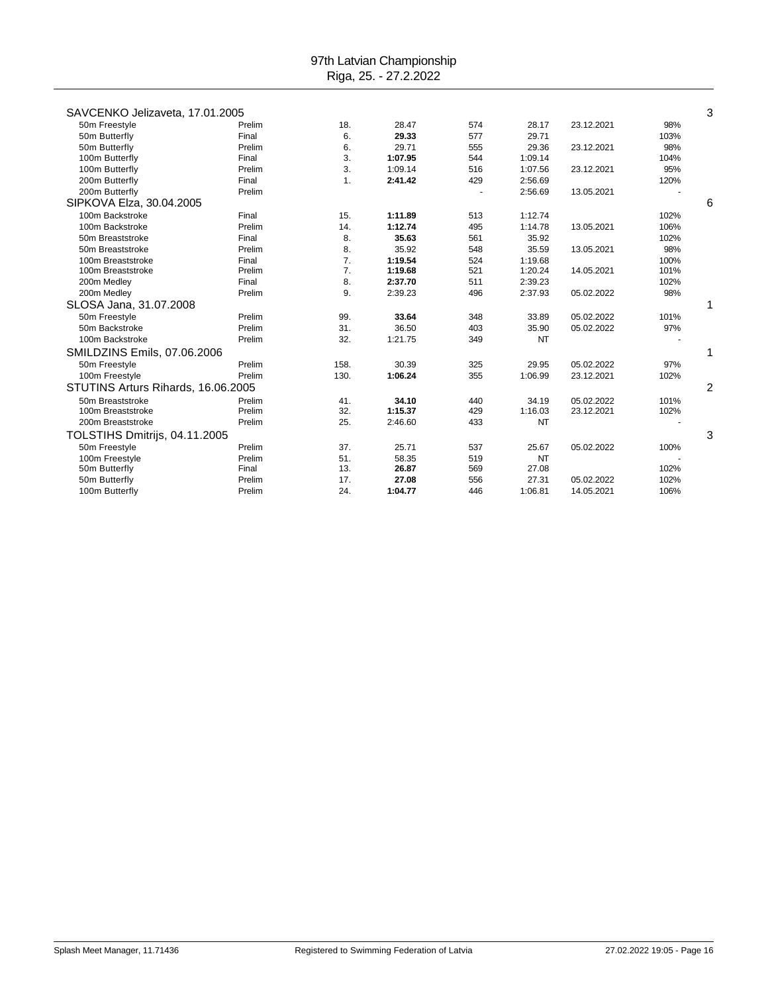| SAVCENKO Jelizaveta, 17.01.2005    |        |                |         |     |           |            |      | 3              |
|------------------------------------|--------|----------------|---------|-----|-----------|------------|------|----------------|
| 50m Freestyle                      | Prelim | 18.            | 28.47   | 574 | 28.17     | 23.12.2021 | 98%  |                |
| 50m Butterfly                      | Final  | 6.             | 29.33   | 577 | 29.71     |            | 103% |                |
| 50m Butterfly                      | Prelim | 6.             | 29.71   | 555 | 29.36     | 23.12.2021 | 98%  |                |
| 100m Butterfly                     | Final  | 3.             | 1:07.95 | 544 | 1:09.14   |            | 104% |                |
| 100m Butterfly                     | Prelim | 3.             | 1:09.14 | 516 | 1:07.56   | 23.12.2021 | 95%  |                |
| 200m Butterfly                     | Final  | $\mathbf{1}$ . | 2:41.42 | 429 | 2:56.69   |            | 120% |                |
| 200m Butterfly                     | Prelim |                |         |     | 2:56.69   | 13.05.2021 |      |                |
| SIPKOVA Elza, 30.04.2005           |        |                |         |     |           |            |      | 6              |
| 100m Backstroke                    | Final  | 15.            | 1:11.89 | 513 | 1:12.74   |            | 102% |                |
| 100m Backstroke                    | Prelim | 14.            | 1:12.74 | 495 | 1:14.78   | 13.05.2021 | 106% |                |
| 50m Breaststroke                   | Final  | 8.             | 35.63   | 561 | 35.92     |            | 102% |                |
| 50m Breaststroke                   | Prelim | 8.             | 35.92   | 548 | 35.59     | 13.05.2021 | 98%  |                |
| 100m Breaststroke                  | Final  | 7.             | 1:19.54 | 524 | 1:19.68   |            | 100% |                |
| 100m Breaststroke                  | Prelim | 7.             | 1:19.68 | 521 | 1:20.24   | 14.05.2021 | 101% |                |
| 200m Medley                        | Final  | 8.             | 2:37.70 | 511 | 2:39.23   |            | 102% |                |
| 200m Medley                        | Prelim | 9.             | 2:39.23 | 496 | 2:37.93   | 05.02.2022 | 98%  |                |
| SLOSA Jana, 31.07.2008             |        |                |         |     |           |            |      |                |
| 50m Freestyle                      | Prelim | 99.            | 33.64   | 348 | 33.89     | 05.02.2022 | 101% |                |
| 50m Backstroke                     | Prelim | 31.            | 36.50   | 403 | 35.90     | 05.02.2022 | 97%  |                |
| 100m Backstroke                    | Prelim | 32.            | 1:21.75 | 349 | NT        |            |      |                |
| SMILDZINS Emils, 07.06.2006        |        |                |         |     |           |            |      |                |
| 50m Freestyle                      | Prelim | 158.           | 30.39   | 325 | 29.95     | 05.02.2022 | 97%  |                |
| 100m Freestyle                     | Prelim | 130.           | 1:06.24 | 355 | 1:06.99   | 23.12.2021 | 102% |                |
| STUTINS Arturs Rihards, 16.06.2005 |        |                |         |     |           |            |      | $\overline{c}$ |
| 50m Breaststroke                   | Prelim | 41.            | 34.10   | 440 | 34.19     | 05.02.2022 | 101% |                |
| 100m Breaststroke                  | Prelim | 32.            | 1:15.37 | 429 | 1:16.03   | 23.12.2021 | 102% |                |
| 200m Breaststroke                  | Prelim | 25.            | 2:46.60 | 433 | <b>NT</b> |            |      |                |
| TOLSTIHS Dmitrijs, 04.11.2005      |        |                |         |     |           |            |      | 3              |
| 50m Freestyle                      | Prelim | 37.            | 25.71   | 537 | 25.67     | 05.02.2022 | 100% |                |
| 100m Freestyle                     | Prelim | 51.            | 58.35   | 519 | <b>NT</b> |            |      |                |
| 50m Butterfly                      | Final  | 13.            | 26.87   | 569 | 27.08     |            | 102% |                |
| 50m Butterfly                      | Prelim | 17.            | 27.08   | 556 | 27.31     | 05.02.2022 | 102% |                |
| 100m Butterfly                     | Prelim | 24.            | 1:04.77 | 446 | 1:06.81   | 14.05.2021 | 106% |                |
|                                    |        |                |         |     |           |            |      |                |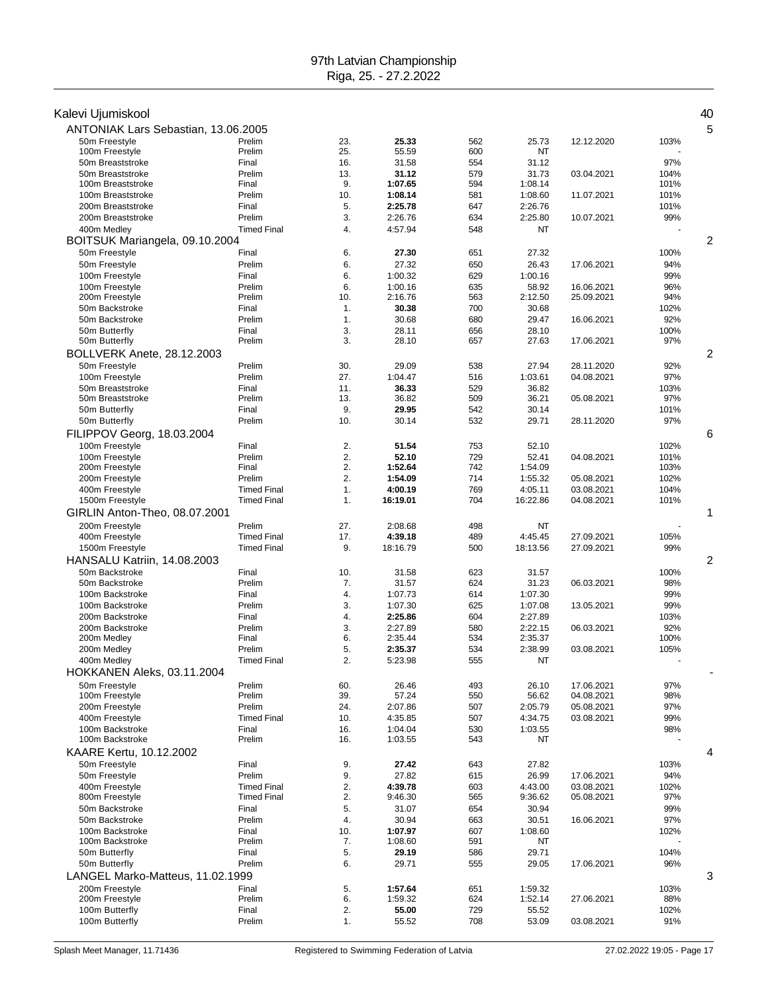| Kalevi Ujumiskool                   |                                          |            |                     |            |                     |                          |              | 40 |
|-------------------------------------|------------------------------------------|------------|---------------------|------------|---------------------|--------------------------|--------------|----|
| ANTONIAK Lars Sebastian, 13.06.2005 |                                          |            |                     |            |                     |                          |              | 5  |
| 50m Freestyle                       | Prelim                                   | 23.        | 25.33               | 562        | 25.73               | 12.12.2020               | 103%         |    |
| 100m Freestyle                      | Prelim                                   | 25.        | 55.59               | 600        | NT                  |                          |              |    |
| 50m Breaststroke                    | Final                                    | 16.        | 31.58               | 554        | 31.12               |                          | 97%          |    |
| 50m Breaststroke                    | Prelim                                   | 13.        | 31.12               | 579        | 31.73               | 03.04.2021               | 104%         |    |
| 100m Breaststroke                   | Final                                    | 9.         | 1:07.65             | 594        | 1:08.14             |                          | 101%         |    |
| 100m Breaststroke                   | Prelim                                   | 10.        | 1:08.14             | 581        | 1:08.60             | 11.07.2021               | 101%         |    |
| 200m Breaststroke                   | Final                                    | 5.         | 2:25.78             | 647        | 2:26.76             |                          | 101%         |    |
| 200m Breaststroke                   | Prelim                                   | 3.         | 2:26.76             | 634        | 2:25.80             | 10.07.2021               | 99%          |    |
| 400m Medley                         | <b>Timed Final</b>                       | 4.         | 4:57.94             | 548        | NT                  |                          |              |    |
| BOITSUK Mariangela, 09.10.2004      |                                          |            |                     |            |                     |                          |              | 2  |
| 50m Freestyle                       | Final                                    | 6.         | 27.30               | 651        | 27.32               |                          | 100%         |    |
| 50m Freestyle                       | Prelim                                   | 6.         | 27.32               | 650        | 26.43               | 17.06.2021               | 94%          |    |
| 100m Freestyle                      | Final                                    | 6.         | 1:00.32             | 629        | 1:00.16             |                          | 99%          |    |
| 100m Freestyle                      | Prelim                                   | 6.         | 1:00.16             | 635        | 58.92               | 16.06.2021               | 96%          |    |
| 200m Freestyle                      | Prelim                                   | 10.        | 2:16.76             | 563        | 2:12.50             | 25.09.2021               | 94%          |    |
| 50m Backstroke                      | Final                                    | 1.         | 30.38               | 700        | 30.68               |                          | 102%         |    |
| 50m Backstroke                      | Prelim                                   | 1.         | 30.68               | 680        | 29.47               | 16.06.2021               | 92%          |    |
| 50m Butterfly                       | Final                                    | 3.<br>3.   | 28.11               | 656        | 28.10               |                          | 100%<br>97%  |    |
| 50m Butterfly                       | Prelim                                   |            | 28.10               | 657        | 27.63               | 17.06.2021               |              |    |
| BOLLVERK Anete, 28.12.2003          |                                          |            |                     |            |                     |                          |              | 2  |
| 50m Freestyle                       | Prelim                                   | 30.        | 29.09               | 538        | 27.94               | 28.11.2020               | 92%          |    |
| 100m Freestyle                      | Prelim                                   | 27.        | 1:04.47             | 516        | 1:03.61             | 04.08.2021               | 97%          |    |
| 50m Breaststroke                    | Final                                    | 11.        | 36.33               | 529        | 36.82               |                          | 103%         |    |
| 50m Breaststroke                    | Prelim                                   | 13.        | 36.82               | 509        | 36.21               | 05.08.2021               | 97%          |    |
| 50m Butterfly<br>50m Butterfly      | Final<br>Prelim                          | 9.<br>10.  | 29.95<br>30.14      | 542<br>532 | 30.14<br>29.71      |                          | 101%<br>97%  |    |
|                                     |                                          |            |                     |            |                     | 28.11.2020               |              |    |
| FILIPPOV Georg, 18.03.2004          |                                          |            |                     |            |                     |                          |              | 6  |
| 100m Freestyle                      | Final                                    | 2.         | 51.54               | 753        | 52.10               |                          | 102%         |    |
| 100m Freestyle                      | Prelim                                   | 2.         | 52.10               | 729        | 52.41               | 04.08.2021               | 101%         |    |
| 200m Freestyle                      | Final                                    | 2.<br>2.   | 1:52.64             | 742        | 1:54.09             |                          | 103%         |    |
| 200m Freestyle                      | Prelim                                   |            | 1:54.09             | 714        | 1:55.32             | 05.08.2021               | 102%         |    |
| 400m Freestyle<br>1500m Freestyle   | <b>Timed Final</b><br><b>Timed Final</b> | 1.<br>1.   | 4:00.19<br>16:19.01 | 769<br>704 | 4:05.11<br>16:22.86 | 03.08.2021<br>04.08.2021 | 104%<br>101% |    |
|                                     |                                          |            |                     |            |                     |                          |              |    |
| GIRLIN Anton-Theo, 08.07.2001       |                                          |            |                     |            |                     |                          |              | 1  |
| 200m Freestyle                      | Prelim                                   | 27.        | 2:08.68             | 498        | <b>NT</b>           |                          |              |    |
| 400m Freestyle                      | <b>Timed Final</b>                       | 17.        | 4:39.18             | 489        | 4:45.45             | 27.09.2021               | 105%         |    |
| 1500m Freestyle                     | <b>Timed Final</b>                       | 9.         | 18:16.79            | 500        | 18:13.56            | 27.09.2021               | 99%          |    |
| HANSALU Katriin, 14.08.2003         |                                          |            |                     |            |                     |                          |              | 2  |
| 50m Backstroke                      | Final                                    | 10.        | 31.58               | 623        | 31.57               |                          | 100%         |    |
| 50m Backstroke                      | Prelim                                   | 7.         | 31.57               | 624        | 31.23               | 06.03.2021               | 98%          |    |
| 100m Backstroke                     | Final                                    | 4.         | 1:07.73             | 614        | 1:07.30             |                          | 99%          |    |
| 100m Backstroke                     | Prelim                                   | 3.         | 1:07.30             | 625        | 1:07.08             | 13.05.2021               | 99%          |    |
| 200m Backstroke                     | Final                                    | 4.         | 2:25.86             | 604        | 2:27.89             |                          | 103%         |    |
| 200m Backstroke<br>200m Medley      | Prelim<br>Final                          | 3.<br>6.   | 2:27.89<br>2:35.44  | 580<br>534 | 2:22.15<br>2:35.37  | 06.03.2021               | 92%<br>100%  |    |
| 200m Medley                         | Prelim                                   | 5.         | 2:35.37             | 534        | 2:38.99             | 03.08.2021               | 105%         |    |
| 400m Medley                         | <b>Timed Final</b>                       | 2          | 5:23.98             | 555        | NT                  |                          |              |    |
| HOKKANEN Aleks, 03.11.2004          |                                          |            |                     |            |                     |                          |              |    |
|                                     |                                          |            |                     |            |                     |                          |              |    |
| 50m Freestyle<br>100m Freestyle     | Prelim<br>Prelim                         | 60.<br>39. | 26.46<br>57.24      | 493<br>550 | 26.10<br>56.62      | 17.06.2021<br>04.08.2021 | 97%<br>98%   |    |
| 200m Freestyle                      | Prelim                                   | 24.        | 2:07.86             | 507        | 2:05.79             | 05.08.2021               | 97%          |    |
| 400m Freestyle                      | <b>Timed Final</b>                       | 10.        | 4:35.85             | 507        | 4:34.75             | 03.08.2021               | 99%          |    |
| 100m Backstroke                     | Final                                    | 16.        | 1:04.04             | 530        | 1:03.55             |                          | 98%          |    |
| 100m Backstroke                     | Prelim                                   | 16.        | 1:03.55             | 543        | NT                  |                          |              |    |
| KAARE Kertu, 10.12.2002             |                                          |            |                     |            |                     |                          |              | 4  |
| 50m Freestyle                       | Final                                    | 9.         | 27.42               | 643        | 27.82               |                          | 103%         |    |
| 50m Freestyle                       | Prelim                                   | 9.         | 27.82               | 615        | 26.99               | 17.06.2021               | 94%          |    |
| 400m Freestyle                      | <b>Timed Final</b>                       | 2.         | 4:39.78             | 603        | 4:43.00             | 03.08.2021               | 102%         |    |
| 800m Freestyle                      | <b>Timed Final</b>                       | 2.         | 9:46.30             | 565        | 9:36.62             | 05.08.2021               | 97%          |    |
| 50m Backstroke                      | Final                                    | 5.         | 31.07               | 654        | 30.94               |                          | 99%          |    |
| 50m Backstroke                      | Prelim                                   | 4.         | 30.94               | 663        | 30.51               | 16.06.2021               | 97%          |    |
| 100m Backstroke                     | Final                                    | 10.        | 1:07.97             | 607        | 1:08.60             |                          | 102%         |    |
| 100m Backstroke                     | Prelim                                   | 7.         | 1:08.60             | 591        | NT                  |                          |              |    |
| 50m Butterfly                       | Final                                    | 5.         | 29.19               | 586        | 29.71               |                          | 104%         |    |
| 50m Butterfly                       | Prelim                                   | 6.         | 29.71               | 555        | 29.05               | 17.06.2021               | 96%          |    |
| LANGEL Marko-Matteus, 11.02.1999    |                                          |            |                     |            |                     |                          |              | 3  |
| 200m Freestyle                      | Final                                    | 5.         | 1:57.64             | 651        | 1:59.32             |                          | 103%         |    |
| 200m Freestyle                      | Prelim                                   | 6.         | 1:59.32             | 624        | 1:52.14             | 27.06.2021               | 88%          |    |
| 100m Butterfly                      | Final                                    | 2.         | 55.00               | 729        | 55.52               |                          | 102%         |    |
| 100m Butterfly                      | Prelim                                   | 1.         | 55.52               | 708        | 53.09               | 03.08.2021               | 91%          |    |
|                                     |                                          |            |                     |            |                     |                          |              |    |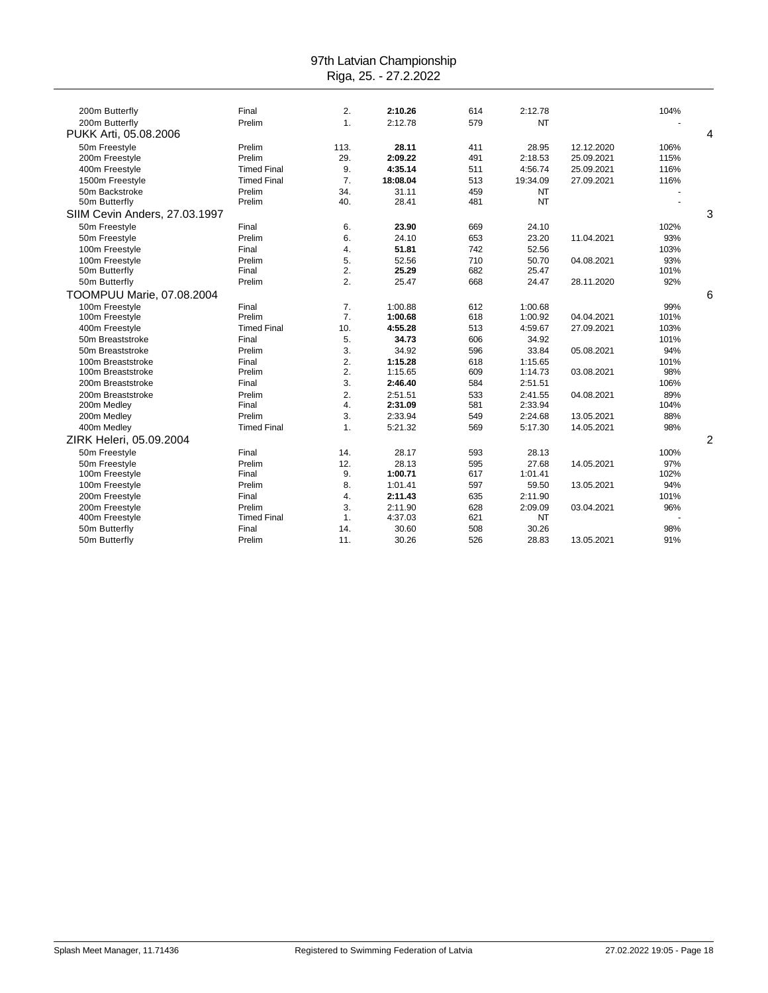| 200m Butterfly                   | Final              | 2.               | 2:10.26  | 614 | 2:12.78   |            | 104% |   |
|----------------------------------|--------------------|------------------|----------|-----|-----------|------------|------|---|
| 200m Butterfly                   | Prelim             | 1.               | 2:12.78  | 579 | <b>NT</b> |            |      |   |
| PUKK Arti, 05.08.2006            |                    |                  |          |     |           |            |      | 4 |
| 50m Freestyle                    | Prelim             | 113.             | 28.11    | 411 | 28.95     | 12.12.2020 | 106% |   |
| 200m Freestyle                   | Prelim             | 29.              | 2:09.22  | 491 | 2:18.53   | 25.09.2021 | 115% |   |
| 400m Freestyle                   | <b>Timed Final</b> | 9.               | 4:35.14  | 511 | 4:56.74   | 25.09.2021 | 116% |   |
| 1500m Freestyle                  | <b>Timed Final</b> | 7.               | 18:08.04 | 513 | 19:34.09  | 27.09.2021 | 116% |   |
| 50m Backstroke                   | Prelim             | 34.              | 31.11    | 459 | <b>NT</b> |            |      |   |
| 50m Butterfly                    | Prelim             | 40.              | 28.41    | 481 | <b>NT</b> |            |      |   |
| SIIM Cevin Anders, 27.03.1997    |                    |                  |          |     |           |            |      | 3 |
| 50m Freestyle                    | Final              | 6.               | 23.90    | 669 | 24.10     |            | 102% |   |
| 50m Freestyle                    | Prelim             | 6.               | 24.10    | 653 | 23.20     | 11.04.2021 | 93%  |   |
| 100m Freestyle                   | Final              | 4.               | 51.81    | 742 | 52.56     |            | 103% |   |
| 100m Freestyle                   | Prelim             | 5.               | 52.56    | 710 | 50.70     | 04.08.2021 | 93%  |   |
| 50m Butterfly                    | Final              | 2.               | 25.29    | 682 | 25.47     |            | 101% |   |
| 50m Butterfly                    | Prelim             | $\overline{2}$ . | 25.47    | 668 | 24.47     | 28.11.2020 | 92%  |   |
| <b>TOOMPUU Marie, 07.08.2004</b> |                    |                  |          |     |           |            |      | 6 |
| 100m Freestyle                   | Final              | 7.               | 1:00.88  | 612 | 1:00.68   |            | 99%  |   |
| 100m Freestyle                   | Prelim             | 7.               | 1:00.68  | 618 | 1:00.92   | 04.04.2021 | 101% |   |
| 400m Freestyle                   | <b>Timed Final</b> | 10.              | 4:55.28  | 513 | 4:59.67   | 27.09.2021 | 103% |   |
| 50m Breaststroke                 | Final              | 5.               | 34.73    | 606 | 34.92     |            | 101% |   |
| 50m Breaststroke                 | Prelim             | 3.               | 34.92    | 596 | 33.84     | 05.08.2021 | 94%  |   |
| 100m Breaststroke                | Final              | 2.               | 1:15.28  | 618 | 1:15.65   |            | 101% |   |
| 100m Breaststroke                | Prelim             | 2.               | 1:15.65  | 609 | 1:14.73   | 03.08.2021 | 98%  |   |
| 200m Breaststroke                | Final              | 3.               | 2:46.40  | 584 | 2:51.51   |            | 106% |   |
| 200m Breaststroke                | Prelim             | 2.               | 2:51.51  | 533 | 2:41.55   | 04.08.2021 | 89%  |   |
| 200m Medley                      | Final              | 4.               | 2:31.09  | 581 | 2:33.94   |            | 104% |   |
| 200m Medley                      | Prelim             | 3.               | 2:33.94  | 549 | 2:24.68   | 13.05.2021 | 88%  |   |
| 400m Medley                      | <b>Timed Final</b> | 1.               | 5:21.32  | 569 | 5:17.30   | 14.05.2021 | 98%  |   |
| ZIRK Heleri, 05.09.2004          |                    |                  |          |     |           |            |      | 2 |
| 50m Freestyle                    | Final              | 14.              | 28.17    | 593 | 28.13     |            | 100% |   |
| 50m Freestyle                    | Prelim             | 12.              | 28.13    | 595 | 27.68     | 14.05.2021 | 97%  |   |
| 100m Freestyle                   | Final              | 9.               | 1:00.71  | 617 | 1:01.41   |            | 102% |   |
| 100m Freestyle                   | Prelim             | 8.               | 1:01.41  | 597 | 59.50     | 13.05.2021 | 94%  |   |
| 200m Freestyle                   | Final              | 4.               | 2:11.43  | 635 | 2:11.90   |            | 101% |   |
| 200m Freestyle                   | Prelim             | 3.               | 2:11.90  | 628 | 2:09.09   | 03.04.2021 | 96%  |   |
| 400m Freestyle                   | <b>Timed Final</b> | 1.               | 4:37.03  | 621 | NT        |            |      |   |
| 50m Butterfly                    | Final              | 14.              | 30.60    | 508 | 30.26     |            | 98%  |   |
| 50m Butterfly                    | Prelim             | 11.              | 30.26    | 526 | 28.83     | 13.05.2021 | 91%  |   |
|                                  |                    |                  |          |     |           |            |      |   |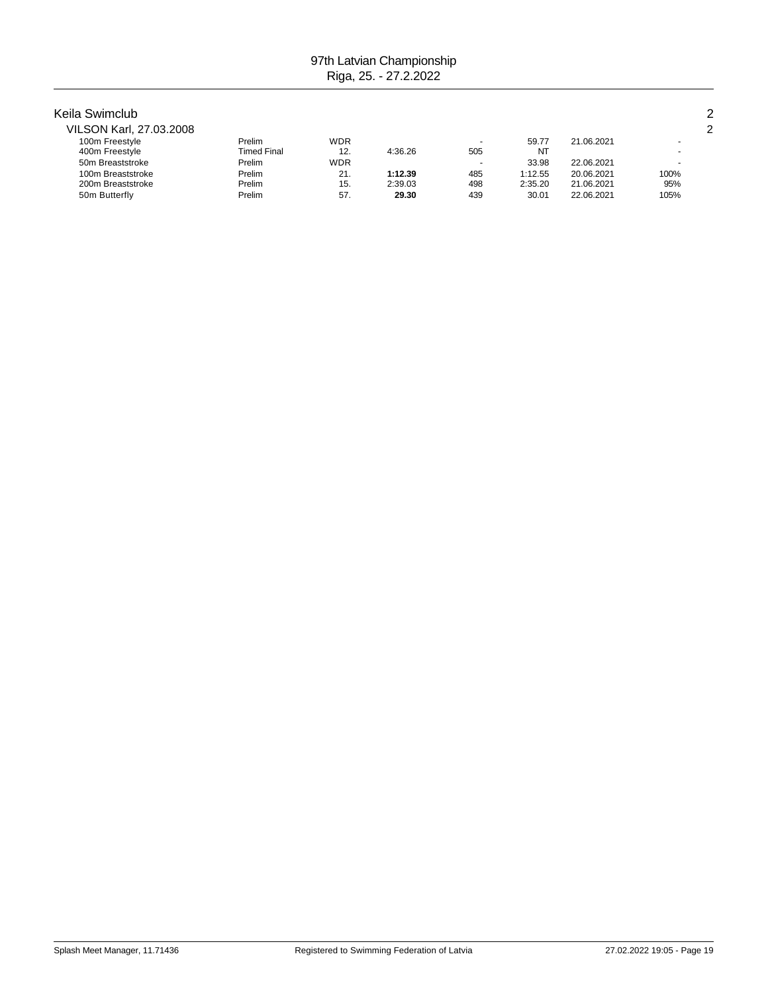#### Keila Swimclub 2

| VILSON Karl, 27.03.2008 |                    |            |         |        |         |            | ົ    |
|-------------------------|--------------------|------------|---------|--------|---------|------------|------|
| 100m Freestyle          | Prelim             | <b>WDR</b> |         | $\sim$ | 59.77   | 21.06.2021 |      |
| 400m Freestyle          | <b>Timed Final</b> | 12.        | 4:36.26 | 505    | NT      |            |      |
| 50m Breaststroke        | Prelim             | <b>WDR</b> |         | ٠      | 33.98   | 22.06.2021 |      |
| 100m Breaststroke       | Prelim             | 21.        | 1:12.39 | 485    | 1:12.55 | 20.06.2021 | 100% |
| 200m Breaststroke       | Prelim             | 15.        | 2:39.03 | 498    | 2:35.20 | 21.06.2021 | 95%  |
| 50m Butterfly           | Prelim             | 57.        | 29.30   | 439    | 30.01   | 22.06.2021 | 105% |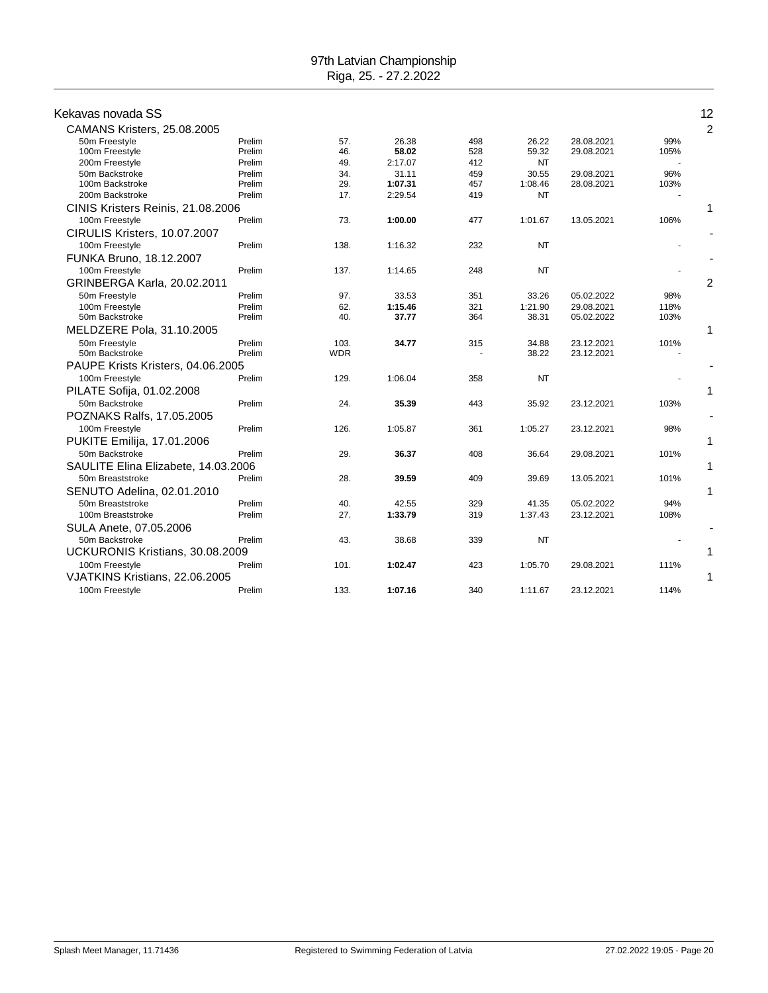| Kekavas novada SS                   |        |            |         |     |           |            |      | 12 |
|-------------------------------------|--------|------------|---------|-----|-----------|------------|------|----|
| CAMANS Kristers, 25.08.2005         |        |            |         |     |           |            |      | 2  |
| 50m Freestyle                       | Prelim | 57.        | 26.38   | 498 | 26.22     | 28.08.2021 | 99%  |    |
| 100m Freestyle                      | Prelim | 46.        | 58.02   | 528 | 59.32     | 29.08.2021 | 105% |    |
| 200m Freestyle                      | Prelim | 49.        | 2:17.07 | 412 | <b>NT</b> |            |      |    |
| 50m Backstroke                      | Prelim | 34.        | 31.11   | 459 | 30.55     | 29.08.2021 | 96%  |    |
| 100m Backstroke                     | Prelim | 29.        | 1:07.31 | 457 | 1:08.46   | 28.08.2021 | 103% |    |
| 200m Backstroke                     | Prelim | 17.        | 2:29.54 | 419 | NT        |            |      |    |
| CINIS Kristers Reinis, 21.08.2006   |        |            |         |     |           |            |      | 1  |
| 100m Freestyle                      | Prelim | 73.        | 1:00.00 | 477 | 1:01.67   | 13.05.2021 | 106% |    |
| CIRULIS Kristers, 10.07.2007        |        |            |         |     |           |            |      |    |
| 100m Freestyle                      | Prelim | 138.       | 1:16.32 | 232 | <b>NT</b> |            |      |    |
| FUNKA Bruno, 18.12.2007             |        |            |         |     |           |            |      |    |
| 100m Freestyle                      | Prelim | 137.       | 1:14.65 | 248 | <b>NT</b> |            |      |    |
| GRINBERGA Karla, 20.02.2011         |        |            |         |     |           |            |      | 2  |
| 50m Freestyle                       | Prelim | 97.        | 33.53   | 351 | 33.26     | 05.02.2022 | 98%  |    |
| 100m Freestyle                      | Prelim | 62.        | 1:15.46 | 321 | 1:21.90   | 29.08.2021 | 118% |    |
| 50m Backstroke                      | Prelim | 40.        | 37.77   | 364 | 38.31     | 05.02.2022 | 103% |    |
| MELDZERE Pola, 31.10.2005           |        |            |         |     |           |            |      | 1  |
| 50m Freestyle                       | Prelim | 103.       | 34.77   | 315 | 34.88     | 23.12.2021 | 101% |    |
| 50m Backstroke                      | Prelim | <b>WDR</b> |         |     | 38.22     | 23.12.2021 |      |    |
| PAUPE Krists Kristers, 04.06.2005   |        |            |         |     |           |            |      |    |
| 100m Freestyle                      | Prelim | 129.       | 1:06.04 | 358 | <b>NT</b> |            |      |    |
| PILATE Sofija, 01.02.2008           |        |            |         |     |           |            |      | 1  |
| 50m Backstroke                      | Prelim | 24.        | 35.39   | 443 | 35.92     | 23.12.2021 | 103% |    |
| POZNAKS Ralfs, 17.05.2005           |        |            |         |     |           |            |      |    |
| 100m Freestyle                      | Prelim | 126.       | 1:05.87 | 361 | 1:05.27   | 23.12.2021 | 98%  |    |
| PUKITE Emilija, 17.01.2006          |        |            |         |     |           |            |      | 1  |
| 50m Backstroke                      | Prelim | 29.        | 36.37   | 408 | 36.64     | 29.08.2021 | 101% |    |
| SAULITE Elina Elizabete, 14.03.2006 |        |            |         |     |           |            |      |    |
| 50m Breaststroke                    | Prelim | 28.        | 39.59   | 409 | 39.69     | 13.05.2021 | 101% |    |
| SENUTO Adelina, 02.01.2010          |        |            |         |     |           |            |      | 1  |
| 50m Breaststroke                    | Prelim | 40.        | 42.55   | 329 | 41.35     | 05.02.2022 | 94%  |    |
| 100m Breaststroke                   | Prelim | 27.        | 1:33.79 | 319 | 1:37.43   | 23.12.2021 | 108% |    |
| SULA Anete, 07.05.2006              |        |            |         |     |           |            |      |    |
| 50m Backstroke                      | Prelim | 43.        | 38.68   | 339 | <b>NT</b> |            |      |    |
| UCKURONIS Kristians, 30.08.2009     |        |            |         |     |           |            |      | 1  |
| 100m Freestyle                      | Prelim | 101.       | 1:02.47 | 423 | 1:05.70   | 29.08.2021 | 111% |    |
| VJATKINS Kristians, 22.06.2005      |        |            |         |     |           |            |      | 1  |
| 100m Freestyle                      | Prelim | 133.       | 1:07.16 | 340 | 1:11.67   | 23.12.2021 | 114% |    |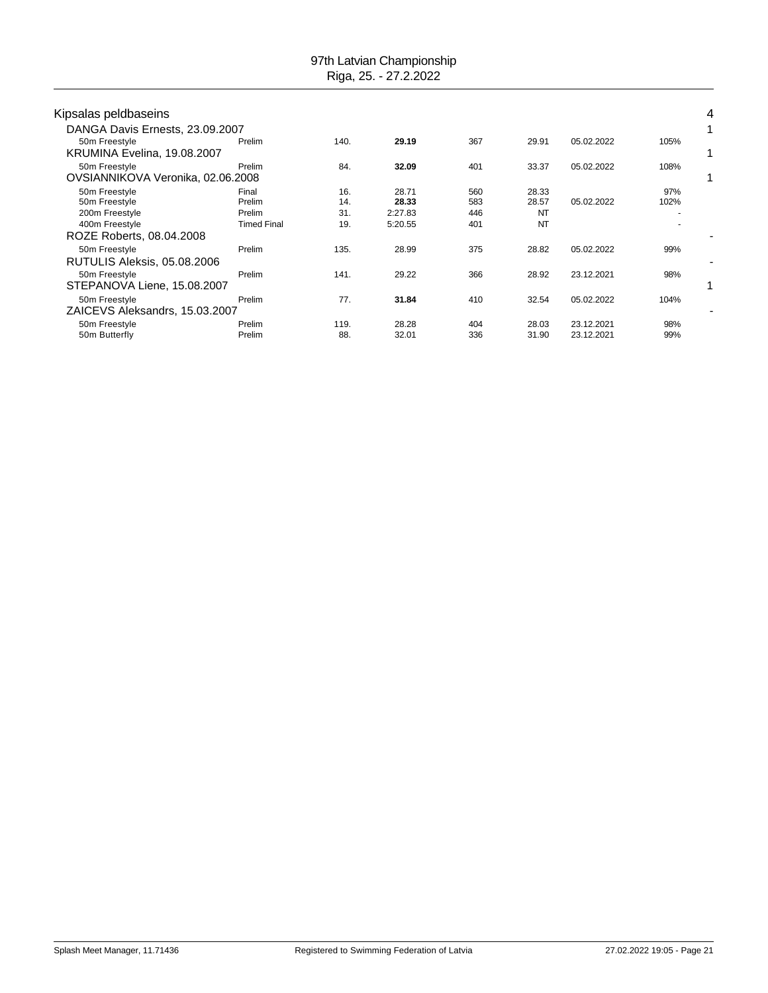| Kipsalas peldbaseins                               |                    |      |         |     |       |            |      | 4 |
|----------------------------------------------------|--------------------|------|---------|-----|-------|------------|------|---|
| DANGA Davis Ernests, 23.09.2007                    |                    |      |         |     |       |            |      |   |
| 50m Freestyle<br>KRUMINA Evelina, 19.08.2007       | Prelim             | 140. | 29.19   | 367 | 29.91 | 05.02.2022 | 105% |   |
| 50m Freestyle<br>OVSIANNIKOVA Veronika, 02.06.2008 | Prelim             | 84.  | 32.09   | 401 | 33.37 | 05.02.2022 | 108% |   |
| 50m Freestyle                                      | Final              | 16.  | 28.71   | 560 | 28.33 |            | 97%  |   |
| 50m Freestyle                                      | Prelim             | 14.  | 28.33   | 583 | 28.57 | 05.02.2022 | 102% |   |
| 200m Freestyle                                     | Prelim             | 31.  | 2:27.83 | 446 | NT    |            |      |   |
| 400m Freestyle<br>ROZE Roberts, 08.04.2008         | <b>Timed Final</b> | 19.  | 5:20.55 | 401 | NT    |            |      |   |
| 50m Freestyle                                      | Prelim             | 135. | 28.99   | 375 | 28.82 | 05.02.2022 | 99%  |   |
| RUTULIS Aleksis, 05.08.2006                        |                    |      |         |     |       |            |      | ٠ |
| 50m Freestyle<br>STEPANOVA Liene, 15.08.2007       | Prelim             | 141. | 29.22   | 366 | 28.92 | 23.12.2021 | 98%  |   |
| 50m Freestyle<br>ZAICEVS Aleksandrs, 15.03.2007    | Prelim             | 77.  | 31.84   | 410 | 32.54 | 05.02.2022 | 104% |   |
| 50m Freestyle                                      | Prelim             | 119. | 28.28   | 404 | 28.03 | 23.12.2021 | 98%  |   |
| 50m Butterfly                                      | Prelim             | 88.  | 32.01   | 336 | 31.90 | 23.12.2021 | 99%  |   |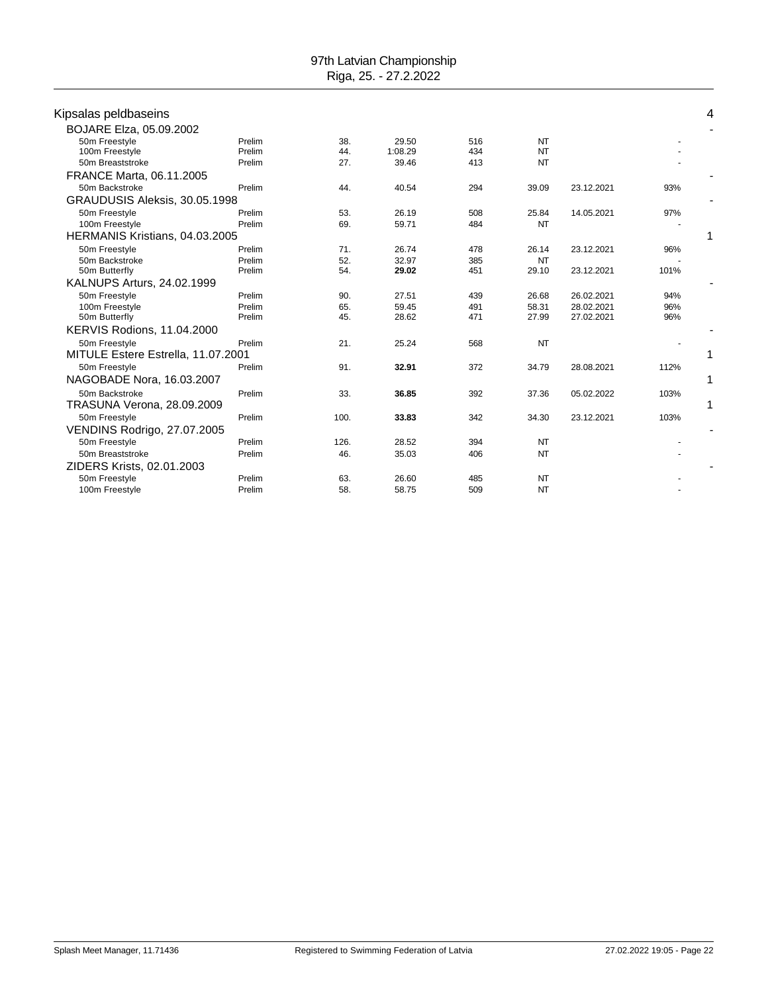| Kipsalas peldbaseins               |        |            |         |     |           |            |      |   |
|------------------------------------|--------|------------|---------|-----|-----------|------------|------|---|
| BOJARE Elza, 05.09.2002            |        |            |         |     |           |            |      |   |
|                                    | Prelim |            | 29.50   | 516 | NT        |            |      |   |
| 50m Freestyle<br>100m Freestyle    | Prelim | 38.<br>44. | 1:08.29 | 434 | <b>NT</b> |            |      |   |
| 50m Breaststroke                   | Prelim | 27.        | 39.46   | 413 | <b>NT</b> |            |      |   |
| FRANCE Marta, 06.11.2005           |        |            |         |     |           |            |      |   |
| 50m Backstroke                     | Prelim | 44.        | 40.54   | 294 | 39.09     | 23.12.2021 | 93%  |   |
| GRAUDUSIS Aleksis, 30.05.1998      |        |            |         |     |           |            |      |   |
| 50m Freestyle                      | Prelim | 53.        | 26.19   | 508 | 25.84     | 14.05.2021 | 97%  |   |
| 100m Freestyle                     | Prelim | 69.        | 59.71   | 484 | <b>NT</b> |            |      |   |
| HERMANIS Kristians, 04.03.2005     |        |            |         |     |           |            |      |   |
| 50m Freestyle                      | Prelim | 71.        | 26.74   | 478 | 26.14     | 23.12.2021 | 96%  |   |
| 50m Backstroke                     | Prelim | 52.        | 32.97   | 385 | <b>NT</b> |            |      |   |
| 50m Butterfly                      | Prelim | 54.        | 29.02   | 451 | 29.10     | 23.12.2021 | 101% |   |
| KALNUPS Arturs, 24.02.1999         |        |            |         |     |           |            |      |   |
| 50m Freestyle                      | Prelim | 90.        | 27.51   | 439 | 26.68     | 26.02.2021 | 94%  |   |
| 100m Freestyle                     | Prelim | 65.        | 59.45   | 491 | 58.31     | 28.02.2021 | 96%  |   |
| 50m Butterfly                      | Prelim | 45.        | 28.62   | 471 | 27.99     | 27.02.2021 | 96%  |   |
| KERVIS Rodions, 11.04.2000         |        |            |         |     |           |            |      |   |
| 50m Freestyle                      | Prelim | 21.        | 25.24   | 568 | <b>NT</b> |            |      |   |
| MITULE Estere Estrella, 11.07.2001 |        |            |         |     |           |            |      | 1 |
| 50m Freestyle                      | Prelim | 91.        | 32.91   | 372 | 34.79     | 28.08.2021 | 112% |   |
| NAGOBADE Nora, 16.03.2007          |        |            |         |     |           |            |      |   |
| 50m Backstroke                     | Prelim | 33.        | 36.85   | 392 | 37.36     | 05.02.2022 | 103% |   |
| TRASUNA Verona, 28.09.2009         |        |            |         |     |           |            |      | 1 |
| 50m Freestyle                      | Prelim | 100.       | 33.83   | 342 | 34.30     | 23.12.2021 | 103% |   |
| <b>VENDINS Rodrigo, 27.07.2005</b> |        |            |         |     |           |            |      |   |
| 50m Freestyle                      | Prelim | 126.       | 28.52   | 394 | <b>NT</b> |            |      |   |
| 50m Breaststroke                   | Prelim | 46.        | 35.03   | 406 | <b>NT</b> |            |      |   |
| ZIDERS Krists, 02.01.2003          |        |            |         |     |           |            |      |   |
| 50m Freestyle                      | Prelim | 63.        | 26.60   | 485 | <b>NT</b> |            |      |   |
| 100m Freestyle                     | Prelim | 58.        | 58.75   | 509 | <b>NT</b> |            |      |   |
|                                    |        |            |         |     |           |            |      |   |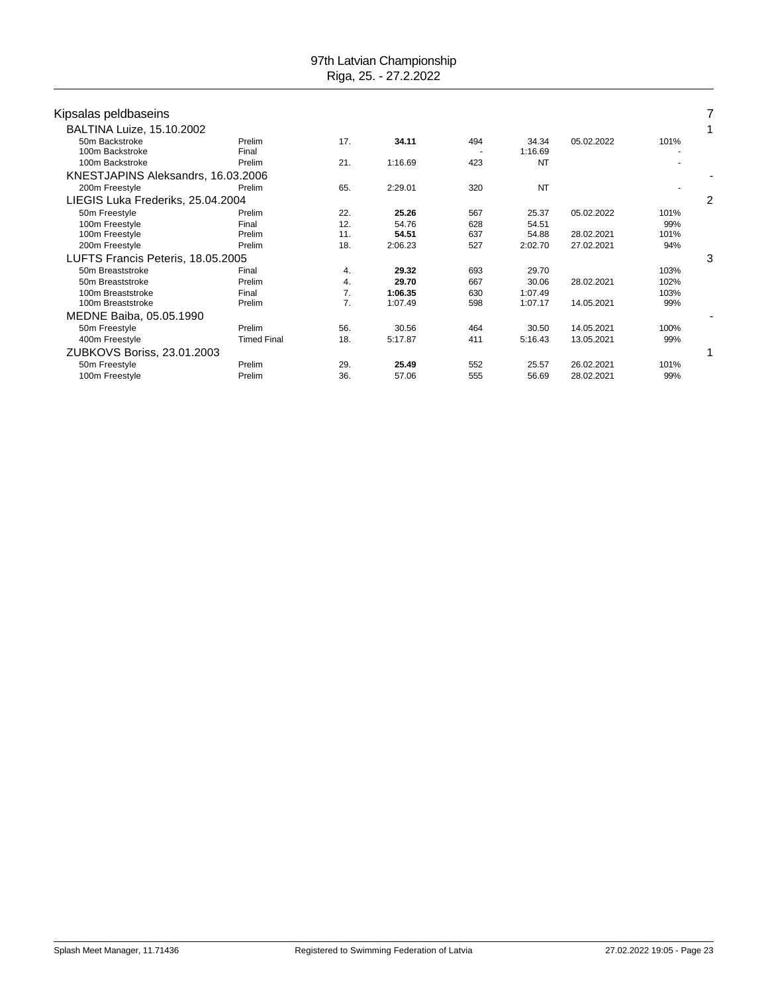| Kipsalas peldbaseins               |                    |     |         |     |                  |            |      |              |
|------------------------------------|--------------------|-----|---------|-----|------------------|------------|------|--------------|
| BALTINA Luize, 15.10.2002          |                    |     |         |     |                  |            |      | $\mathbf{1}$ |
| 50m Backstroke<br>100m Backstroke  | Prelim<br>Final    | 17. | 34.11   | 494 | 34.34<br>1:16.69 | 05.02.2022 | 101% |              |
| 100m Backstroke                    | Prelim             | 21. | 1:16.69 | 423 | NT               |            |      |              |
| KNESTJAPINS Aleksandrs, 16.03.2006 |                    |     |         |     |                  |            |      |              |
| 200m Freestyle                     | Prelim             | 65. | 2:29.01 | 320 | <b>NT</b>        |            |      |              |
| LIEGIS Luka Frederiks, 25.04.2004  |                    |     |         |     |                  |            |      | 2            |
| 50m Freestyle                      | Prelim             | 22. | 25.26   | 567 | 25.37            | 05.02.2022 | 101% |              |
| 100m Freestyle                     | Final              | 12. | 54.76   | 628 | 54.51            |            | 99%  |              |
| 100m Freestyle                     | Prelim             | 11. | 54.51   | 637 | 54.88            | 28.02.2021 | 101% |              |
| 200m Freestyle                     | Prelim             | 18. | 2:06.23 | 527 | 2:02.70          | 27.02.2021 | 94%  |              |
| LUFTS Francis Peteris, 18.05.2005  |                    |     |         |     |                  |            |      | 3            |
| 50m Breaststroke                   | Final              | 4.  | 29.32   | 693 | 29.70            |            | 103% |              |
| 50m Breaststroke                   | Prelim             | 4.  | 29.70   | 667 | 30.06            | 28.02.2021 | 102% |              |
| 100m Breaststroke                  | Final              | 7.  | 1:06.35 | 630 | 1:07.49          |            | 103% |              |
| 100m Breaststroke                  | Prelim             | 7.  | 1:07.49 | 598 | 1:07.17          | 14.05.2021 | 99%  |              |
| MEDNE Baiba, 05.05.1990            |                    |     |         |     |                  |            |      |              |
| 50m Freestyle                      | Prelim             | 56. | 30.56   | 464 | 30.50            | 14.05.2021 | 100% |              |
| 400m Freestyle                     | <b>Timed Final</b> | 18. | 5:17.87 | 411 | 5:16.43          | 13.05.2021 | 99%  |              |
| ZUBKOVS Boriss, 23.01.2003         |                    |     |         |     |                  |            |      |              |
| 50m Freestyle                      | Prelim             | 29. | 25.49   | 552 | 25.57            | 26.02.2021 | 101% |              |
| 100m Freestyle                     | Prelim             | 36. | 57.06   | 555 | 56.69            | 28.02.2021 | 99%  |              |
|                                    |                    |     |         |     |                  |            |      |              |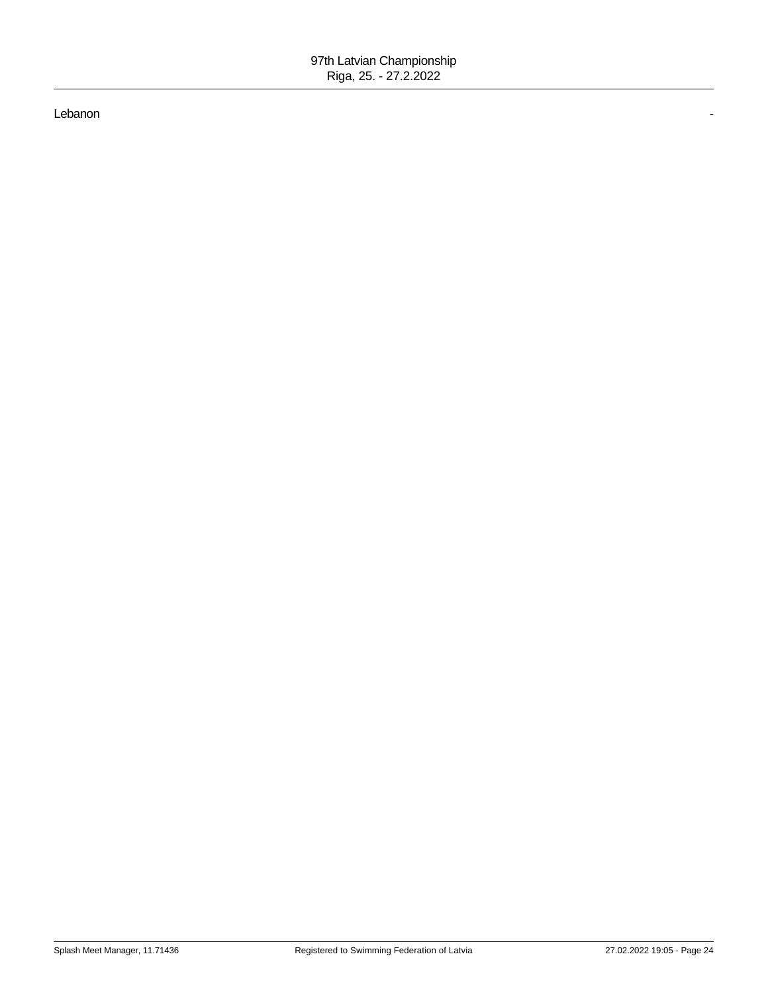#### Lebanon -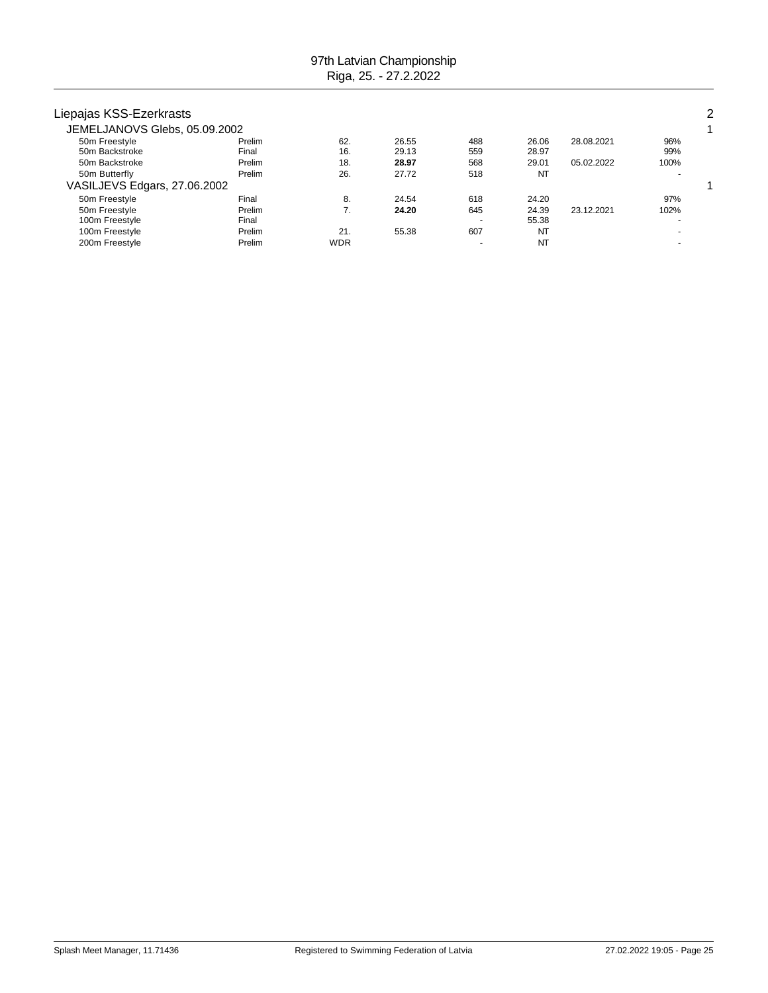| Liepajas KSS-Ezerkrasts       |        |            |       |                          |           |            |      | 2 |
|-------------------------------|--------|------------|-------|--------------------------|-----------|------------|------|---|
| JEMELJANOVS Glebs, 05.09.2002 |        |            |       |                          |           |            |      |   |
| 50m Freestyle                 | Prelim | 62.        | 26.55 | 488                      | 26.06     | 28.08.2021 | 96%  |   |
| 50m Backstroke                | Final  | 16.        | 29.13 | 559                      | 28.97     |            | 99%  |   |
| 50m Backstroke                | Prelim | 18.        | 28.97 | 568                      | 29.01     | 05.02.2022 | 100% |   |
| 50m Butterfly                 | Prelim | 26.        | 27.72 | 518                      | <b>NT</b> |            |      |   |
| VASILJEVS Edgars, 27.06.2002  |        |            |       |                          |           |            |      |   |
| 50m Freestyle                 | Final  | 8.         | 24.54 | 618                      | 24.20     |            | 97%  |   |
| 50m Freestyle                 | Prelim |            | 24.20 | 645                      | 24.39     | 23.12.2021 | 102% |   |
| 100m Freestyle                | Final  |            |       | $\overline{\phantom{0}}$ | 55.38     |            |      |   |
| 100m Freestyle                | Prelim | 21.        | 55.38 | 607                      | <b>NT</b> |            |      |   |
| 200m Freestyle                | Prelim | <b>WDR</b> |       | ۰                        | <b>NT</b> |            |      |   |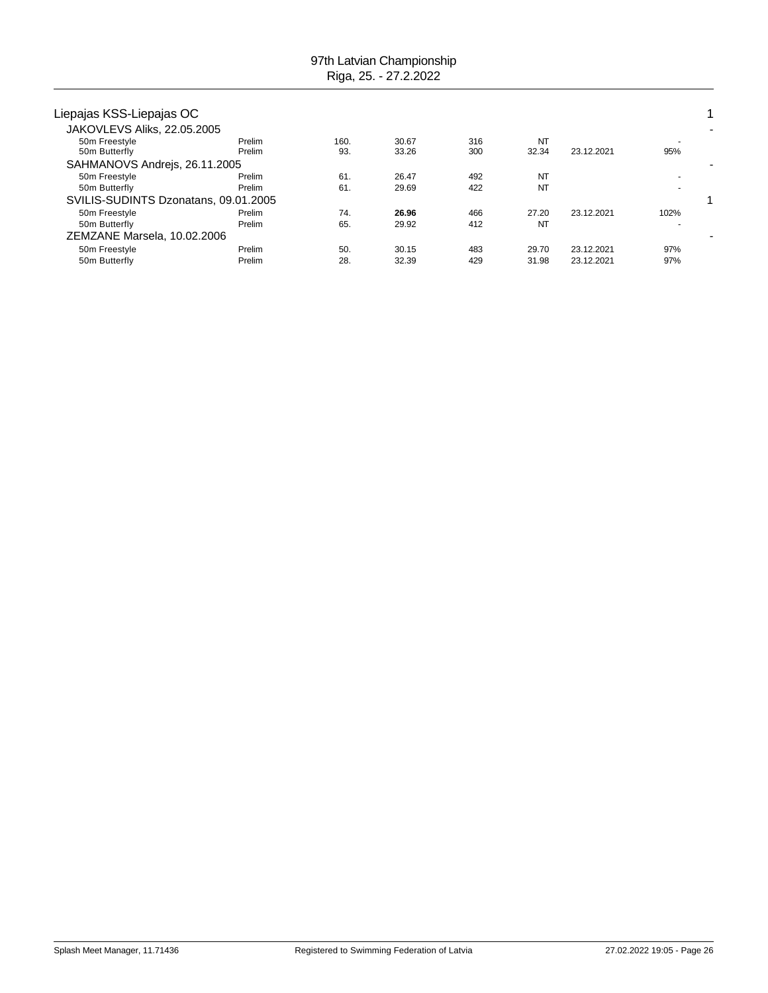| Liepajas KSS-Liepajas OC             |                  |             |                |            |             |            |      | 1 |
|--------------------------------------|------------------|-------------|----------------|------------|-------------|------------|------|---|
| JAKOVLEVS Aliks, 22.05.2005          |                  |             |                |            |             |            |      |   |
| 50m Freestyle<br>50m Butterfly       | Prelim<br>Prelim | 160.<br>93. | 30.67<br>33.26 | 316<br>300 | NT<br>32.34 | 23.12.2021 | 95%  |   |
| SAHMANOVS Andrejs, 26.11.2005        |                  |             |                |            |             |            |      |   |
| 50m Freestyle                        | Prelim           | 61          | 26.47          | 492        | NT          |            |      |   |
| 50m Butterfly                        | Prelim           | 61.         | 29.69          | 422        | <b>NT</b>   |            |      |   |
| SVILIS-SUDINTS Dzonatans, 09.01.2005 |                  |             |                |            |             |            |      |   |
| 50m Freestyle                        | Prelim           | 74.         | 26.96          | 466        | 27.20       | 23.12.2021 | 102% |   |
| 50m Butterfly                        | Prelim           | 65.         | 29.92          | 412        | NT          |            |      |   |
| ZEMZANE Marsela, 10.02.2006          |                  |             |                |            |             |            |      |   |
| 50m Freestyle                        | Prelim           | 50.         | 30.15          | 483        | 29.70       | 23.12.2021 | 97%  |   |
| 50m Butterfly                        | Prelim           | 28.         | 32.39          | 429        | 31.98       | 23.12.2021 | 97%  |   |
|                                      |                  |             |                |            |             |            |      |   |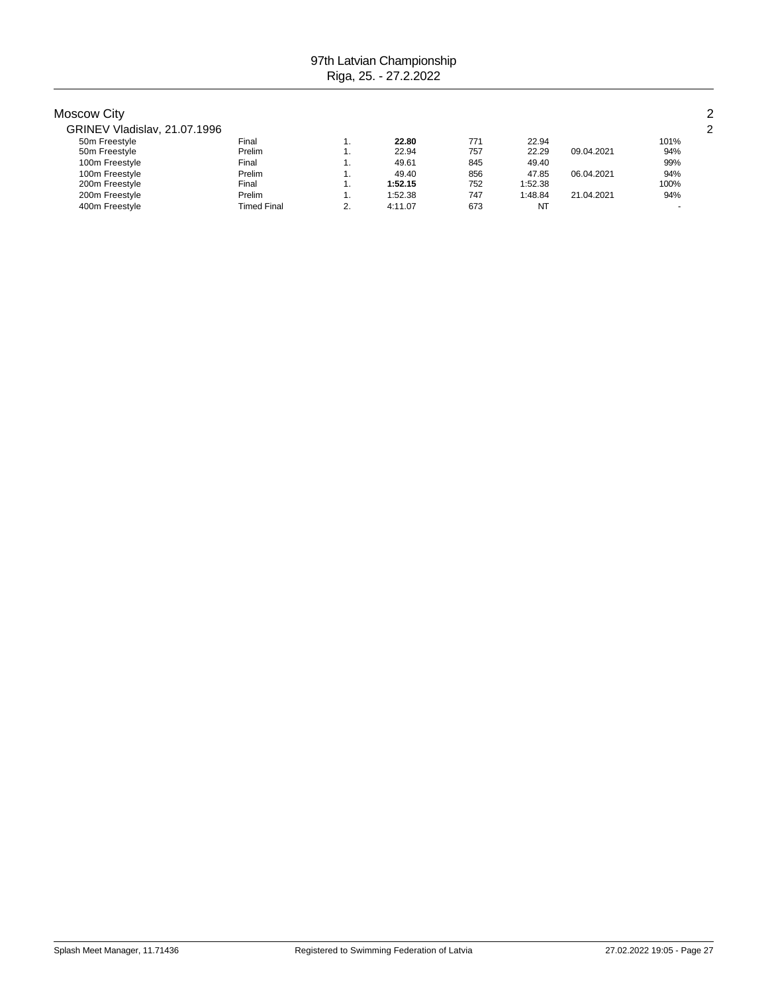| <b>Moscow City</b>           |                    |     |         |     |         |            |      | 2 |
|------------------------------|--------------------|-----|---------|-----|---------|------------|------|---|
| GRINEV Vladislav, 21.07.1996 |                    |     |         |     |         |            |      | 2 |
| 50m Freestyle                | Final              |     | 22.80   | 771 | 22.94   |            | 101% |   |
| 50m Freestyle                | Prelim             | ι.  | 22.94   | 757 | 22.29   | 09.04.2021 | 94%  |   |
| 100m Freestyle               | Final              | ι.  | 49.61   | 845 | 49.40   |            | 99%  |   |
| 100m Freestyle               | Prelim             | ι.  | 49.40   | 856 | 47.85   | 06.04.2021 | 94%  |   |
| 200m Freestyle               | Final              | . . | 1:52.15 | 752 | 1:52.38 |            | 100% |   |
| 200m Freestyle               | Prelim             | ι.  | 1:52.38 | 747 | 1:48.84 | 21.04.2021 | 94%  |   |
| 400m Freestyle               | <b>Timed Final</b> | ົ   | 4:11.07 | 673 | NT      |            |      |   |
|                              |                    |     |         |     |         |            |      |   |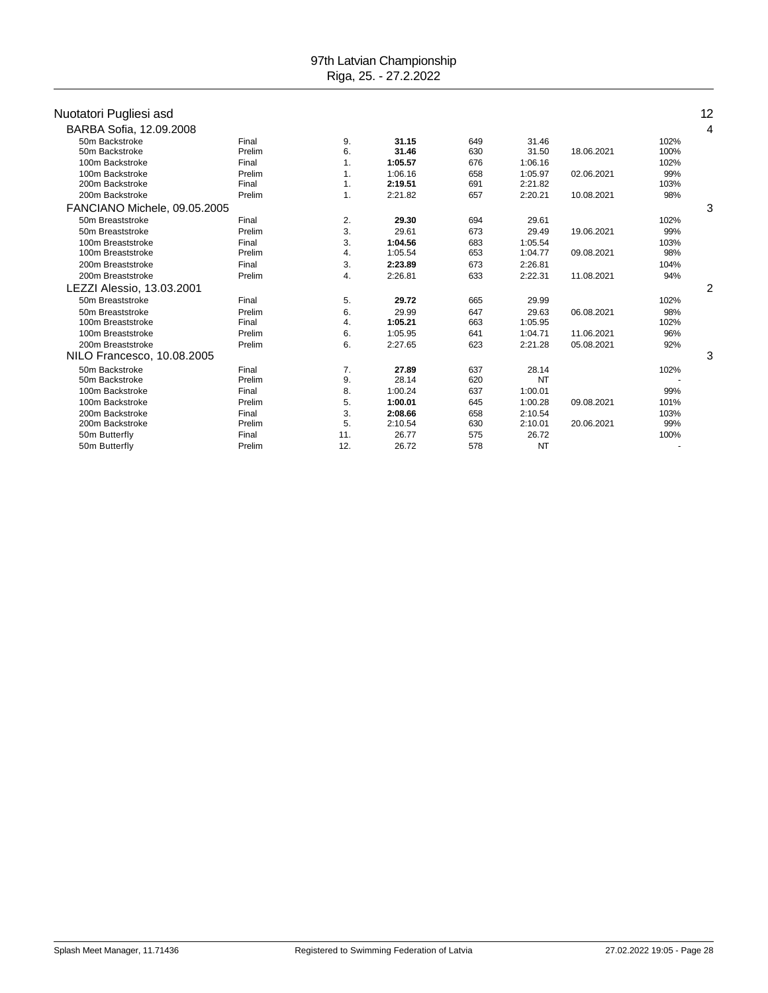### Nuotatori Pugliesi asd 12

| ruviuivii i uyiivoi uou      |        |     |         |     |           |            |      |                |
|------------------------------|--------|-----|---------|-----|-----------|------------|------|----------------|
| BARBA Sofia, 12.09.2008      |        |     |         |     |           |            |      | 4              |
| 50m Backstroke               | Final  | 9.  | 31.15   | 649 | 31.46     |            | 102% |                |
| 50m Backstroke               | Prelim | 6.  | 31.46   | 630 | 31.50     | 18.06.2021 | 100% |                |
| 100m Backstroke              | Final  | 1.  | 1:05.57 | 676 | 1:06.16   |            | 102% |                |
| 100m Backstroke              | Prelim | 1.  | 1:06.16 | 658 | 1:05.97   | 02.06.2021 | 99%  |                |
| 200m Backstroke              | Final  | 1.  | 2:19.51 | 691 | 2:21.82   |            | 103% |                |
| 200m Backstroke              | Prelim | 1.  | 2:21.82 | 657 | 2:20.21   | 10.08.2021 | 98%  |                |
| FANCIANO Michele, 09.05.2005 |        |     |         |     |           |            |      | 3              |
| 50m Breaststroke             | Final  | 2.  | 29.30   | 694 | 29.61     |            | 102% |                |
| 50m Breaststroke             | Prelim | 3.  | 29.61   | 673 | 29.49     | 19.06.2021 | 99%  |                |
| 100m Breaststroke            | Final  | 3.  | 1:04.56 | 683 | 1:05.54   |            | 103% |                |
| 100m Breaststroke            | Prelim | 4.  | 1:05.54 | 653 | 1:04.77   | 09.08.2021 | 98%  |                |
| 200m Breaststroke            | Final  | 3.  | 2:23.89 | 673 | 2:26.81   |            | 104% |                |
| 200m Breaststroke            | Prelim | 4.  | 2:26.81 | 633 | 2:22.31   | 11.08.2021 | 94%  |                |
| LEZZI Alessio, 13.03.2001    |        |     |         |     |           |            |      | $\overline{c}$ |
| 50m Breaststroke             | Final  | 5.  | 29.72   | 665 | 29.99     |            | 102% |                |
| 50m Breaststroke             | Prelim | 6.  | 29.99   | 647 | 29.63     | 06.08.2021 | 98%  |                |
| 100m Breaststroke            | Final  | 4.  | 1:05.21 | 663 | 1:05.95   |            | 102% |                |
| 100m Breaststroke            | Prelim | 6.  | 1:05.95 | 641 | 1:04.71   | 11.06.2021 | 96%  |                |
| 200m Breaststroke            | Prelim | 6.  | 2:27.65 | 623 | 2:21.28   | 05.08.2021 | 92%  |                |
| NILO Francesco, 10.08.2005   |        |     |         |     |           |            |      | 3              |
| 50m Backstroke               | Final  | 7.  | 27.89   | 637 | 28.14     |            | 102% |                |
| 50m Backstroke               | Prelim | 9.  | 28.14   | 620 | NT        |            |      |                |
| 100m Backstroke              | Final  | 8.  | 1:00.24 | 637 | 1:00.01   |            | 99%  |                |
| 100m Backstroke              | Prelim | 5.  | 1:00.01 | 645 | 1:00.28   | 09.08.2021 | 101% |                |
| 200m Backstroke              | Final  | 3.  | 2:08.66 | 658 | 2:10.54   |            | 103% |                |
| 200m Backstroke              | Prelim | 5.  | 2:10.54 | 630 | 2:10.01   | 20.06.2021 | 99%  |                |
| 50m Butterfly                | Final  | 11. | 26.77   | 575 | 26.72     |            | 100% |                |
| 50m Butterfly                | Prelim | 12. | 26.72   | 578 | <b>NT</b> |            |      |                |
|                              |        |     |         |     |           |            |      |                |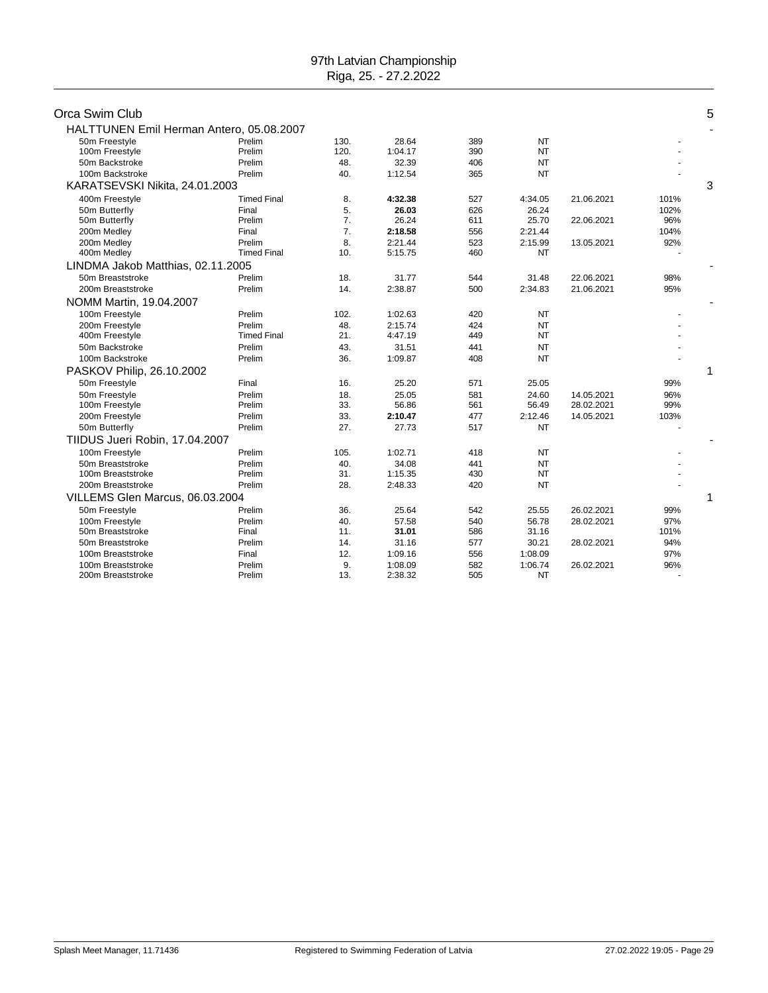| Orca Swim Club<br>HALTTUNEN Emil Herman Antero, 05.08.2007 |                    |                |         |     |           |            |      | 5 |
|------------------------------------------------------------|--------------------|----------------|---------|-----|-----------|------------|------|---|
| 50m Freestyle                                              | Prelim             | 130.           | 28.64   | 389 | <b>NT</b> |            |      |   |
| 100m Freestyle                                             | Prelim             | 120.           | 1:04.17 | 390 | NT        |            |      |   |
| 50m Backstroke                                             | Prelim             | 48.            | 32.39   | 406 | <b>NT</b> |            |      |   |
| 100m Backstroke                                            | Prelim             | 40.            | 1:12.54 | 365 | <b>NT</b> |            |      |   |
| KARATSEVSKI Nikita, 24.01.2003                             |                    |                |         |     |           |            |      | 3 |
| 400m Freestyle                                             | <b>Timed Final</b> | 8.             | 4:32.38 | 527 | 4:34.05   | 21.06.2021 | 101% |   |
| 50m Butterfly                                              | Final              | 5.             | 26.03   | 626 | 26.24     |            | 102% |   |
| 50m Butterfly                                              | Prelim             | 7.             | 26.24   | 611 | 25.70     | 22.06.2021 | 96%  |   |
| 200m Medley                                                | Final              | 7 <sub>1</sub> | 2:18.58 | 556 | 2:21.44   |            | 104% |   |
| 200m Medley                                                | Prelim             | 8.             | 2:21.44 | 523 | 2:15.99   | 13.05.2021 | 92%  |   |
| 400m Medley                                                | <b>Timed Final</b> | 10.            | 5:15.75 | 460 | NT        |            |      |   |
| LINDMA Jakob Matthias, 02.11.2005                          |                    |                |         |     |           |            |      |   |
| 50m Breaststroke                                           | Prelim             | 18.            | 31.77   | 544 | 31.48     | 22.06.2021 | 98%  |   |
| 200m Breaststroke                                          | Prelim             | 14.            | 2:38.87 | 500 | 2:34.83   | 21.06.2021 | 95%  |   |
| NOMM Martin, 19.04.2007                                    |                    |                |         |     |           |            |      |   |
| 100m Freestyle                                             | Prelim             | 102.           | 1:02.63 | 420 | <b>NT</b> |            |      |   |
| 200m Freestyle                                             | Prelim             | 48.            | 2:15.74 | 424 | <b>NT</b> |            |      |   |
| 400m Freestyle                                             | <b>Timed Final</b> | 21.            | 4:47.19 | 449 | <b>NT</b> |            |      |   |
| 50m Backstroke                                             | Prelim             | 43.            | 31.51   | 441 | <b>NT</b> |            |      |   |
| 100m Backstroke                                            | Prelim             | 36.            | 1:09.87 | 408 | <b>NT</b> |            |      |   |
| PASKOV Philip, 26.10.2002                                  |                    |                |         |     |           |            |      | 1 |
| 50m Freestyle                                              | Final              | 16.            | 25.20   | 571 | 25.05     |            | 99%  |   |
| 50m Freestyle                                              | Prelim             | 18.            | 25.05   | 581 | 24.60     | 14.05.2021 | 96%  |   |
| 100m Freestyle                                             | Prelim             | 33.            | 56.86   | 561 | 56.49     | 28.02.2021 | 99%  |   |
| 200m Freestyle                                             | Prelim             | 33.            | 2:10.47 | 477 | 2:12.46   | 14.05.2021 | 103% |   |
| 50m Butterfly                                              | Prelim             | 27.            | 27.73   | 517 | <b>NT</b> |            |      |   |
| TIIDUS Jueri Robin, 17.04.2007                             |                    |                |         |     |           |            |      |   |
| 100m Freestyle                                             | Prelim             | 105.           | 1:02.71 | 418 | <b>NT</b> |            |      |   |
| 50m Breaststroke                                           | Prelim             | 40.            | 34.08   | 441 | <b>NT</b> |            |      |   |
| 100m Breaststroke                                          | Prelim             | 31.            | 1:15.35 | 430 | <b>NT</b> |            |      |   |
| 200m Breaststroke                                          | Prelim             | 28.            | 2:48.33 | 420 | <b>NT</b> |            |      |   |
| VILLEMS Glen Marcus, 06.03.2004                            |                    |                |         |     |           |            |      | 1 |
| 50m Freestyle                                              | Prelim             | 36.            | 25.64   | 542 | 25.55     | 26.02.2021 | 99%  |   |
| 100m Freestyle                                             | Prelim             | 40.            | 57.58   | 540 | 56.78     | 28.02.2021 | 97%  |   |
| 50m Breaststroke                                           | Final              | 11.            | 31.01   | 586 | 31.16     |            | 101% |   |
| 50m Breaststroke                                           | Prelim             | 14.            | 31.16   | 577 | 30.21     | 28.02.2021 | 94%  |   |
| 100m Breaststroke                                          | Final              | 12.            | 1:09.16 | 556 | 1:08.09   |            | 97%  |   |
| 100m Breaststroke                                          | Prelim             | 9.             | 1:08.09 | 582 | 1:06.74   | 26.02.2021 | 96%  |   |
| 200m Breaststroke                                          | Prelim             | 13.            | 2:38.32 | 505 | NT        |            |      |   |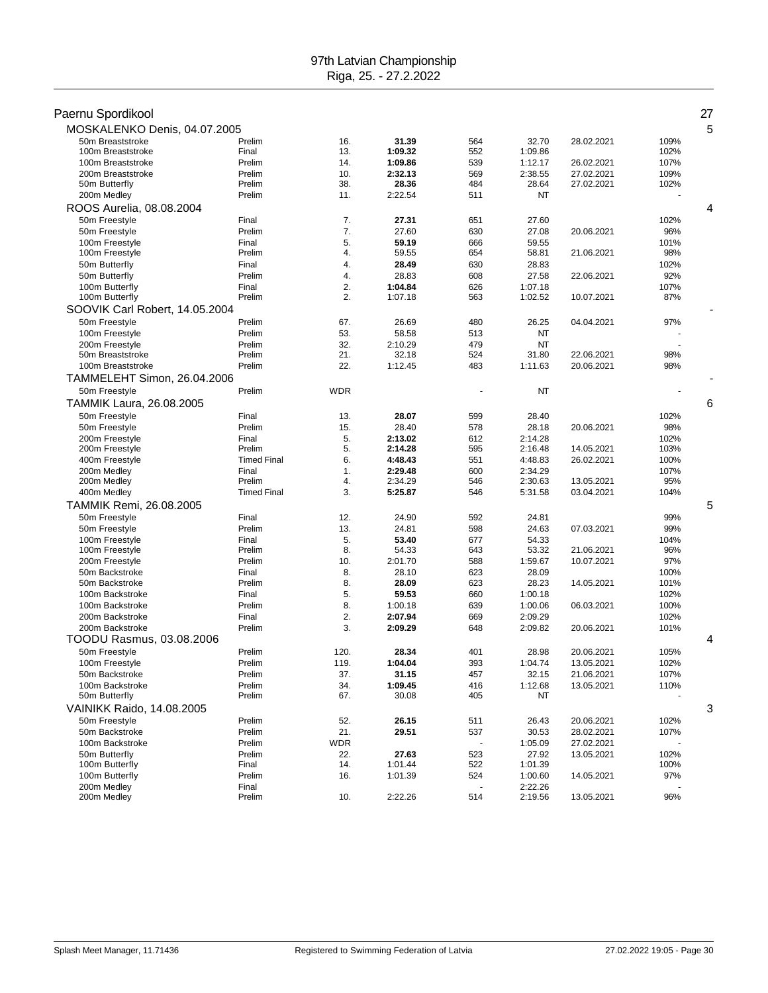| Paernu Spordikool                 |                    |                   |                    |            |                    |                          |             | 27 |
|-----------------------------------|--------------------|-------------------|--------------------|------------|--------------------|--------------------------|-------------|----|
| MOSKALENKO Denis, 04.07.2005      |                    |                   |                    |            |                    |                          |             | 5  |
| 50m Breaststroke                  | Prelim             | 16.               | 31.39              | 564        | 32.70              | 28.02.2021               | 109%        |    |
| 100m Breaststroke                 | Final              | 13.               | 1:09.32            | 552        | 1:09.86            |                          | 102%        |    |
| 100m Breaststroke                 | Prelim             | 14.               | 1:09.86            | 539        | 1:12.17            | 26.02.2021               | 107%        |    |
| 200m Breaststroke                 | Prelim             | 10.               | 2:32.13            | 569        | 2:38.55            | 27.02.2021               | 109%        |    |
| 50m Butterfly                     | Prelim             | 38.               | 28.36              | 484        | 28.64              | 27.02.2021               | 102%        |    |
| 200m Medley                       | Prelim             | 11.               | 2:22.54            | 511        | NT                 |                          |             |    |
| ROOS Aurelia, 08.08.2004          |                    |                   |                    |            |                    |                          |             | 4  |
| 50m Freestyle                     | Final              | 7.                | 27.31              | 651        | 27.60              |                          | 102%        |    |
| 50m Freestyle                     | Prelim             | 7.                | 27.60              | 630        | 27.08              | 20.06.2021               | 96%         |    |
| 100m Freestyle                    | Final              | 5.                | 59.19              | 666        | 59.55              |                          | 101%        |    |
| 100m Freestyle                    | Prelim             | 4.                | 59.55              | 654        | 58.81              | 21.06.2021               | 98%         |    |
| 50m Butterfly                     | Final              | 4.                | 28.49              | 630        | 28.83              |                          | 102%        |    |
| 50m Butterfly                     | Prelim<br>Final    | 4.<br>2.          | 28.83              | 608        | 27.58              | 22.06.2021               | 92%<br>107% |    |
| 100m Butterfly<br>100m Butterfly  | Prelim             | 2.                | 1:04.84<br>1:07.18 | 626<br>563 | 1:07.18<br>1:02.52 | 10.07.2021               | 87%         |    |
| SOOVIK Carl Robert, 14.05.2004    |                    |                   |                    |            |                    |                          |             |    |
|                                   | Prelim             | 67.               |                    | 480        |                    |                          | 97%         |    |
| 50m Freestyle<br>100m Freestyle   | Prelim             | 53.               | 26.69<br>58.58     | 513        | 26.25<br>NT        | 04.04.2021               |             |    |
| 200m Freestyle                    | Prelim             | 32.               | 2:10.29            | 479        | <b>NT</b>          |                          |             |    |
| 50m Breaststroke                  | Prelim             | 21.               | 32.18              | 524        | 31.80              | 22.06.2021               | 98%         |    |
| 100m Breaststroke                 | Prelim             | 22.               | 1:12.45            | 483        | 1:11.63            | 20.06.2021               | 98%         |    |
| TAMMELEHT Simon, 26.04.2006       |                    |                   |                    |            |                    |                          |             |    |
| 50m Freestyle                     | Prelim             | WDR               |                    |            | NT                 |                          |             |    |
| <b>TAMMIK Laura, 26.08.2005</b>   |                    |                   |                    |            |                    |                          |             | 6  |
|                                   |                    |                   |                    |            |                    |                          |             |    |
| 50m Freestyle                     | Final<br>Prelim    | 13.<br>15.        | 28.07<br>28.40     | 599<br>578 | 28.40<br>28.18     | 20.06.2021               | 102%<br>98% |    |
| 50m Freestyle<br>200m Freestyle   | Final              | 5.                | 2:13.02            | 612        | 2:14.28            |                          | 102%        |    |
| 200m Freestyle                    | Prelim             | 5.                | 2:14.28            | 595        | 2:16.48            | 14.05.2021               | 103%        |    |
| 400m Freestyle                    | <b>Timed Final</b> | 6.                | 4:48.43            | 551        | 4:48.83            | 26.02.2021               | 100%        |    |
| 200m Medley                       | Final              | 1.                | 2:29.48            | 600        | 2:34.29            |                          | 107%        |    |
| 200m Medley                       | Prelim             | 4.                | 2:34.29            | 546        | 2:30.63            | 13.05.2021               | 95%         |    |
| 400m Medley                       | <b>Timed Final</b> | 3.                | 5:25.87            | 546        | 5:31.58            | 03.04.2021               | 104%        |    |
| TAMMIK Remi, 26.08.2005           |                    |                   |                    |            |                    |                          |             | 5  |
| 50m Freestyle                     | Final              | 12.               | 24.90              | 592        | 24.81              |                          | 99%         |    |
| 50m Freestyle                     | Prelim             | 13.               | 24.81              | 598        | 24.63              | 07.03.2021               | 99%         |    |
| 100m Freestyle                    | Final              | 5.                | 53.40              | 677        | 54.33              |                          | 104%        |    |
| 100m Freestyle                    | Prelim             | 8.                | 54.33              | 643        | 53.32              | 21.06.2021               | 96%         |    |
| 200m Freestyle                    | Prelim             | 10.               | 2:01.70            | 588        | 1:59.67            | 10.07.2021               | 97%         |    |
| 50m Backstroke                    | Final              | 8.                | 28.10              | 623        | 28.09              |                          | 100%        |    |
| 50m Backstroke                    | Prelim             | 8.                | 28.09              | 623        | 28.23              | 14.05.2021               | 101%        |    |
| 100m Backstroke                   | Final              | 5.                | 59.53              | 660        | 1:00.18            |                          | 102%        |    |
| 100m Backstroke                   | Prelim             | 8.                | 1:00.18            | 639        | 1:00.06            | 06.03.2021               | 100%        |    |
| 200m Backstroke                   | Final              | 2.                | 2:07.94            | 669        | 2:09.29            |                          | 102%        |    |
| 200m Backstroke                   | Prelim             | 3.                | 2:09.29            | 648        | 2:09.82            | 20.06.2021               | 101%        |    |
| TOODU Rasmus, 03.08.2006          |                    |                   |                    |            |                    |                          |             | 4  |
| 50m Freestyle                     | Prelim             | 120.              | 28.34              | 401        | 28.98              | 20.06.2021               | 105%        |    |
| 100m Freestyle                    | Prelim             | 119.              | 1:04.04            | 393        | 1:04.74            | 13.05.2021               | 102%        |    |
| 50m Backstroke                    | Prelim             | 37.               | 31.15              | 457        | 32.15              | 21.06.2021               | 107%        |    |
| 100m Backstroke<br>50m Butterfly  | Prelim<br>Prelim   | 34.<br>67.        | 1:09.45<br>30.08   | 416<br>405 | 1:12.68<br>NT      | 13.05.2021               | 110%        |    |
| VAINIKK Raido, 14.08.2005         |                    |                   |                    |            |                    |                          |             | 3  |
|                                   |                    |                   |                    |            |                    |                          |             |    |
| 50m Freestyle                     | Prelim             | 52.               | 26.15              | 511        | 26.43              | 20.06.2021               | 102%        |    |
| 50m Backstroke<br>100m Backstroke | Prelim             | 21.               | 29.51              | 537<br>÷,  | 30.53              | 28.02.2021               | 107%        |    |
| 50m Butterfly                     | Prelim<br>Prelim   | <b>WDR</b><br>22. |                    |            | 1:05.09<br>27.92   | 27.02.2021<br>13.05.2021 | 102%        |    |
| 100m Butterfly                    | Final              | 14.               | 27.63<br>1:01.44   | 523<br>522 | 1:01.39            |                          | 100%        |    |
| 100m Butterfly                    | Prelim             | 16.               | 1:01.39            | 524        | 1:00.60            | 14.05.2021               | 97%         |    |
| 200m Medley                       | Final              |                   |                    |            | 2:22.26            |                          |             |    |
| 200m Medley                       | Prelim             | 10.               | 2:22.26            | 514        | 2:19.56            | 13.05.2021               | 96%         |    |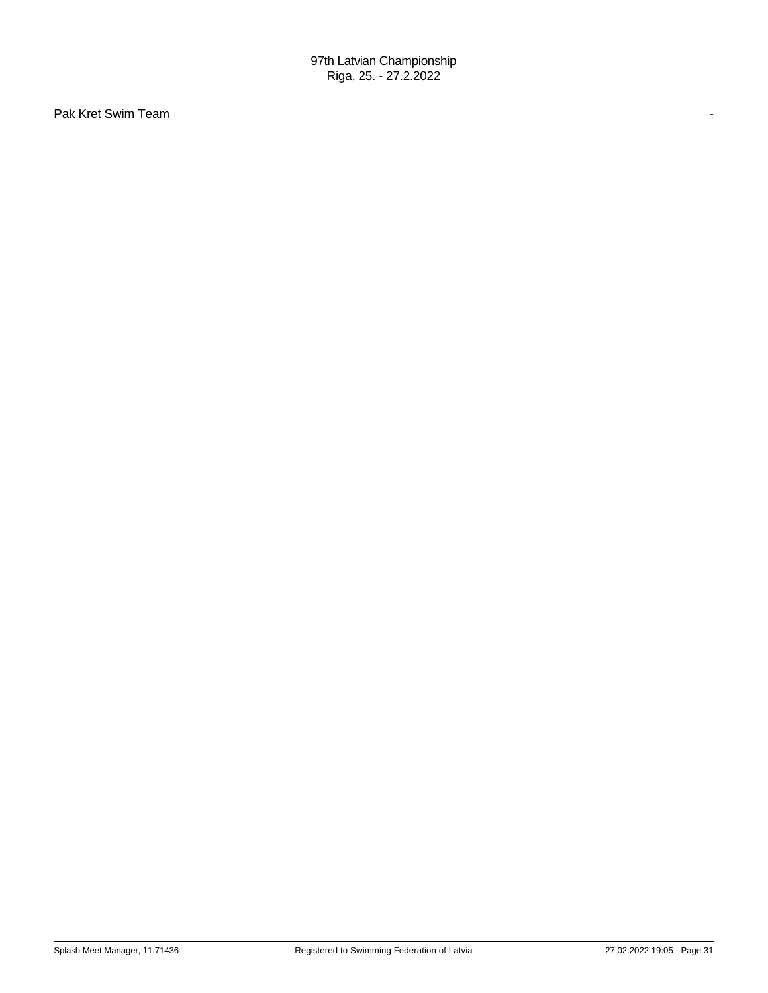Pak Kret Swim Team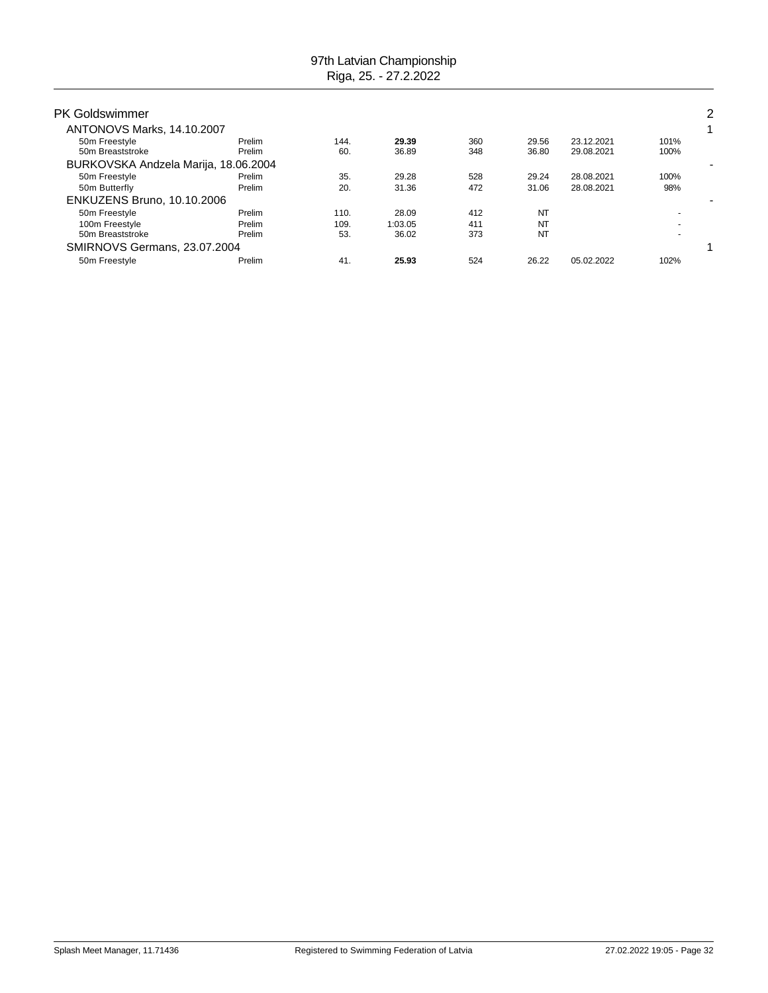| <b>PK Goldswimmer</b>                |                  |             |                |            |                |                          |              | 2 |
|--------------------------------------|------------------|-------------|----------------|------------|----------------|--------------------------|--------------|---|
| ANTONOVS Marks, 14.10.2007           |                  |             |                |            |                |                          |              | 1 |
| 50m Freestyle<br>50m Breaststroke    | Prelim<br>Prelim | 144.<br>60. | 29.39<br>36.89 | 360<br>348 | 29.56<br>36.80 | 23.12.2021<br>29.08.2021 | 101%<br>100% |   |
| BURKOVSKA Andzela Marija, 18.06.2004 |                  |             |                |            |                |                          |              |   |
| 50m Freestyle                        | Prelim           | 35.         | 29.28          | 528        | 29.24          | 28.08.2021               | 100%         |   |
| 50m Butterfly                        | Prelim           | 20.         | 31.36          | 472        | 31.06          | 28.08.2021               | 98%          |   |
| <b>ENKUZENS Bruno, 10.10.2006</b>    |                  |             |                |            |                |                          |              |   |
| 50m Freestyle                        | Prelim           | 110.        | 28.09          | 412        | NT             |                          |              |   |
| 100m Freestyle                       | Prelim           | 109.        | 1:03.05        | 411        | NT             |                          |              |   |
| 50m Breaststroke                     | Prelim           | 53.         | 36.02          | 373        | NT             |                          |              |   |
| SMIRNOVS Germans, 23.07.2004         |                  |             |                |            |                |                          |              |   |
| 50m Freestyle                        | Prelim           | 41.         | 25.93          | 524        | 26.22          | 05.02.2022               | 102%         |   |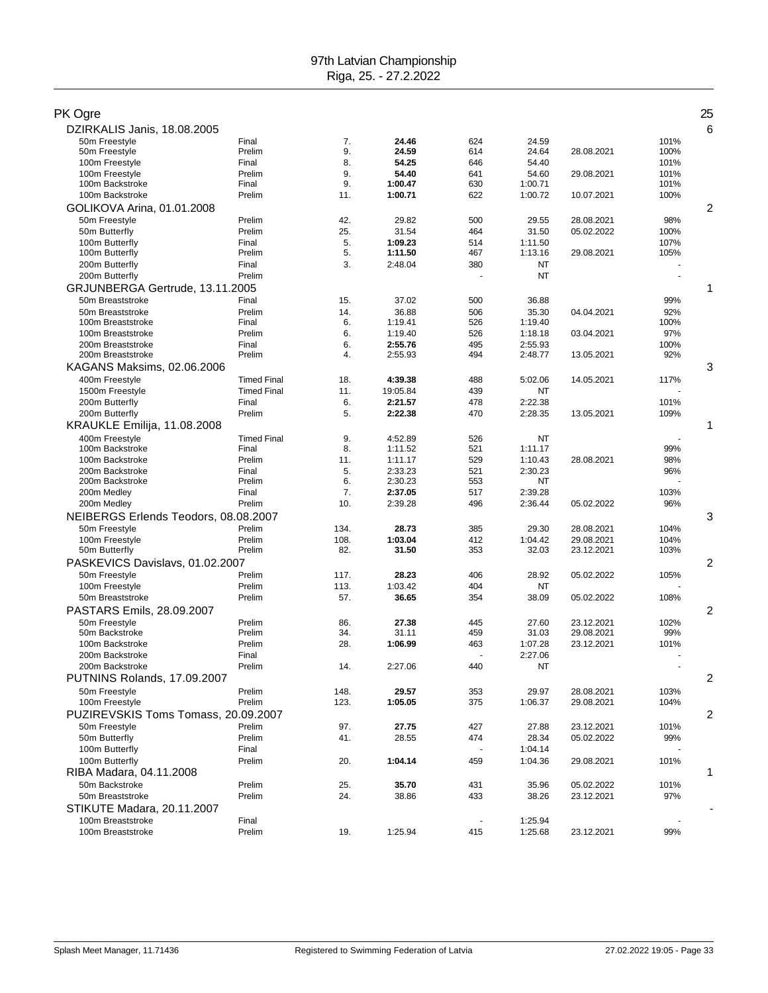| PK Ogre                              |                    |          |                    |            |                    |            |                          | 25 |
|--------------------------------------|--------------------|----------|--------------------|------------|--------------------|------------|--------------------------|----|
| DZIRKALIS Janis, 18.08.2005          |                    |          |                    |            |                    |            |                          | 6  |
| 50m Freestyle                        | Final              | 7.       | 24.46              | 624        | 24.59              |            | 101%                     |    |
| 50m Freestyle                        | Prelim             | 9.       | 24.59              | 614        | 24.64              | 28.08.2021 | 100%                     |    |
| 100m Freestyle                       | Final              | 8.       | 54.25              | 646        | 54.40              |            | 101%                     |    |
| 100m Freestyle                       | Prelim             | 9.       | 54.40              | 641        | 54.60              | 29.08.2021 | 101%                     |    |
| 100m Backstroke                      | Final              | 9.       | 1:00.47            | 630        | 1:00.71            |            | 101%                     |    |
| 100m Backstroke                      | Prelim             | 11.      | 1:00.71            | 622        | 1:00.72            | 10.07.2021 | 100%                     |    |
| GOLIKOVA Arina, 01.01.2008           |                    |          |                    |            |                    |            |                          | 2  |
|                                      | Prelim             | 42.      | 29.82              | 500        |                    | 28.08.2021 | 98%                      |    |
| 50m Freestyle                        | Prelim             |          |                    |            | 29.55              |            |                          |    |
| 50m Butterfly                        |                    | 25.      | 31.54              | 464        | 31.50              | 05.02.2022 | 100%                     |    |
| 100m Butterfly<br>100m Butterfly     | Final<br>Prelim    | 5.<br>5. | 1:09.23<br>1:11.50 | 514<br>467 | 1:11.50<br>1:13.16 | 29.08.2021 | 107%<br>105%             |    |
| 200m Butterfly                       | Final              | 3.       | 2:48.04            | 380        | NT                 |            |                          |    |
|                                      | Prelim             |          |                    |            | NT                 |            |                          |    |
| 200m Butterfly                       |                    |          |                    |            |                    |            |                          |    |
| GRJUNBERGA Gertrude, 13.11.2005      |                    |          |                    |            |                    |            |                          | 1  |
| 50m Breaststroke                     | Final              | 15.      | 37.02              | 500        | 36.88              |            | 99%                      |    |
| 50m Breaststroke                     | Prelim             | 14.      | 36.88              | 506        | 35.30              | 04.04.2021 | 92%                      |    |
| 100m Breaststroke                    | Final              | 6.       | 1:19.41            | 526        | 1:19.40            |            | 100%                     |    |
| 100m Breaststroke                    | Prelim             | 6.       | 1:19.40            | 526        | 1:18.18            | 03.04.2021 | 97%                      |    |
| 200m Breaststroke                    | Final              | 6.       | 2:55.76            | 495        | 2:55.93            |            | 100%                     |    |
| 200m Breaststroke                    | Prelim             | 4.       | 2:55.93            | 494        | 2:48.77            | 13.05.2021 | 92%                      |    |
| KAGANS Maksims, 02.06.2006           |                    |          |                    |            |                    |            |                          | 3  |
| 400m Freestyle                       | <b>Timed Final</b> | 18.      | 4:39.38            | 488        | 5:02.06            | 14.05.2021 | 117%                     |    |
| 1500m Freestyle                      | <b>Timed Final</b> | 11.      | 19:05.84           | 439        | ΝT                 |            |                          |    |
| 200m Butterfly                       | Final              | 6.       | 2:21.57            | 478        | 2:22.38            |            | 101%                     |    |
| 200m Butterfly                       | Prelim             | 5.       | 2:22.38            | 470        | 2:28.35            | 13.05.2021 | 109%                     |    |
| KRAUKLE Emilija, 11.08.2008          |                    |          |                    |            |                    |            |                          | 1  |
| 400m Freestyle                       | <b>Timed Final</b> | 9.       | 4:52.89            | 526        | NT                 |            |                          |    |
| 100m Backstroke                      | Final              | 8.       | 1:11.52            | 521        | 1:11.17            |            | 99%                      |    |
| 100m Backstroke                      | Prelim             | 11.      | 1:11.17            | 529        | 1:10.43            | 28.08.2021 | 98%                      |    |
| 200m Backstroke                      | Final              | 5.       | 2:33.23            | 521        | 2:30.23            |            | 96%                      |    |
| 200m Backstroke                      | Prelim             | 6.       | 2:30.23            | 553        | NT                 |            |                          |    |
| 200m Medley                          | Final              | 7.       | 2:37.05            | 517        | 2:39.28            |            | 103%                     |    |
| 200m Medley                          | Prelim             | 10.      | 2:39.28            | 496        | 2:36.44            | 05.02.2022 | 96%                      |    |
| NEIBERGS Erlends Teodors, 08.08.2007 |                    |          |                    |            |                    |            |                          | 3  |
|                                      |                    |          |                    |            |                    |            |                          |    |
| 50m Freestyle                        | Prelim             | 134.     | 28.73              | 385        | 29.30              | 28.08.2021 | 104%                     |    |
| 100m Freestyle                       | Prelim             | 108.     | 1:03.04            | 412        | 1:04.42            | 29.08.2021 | 104%                     |    |
| 50m Butterfly                        | Prelim             | 82.      | 31.50              | 353        | 32.03              | 23.12.2021 | 103%                     |    |
| PASKEVICS Davislavs, 01.02.2007      |                    |          |                    |            |                    |            |                          | 2  |
| 50m Freestyle                        | Prelim             | 117.     | 28.23              | 406        | 28.92              | 05.02.2022 | 105%                     |    |
| 100m Freestyle                       | Prelim             | 113.     | 1:03.42            | 404        | ΝT                 |            |                          |    |
| 50m Breaststroke                     | Prelim             | 57.      | 36.65              | 354        | 38.09              | 05.02.2022 | 108%                     |    |
| PASTARS Emils, 28.09.2007            |                    |          |                    |            |                    |            |                          | 2  |
| 50m Freestyle                        | Prelim             | 86.      | 27.38              | 445        | 27.60              | 23.12.2021 | 102%                     |    |
| 50m Backstroke                       | Prelim             | 34.      | 31.11              | 459        | 31.03              | 29.08.2021 | 99%                      |    |
| 100m Backstroke                      | Prelim             | 28.      | 1:06.99            | 463        | 1:07.28            | 23.12.2021 | 101%                     |    |
| 200m Backstroke                      | Final              |          |                    |            | 2:27.06            |            |                          |    |
| 200m Backstroke                      | Prelim             | 14.      | 2:27.06            | 440        | NT                 |            | $\overline{\phantom{a}}$ |    |
| PUTNINS Rolands, 17.09.2007          |                    |          |                    |            |                    |            |                          | 2  |
|                                      |                    |          |                    |            |                    |            |                          |    |
| 50m Freestyle                        | Prelim<br>Prelim   | 148.     | 29.57              | 353        | 29.97              | 28.08.2021 | 103%                     |    |
| 100m Freestyle                       |                    | 123.     | 1:05.05            | 375        | 1:06.37            | 29.08.2021 | 104%                     |    |
| PUZIREVSKIS Toms Tomass, 20.09.2007  |                    |          |                    |            |                    |            |                          | 2  |
| 50m Freestyle                        | Prelim             | 97.      | 27.75              | 427        | 27.88              | 23.12.2021 | 101%                     |    |
| 50m Butterfly                        | Prelim             | 41.      | 28.55              | 474        | 28.34              | 05.02.2022 | 99%                      |    |
| 100m Butterfly                       | Final              |          |                    |            | 1:04.14            |            |                          |    |
| 100m Butterfly                       | Prelim             | 20.      | 1:04.14            | 459        | 1:04.36            | 29.08.2021 | 101%                     |    |
| RIBA Madara, 04.11.2008              |                    |          |                    |            |                    |            |                          | 1  |
| 50m Backstroke                       | Prelim             | 25.      | 35.70              | 431        | 35.96              | 05.02.2022 | 101%                     |    |
| 50m Breaststroke                     | Prelim             | 24.      | 38.86              | 433        | 38.26              | 23.12.2021 | 97%                      |    |
| STIKUTE Madara, 20.11.2007           |                    |          |                    |            |                    |            |                          |    |
| 100m Breaststroke                    | Final              |          |                    |            | 1:25.94            |            | $\ddot{\phantom{1}}$     |    |
| 100m Breaststroke                    | Prelim             | 19.      | 1:25.94            | 415        | 1:25.68            | 23.12.2021 | 99%                      |    |
|                                      |                    |          |                    |            |                    |            |                          |    |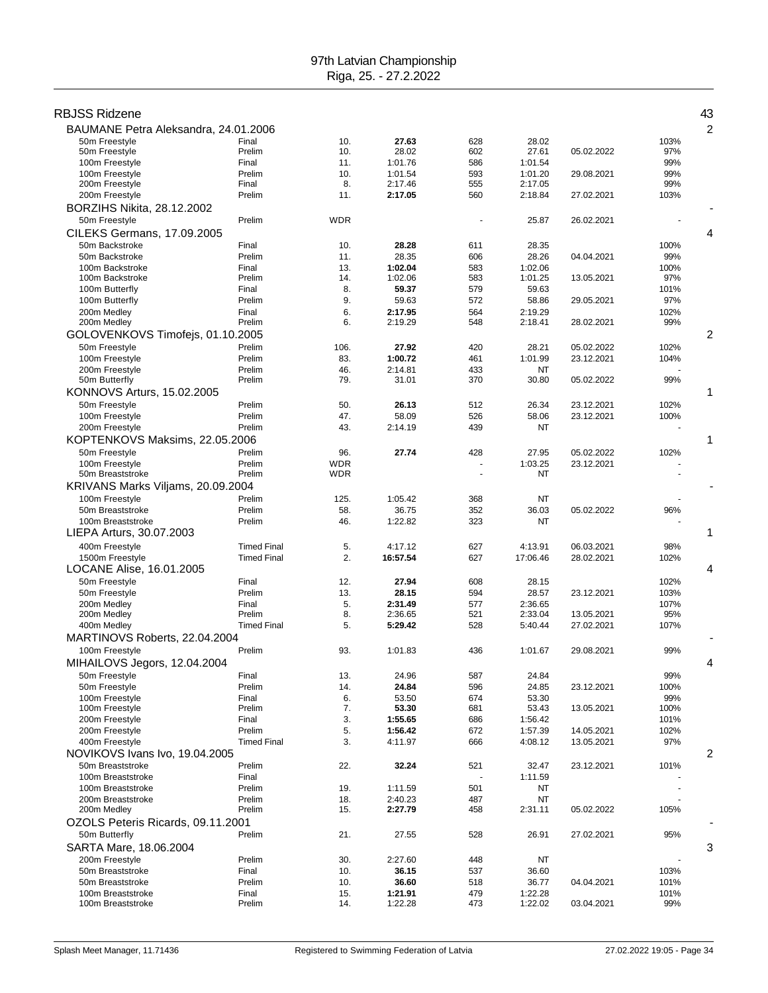### RBJSS Ridzene 43

| BAUMANE Petra Aleksandra, 24.01.2006  |                    |            |                    |            |                    |            |              | 2 |
|---------------------------------------|--------------------|------------|--------------------|------------|--------------------|------------|--------------|---|
| 50m Freestyle                         | Final              | 10.        | 27.63              | 628        | 28.02              |            | 103%         |   |
| 50m Freestyle                         | Prelim             | 10.        | 28.02              | 602        | 27.61              | 05.02.2022 | 97%          |   |
| 100m Freestyle                        | Final              | 11.        | 1:01.76            | 586        | 1:01.54            |            | 99%          |   |
| 100m Freestyle                        | Prelim             | 10.        | 1:01.54            | 593        | 1:01.20            | 29.08.2021 | 99%          |   |
| 200m Freestyle<br>200m Freestyle      | Final<br>Prelim    | 8.<br>11.  | 2:17.46<br>2:17.05 | 555<br>560 | 2:17.05<br>2:18.84 | 27.02.2021 | 99%<br>103%  |   |
|                                       |                    |            |                    |            |                    |            |              |   |
| BORZIHS Nikita, 28.12.2002            |                    |            |                    |            |                    |            |              |   |
| 50m Freestyle                         | Prelim             | <b>WDR</b> |                    |            | 25.87              | 26.02.2021 |              |   |
| CILEKS Germans, 17.09.2005            |                    |            |                    |            |                    |            |              | 4 |
| 50m Backstroke                        | Final              | 10.        | 28.28              | 611        | 28.35              |            | 100%         |   |
| 50m Backstroke                        | Prelim             | 11.        | 28.35<br>1:02.04   | 606        | 28.26<br>1:02.06   | 04.04.2021 | 99%          |   |
| 100m Backstroke<br>100m Backstroke    | Final<br>Prelim    | 13.<br>14. | 1:02.06            | 583<br>583 | 1:01.25            | 13.05.2021 | 100%<br>97%  |   |
| 100m Butterfly                        | Final              | 8.         | 59.37              | 579        | 59.63              |            | 101%         |   |
| 100m Butterfly                        | Prelim             | 9.         | 59.63              | 572        | 58.86              | 29.05.2021 | 97%          |   |
| 200m Medley                           | Final              | 6.         | 2:17.95            | 564        | 2:19.29            |            | 102%         |   |
| 200m Medley                           | Prelim             | 6.         | 2:19.29            | 548        | 2:18.41            | 28.02.2021 | 99%          |   |
| GOLOVENKOVS Timofejs, 01.10.2005      |                    |            |                    |            |                    |            |              | 2 |
| 50m Freestyle                         | Prelim             | 106.       | 27.92              | 420        | 28.21              | 05.02.2022 | 102%         |   |
| 100m Freestyle                        | Prelim             | 83.        | 1:00.72            | 461        | 1:01.99            | 23.12.2021 | 104%         |   |
| 200m Freestyle                        | Prelim             | 46.        | 2:14.81            | 433        | NT                 |            |              |   |
| 50m Butterfly                         | Prelim             | 79.        | 31.01              | 370        | 30.80              | 05.02.2022 | 99%          |   |
| KONNOVS Arturs, 15.02.2005            |                    |            |                    |            |                    |            |              | 1 |
| 50m Freestyle                         | Prelim             | 50.        | 26.13              | 512        | 26.34              | 23.12.2021 | 102%         |   |
| 100m Freestyle                        | Prelim             | 47.        | 58.09              | 526        | 58.06              | 23.12.2021 | 100%         |   |
| 200m Freestyle                        | Prelim             | 43.        | 2:14.19            | 439        | NT                 |            |              |   |
| KOPTENKOVS Maksims, 22.05.2006        |                    |            |                    |            |                    |            |              | 1 |
| 50m Freestyle                         | Prelim             | 96.        | 27.74              | 428        | 27.95              | 05.02.2022 | 102%         |   |
| 100m Freestyle                        | Prelim             | <b>WDR</b> |                    |            | 1:03.25            | 23.12.2021 |              |   |
| 50m Breaststroke                      | Prelim             | <b>WDR</b> |                    |            | NT                 |            |              |   |
| KRIVANS Marks Viljams, 20.09.2004     |                    |            |                    |            |                    |            |              |   |
| 100m Freestyle                        | Prelim             | 125.       | 1:05.42            | 368        | <b>NT</b>          |            |              |   |
| 50m Breaststroke                      | Prelim             | 58.        | 36.75              | 352        | 36.03              | 05.02.2022 | 96%          |   |
| 100m Breaststroke                     | Prelim             | 46.        | 1:22.82            | 323        | NT                 |            |              |   |
| LIEPA Arturs, 30.07.2003              |                    |            |                    |            |                    |            |              | 1 |
| 400m Freestyle                        | <b>Timed Final</b> | 5.         | 4:17.12            | 627        | 4:13.91            | 06.03.2021 | 98%          |   |
| 1500m Freestyle                       | <b>Timed Final</b> | 2.         | 16:57.54           | 627        | 17:06.46           | 28.02.2021 | 102%         | 4 |
| LOCANE Alise, 16.01.2005              |                    |            |                    |            |                    |            |              |   |
| 50m Freestyle<br>50m Freestyle        | Final<br>Prelim    | 12.<br>13. | 27.94<br>28.15     | 608        | 28.15              |            | 102%         |   |
| 200m Medley                           |                    |            |                    |            |                    |            |              |   |
|                                       |                    |            |                    | 594        | 28.57              | 23.12.2021 | 103%         |   |
|                                       | Final<br>Prelim    | 5.<br>8.   | 2:31.49<br>2:36.65 | 577<br>521 | 2:36.65<br>2:33.04 | 13.05.2021 | 107%         |   |
| 200m Medley                           | <b>Timed Final</b> | 5.         | 5:29.42            | 528        | 5:40.44            | 27.02.2021 | 95%<br>107%  |   |
| 400m Medley                           |                    |            |                    |            |                    |            |              |   |
| MARTINOVS Roberts, 22.04.2004         | Prelim             | 93.        | 1:01.83            | 436        | 1:01.67            |            |              |   |
| 100m Freestyle                        |                    |            |                    |            |                    | 29.08.2021 | 99%          | 4 |
| MIHAILOVS Jegors, 12.04.2004          |                    |            |                    |            |                    |            |              |   |
| 50m Freestyle                         | Final              | 13.        | 24.96              | 587        | 24.84              |            | 99%          |   |
| 50m Freestyle<br>100m Freestyle       | Prelim<br>Final    | 14.<br>6.  | 24.84<br>53.50     | 596<br>674 | 24.85<br>53.30     | 23.12.2021 | 100%<br>99%  |   |
| 100m Freestyle                        | Prelim             | 7.         | 53.30              | 681        | 53.43              | 13.05.2021 | 100%         |   |
| 200m Freestyle                        | Final              | 3.         | 1:55.65            | 686        | 1:56.42            |            | 101%         |   |
| 200m Freestyle                        | Prelim             | 5.         | 1:56.42            | 672        | 1:57.39            | 14.05.2021 | 102%         |   |
| 400m Freestyle                        | <b>Timed Final</b> | 3.         | 4:11.97            | 666        | 4:08.12            | 13.05.2021 | 97%          |   |
| NOVIKOVS Ivans Ivo, 19.04.2005        |                    |            |                    |            |                    |            |              | 2 |
| 50m Breaststroke                      | Prelim             | 22.        | 32.24              | 521        | 32.47              | 23.12.2021 | 101%         |   |
| 100m Breaststroke                     | Final              |            |                    |            | 1:11.59            |            |              |   |
| 100m Breaststroke                     | Prelim             | 19.        | 1:11.59            | 501        | NT                 |            |              |   |
| 200m Breaststroke                     | Prelim             | 18.        | 2:40.23            | 487        | <b>NT</b>          |            |              |   |
| 200m Medley                           | Prelim             | 15.        | 2:27.79            | 458        | 2:31.11            | 05.02.2022 | 105%         |   |
| OZOLS Peteris Ricards, 09.11.2001     |                    |            |                    |            |                    |            |              |   |
| 50m Butterfly                         | Prelim             | 21.        | 27.55              | 528        | 26.91              | 27.02.2021 | 95%          |   |
| SARTA Mare, 18.06.2004                |                    |            |                    |            |                    |            |              | 3 |
| 200m Freestyle                        | Prelim             | 30.        | 2:27.60            | 448        | NT                 |            |              |   |
| 50m Breaststroke                      | Final              | 10.        | 36.15              | 537        | 36.60              |            | 103%         |   |
| 50m Breaststroke<br>100m Breaststroke | Prelim<br>Final    | 10.<br>15. | 36.60<br>1:21.91   | 518<br>479 | 36.77<br>1:22.28   | 04.04.2021 | 101%<br>101% |   |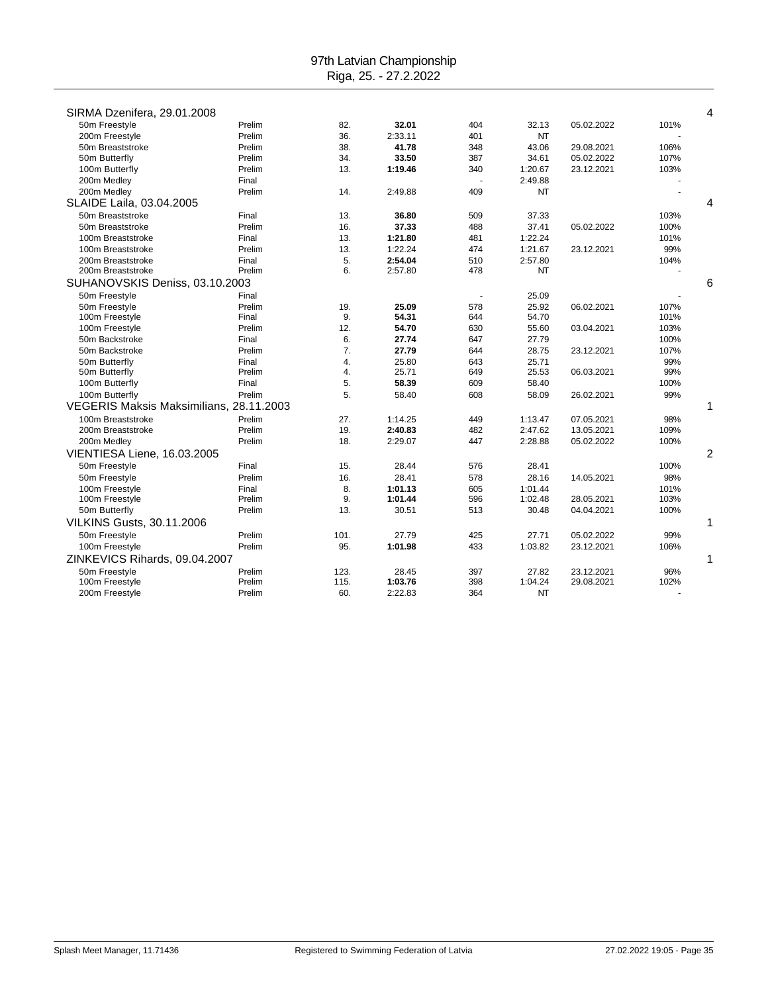| SIRMA Dzenifera, 29.01.2008             |        |      |         |                          |           |            |      | 4 |
|-----------------------------------------|--------|------|---------|--------------------------|-----------|------------|------|---|
| 50m Freestyle                           | Prelim | 82.  | 32.01   | 404                      | 32.13     | 05.02.2022 | 101% |   |
| 200m Freestyle                          | Prelim | 36.  | 2:33.11 | 401                      | <b>NT</b> |            |      |   |
| 50m Breaststroke                        | Prelim | 38.  | 41.78   | 348                      | 43.06     | 29.08.2021 | 106% |   |
| 50m Butterfly                           | Prelim | 34.  | 33.50   | 387                      | 34.61     | 05.02.2022 | 107% |   |
| 100m Butterfly                          | Prelim | 13.  | 1:19.46 | 340                      | 1:20.67   | 23.12.2021 | 103% |   |
| 200m Medley                             | Final  |      |         |                          | 2:49.88   |            |      |   |
| 200m Medley                             | Prelim | 14.  | 2:49.88 | 409                      | NT        |            |      |   |
| SLAIDE Laila, 03.04.2005                |        |      |         |                          |           |            |      | 4 |
| 50m Breaststroke                        | Final  | 13.  | 36.80   | 509                      | 37.33     |            | 103% |   |
| 50m Breaststroke                        | Prelim | 16.  | 37.33   | 488                      | 37.41     | 05.02.2022 | 100% |   |
| 100m Breaststroke                       | Final  | 13.  | 1:21.80 | 481                      | 1:22.24   |            | 101% |   |
| 100m Breaststroke                       | Prelim | 13.  | 1:22.24 | 474                      | 1:21.67   | 23.12.2021 | 99%  |   |
| 200m Breaststroke                       | Final  | 5.   | 2:54.04 | 510                      | 2:57.80   |            | 104% |   |
| 200m Breaststroke                       | Prelim | 6.   | 2:57.80 | 478                      | NT        |            |      |   |
| SUHANOVSKIS Deniss, 03.10.2003          |        |      |         |                          |           |            |      | 6 |
| 50m Freestyle                           | Final  |      |         | $\overline{\phantom{a}}$ | 25.09     |            |      |   |
| 50m Freestyle                           | Prelim | 19.  | 25.09   | 578                      | 25.92     | 06.02.2021 | 107% |   |
| 100m Freestyle                          | Final  | 9.   | 54.31   | 644                      | 54.70     |            | 101% |   |
| 100m Freestyle                          | Prelim | 12.  | 54.70   | 630                      | 55.60     | 03.04.2021 | 103% |   |
| 50m Backstroke                          | Final  | 6.   | 27.74   | 647                      | 27.79     |            | 100% |   |
| 50m Backstroke                          | Prelim | 7.   | 27.79   | 644                      | 28.75     | 23.12.2021 | 107% |   |
| 50m Butterfly                           | Final  | 4.   | 25.80   | 643                      | 25.71     |            | 99%  |   |
| 50m Butterfly                           | Prelim | 4.   | 25.71   | 649                      | 25.53     | 06.03.2021 | 99%  |   |
| 100m Butterfly                          | Final  | 5.   | 58.39   | 609                      | 58.40     |            | 100% |   |
| 100m Butterfly                          | Prelim | 5.   | 58.40   | 608                      | 58.09     | 26.02.2021 | 99%  |   |
| VEGERIS Maksis Maksimilians, 28.11.2003 |        |      |         |                          |           |            |      | 1 |
| 100m Breaststroke                       | Prelim | 27.  | 1:14.25 | 449                      | 1:13.47   | 07.05.2021 | 98%  |   |
| 200m Breaststroke                       | Prelim | 19.  | 2:40.83 | 482                      | 2:47.62   | 13.05.2021 | 109% |   |
| 200m Medley                             | Prelim | 18.  | 2:29.07 | 447                      | 2:28.88   | 05.02.2022 | 100% |   |
| VIENTIESA Liene, 16.03.2005             |        |      |         |                          |           |            |      | 2 |
| 50m Freestyle                           | Final  | 15.  | 28.44   | 576                      | 28.41     |            | 100% |   |
| 50m Freestyle                           | Prelim | 16.  | 28.41   | 578                      | 28.16     | 14.05.2021 | 98%  |   |
| 100m Freestyle                          | Final  | 8.   | 1:01.13 | 605                      | 1:01.44   |            | 101% |   |
| 100m Freestyle                          | Prelim | 9.   | 1:01.44 | 596                      | 1:02.48   | 28.05.2021 | 103% |   |
| 50m Butterfly                           | Prelim | 13.  | 30.51   | 513                      | 30.48     | 04.04.2021 | 100% |   |
| <b>VILKINS Gusts, 30.11.2006</b>        |        |      |         |                          |           |            |      | 1 |
| 50m Freestyle                           | Prelim | 101. | 27.79   | 425                      | 27.71     | 05.02.2022 | 99%  |   |
| 100m Freestyle                          | Prelim | 95.  | 1:01.98 | 433                      | 1:03.82   | 23.12.2021 | 106% |   |
| ZINKEVICS Rihards, 09.04.2007           |        |      |         |                          |           |            |      | 1 |
| 50m Freestyle                           | Prelim | 123. | 28.45   | 397                      | 27.82     | 23.12.2021 | 96%  |   |
| 100m Freestyle                          | Prelim | 115. | 1:03.76 | 398                      | 1:04.24   | 29.08.2021 | 102% |   |
| 200m Freestyle                          | Prelim | 60.  | 2:22.83 | 364                      | <b>NT</b> |            |      |   |
|                                         |        |      |         |                          |           |            |      |   |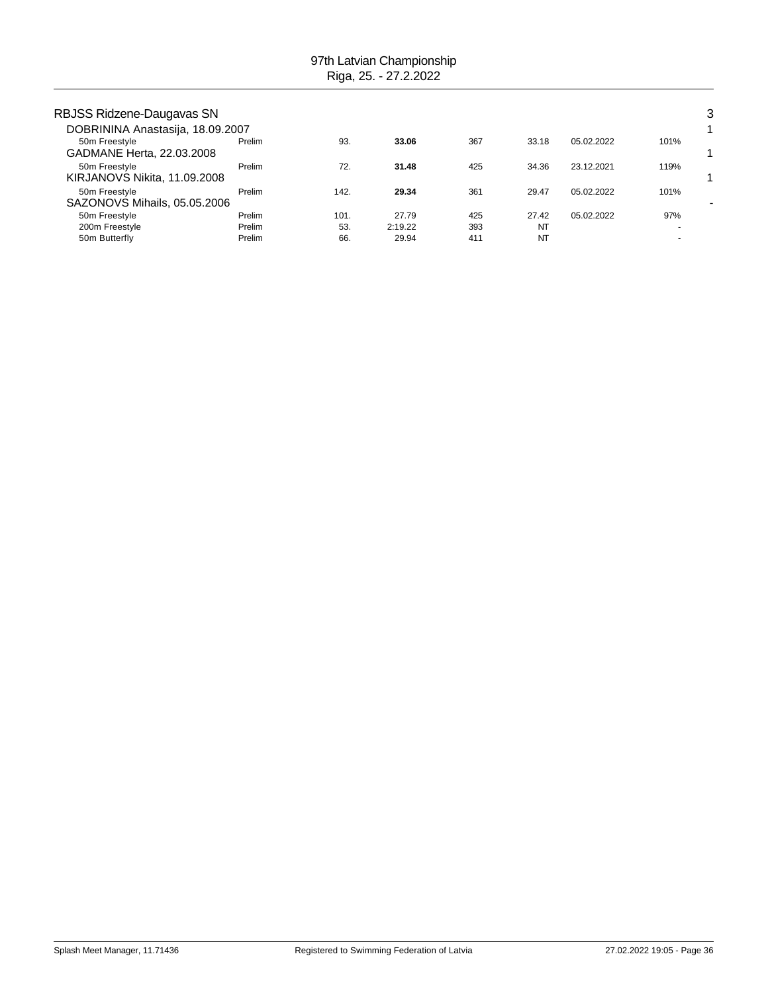| RBJSS Ridzene-Daugavas SN        |        |      |         |     |       |            |      | 3 |
|----------------------------------|--------|------|---------|-----|-------|------------|------|---|
| DOBRININA Anastasija, 18.09.2007 |        |      |         |     |       |            |      |   |
| 50m Freestyle                    | Prelim | 93.  | 33.06   | 367 | 33.18 | 05.02.2022 | 101% |   |
| GADMANE Herta, 22.03.2008        |        |      |         |     |       |            |      |   |
| 50m Freestyle                    | Prelim | 72.  | 31.48   | 425 | 34.36 | 23.12.2021 | 119% |   |
| KIRJANOVS Nikita, 11.09.2008     |        |      |         |     |       |            |      |   |
| 50m Freestyle                    | Prelim | 142. | 29.34   | 361 | 29.47 | 05.02.2022 | 101% |   |
| SAZONOVS Mihails, 05.05.2006     |        |      |         |     |       |            |      |   |
| 50m Freestyle                    | Prelim | 101. | 27.79   | 425 | 27.42 | 05.02.2022 | 97%  |   |
| 200m Freestyle                   | Prelim | 53.  | 2:19.22 | 393 | NT    |            |      |   |
| 50m Butterfly                    | Prelim | 66.  | 29.94   | 411 | NT    |            |      |   |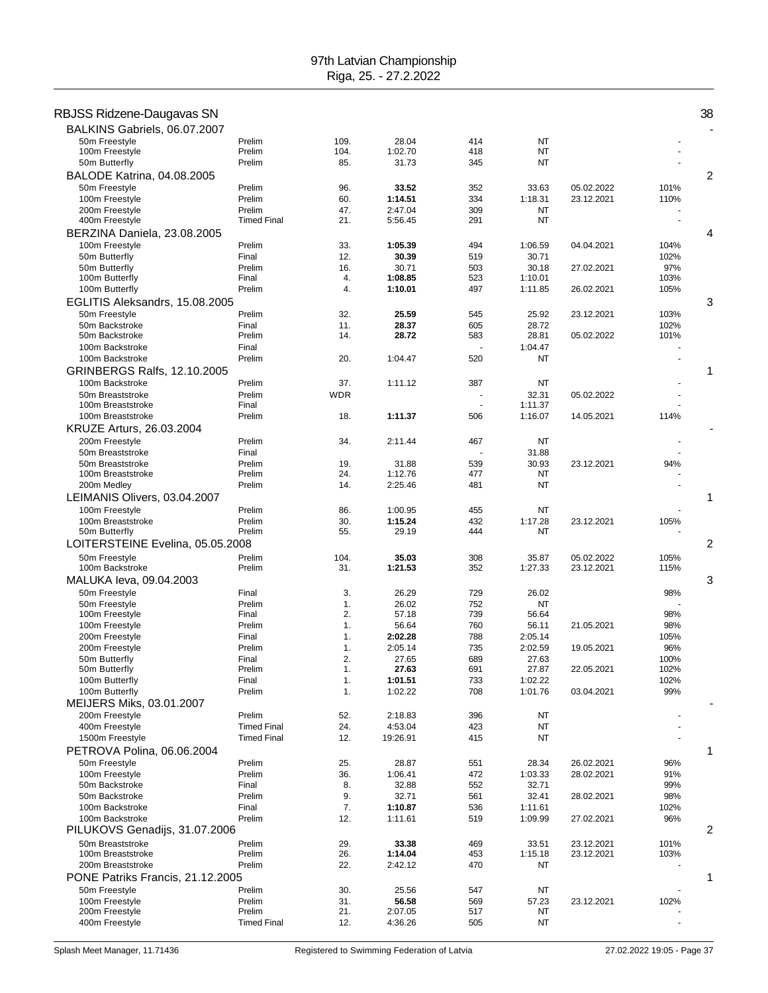| RBJSS Ridzene-Daugavas SN             |                              |            |                    |            |                    |            |      | 38 |
|---------------------------------------|------------------------------|------------|--------------------|------------|--------------------|------------|------|----|
| BALKINS Gabriels, 06.07.2007          |                              |            |                    |            |                    |            |      |    |
| 50m Freestvle                         | Prelim                       | 109.       | 28.04              | 414        | NT                 |            |      |    |
| 100m Freestyle                        | Prelim                       | 104.       | 1:02.70            | 418        | NT                 |            |      |    |
| 50m Butterfly                         | Prelim                       | 85.        | 31.73              | 345        | <b>NT</b>          |            |      |    |
| <b>BALODE Katrina, 04.08.2005</b>     |                              |            |                    |            |                    |            |      | 2  |
| 50m Freestyle                         | Prelim                       | 96.        | 33.52              | 352        | 33.63              | 05.02.2022 | 101% |    |
| 100m Freestyle                        | Prelim                       | 60.        | 1:14.51            | 334        | 1:18.31            | 23.12.2021 | 110% |    |
| 200m Freestyle<br>400m Freestyle      | Prelim<br><b>Timed Final</b> | 47.<br>21. | 2:47.04<br>5:56.45 | 309<br>291 | NT<br>NT           |            |      |    |
| BERZINA Daniela, 23.08.2005           |                              |            |                    |            |                    |            |      | 4  |
| 100m Freestyle                        | Prelim                       | 33.        | 1:05.39            | 494        | 1:06.59            | 04.04.2021 | 104% |    |
| 50m Butterfly                         | Final                        | 12.        | 30.39              | 519        | 30.71              |            | 102% |    |
| 50m Butterfly                         | Prelim                       | 16.        | 30.71              | 503        | 30.18              | 27.02.2021 | 97%  |    |
| 100m Butterfly                        | Final                        | 4.         | 1:08.85            | 523        | 1:10.01            |            | 103% |    |
| 100m Butterfly                        | Prelim                       | 4.         | 1:10.01            | 497        | 1:11.85            | 26.02.2021 | 105% |    |
| EGLITIS Aleksandrs, 15.08.2005        |                              |            |                    |            |                    |            |      | 3  |
| 50m Freestyle                         | Prelim                       | 32.        | 25.59              | 545        | 25.92              | 23.12.2021 | 103% |    |
| 50m Backstroke                        | Final                        | 11.        | 28.37              | 605        | 28.72              |            | 102% |    |
| 50m Backstroke                        | Prelim                       | 14.        | 28.72              | 583        | 28.81              | 05.02.2022 | 101% |    |
| 100m Backstroke                       | Final                        |            |                    |            | 1:04.47            |            |      |    |
| 100m Backstroke                       | Prelim                       | 20.        | 1:04.47            | 520        | <b>NT</b>          |            |      |    |
| <b>GRINBERGS Ralfs, 12.10.2005</b>    |                              |            |                    |            |                    |            |      | 1  |
| 100m Backstroke                       | Prelim                       | 37.        | 1:11.12            | 387        | <b>NT</b>          |            |      |    |
| 50m Breaststroke<br>100m Breaststroke | Prelim<br>Final              | <b>WDR</b> |                    | ÷.         | 32.31<br>1:11.37   | 05.02.2022 |      |    |
| 100m Breaststroke                     | Prelim                       | 18.        | 1:11.37            | 506        | 1:16.07            | 14.05.2021 | 114% |    |
| KRUZE Arturs, 26.03.2004              |                              |            |                    |            |                    |            |      |    |
| 200m Freestyle                        | Prelim                       | 34.        | 2:11.44            | 467        | NT                 |            |      |    |
| 50m Breaststroke                      | Final                        |            |                    |            | 31.88              |            |      |    |
| 50m Breaststroke                      | Prelim                       | 19.        | 31.88              | 539        | 30.93              | 23.12.2021 | 94%  |    |
| 100m Breaststroke                     | Prelim                       | 24.        | 1:12.76            | 477        | NT                 |            |      |    |
| 200m Medley                           | Prelim                       | 14.        | 2:25.46            | 481        | NT                 |            |      |    |
| LEIMANIS Olivers, 03.04.2007          |                              |            |                    |            |                    |            |      | 1  |
| 100m Freestyle                        | Prelim                       | 86.        | 1:00.95            | 455        | <b>NT</b>          |            |      |    |
| 100m Breaststroke                     | Prelim                       | 30.        | 1:15.24            | 432        | 1:17.28            | 23.12.2021 | 105% |    |
| 50m Butterfly                         | Prelim                       | 55.        | 29.19              | 444        | NT                 |            |      |    |
| LOITERSTEINE Evelina, 05.05.2008      |                              |            |                    |            |                    |            |      | 2  |
| 50m Freestyle                         | Prelim                       | 104.       | 35.03              | 308        | 35.87              | 05.02.2022 | 105% |    |
| 100m Backstroke                       | Prelim                       | 31.        | 1:21.53            | 352        | 1:27.33            | 23.12.2021 | 115% |    |
| MALUKA leva, 09.04.2003               |                              |            |                    |            |                    |            |      | 3  |
| 50m Freestvle                         | Final<br>Prelim              | 3.<br>1.   | 26.29<br>26.02     | 729<br>752 | 26.02<br><b>NT</b> |            | 98%  |    |
| 50m Freestyle<br>100m Freestyle       | Final                        | 2.         | 57.18              | 739        | 56.64              |            | 98%  |    |
| 100m Freestyle                        | Prelim                       | 1.         | 56.64              | 760        | 56.11              | 21.05.2021 | 98%  |    |
| 200m Freestyle                        | Final                        | 1.         | 2:02.28            | 788        | 2:05.14            |            | 105% |    |
| 200m Freestyle                        | Prelim                       | 1.         | 2:05.14            | 735        | 2:02.59            | 19.05.2021 | 96%  |    |
| 50m Butterfly                         | Final                        | 2.         | 27.65              | 689        | 27.63              |            | 100% |    |
| 50m Butterfly                         | Prelim                       | 1.         | 27.63              | 691        | 27.87              | 22.05.2021 | 102% |    |
| 100m Butterfly                        | Final                        | 1.         | 1:01.51            | 733        | 1:02.22            |            | 102% |    |
| 100m Butterfly                        | Prelim                       | 1.         | 1:02.22            | 708        | 1:01.76            | 03.04.2021 | 99%  |    |
| MEIJERS Miks, 03.01.2007              |                              |            |                    |            |                    |            |      |    |
| 200m Freestyle<br>400m Freestyle      | Prelim<br><b>Timed Final</b> | 52.<br>24. | 2:18.83<br>4:53.04 | 396<br>423 | NT<br>NT           |            |      |    |
| 1500m Freestyle                       | <b>Timed Final</b>           | 12.        | 19:26.91           | 415        | NT                 |            |      |    |
| PETROVA Polina, 06.06.2004            |                              |            |                    |            |                    |            |      | 1  |
| 50m Freestyle                         | Prelim                       | 25.        | 28.87              | 551        | 28.34              | 26.02.2021 | 96%  |    |
| 100m Freestyle                        | Prelim                       | 36.        | 1:06.41            | 472        | 1:03.33            | 28.02.2021 | 91%  |    |
| 50m Backstroke                        | Final                        | 8.         | 32.88              | 552        | 32.71              |            | 99%  |    |
| 50m Backstroke                        | Prelim                       | 9.         | 32.71              | 561        | 32.41              | 28.02.2021 | 98%  |    |
| 100m Backstroke                       | Final                        | 7.         | 1:10.87            | 536        | 1:11.61            |            | 102% |    |
| 100m Backstroke                       | Prelim                       | 12.        | 1:11.61            | 519        | 1:09.99            | 27.02.2021 | 96%  |    |
| PILUKOVS Genadijs, 31.07.2006         |                              |            |                    |            |                    |            |      | 2  |
| 50m Breaststroke                      | Prelim                       | 29.        | 33.38              | 469        | 33.51              | 23.12.2021 | 101% |    |
| 100m Breaststroke                     | Prelim                       | 26.        | 1:14.04            | 453        | 1:15.18            | 23.12.2021 | 103% |    |
| 200m Breaststroke                     | Prelim                       | 22.        | 2:42.12            | 470        | NT                 |            |      |    |
| PONE Patriks Francis, 21.12.2005      |                              |            |                    |            |                    |            |      | 1  |
| 50m Freestyle                         | Prelim                       | 30.        | 25.56              | 547        | NT                 |            |      |    |
| 100m Freestyle<br>200m Freestyle      | Prelim<br>Prelim             | 31.<br>21. | 56.58<br>2:07.05   | 569<br>517 | 57.23<br>NT        | 23.12.2021 | 102% |    |
| 400m Freestyle                        | <b>Timed Final</b>           | 12.        | 4:36.26            | 505        | NT                 |            |      |    |
|                                       |                              |            |                    |            |                    |            |      |    |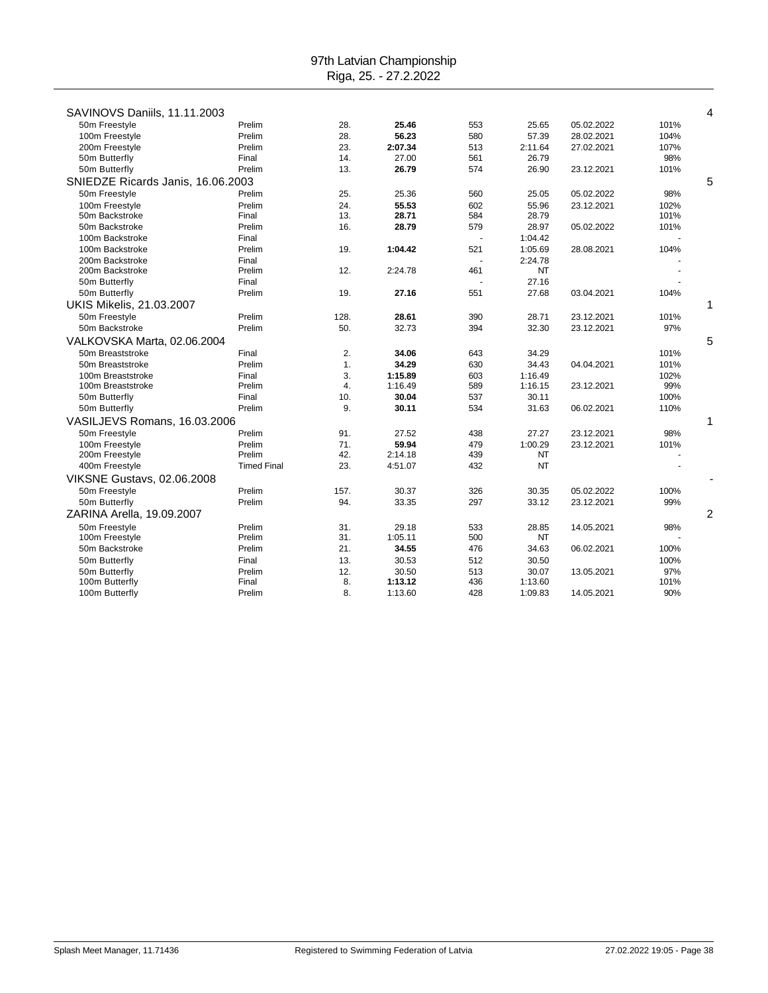| SAVINOVS Daniils, 11.11.2003      |                    |      |         |     |           |            |      | 4              |
|-----------------------------------|--------------------|------|---------|-----|-----------|------------|------|----------------|
| 50m Freestyle                     | Prelim             | 28.  | 25.46   | 553 | 25.65     | 05.02.2022 | 101% |                |
| 100m Freestyle                    | Prelim             | 28.  | 56.23   | 580 | 57.39     | 28.02.2021 | 104% |                |
| 200m Freestyle                    | Prelim             | 23.  | 2:07.34 | 513 | 2:11.64   | 27.02.2021 | 107% |                |
| 50m Butterfly                     | Final              | 14.  | 27.00   | 561 | 26.79     |            | 98%  |                |
| 50m Butterfly                     | Prelim             | 13.  | 26.79   | 574 | 26.90     | 23.12.2021 | 101% |                |
| SNIEDZE Ricards Janis, 16.06.2003 |                    |      |         |     |           |            |      | 5              |
| 50m Freestyle                     | Prelim             | 25.  | 25.36   | 560 | 25.05     | 05.02.2022 | 98%  |                |
| 100m Freestyle                    | Prelim             | 24.  | 55.53   | 602 | 55.96     | 23.12.2021 | 102% |                |
| 50m Backstroke                    | Final              | 13.  | 28.71   | 584 | 28.79     |            | 101% |                |
| 50m Backstroke                    | Prelim             | 16.  | 28.79   | 579 | 28.97     | 05.02.2022 | 101% |                |
| 100m Backstroke                   | Final              |      |         |     | 1:04.42   |            |      |                |
| 100m Backstroke                   | Prelim             | 19.  | 1:04.42 | 521 | 1:05.69   | 28.08.2021 | 104% |                |
| 200m Backstroke                   | Final              |      |         |     | 2:24.78   |            |      |                |
| 200m Backstroke                   | Prelim             | 12.  | 2:24.78 | 461 | NT        |            |      |                |
| 50m Butterfly                     | Final              |      |         |     | 27.16     |            |      |                |
| 50m Butterfly                     | Prelim             | 19.  | 27.16   | 551 | 27.68     | 03.04.2021 | 104% |                |
| <b>UKIS Mikelis, 21.03.2007</b>   |                    |      |         |     |           |            |      | 1              |
| 50m Freestyle                     | Prelim             | 128. | 28.61   | 390 | 28.71     | 23.12.2021 | 101% |                |
| 50m Backstroke                    | Prelim             | 50.  | 32.73   | 394 | 32.30     | 23.12.2021 | 97%  |                |
| VALKOVSKA Marta, 02.06.2004       |                    |      |         |     |           |            |      | 5              |
| 50m Breaststroke                  | Final              | 2.   | 34.06   | 643 | 34.29     |            | 101% |                |
| 50m Breaststroke                  | Prelim             | 1.   | 34.29   | 630 | 34.43     | 04.04.2021 | 101% |                |
| 100m Breaststroke                 | Final              | 3.   | 1:15.89 | 603 | 1:16.49   |            | 102% |                |
| 100m Breaststroke                 | Prelim             | 4.   | 1:16.49 | 589 | 1:16.15   | 23.12.2021 | 99%  |                |
| 50m Butterfly                     | Final              | 10.  | 30.04   | 537 | 30.11     |            | 100% |                |
| 50m Butterfly                     | Prelim             | 9.   | 30.11   | 534 | 31.63     | 06.02.2021 | 110% |                |
| VASILJEVS Romans, 16.03.2006      |                    |      |         |     |           |            |      | 1              |
| 50m Freestyle                     | Prelim             | 91.  | 27.52   | 438 | 27.27     | 23.12.2021 | 98%  |                |
| 100m Freestyle                    | Prelim             | 71.  | 59.94   | 479 | 1:00.29   | 23.12.2021 | 101% |                |
| 200m Freestyle                    | Prelim             | 42.  | 2:14.18 | 439 | NT        |            |      |                |
| 400m Freestyle                    | <b>Timed Final</b> | 23.  | 4:51.07 | 432 | <b>NT</b> |            |      |                |
| <b>VIKSNE Gustavs, 02.06.2008</b> |                    |      |         |     |           |            |      |                |
| 50m Freestyle                     | Prelim             | 157. | 30.37   | 326 | 30.35     | 05.02.2022 | 100% |                |
| 50m Butterfly                     | Prelim             | 94.  | 33.35   | 297 | 33.12     | 23.12.2021 | 99%  |                |
| ZARINA Arella, 19.09.2007         |                    |      |         |     |           |            |      | $\overline{2}$ |
| 50m Freestvle                     | Prelim             | 31.  | 29.18   | 533 | 28.85     | 14.05.2021 | 98%  |                |
| 100m Freestyle                    | Prelim             | 31.  | 1:05.11 | 500 | NT        |            |      |                |
| 50m Backstroke                    | Prelim             | 21.  | 34.55   | 476 | 34.63     | 06.02.2021 | 100% |                |
| 50m Butterfly                     | Final              | 13.  | 30.53   | 512 | 30.50     |            | 100% |                |
| 50m Butterfly                     | Prelim             | 12.  | 30.50   | 513 | 30.07     | 13.05.2021 | 97%  |                |
| 100m Butterfly                    | Final              | 8.   | 1:13.12 | 436 | 1:13.60   |            | 101% |                |
| 100m Butterfly                    | Prelim             | 8.   | 1:13.60 | 428 | 1:09.83   | 14.05.2021 | 90%  |                |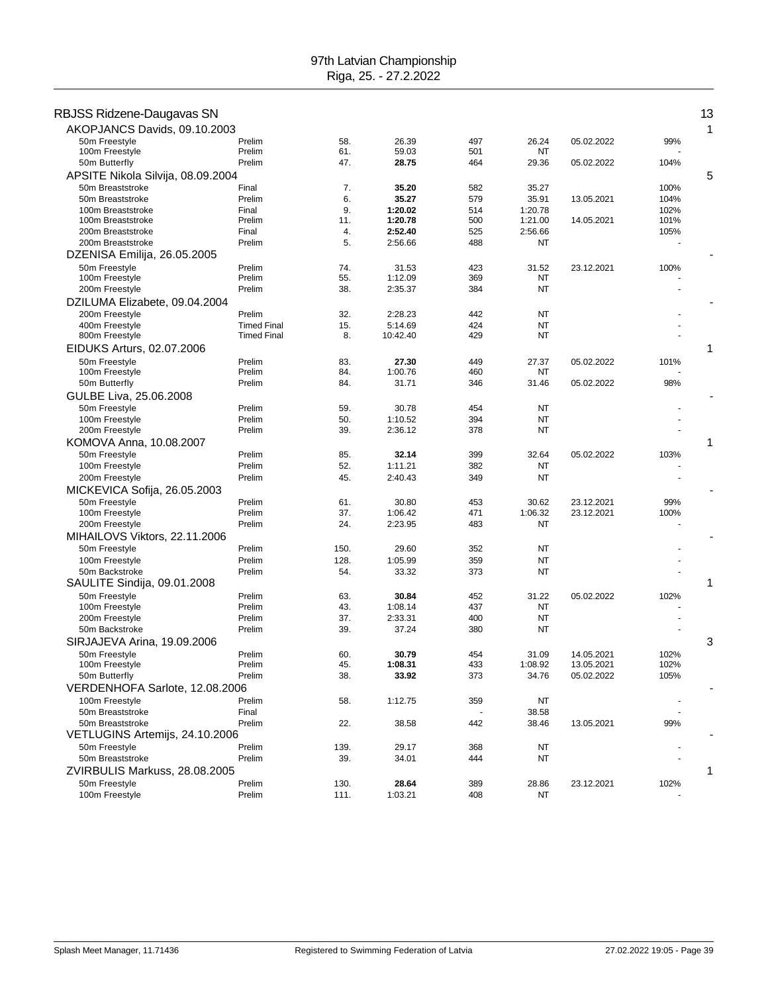| RBJSS Ridzene-Daugavas SN<br>AKOPJANCS Davids, 09.10.2003 |                    |            |                    |            |                  |                          |             | 1 |
|-----------------------------------------------------------|--------------------|------------|--------------------|------------|------------------|--------------------------|-------------|---|
| 50m Freestyle                                             | Prelim             | 58.        | 26.39              | 497        | 26.24            | 05.02.2022               | 99%         |   |
| 100m Freestyle                                            | Prelim<br>Prelim   | 61.<br>47. | 59.03<br>28.75     | 501        | NT               |                          |             |   |
| 50m Butterfly                                             |                    |            |                    | 464        | 29.36            | 05.02.2022               | 104%        | 5 |
| APSITE Nikola Silvija, 08.09.2004<br>50m Breaststroke     | Final              | 7.         | 35.20              | 582        | 35.27            |                          | 100%        |   |
| 50m Breaststroke                                          | Prelim             | 6.         | 35.27              | 579        | 35.91            | 13.05.2021               | 104%        |   |
| 100m Breaststroke                                         | Final              | 9.         | 1:20.02            | 514        | 1:20.78          |                          | 102%        |   |
| 100m Breaststroke                                         | Prelim             | 11.        | 1:20.78            | 500        | 1:21.00          | 14.05.2021               | 101%        |   |
| 200m Breaststroke                                         | Final              | 4.         | 2:52.40            | 525        | 2:56.66          |                          | 105%        |   |
| 200m Breaststroke                                         | Prelim             | 5.         | 2:56.66            | 488        | NT               |                          |             |   |
| DZENISA Emilija, 26.05.2005                               |                    |            |                    |            |                  |                          |             |   |
| 50m Freestyle<br>100m Freestyle                           | Prelim<br>Prelim   | 74.<br>55. | 31.53<br>1:12.09   | 423<br>369 | 31.52<br>NT      | 23.12.2021               | 100%        |   |
| 200m Freestyle                                            | Prelim             | 38.        | 2:35.37            | 384        | <b>NT</b>        |                          |             |   |
| DZILUMA Elizabete, 09.04.2004                             |                    |            |                    |            |                  |                          |             |   |
| 200m Freestyle                                            | Prelim             | 32.        | 2:28.23            | 442        | <b>NT</b>        |                          |             |   |
| 400m Freestyle                                            | <b>Timed Final</b> | 15.        | 5:14.69            | 424        | NT               |                          |             |   |
| 800m Freestyle                                            | <b>Timed Final</b> | 8.         | 10:42.40           | 429        | NT               |                          |             |   |
| EIDUKS Arturs, 02.07.2006                                 |                    |            |                    |            |                  |                          |             | 1 |
| 50m Freestyle                                             | Prelim             | 83.        | 27.30              | 449        | 27.37            | 05.02.2022               | 101%        |   |
| 100m Freestyle                                            | Prelim             | 84.        | 1:00.76            | 460        | NT               |                          |             |   |
| 50m Butterfly                                             | Prelim             | 84.        | 31.71              | 346        | 31.46            | 05.02.2022               | 98%         |   |
| GULBE Liva, 25.06.2008<br>50m Freestyle                   | Prelim             | 59.        | 30.78              | 454        | NT               |                          |             |   |
| 100m Freestyle                                            | Prelim             | 50.        | 1:10.52            | 394        | NT               |                          |             |   |
| 200m Freestyle                                            | Prelim             | 39.        | 2:36.12            | 378        | NT               |                          |             |   |
| KOMOVA Anna, 10.08.2007                                   |                    |            |                    |            |                  |                          |             | 1 |
| 50m Freestyle                                             | Prelim             | 85.        | 32.14              | 399        | 32.64            | 05.02.2022               | 103%        |   |
| 100m Freestyle                                            | Prelim             | 52.        | 1:11.21            | 382        | NT               |                          |             |   |
| 200m Freestyle                                            | Prelim             | 45.        | 2:40.43            | 349        | NT               |                          |             |   |
| MICKEVICA Sofija, 26.05.2003                              |                    |            |                    |            |                  |                          |             |   |
| 50m Freestyle<br>100m Freestyle                           | Prelim<br>Prelim   | 61.<br>37. | 30.80<br>1:06.42   | 453<br>471 | 30.62<br>1:06.32 | 23.12.2021<br>23.12.2021 | 99%<br>100% |   |
| 200m Freestyle                                            | Prelim             | 24.        | 2:23.95            | 483        | <b>NT</b>        |                          |             |   |
| MIHAILOVS Viktors, 22.11.2006                             |                    |            |                    |            |                  |                          |             |   |
| 50m Freestyle                                             | Prelim             | 150.       | 29.60              | 352        | NT               |                          |             |   |
| 100m Freestyle                                            | Prelim             | 128.       | 1:05.99            | 359        | NT               |                          |             |   |
| 50m Backstroke                                            | Prelim             | 54.        | 33.32              | 373        | <b>NT</b>        |                          |             |   |
| SAULITE Sindija, 09.01.2008                               |                    |            |                    |            |                  |                          |             | 1 |
| 50m Freestyle                                             | Prelim             | 63.        | 30.84              | 452        | 31.22            | 05.02.2022               | 102%        |   |
| 100m Freestyle<br>200m Freestyle                          | Prelim<br>Prelim   | 43.<br>37. | 1:08.14<br>2:33.31 | 437<br>400 | NT<br>NT         |                          |             |   |
| 50m Backstroke                                            | Prelim             | 39.        | 37.24              | 380        | <b>NT</b>        |                          |             |   |
| SIRJAJEVA Arina, 19.09.2006                               |                    |            |                    |            |                  |                          |             | 3 |
| 50m Freestyle                                             | Prelim             | 60.        | 30.79              | 454        | 31.09            | 14.05.2021               | 102%        |   |
| 100m Freestyle                                            | Prelim             | 45.        | 1:08.31            | 433        | 1:08.92          | 13.05.2021               | 102%        |   |
| 50m Butterfly                                             | Prelim             | 38.        | 33.92              | 373        | 34.76            | 05.02.2022               | 105%        |   |
| VERDENHOFA Sarlote, 12.08.2006                            |                    |            |                    |            |                  |                          |             |   |
| 100m Freestyle                                            | Prelim             | 58.        | 1:12.75            | 359        | NT               |                          |             |   |
| 50m Breaststroke                                          | Final              |            |                    |            | 38.58            |                          |             |   |
| 50m Breaststroke<br>VETLUGINS Artemijs, 24.10.2006        | Prelim             | 22.        | 38.58              | 442        | 38.46            | 13.05.2021               | 99%         |   |
| 50m Freestyle                                             | Prelim             | 139.       | 29.17              | 368        | NT               |                          |             |   |
| 50m Breaststroke                                          | Prelim             | 39.        | 34.01              | 444        | NT               |                          |             |   |
| ZVIRBULIS Markuss, 28.08.2005                             |                    |            |                    |            |                  |                          |             | 1 |
| 50m Freestyle                                             | Prelim             | 130.       | 28.64              | 389        | 28.86            | 23.12.2021               | 102%        |   |
| 100m Freestyle                                            | Prelim             | 111.       | 1:03.21            | 408        | NT               |                          |             |   |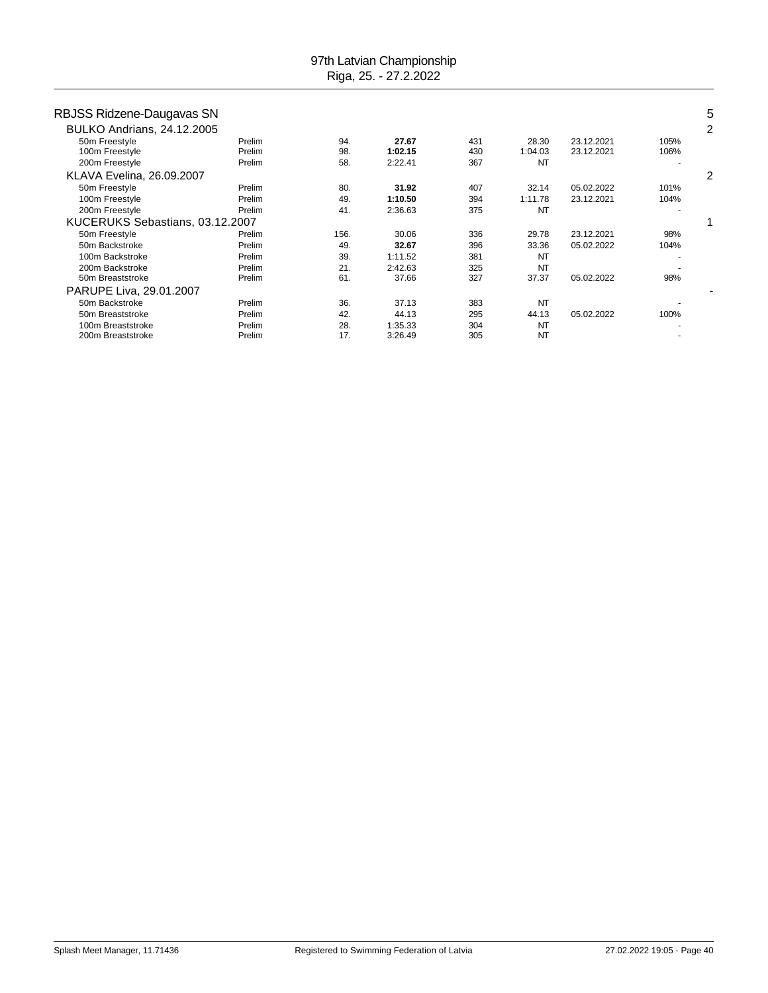| RBJSS Ridzene-Daugavas SN         |        |      |         |     |           |            |      | 5 |
|-----------------------------------|--------|------|---------|-----|-----------|------------|------|---|
| <b>BULKO Andrians, 24.12.2005</b> |        |      |         |     |           |            |      | 2 |
| 50m Freestyle                     | Prelim | 94.  | 27.67   | 431 | 28.30     | 23.12.2021 | 105% |   |
| 100m Freestyle                    | Prelim | 98.  | 1:02.15 | 430 | 1:04.03   | 23.12.2021 | 106% |   |
| 200m Freestyle                    | Prelim | 58.  | 2:22.41 | 367 | <b>NT</b> |            |      |   |
| <b>KLAVA Evelina, 26.09.2007</b>  |        |      |         |     |           |            |      |   |
| 50m Freestyle                     | Prelim | 80.  | 31.92   | 407 | 32.14     | 05.02.2022 | 101% |   |
| 100m Freestyle                    | Prelim | 49.  | 1:10.50 | 394 | 1:11.78   | 23.12.2021 | 104% |   |
| 200m Freestyle                    | Prelim | 41.  | 2:36.63 | 375 | <b>NT</b> |            |      |   |
| KUCERUKS Sebastians, 03.12.2007   |        |      |         |     |           |            |      |   |
| 50m Freestyle                     | Prelim | 156. | 30.06   | 336 | 29.78     | 23.12.2021 | 98%  |   |
| 50m Backstroke                    | Prelim | 49.  | 32.67   | 396 | 33.36     | 05.02.2022 | 104% |   |
| 100m Backstroke                   | Prelim | 39.  | 1:11.52 | 381 | <b>NT</b> |            |      |   |
| 200m Backstroke                   | Prelim | 21.  | 2:42.63 | 325 | <b>NT</b> |            |      |   |
| 50m Breaststroke                  | Prelim | 61.  | 37.66   | 327 | 37.37     | 05.02.2022 | 98%  |   |
| PARUPE Liva, 29.01.2007           |        |      |         |     |           |            |      |   |
| 50m Backstroke                    | Prelim | 36.  | 37.13   | 383 | <b>NT</b> |            |      |   |
| 50m Breaststroke                  | Prelim | 42.  | 44.13   | 295 | 44.13     | 05.02.2022 | 100% |   |
| 100m Breaststroke                 | Prelim | 28.  | 1:35.33 | 304 | <b>NT</b> |            |      |   |
| 200m Breaststroke                 | Prelim | 17.  | 3:26.49 | 305 | <b>NT</b> |            |      |   |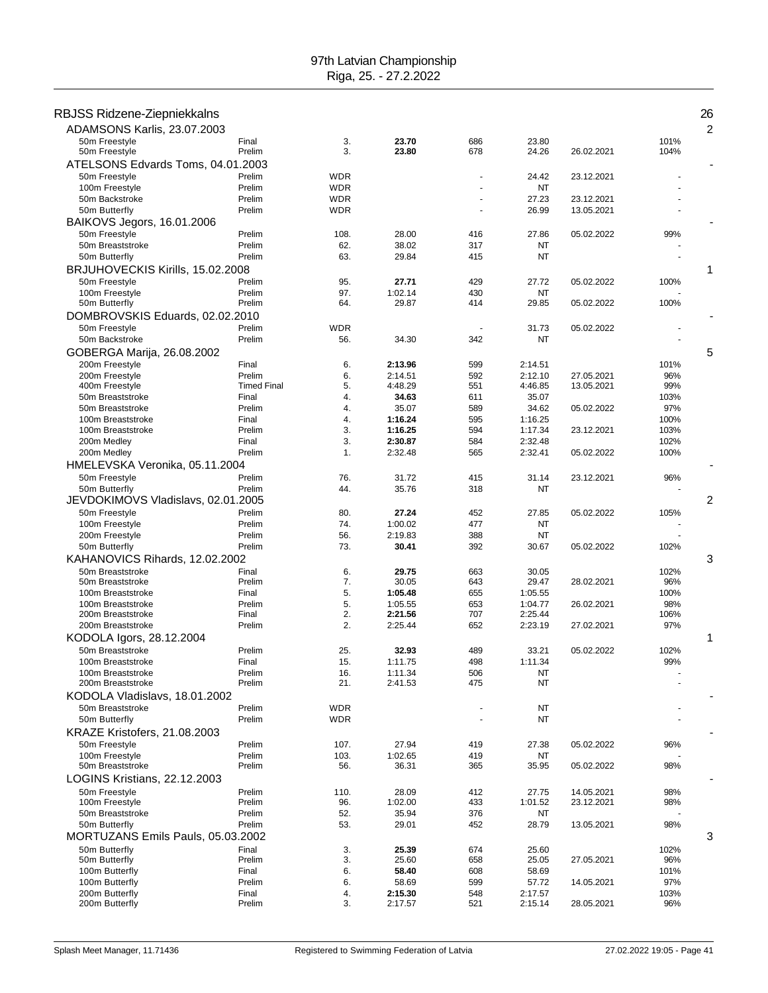| RBJSS Ridzene-Ziepniekkalns                      |                              |             |                    |            |                    |                          |              | 26<br>$\overline{2}$ |
|--------------------------------------------------|------------------------------|-------------|--------------------|------------|--------------------|--------------------------|--------------|----------------------|
| ADAMSONS Karlis, 23.07.2003<br>50m Freestyle     | Final                        | 3.          | 23.70              | 686        | 23.80              |                          | 101%         |                      |
| 50m Freestyle                                    | Prelim                       | 3.          | 23.80              | 678        | 24.26              | 26.02.2021               | 104%         |                      |
| ATELSONS Edvards Toms, 04.01.2003                |                              |             |                    |            |                    |                          |              |                      |
| 50m Freestyle                                    | Prelim                       | WDR         |                    |            | 24.42              | 23.12.2021               |              |                      |
| 100m Freestyle                                   | Prelim                       | WDR         |                    |            | NT                 |                          |              |                      |
| 50m Backstroke<br>50m Butterfly                  | Prelim<br>Prelim             | WDR<br>WDR  |                    |            | 27.23<br>26.99     | 23.12.2021<br>13.05.2021 |              |                      |
| BAIKOVS Jegors, 16.01.2006                       |                              |             |                    |            |                    |                          |              |                      |
| 50m Freestyle                                    | Prelim                       | 108.        | 28.00              | 416        | 27.86              | 05.02.2022               | 99%          |                      |
| 50m Breaststroke                                 | Prelim                       | 62.         | 38.02              | 317        | NT                 |                          |              |                      |
| 50m Butterfly                                    | Prelim                       | 63.         | 29.84              | 415        | NT                 |                          |              |                      |
| BRJUHOVECKIS Kirills, 15.02.2008                 |                              |             |                    |            |                    |                          |              | 1                    |
| 50m Freestyle<br>100m Freestyle                  | Prelim<br>Prelim             | 95.<br>97.  | 27.71<br>1:02.14   | 429<br>430 | 27.72<br>NT        | 05.02.2022               | 100%         |                      |
| 50m Butterfly                                    | Prelim                       | 64.         | 29.87              | 414        | 29.85              | 05.02.2022               | 100%         |                      |
| DOMBROVSKIS Eduards, 02.02.2010                  |                              |             |                    |            |                    |                          |              |                      |
| 50m Freestyle                                    | Prelim                       | WDR         |                    |            | 31.73              | 05.02.2022               |              |                      |
| 50m Backstroke                                   | Prelim                       | 56.         | 34.30              | 342        | NT                 |                          |              |                      |
| GOBERGA Marija, 26.08.2002                       |                              |             |                    |            |                    |                          |              | 5                    |
| 200m Freestyle                                   | Final                        | 6.          | 2:13.96            | 599        | 2:14.51            |                          | 101%         |                      |
| 200m Freestyle<br>400m Freestyle                 | Prelim<br><b>Timed Final</b> | 6.<br>5.    | 2:14.51<br>4:48.29 | 592<br>551 | 2:12.10<br>4:46.85 | 27.05.2021<br>13.05.2021 | 96%<br>99%   |                      |
| 50m Breaststroke                                 | Final                        | 4.          | 34.63              | 611        | 35.07              |                          | 103%         |                      |
| 50m Breaststroke                                 | Prelim                       | 4.          | 35.07              | 589        | 34.62              | 05.02.2022               | 97%          |                      |
| 100m Breaststroke                                | Final                        | 4.          | 1:16.24            | 595        | 1:16.25            |                          | 100%         |                      |
| 100m Breaststroke                                | Prelim                       | 3.          | 1:16.25<br>2:30.87 | 594        | 1:17.34<br>2:32.48 | 23.12.2021               | 103%         |                      |
| 200m Medley<br>200m Medley                       | Final<br>Prelim              | 3.<br>1.    | 2:32.48            | 584<br>565 | 2:32.41            | 05.02.2022               | 102%<br>100% |                      |
| HMELEVSKA Veronika, 05.11.2004                   |                              |             |                    |            |                    |                          |              |                      |
| 50m Freestyle                                    | Prelim                       | 76.         | 31.72              | 415        | 31.14              | 23.12.2021               | 96%          |                      |
| 50m Butterfly                                    | Prelim                       | 44.         | 35.76              | 318        | NT                 |                          |              |                      |
| JEVDOKIMOVS Vladislavs, 02.01.2005               |                              |             |                    |            |                    |                          |              | 2                    |
| 50m Freestyle                                    | Prelim                       | 80.         | 27.24              | 452        | 27.85              | 05.02.2022               | 105%         |                      |
| 100m Freestyle                                   | Prelim                       | 74.         | 1:00.02            | 477        | NT                 |                          |              |                      |
| 200m Freestyle<br>50m Butterfly                  | Prelim<br>Prelim             | 56.<br>73.  | 2:19.83<br>30.41   | 388<br>392 | NT<br>30.67        | 05.02.2022               | 102%         |                      |
| KAHANOVICS Rihards, 12.02.2002                   |                              |             |                    |            |                    |                          |              | 3                    |
| 50m Breaststroke                                 | Final                        | 6.          | 29.75              | 663        | 30.05              |                          | 102%         |                      |
| 50m Breaststroke                                 | Prelim                       | 7.          | 30.05              | 643        | 29.47              | 28.02.2021               | 96%          |                      |
| 100m Breaststroke                                | Final                        | 5.          | 1:05.48            | 655        | 1:05.55            |                          | 100%         |                      |
| 100m Breaststroke<br>200m Breaststroke           | Prelim<br>Final              | 5.<br>2.    | 1:05.55<br>2:21.56 | 653<br>707 | 1:04.77<br>2:25.44 | 26.02.2021               | 98%<br>106%  |                      |
| 200m Breaststroke                                | Prelim                       | 2.          | 2:25.44            | 652        | 2:23.19            | 27.02.2021               | 97%          |                      |
| KODOLA Igors, 28.12.2004                         |                              |             |                    |            |                    |                          |              | 1                    |
| 50m Breaststroke                                 | Prelim                       | 25.         | 32.93              | 489        | 33.21              | 05.02.2022               | 102%         |                      |
| 100m Breaststroke                                | Final                        | 15.         | 1:11.75            | 498        | 1:11.34            |                          | 99%          |                      |
| 100m Breaststroke<br>200m Breaststroke           | Prelim<br>Prelim             | 16.<br>21.  | 1:11.34            | 506<br>475 | NT<br>NT           |                          |              |                      |
| KODOLA Vladislavs, 18.01.2002                    |                              |             | 2:41.53            |            |                    |                          |              |                      |
| 50m Breaststroke                                 | Prelim                       | <b>WDR</b>  |                    |            | NT                 |                          |              |                      |
| 50m Butterfly                                    | Prelim                       | <b>WDR</b>  |                    |            | NT                 |                          |              |                      |
| KRAZE Kristofers, 21.08.2003                     |                              |             |                    |            |                    |                          |              |                      |
| 50m Freestyle                                    | Prelim                       | 107.        | 27.94              | 419        | 27.38              | 05.02.2022               | 96%          |                      |
| 100m Freestyle                                   | Prelim                       | 103.        | 1:02.65            | 419        | NT                 |                          |              |                      |
| 50m Breaststroke<br>LOGINS Kristians, 22.12.2003 | Prelim                       | 56.         | 36.31              | 365        | 35.95              | 05.02.2022               | 98%          |                      |
|                                                  |                              |             |                    |            |                    |                          |              |                      |
| 50m Freestyle<br>100m Freestyle                  | Prelim<br>Prelim             | 110.<br>96. | 28.09<br>1:02.00   | 412<br>433 | 27.75<br>1:01.52   | 14.05.2021<br>23.12.2021 | 98%<br>98%   |                      |
| 50m Breaststroke                                 | Prelim                       | 52.         | 35.94              | 376        | NT                 |                          |              |                      |
| 50m Butterfly                                    | Prelim                       | 53.         | 29.01              | 452        | 28.79              | 13.05.2021               | 98%          |                      |
| MORTUZANS Emils Pauls, 05.03.2002                |                              |             |                    |            |                    |                          |              | 3                    |
| 50m Butterfly                                    | Final                        | 3.          | 25.39              | 674        | 25.60              |                          | 102%         |                      |
| 50m Butterfly                                    | Prelim                       | 3.          | 25.60              | 658        | 25.05              | 27.05.2021               | 96%          |                      |
| 100m Butterfly<br>100m Butterfly                 | Final<br>Prelim              | 6.<br>6.    | 58.40<br>58.69     | 608<br>599 | 58.69<br>57.72     | 14.05.2021               | 101%<br>97%  |                      |
| 200m Butterfly                                   | Final                        | 4.          | 2:15.30            | 548        | 2:17.57            |                          | 103%         |                      |
| 200m Butterfly                                   | Prelim                       | 3.          | 2:17.57            | 521        | 2:15.14            | 28.05.2021               | 96%          |                      |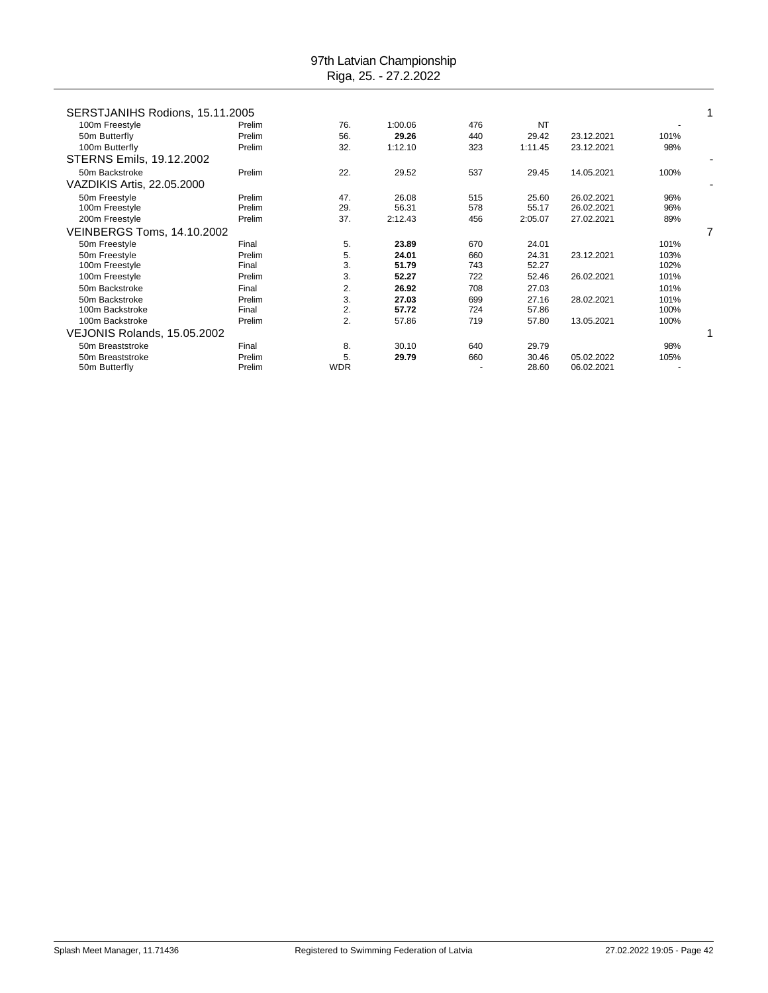| SERSTJANIHS Rodions, 15.11.2005 |        |            |         |     |         |            |      |   |
|---------------------------------|--------|------------|---------|-----|---------|------------|------|---|
| 100m Freestyle                  | Prelim | 76.        | 1:00.06 | 476 | NT      |            |      |   |
| 50m Butterfly                   | Prelim | 56.        | 29.26   | 440 | 29.42   | 23.12.2021 | 101% |   |
| 100m Butterfly                  | Prelim | 32.        | 1:12.10 | 323 | 1:11.45 | 23.12.2021 | 98%  |   |
| STERNS Emils, 19.12.2002        |        |            |         |     |         |            |      |   |
| 50m Backstroke                  | Prelim | 22.        | 29.52   | 537 | 29.45   | 14.05.2021 | 100% |   |
| VAZDIKIS Artis, 22.05.2000      |        |            |         |     |         |            |      |   |
| 50m Freestyle                   | Prelim | 47.        | 26.08   | 515 | 25.60   | 26.02.2021 | 96%  |   |
| 100m Freestyle                  | Prelim | 29.        | 56.31   | 578 | 55.17   | 26.02.2021 | 96%  |   |
| 200m Freestyle                  | Prelim | 37.        | 2:12.43 | 456 | 2:05.07 | 27.02.2021 | 89%  |   |
| VEINBERGS Toms, 14.10.2002      |        |            |         |     |         |            |      | 7 |
| 50m Freestyle                   | Final  | 5.         | 23.89   | 670 | 24.01   |            | 101% |   |
| 50m Freestyle                   | Prelim | 5.         | 24.01   | 660 | 24.31   | 23.12.2021 | 103% |   |
| 100m Freestyle                  | Final  | 3.         | 51.79   | 743 | 52.27   |            | 102% |   |
| 100m Freestyle                  | Prelim | 3.         | 52.27   | 722 | 52.46   | 26.02.2021 | 101% |   |
| 50m Backstroke                  | Final  | 2.         | 26.92   | 708 | 27.03   |            | 101% |   |
| 50m Backstroke                  | Prelim | 3.         | 27.03   | 699 | 27.16   | 28.02.2021 | 101% |   |
| 100m Backstroke                 | Final  | 2.         | 57.72   | 724 | 57.86   |            | 100% |   |
| 100m Backstroke                 | Prelim | 2.         | 57.86   | 719 | 57.80   | 13.05.2021 | 100% |   |
| VEJONIS Rolands, 15.05.2002     |        |            |         |     |         |            |      |   |
| 50m Breaststroke                | Final  | 8.         | 30.10   | 640 | 29.79   |            | 98%  |   |
| 50m Breaststroke                | Prelim | 5.         | 29.79   | 660 | 30.46   | 05.02.2022 | 105% |   |
| 50m Butterfly                   | Prelim | <b>WDR</b> |         |     | 28.60   | 06.02.2021 |      |   |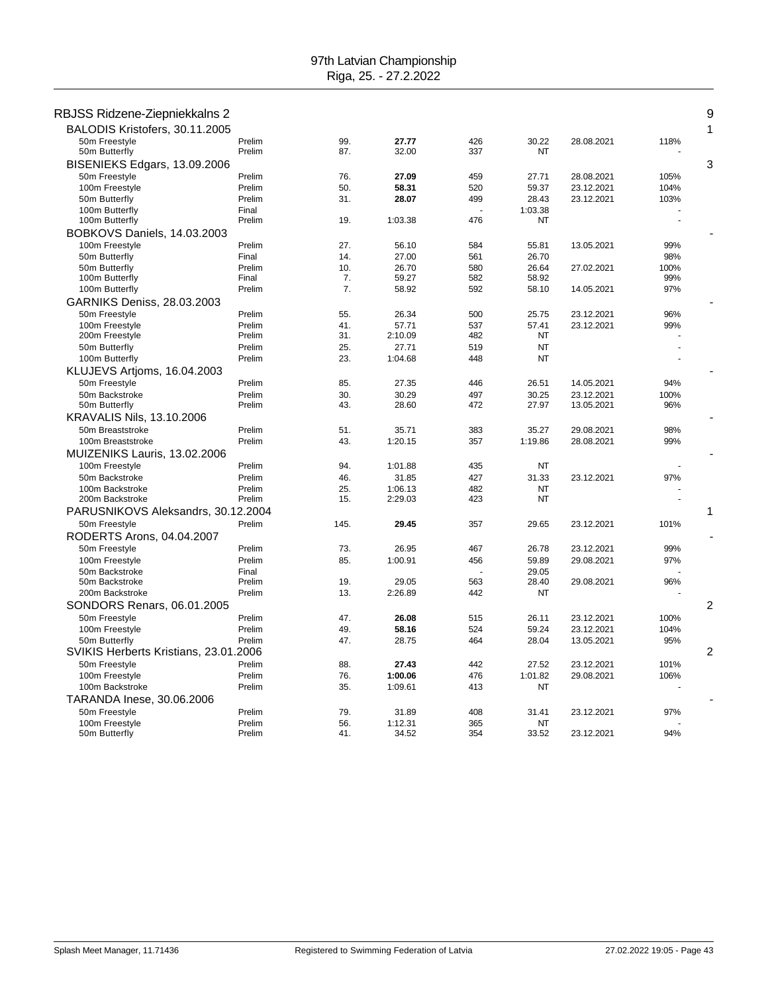| RBJSS Ridzene-Ziepniekkalns 2         |        |      |         |     |           |            |      | 9              |
|---------------------------------------|--------|------|---------|-----|-----------|------------|------|----------------|
| BALODIS Kristofers, 30.11.2005        |        |      |         |     |           |            |      | 1              |
|                                       | Prelim | 99.  | 27.77   | 426 | 30.22     | 28.08.2021 |      |                |
| 50m Freestyle<br>50m Butterfly        | Prelim | 87.  | 32.00   | 337 | <b>NT</b> |            | 118% |                |
| BISENIEKS Edgars, 13.09.2006          |        |      |         |     |           |            |      | 3              |
| 50m Freestyle                         | Prelim | 76.  | 27.09   | 459 | 27.71     | 28.08.2021 | 105% |                |
| 100m Freestyle                        | Prelim | 50.  | 58.31   | 520 | 59.37     | 23.12.2021 | 104% |                |
| 50m Butterfly                         | Prelim | 31.  | 28.07   | 499 | 28.43     | 23.12.2021 | 103% |                |
| 100m Butterfly                        | Final  |      |         |     | 1:03.38   |            |      |                |
| 100m Butterfly                        | Prelim | 19.  | 1:03.38 | 476 | NT        |            |      |                |
| BOBKOVS Daniels, 14.03.2003           |        |      |         |     |           |            |      |                |
| 100m Freestyle                        | Prelim | 27.  | 56.10   | 584 | 55.81     | 13.05.2021 | 99%  |                |
| 50m Butterfly                         | Final  | 14.  | 27.00   | 561 | 26.70     |            | 98%  |                |
| 50m Butterfly                         | Prelim | 10.  | 26.70   | 580 | 26.64     | 27.02.2021 | 100% |                |
| 100m Butterfly                        | Final  | 7.   | 59.27   | 582 | 58.92     |            | 99%  |                |
| 100m Butterfly                        | Prelim | 7.   | 58.92   | 592 | 58.10     | 14.05.2021 | 97%  |                |
| <b>GARNIKS Deniss, 28.03.2003</b>     |        |      |         |     |           |            |      |                |
| 50m Freestyle                         | Prelim | 55.  | 26.34   | 500 | 25.75     | 23.12.2021 | 96%  |                |
| 100m Freestyle                        | Prelim | 41.  | 57.71   | 537 | 57.41     | 23.12.2021 | 99%  |                |
| 200m Freestyle                        | Prelim | 31.  | 2:10.09 | 482 | NT        |            |      |                |
| 50m Butterfly                         | Prelim | 25.  | 27.71   | 519 | <b>NT</b> |            |      |                |
| 100m Butterfly                        | Prelim | 23.  | 1:04.68 | 448 | <b>NT</b> |            |      |                |
| KLUJEVS Artioms, 16.04.2003           |        |      |         |     |           |            |      |                |
| 50m Freestyle                         | Prelim | 85.  | 27.35   | 446 | 26.51     | 14.05.2021 | 94%  |                |
| 50m Backstroke                        | Prelim | 30.  | 30.29   | 497 | 30.25     | 23.12.2021 | 100% |                |
| 50m Butterfly                         | Prelim | 43.  | 28.60   | 472 | 27.97     | 13.05.2021 | 96%  |                |
| <b>KRAVALIS Nils, 13.10.2006</b>      |        |      |         |     |           |            |      |                |
| 50m Breaststroke                      | Prelim | 51.  | 35.71   | 383 | 35.27     | 29.08.2021 | 98%  |                |
| 100m Breaststroke                     | Prelim | 43.  | 1:20.15 | 357 | 1:19.86   | 28.08.2021 | 99%  |                |
| MUIZENIKS Lauris, 13.02.2006          |        |      |         |     |           |            |      |                |
| 100m Freestyle                        | Prelim | 94.  | 1:01.88 | 435 | <b>NT</b> |            |      |                |
| 50m Backstroke                        | Prelim | 46.  | 31.85   | 427 | 31.33     | 23.12.2021 | 97%  |                |
| 100m Backstroke                       | Prelim | 25.  | 1:06.13 | 482 | NT        |            |      |                |
| 200m Backstroke                       | Prelim | 15.  | 2:29.03 | 423 | NT        |            |      |                |
| PARUSNIKOVS Aleksandrs, 30.12.2004    |        |      |         |     |           |            |      | 1              |
| 50m Freestyle                         | Prelim | 145. | 29.45   | 357 | 29.65     | 23.12.2021 | 101% |                |
| RODERTS Arons, 04.04.2007             |        |      |         |     |           |            |      |                |
| 50m Freestyle                         | Prelim | 73.  | 26.95   | 467 | 26.78     | 23.12.2021 | 99%  |                |
| 100m Freestyle                        | Prelim | 85.  | 1:00.91 | 456 | 59.89     | 29.08.2021 | 97%  |                |
| 50m Backstroke                        | Final  |      |         |     | 29.05     |            |      |                |
| 50m Backstroke                        | Prelim | 19.  | 29.05   | 563 | 28.40     | 29.08.2021 | 96%  |                |
| 200m Backstroke                       | Prelim | 13.  | 2:26.89 | 442 | <b>NT</b> |            |      |                |
| <b>SONDORS Renars, 06.01.2005</b>     |        |      |         |     |           |            |      | $\overline{2}$ |
| 50m Freestyle                         | Prelim | 47.  | 26.08   | 515 | 26.11     | 23.12.2021 | 100% |                |
| 100m Freestyle                        | Prelim | 49.  | 58.16   | 524 | 59.24     | 23.12.2021 | 104% |                |
| 50m Butterfly                         | Prelim | 47.  | 28.75   | 464 | 28.04     | 13.05.2021 | 95%  |                |
| SVIKIS Herberts Kristians, 23.01.2006 |        |      |         |     |           |            |      | 2              |
| 50m Freestyle                         | Prelim | 88.  | 27.43   | 442 | 27.52     | 23.12.2021 | 101% |                |
| 100m Freestyle                        | Prelim | 76.  | 1:00.06 | 476 | 1:01.82   | 29.08.2021 | 106% |                |
| 100m Backstroke                       | Prelim | 35.  | 1:09.61 | 413 | <b>NT</b> |            |      |                |
| TARANDA Inese, 30.06.2006             |        |      |         |     |           |            |      |                |
| 50m Freestyle                         | Prelim | 79.  | 31.89   | 408 | 31.41     | 23.12.2021 | 97%  |                |
| 100m Freestyle                        | Prelim | 56.  | 1:12.31 | 365 | <b>NT</b> |            |      |                |
| 50m Butterfly                         | Prelim | 41.  | 34.52   | 354 | 33.52     | 23.12.2021 | 94%  |                |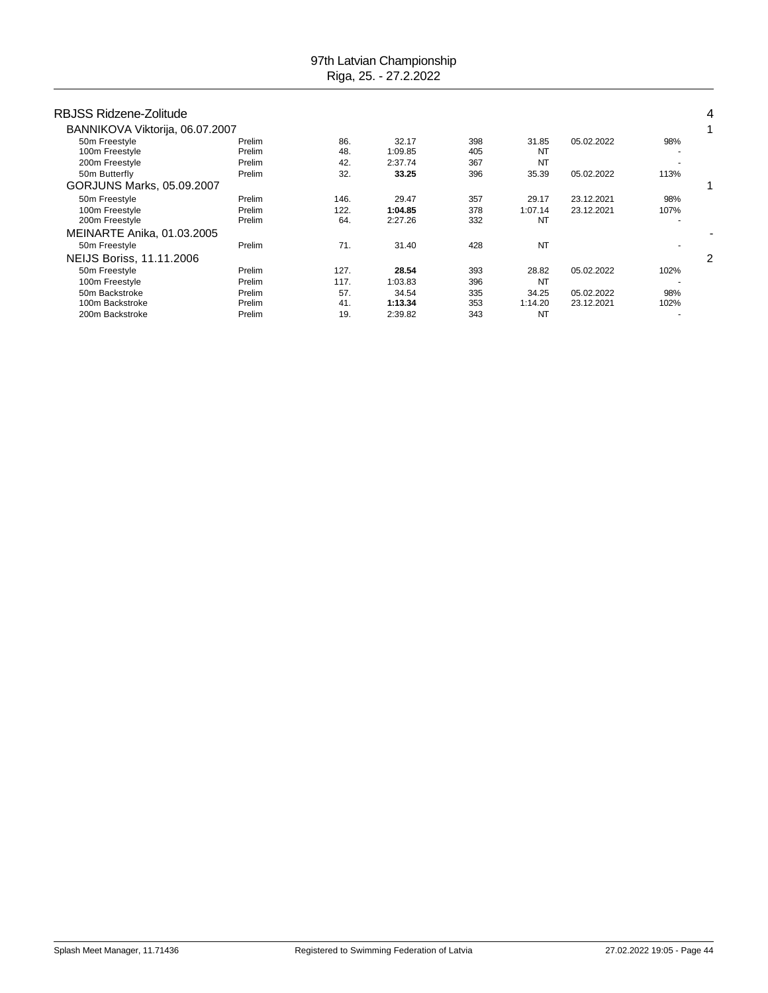| RBJSS Ridzene-Zolitude          |        |      |         |     |           |            |      |   |
|---------------------------------|--------|------|---------|-----|-----------|------------|------|---|
| BANNIKOVA Viktorija, 06.07.2007 |        |      |         |     |           |            |      |   |
| 50m Freestyle                   | Prelim | 86.  | 32.17   | 398 | 31.85     | 05.02.2022 | 98%  |   |
| 100m Freestyle                  | Prelim | 48.  | 1:09.85 | 405 | NT        |            |      |   |
| 200m Freestyle                  | Prelim | 42.  | 2:37.74 | 367 | <b>NT</b> |            |      |   |
| 50m Butterfly                   | Prelim | 32.  | 33.25   | 396 | 35.39     | 05.02.2022 | 113% |   |
| GORJUNS Marks, 05.09.2007       |        |      |         |     |           |            |      |   |
| 50m Freestyle                   | Prelim | 146. | 29.47   | 357 | 29.17     | 23.12.2021 | 98%  |   |
| 100m Freestyle                  | Prelim | 122. | 1:04.85 | 378 | 1:07.14   | 23.12.2021 | 107% |   |
| 200m Freestyle                  | Prelim | 64.  | 2:27.26 | 332 | <b>NT</b> |            |      |   |
| MEINARTE Anika, 01.03.2005      |        |      |         |     |           |            |      |   |
| 50m Freestyle                   | Prelim | 71.  | 31.40   | 428 | <b>NT</b> |            |      |   |
| NEIJS Boriss, 11.11.2006        |        |      |         |     |           |            |      | 2 |
| 50m Freestyle                   | Prelim | 127. | 28.54   | 393 | 28.82     | 05.02.2022 | 102% |   |
| 100m Freestyle                  | Prelim | 117. | 1:03.83 | 396 | <b>NT</b> |            |      |   |
| 50m Backstroke                  | Prelim | 57.  | 34.54   | 335 | 34.25     | 05.02.2022 | 98%  |   |
| 100m Backstroke                 | Prelim | 41.  | 1:13.34 | 353 | 1:14.20   | 23.12.2021 | 102% |   |
| 200m Backstroke                 | Prelim | 19.  | 2:39.82 | 343 | <b>NT</b> |            |      |   |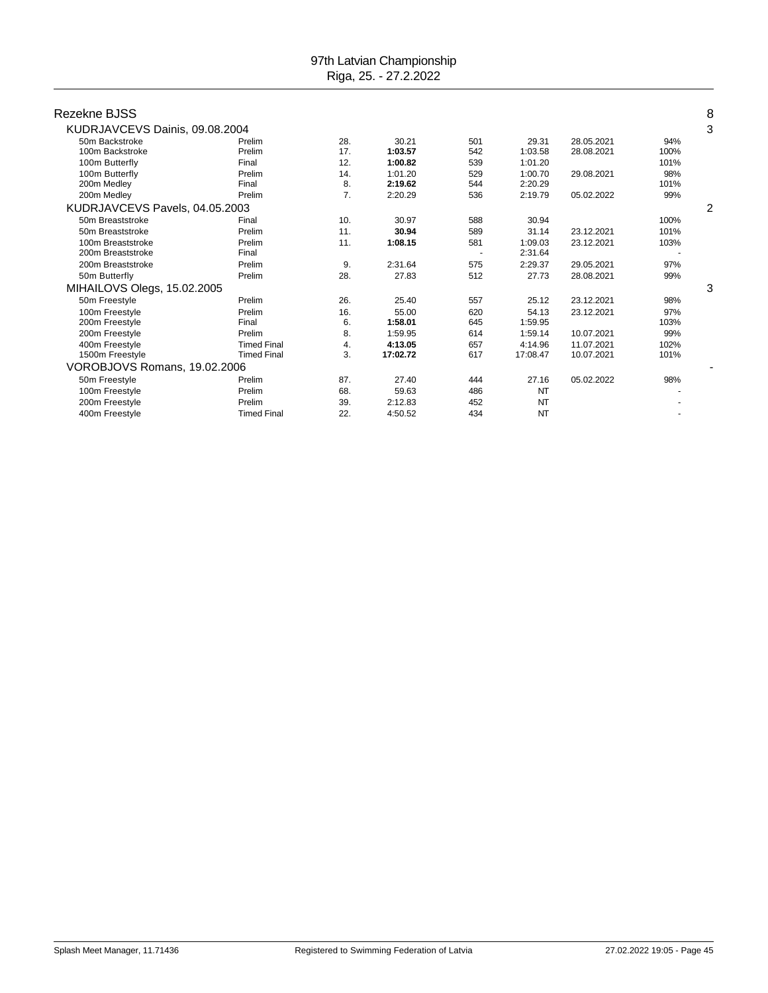| Rezekne BJSS                   |                    |     |          |     |           |            |      | 8 |
|--------------------------------|--------------------|-----|----------|-----|-----------|------------|------|---|
|                                |                    |     |          |     |           |            |      |   |
| KUDRJAVCEVS Dainis, 09.08.2004 |                    |     |          |     |           |            |      | 3 |
| 50m Backstroke                 | Prelim             | 28. | 30.21    | 501 | 29.31     | 28.05.2021 | 94%  |   |
| 100m Backstroke                | Prelim             | 17. | 1:03.57  | 542 | 1:03.58   | 28.08.2021 | 100% |   |
| 100m Butterfly                 | Final              | 12. | 1:00.82  | 539 | 1:01.20   |            | 101% |   |
| 100m Butterfly                 | Prelim             | 14. | 1:01.20  | 529 | 1:00.70   | 29.08.2021 | 98%  |   |
| 200m Medley                    | Final              | 8.  | 2:19.62  | 544 | 2:20.29   |            | 101% |   |
| 200m Medley                    | Prelim             | 7.  | 2:20.29  | 536 | 2:19.79   | 05.02.2022 | 99%  |   |
| KUDRJAVCEVS Pavels, 04.05.2003 |                    |     |          |     |           |            |      | 2 |
| 50m Breaststroke               | Final              | 10. | 30.97    | 588 | 30.94     |            | 100% |   |
| 50m Breaststroke               | Prelim             | 11. | 30.94    | 589 | 31.14     | 23.12.2021 | 101% |   |
| 100m Breaststroke              | Prelim             | 11. | 1:08.15  | 581 | 1:09.03   | 23.12.2021 | 103% |   |
| 200m Breaststroke              | Final              |     |          |     | 2:31.64   |            |      |   |
| 200m Breaststroke              | Prelim             | 9.  | 2:31.64  | 575 | 2:29.37   | 29.05.2021 | 97%  |   |
| 50m Butterfly                  | Prelim             | 28. | 27.83    | 512 | 27.73     | 28.08.2021 | 99%  |   |
| MIHAILOVS Olegs, 15.02.2005    |                    |     |          |     |           |            |      | 3 |
| 50m Freestyle                  | Prelim             | 26. | 25.40    | 557 | 25.12     | 23.12.2021 | 98%  |   |
| 100m Freestvle                 | Prelim             | 16. | 55.00    | 620 | 54.13     | 23.12.2021 | 97%  |   |
| 200m Freestyle                 | Final              | 6.  | 1:58.01  | 645 | 1:59.95   |            | 103% |   |
| 200m Freestyle                 | Prelim             | 8.  | 1:59.95  | 614 | 1:59.14   | 10.07.2021 | 99%  |   |
| 400m Freestvle                 | <b>Timed Final</b> | 4.  | 4:13.05  | 657 | 4:14.96   | 11.07.2021 | 102% |   |
| 1500m Freestyle                | <b>Timed Final</b> | 3.  | 17:02.72 | 617 | 17:08.47  | 10.07.2021 | 101% |   |
| VOROBJOVS Romans, 19.02.2006   |                    |     |          |     |           |            |      |   |
| 50m Freestyle                  | Prelim             | 87. | 27.40    | 444 | 27.16     | 05.02.2022 | 98%  |   |
| 100m Freestyle                 | Prelim             | 68. | 59.63    | 486 | <b>NT</b> |            |      |   |
| 200m Freestyle                 | Prelim             | 39. | 2:12.83  | 452 | <b>NT</b> |            |      |   |
| 400m Freestyle                 | <b>Timed Final</b> | 22. | 4:50.52  | 434 | <b>NT</b> |            |      |   |
|                                |                    |     |          |     |           |            |      |   |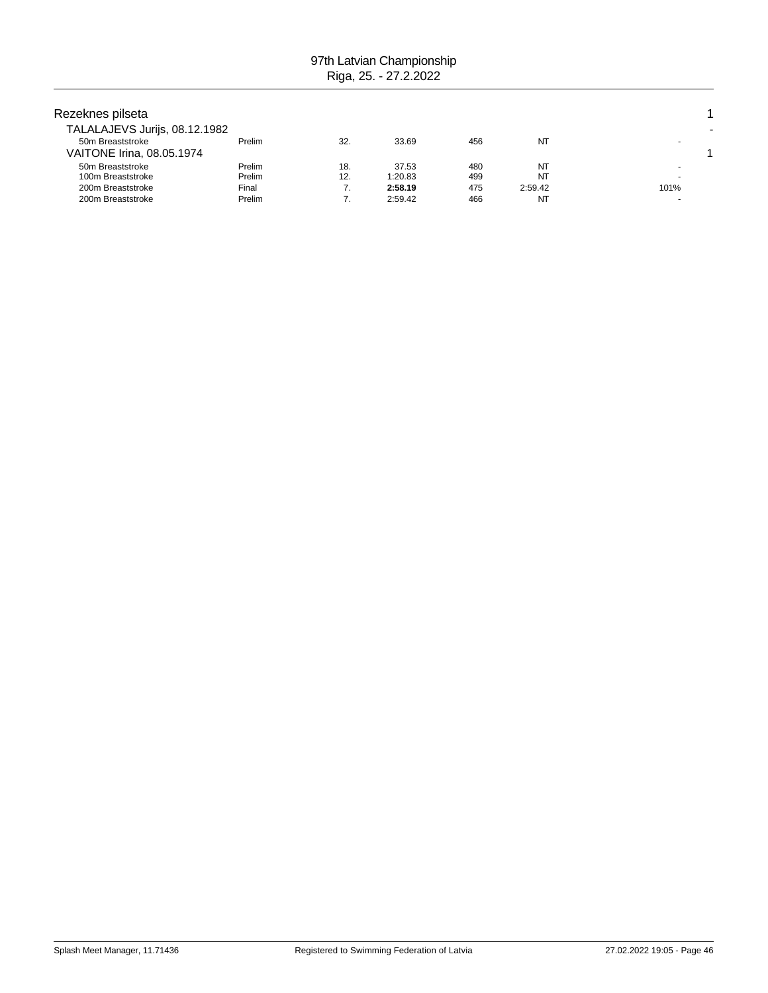| Rezeknes pilseta<br>TALALAJEVS Jurijs, 08.12.1982 |                  |            |                    |            |               |      |  |
|---------------------------------------------------|------------------|------------|--------------------|------------|---------------|------|--|
| 50m Breaststroke<br>VAITONE Irina, 08.05.1974     | Prelim           | 32.        | 33.69              | 456        | NT            |      |  |
| 50m Breaststroke<br>100m Breaststroke             | Prelim<br>Prelim | 18.<br>12. | 37.53<br>1:20.83   | 480<br>499 | NT<br>NT      |      |  |
| 200m Breaststroke<br>200m Breaststroke            | Final<br>Prelim  | 7.         | 2:58.19<br>2:59.42 | 475<br>466 | 2:59.42<br>NT | 101% |  |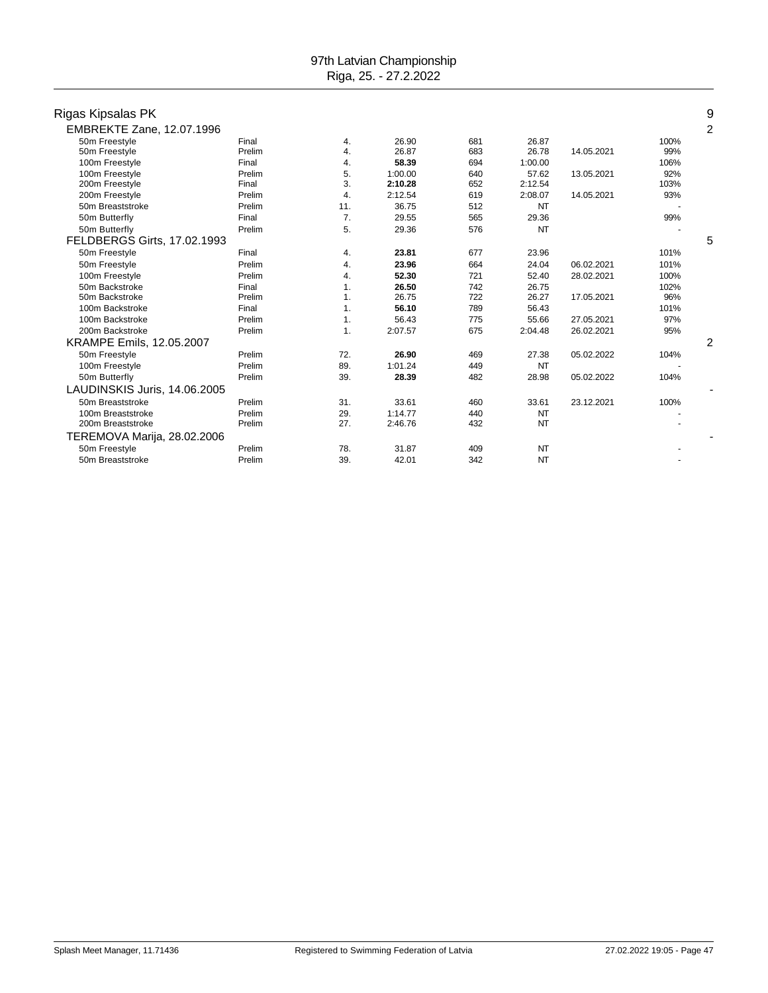| Rigas Kipsalas PK            |        |                |         |     |           |            |      | 9              |
|------------------------------|--------|----------------|---------|-----|-----------|------------|------|----------------|
| EMBREKTE Zane, 12.07.1996    |        |                |         |     |           |            |      | $\overline{2}$ |
| 50m Freestyle                | Final  | 4.             | 26.90   | 681 | 26.87     |            | 100% |                |
| 50m Freestyle                | Prelim | 4.             | 26.87   | 683 | 26.78     | 14.05.2021 | 99%  |                |
| 100m Freestyle               | Final  | 4.             | 58.39   | 694 | 1:00.00   |            | 106% |                |
| 100m Freestyle               | Prelim | 5.             | 1:00.00 | 640 | 57.62     | 13.05.2021 | 92%  |                |
| 200m Freestyle               | Final  | 3.             | 2:10.28 | 652 | 2:12.54   |            | 103% |                |
| 200m Freestyle               | Prelim | 4.             | 2:12.54 | 619 | 2:08.07   | 14.05.2021 | 93%  |                |
| 50m Breaststroke             | Prelim | 11.            | 36.75   | 512 | NT        |            |      |                |
| 50m Butterfly                | Final  | 7 <sub>1</sub> | 29.55   | 565 | 29.36     |            | 99%  |                |
| 50m Butterfly                | Prelim | 5.             | 29.36   | 576 | <b>NT</b> |            |      |                |
| FELDBERGS Girts, 17.02.1993  |        |                |         |     |           |            |      | 5              |
| 50m Freestyle                | Final  | 4.             | 23.81   | 677 | 23.96     |            | 101% |                |
| 50m Freestyle                | Prelim | 4.             | 23.96   | 664 | 24.04     | 06.02.2021 | 101% |                |
| 100m Freestyle               | Prelim | 4.             | 52.30   | 721 | 52.40     | 28.02.2021 | 100% |                |
| 50m Backstroke               | Final  | 1.             | 26.50   | 742 | 26.75     |            | 102% |                |
| 50m Backstroke               | Prelim | 1.             | 26.75   | 722 | 26.27     | 17.05.2021 | 96%  |                |
| 100m Backstroke              | Final  | 1.             | 56.10   | 789 | 56.43     |            | 101% |                |
| 100m Backstroke              | Prelim | 1.             | 56.43   | 775 | 55.66     | 27.05.2021 | 97%  |                |
| 200m Backstroke              | Prelim | 1.             | 2:07.57 | 675 | 2:04.48   | 26.02.2021 | 95%  |                |
| KRAMPE Emils, 12.05.2007     |        |                |         |     |           |            |      | $\overline{2}$ |
| 50m Freestyle                | Prelim | 72.            | 26.90   | 469 | 27.38     | 05.02.2022 | 104% |                |
| 100m Freestyle               | Prelim | 89.            | 1:01.24 | 449 | NT        |            |      |                |
| 50m Butterfly                | Prelim | 39.            | 28.39   | 482 | 28.98     | 05.02.2022 | 104% |                |
| LAUDINSKIS Juris, 14.06.2005 |        |                |         |     |           |            |      |                |
| 50m Breaststroke             | Prelim | 31.            | 33.61   | 460 | 33.61     | 23.12.2021 | 100% |                |
| 100m Breaststroke            | Prelim | 29.            | 1:14.77 | 440 | NT        |            |      |                |
| 200m Breaststroke            | Prelim | 27.            | 2:46.76 | 432 | <b>NT</b> |            |      |                |
| TEREMOVA Marija, 28.02.2006  |        |                |         |     |           |            |      |                |
| 50m Freestyle                | Prelim | 78.            | 31.87   | 409 | NT        |            |      |                |
| 50m Breaststroke             | Prelim | 39.            | 42.01   | 342 | <b>NT</b> |            |      |                |
|                              |        |                |         |     |           |            |      |                |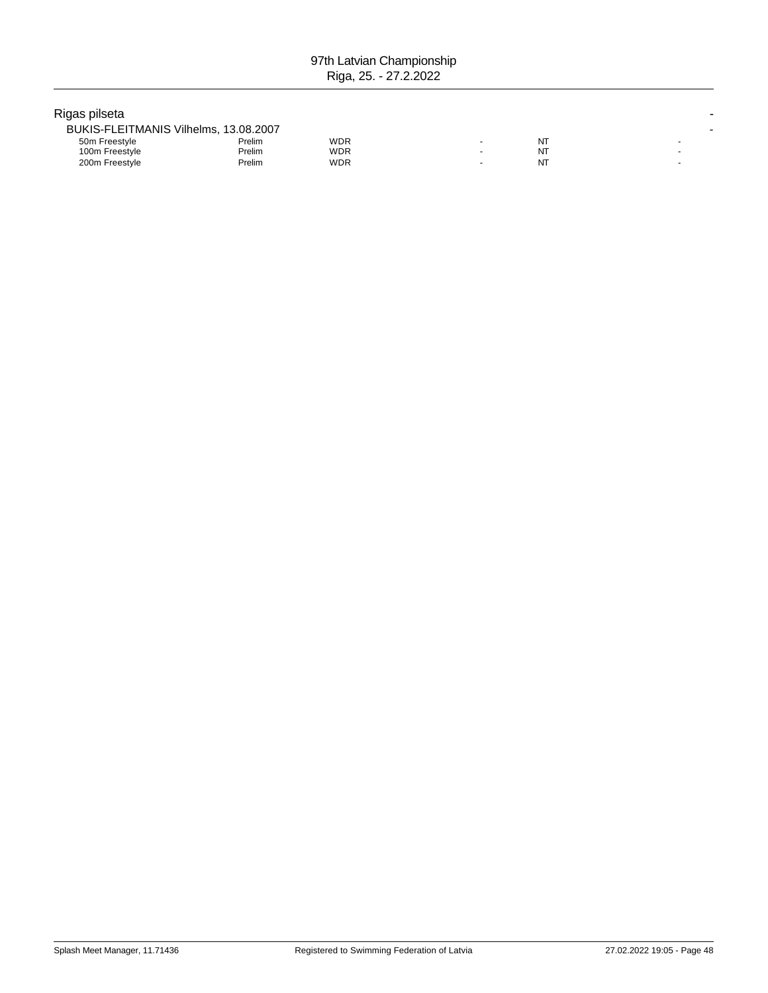### Rigas pilseta -

| BUKIS-FLEITMANIS Vilhelms, 13.08.2007 |        |     |    |  |
|---------------------------------------|--------|-----|----|--|
| 50m Freestyle                         | Prelim | WDR | N٦ |  |
| 100m Freestyle                        | Prelim | WDR | NΤ |  |
| 200m Freestyle                        | Prelim | WDR | NT |  |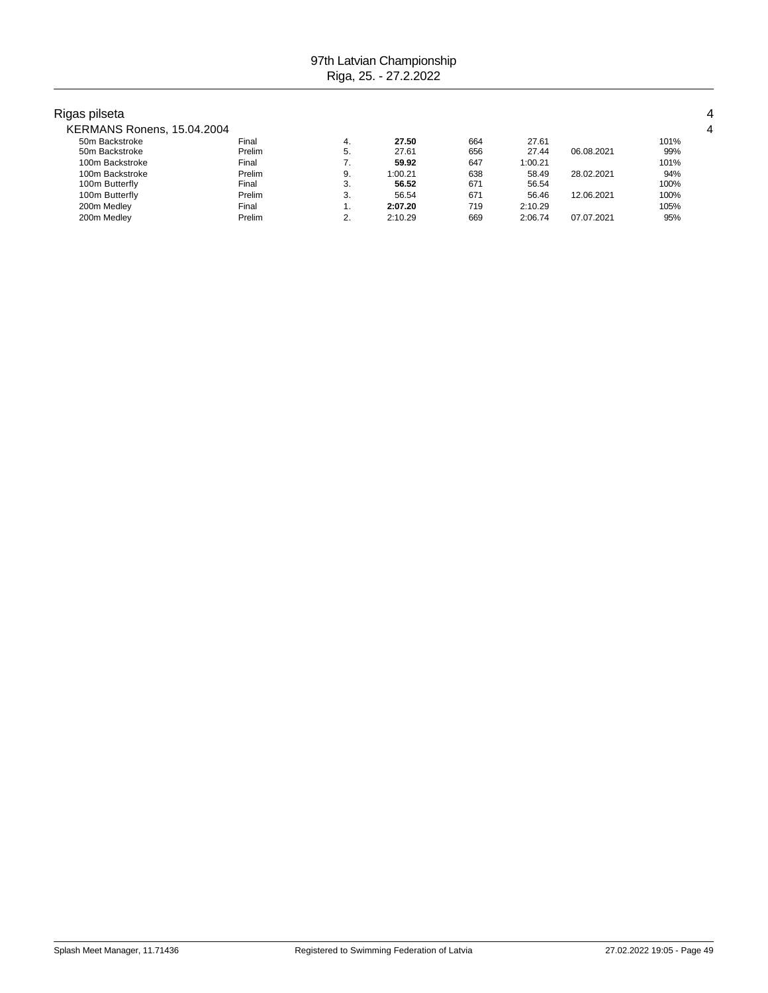## Rigas pilseta 4

| KERMANS Ronens, 15.04.2004 |       |       |     |      |
|----------------------------|-------|-------|-----|------|
| 50m Backstroke             | Final | 27.50 | 664 | 101% |

| 50m Backstroke  | Final  | 4. | 27.50   | 664 | 27.61   |            | 101% |
|-----------------|--------|----|---------|-----|---------|------------|------|
| 50m Backstroke  | Prelim | 5. | 27.61   | 656 | 27.44   | 06.08.2021 | 99%  |
| 100m Backstroke | Final  |    | 59.92   | 647 | 1:00.21 |            | 101% |
| 100m Backstroke | Prelim | 9. | 1:00.21 | 638 | 58.49   | 28.02.2021 | 94%  |
| 100m Butterfly  | Final  | 3. | 56.52   | 671 | 56.54   |            | 100% |
| 100m Butterfly  | Prelim | 3. | 56.54   | 671 | 56.46   | 12.06.2021 | 100% |
| 200m Medley     | Final  |    | 2:07.20 | 719 | 2:10.29 |            | 105% |
| 200m Medley     | Prelim | 2. | 2:10.29 | 669 | 2:06.74 | 07.07.2021 | 95%  |
|                 |        |    |         |     |         |            |      |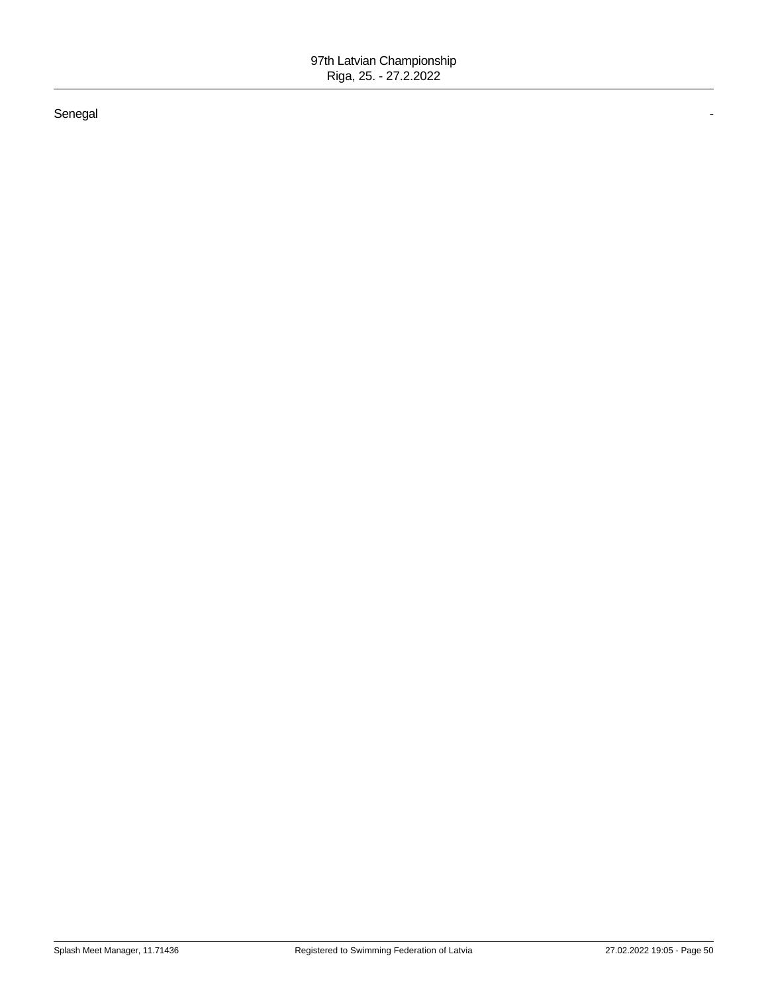#### Senegal -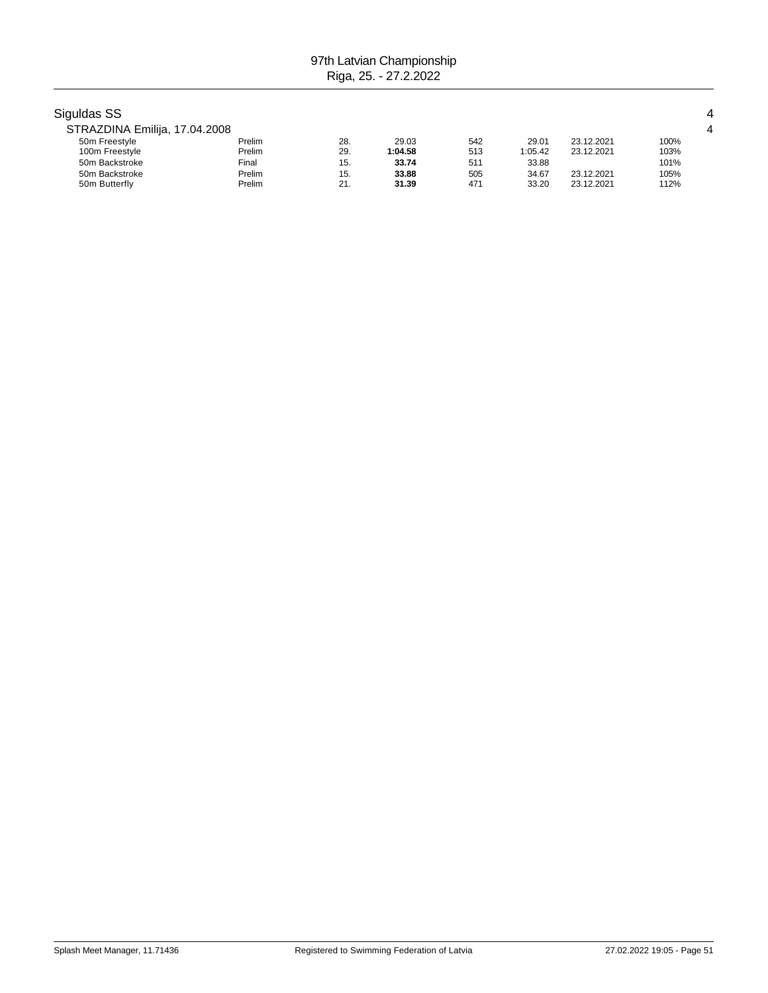| Siguldas SS                   |        |     |         |     |         |            |      |  |
|-------------------------------|--------|-----|---------|-----|---------|------------|------|--|
| STRAZDINA Emilija, 17.04.2008 |        |     |         |     |         |            |      |  |
| 50m Freestyle                 | Prelim | 28. | 29.03   | 542 | 29.01   | 23.12.2021 | 100% |  |
| 100m Freestyle                | Prelim | 29. | 1:04.58 | 513 | 1:05.42 | 23.12.2021 | 103% |  |
| 50m Backstroke                | Final  | 15. | 33.74   | 511 | 33.88   |            | 101% |  |
| 50m Backstroke                | Prelim | 15. | 33.88   | 505 | 34.67   | 23.12.2021 | 105% |  |
| 50m Butterfly                 | Prelim | 21. | 31.39   | 471 | 33.20   | 23.12.2021 | 112% |  |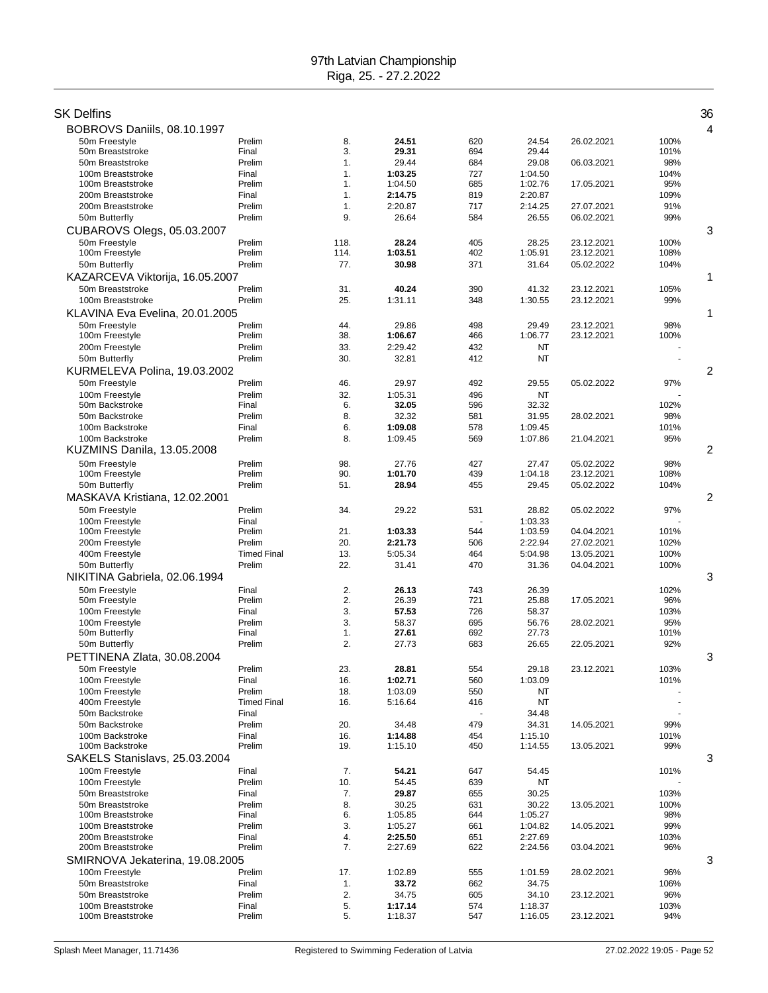| SK Delfins                                          |                              |            |                    |            |                    |                          |              | 36             |
|-----------------------------------------------------|------------------------------|------------|--------------------|------------|--------------------|--------------------------|--------------|----------------|
| BOBROVS Daniils, 08.10.1997                         |                              |            |                    |            |                    |                          |              | 4              |
| 50m Freestyle                                       | Prelim                       | 8.         | 24.51              | 620        | 24.54              | 26.02.2021               | 100%         |                |
| 50m Breaststroke                                    | Final                        | 3.         | 29.31              | 694        | 29.44              |                          | 101%         |                |
| 50m Breaststroke                                    | Prelim                       | 1.         | 29.44              | 684        | 29.08              | 06.03.2021               | 98%          |                |
| 100m Breaststroke                                   | Final                        | 1.         | 1:03.25            | 727        | 1:04.50            |                          | 104%         |                |
| 100m Breaststroke<br>200m Breaststroke              | Prelim<br>Final              | 1.<br>1.   | 1:04.50<br>2:14.75 | 685<br>819 | 1:02.76<br>2:20.87 | 17.05.2021               | 95%<br>109%  |                |
| 200m Breaststroke                                   | Prelim                       | 1.         | 2:20.87            | 717        | 2:14.25            | 27.07.2021               | 91%          |                |
| 50m Butterfly                                       | Prelim                       | 9.         | 26.64              | 584        | 26.55              | 06.02.2021               | 99%          |                |
| CUBAROVS Olegs, 05.03.2007                          |                              |            |                    |            |                    |                          |              | 3              |
| 50m Freestyle                                       | Prelim                       | 118.       | 28.24              | 405        | 28.25              | 23.12.2021               | 100%         |                |
| 100m Freestyle                                      | Prelim                       | 114.       | 1:03.51            | 402        | 1:05.91            | 23.12.2021               | 108%         |                |
| 50m Butterfly                                       | Prelim                       | 77.        | 30.98              | 371        | 31.64              | 05.02.2022               | 104%         |                |
| KAZARCEVA Viktorija, 16.05.2007<br>50m Breaststroke | Prelim                       | 31.        | 40.24              | 390        | 41.32              | 23.12.2021               | 105%         | 1              |
| 100m Breaststroke                                   | Prelim                       | 25.        | 1:31.11            | 348        | 1:30.55            | 23.12.2021               | 99%          |                |
| KLAVINA Eva Evelina, 20.01.2005                     |                              |            |                    |            |                    |                          |              | 1              |
| 50m Freestyle                                       | Prelim                       | 44.        | 29.86              | 498        | 29.49              | 23.12.2021               | 98%          |                |
| 100m Freestyle                                      | Prelim                       | 38.        | 1:06.67            | 466        | 1:06.77            | 23.12.2021               | 100%         |                |
| 200m Freestyle                                      | Prelim<br>Prelim             | 33.        | 2:29.42            | 432        | <b>NT</b>          |                          |              |                |
| 50m Butterfly                                       |                              | 30.        | 32.81              | 412        | <b>NT</b>          |                          |              | $\overline{c}$ |
| KURMELEVA Polina, 19.03.2002<br>50m Freestyle       | Prelim                       | 46.        | 29.97              | 492        | 29.55              | 05.02.2022               | 97%          |                |
| 100m Freestyle                                      | Prelim                       | 32.        | 1:05.31            | 496        | <b>NT</b>          |                          |              |                |
| 50m Backstroke                                      | Final                        | 6.         | 32.05              | 596        | 32.32              |                          | 102%         |                |
| 50m Backstroke                                      | Prelim                       | 8.         | 32.32              | 581        | 31.95              | 28.02.2021               | 98%          |                |
| 100m Backstroke                                     | Final                        | 6.         | 1:09.08            | 578        | 1:09.45            |                          | 101%         |                |
| 100m Backstroke                                     | Prelim                       | 8.         | 1:09.45            | 569        | 1:07.86            | 21.04.2021               | 95%          |                |
| <b>KUZMINS Danila, 13.05.2008</b><br>50m Freestvle  | Prelim                       | 98.        |                    | 427        |                    |                          |              | 2              |
| 100m Freestyle                                      | Prelim                       | 90.        | 27.76<br>1:01.70   | 439        | 27.47<br>1:04.18   | 05.02.2022<br>23.12.2021 | 98%<br>108%  |                |
| 50m Butterfly                                       | Prelim                       | 51.        | 28.94              | 455        | 29.45              | 05.02.2022               | 104%         |                |
| MASKAVA Kristiana, 12.02.2001                       |                              |            |                    |            |                    |                          |              | 2              |
| 50m Freestyle                                       | Prelim                       | 34.        | 29.22              | 531        | 28.82              | 05.02.2022               | 97%          |                |
| 100m Freestyle                                      | Final                        |            |                    |            | 1:03.33            |                          |              |                |
| 100m Freestyle<br>200m Freestyle                    | Prelim<br>Prelim             | 21.<br>20. | 1:03.33<br>2:21.73 | 544<br>506 | 1:03.59<br>2:22.94 | 04.04.2021<br>27.02.2021 | 101%<br>102% |                |
| 400m Freestyle                                      | <b>Timed Final</b>           | 13.        | 5:05.34            | 464        | 5:04.98            | 13.05.2021               | 100%         |                |
| 50m Butterfly                                       | Prelim                       | 22.        | 31.41              | 470        | 31.36              | 04.04.2021               | 100%         |                |
| NIKITINA Gabriela, 02.06.1994                       |                              |            |                    |            |                    |                          |              | 3              |
| 50m Freestyle                                       | Final                        | 2.         | 26.13              | 743        | 26.39              |                          | 102%         |                |
| 50m Freestyle                                       | Prelim                       | 2.         | 26.39              | 721        | 25.88              | 17.05.2021               | 96%          |                |
| 100m Freestyle<br>100m Freestyle                    | Final<br>Prelim              | 3.<br>3.   | 57.53<br>58.37     | 726<br>695 | 58.37<br>56.76     | 28.02.2021               | 103%<br>95%  |                |
| 50m Butterfly                                       | Final                        | 1.         | 27.61              | 692        | 27.73              |                          | 101%         |                |
| 50m Butterfly                                       | Prelim                       | 2.         | 27.73              | 683        | 26.65              | 22.05.2021               | 92%          |                |
| PETTINENA Zlata, 30.08.2004                         |                              |            |                    |            |                    |                          |              | 3              |
| 50m Freestyle                                       | Prelim                       | 23.        | 28.81              | 554        | 29.18              | 23.12.2021               | 103%         |                |
| 100m Freestyle                                      | Final                        | 16.        | 1:02.71            | 560        | 1:03.09            |                          | 101%         |                |
| 100m Freestyle<br>400m Freestyle                    | Prelim<br><b>Timed Final</b> | 18.<br>16. | 1:03.09<br>5:16.64 | 550<br>416 | NT<br>NT           |                          |              |                |
| 50m Backstroke                                      | Final                        |            |                    |            | 34.48              |                          |              |                |
| 50m Backstroke                                      | Prelim                       | 20.        | 34.48              | 479        | 34.31              | 14.05.2021               | 99%          |                |
| 100m Backstroke                                     | Final                        | 16.        | 1:14.88            | 454        | 1:15.10            |                          | 101%         |                |
| 100m Backstroke                                     | Prelim                       | 19.        | 1:15.10            | 450        | 1:14.55            | 13.05.2021               | 99%          |                |
| SAKELS Stanislavs, 25.03.2004<br>100m Freestyle     | Final                        | 7.         | 54.21              | 647        | 54.45              |                          | 101%         | 3              |
| 100m Freestyle                                      | Prelim                       | 10.        | 54.45              | 639        | NT                 |                          |              |                |
| 50m Breaststroke                                    | Final                        | 7.         | 29.87              | 655        | 30.25              |                          | 103%         |                |
| 50m Breaststroke                                    | Prelim                       | 8.         | 30.25              | 631        | 30.22              | 13.05.2021               | 100%         |                |
| 100m Breaststroke                                   | Final                        | 6.         | 1:05.85            | 644        | 1:05.27            |                          | 98%          |                |
| 100m Breaststroke                                   | Prelim                       | 3.         | 1:05.27            | 661        | 1:04.82            | 14.05.2021               | 99%          |                |
| 200m Breaststroke<br>200m Breaststroke              | Final<br>Prelim              | 4.<br>7.   | 2:25.50<br>2:27.69 | 651<br>622 | 2:27.69<br>2:24.56 | 03.04.2021               | 103%<br>96%  |                |
| SMIRNOVA Jekaterina, 19.08.2005                     |                              |            |                    |            |                    |                          |              | 3              |
| 100m Freestyle                                      | Prelim                       | 17.        | 1:02.89            | 555        | 1:01.59            | 28.02.2021               | 96%          |                |
| 50m Breaststroke                                    | Final                        | 1.         | 33.72              | 662        | 34.75              |                          | 106%         |                |
| 50m Breaststroke                                    | Prelim                       | 2.         | 34.75              | 605        | 34.10              | 23.12.2021               | 96%          |                |
| 100m Breaststroke<br>100m Breaststroke              | Final<br>Prelim              | 5.<br>5.   | 1:17.14<br>1:18.37 | 574<br>547 | 1:18.37<br>1:16.05 | 23.12.2021               | 103%<br>94%  |                |
|                                                     |                              |            |                    |            |                    |                          |              |                |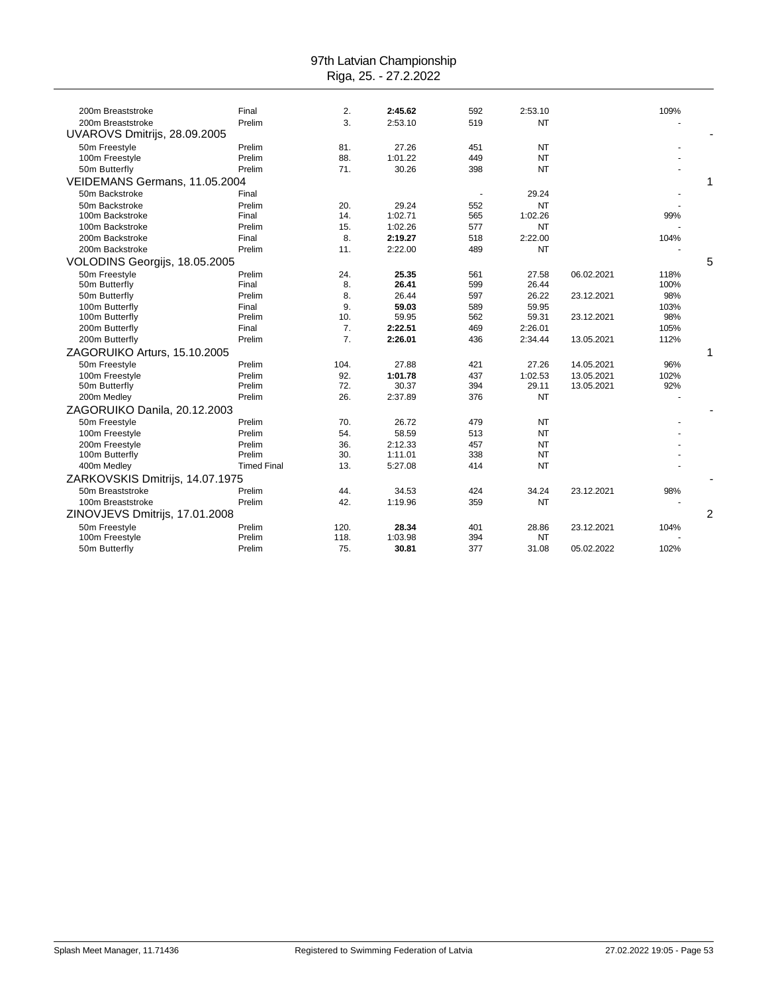| 200m Breaststroke               | Final              | 2.           | 2:45.62          | 592                      | 2:53.10     |            | 109% |                |
|---------------------------------|--------------------|--------------|------------------|--------------------------|-------------|------------|------|----------------|
| 200m Breaststroke               | Prelim             | 3.           | 2:53.10          | 519                      | <b>NT</b>   |            |      |                |
| UVAROVS Dmitrijs, 28.09.2005    |                    |              |                  |                          |             |            |      |                |
| 50m Freestyle                   | Prelim             | 81.          | 27.26            | 451                      | <b>NT</b>   |            |      |                |
| 100m Freestyle                  | Prelim             | 88.          | 1:01.22          | 449                      | <b>NT</b>   |            |      |                |
| 50m Butterfly                   | Prelim             | 71.          | 30.26            | 398                      | <b>NT</b>   |            |      |                |
| VEIDEMANS Germans, 11.05.2004   |                    |              |                  |                          |             |            |      | 1              |
| 50m Backstroke                  | Final              |              |                  | $\overline{\phantom{a}}$ | 29.24       |            |      |                |
| 50m Backstroke                  | Prelim             | 20.          | 29.24            | 552                      | <b>NT</b>   |            |      |                |
| 100m Backstroke                 | Final              | 14.          | 1:02.71          | 565                      | 1:02.26     |            | 99%  |                |
| 100m Backstroke                 | Prelim             | 15.          | 1:02.26          | 577                      | NT          |            |      |                |
| 200m Backstroke                 | Final              | 8.           | 2:19.27          | 518                      | 2:22.00     |            | 104% |                |
| 200m Backstroke                 | Prelim             | 11.          | 2:22.00          | 489                      | <b>NT</b>   |            |      |                |
| VOLODINS Georgijs, 18.05.2005   |                    |              |                  |                          |             |            |      | 5              |
| 50m Freestvle                   | Prelim             | 24.          | 25.35            | 561                      | 27.58       | 06.02.2021 | 118% |                |
| 50m Butterfly                   | Final              | 8.           | 26.41            | 599                      | 26.44       |            | 100% |                |
| 50m Butterfly                   | Prelim             | 8.           | 26.44            | 597                      | 26.22       | 23.12.2021 | 98%  |                |
| 100m Butterfly                  | Final              | 9.           | 59.03            | 589                      | 59.95       |            | 103% |                |
| 100m Butterfly                  | Prelim             | 10.          | 59.95            | 562                      | 59.31       | 23.12.2021 | 98%  |                |
| 200m Butterfly                  | Final              | 7.           | 2:22.51          | 469                      | 2:26.01     |            | 105% |                |
| 200m Butterfly                  | Prelim             | 7.           | 2:26.01          | 436                      | 2:34.44     | 13.05.2021 | 112% |                |
| ZAGORUIKO Arturs, 15.10.2005    |                    |              |                  |                          |             |            |      | 1              |
| 50m Freestyle                   | Prelim             | 104.         | 27.88            | 421                      | 27.26       | 14.05.2021 | 96%  |                |
| 100m Freestyle                  | Prelim             | 92.          | 1:01.78          | 437                      | 1:02.53     | 13.05.2021 | 102% |                |
| 50m Butterfly                   | Prelim             | 72.          | 30.37            | 394                      | 29.11       | 13.05.2021 | 92%  |                |
| 200m Medley                     | Prelim             | 26.          | 2:37.89          | 376                      | <b>NT</b>   |            |      |                |
| ZAGORUIKO Danila, 20.12.2003    |                    |              |                  |                          |             |            |      |                |
| 50m Freestyle                   | Prelim             | 70.          | 26.72            | 479                      | <b>NT</b>   |            |      |                |
| 100m Freestyle                  | Prelim             | 54.          | 58.59            | 513                      | <b>NT</b>   |            |      |                |
| 200m Freestyle                  | Prelim             | 36.          | 2:12.33          | 457                      | <b>NT</b>   |            |      |                |
| 100m Butterfly                  | Prelim             | 30.          | 1:11.01          | 338                      | <b>NT</b>   |            |      |                |
| 400m Medley                     | <b>Timed Final</b> | 13.          | 5:27.08          | 414                      | <b>NT</b>   |            |      |                |
| ZARKOVSKIS Dmitrijs, 14.07.1975 |                    |              |                  |                          |             |            |      |                |
| 50m Breaststroke                | Prelim             | 44.          | 34.53            | 424                      | 34.24       | 23.12.2021 | 98%  |                |
| 100m Breaststroke               | Prelim             | 42.          | 1:19.96          | 359                      | <b>NT</b>   |            |      |                |
| ZINOVJEVS Dmitrijs, 17.01.2008  |                    |              |                  |                          |             |            |      | $\overline{2}$ |
|                                 |                    |              |                  |                          |             |            |      |                |
| 50m Freestyle<br>100m Freestyle | Prelim<br>Prelim   | 120.<br>118. | 28.34<br>1:03.98 | 401<br>394               | 28.86<br>NT | 23.12.2021 | 104% |                |
|                                 |                    | 75.          | 30.81            | 377                      |             |            | 102% |                |
| 50m Butterfly                   | Prelim             |              |                  |                          | 31.08       | 05.02.2022 |      |                |
|                                 |                    |              |                  |                          |             |            |      |                |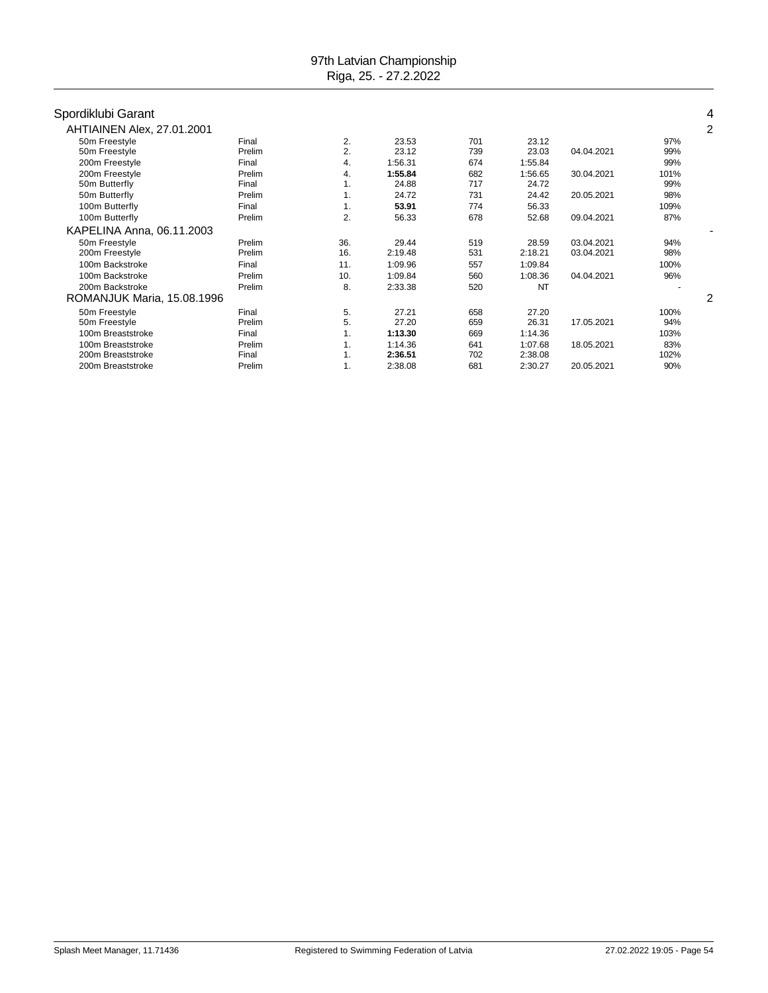| Spordiklubi Garant         |        |     |         |     |           |            |      | 4 |
|----------------------------|--------|-----|---------|-----|-----------|------------|------|---|
| AHTIAINEN Alex, 27.01.2001 |        |     |         |     |           |            |      | 2 |
| 50m Freestyle              | Final  | 2.  | 23.53   | 701 | 23.12     |            | 97%  |   |
| 50m Freestyle              | Prelim | 2.  | 23.12   | 739 | 23.03     | 04.04.2021 | 99%  |   |
| 200m Freestyle             | Final  | 4.  | 1:56.31 | 674 | 1:55.84   |            | 99%  |   |
| 200m Freestyle             | Prelim | 4.  | 1:55.84 | 682 | 1:56.65   | 30.04.2021 | 101% |   |
| 50m Butterfly              | Final  | 1.  | 24.88   | 717 | 24.72     |            | 99%  |   |
| 50m Butterfly              | Prelim | 1.  | 24.72   | 731 | 24.42     | 20.05.2021 | 98%  |   |
| 100m Butterfly             | Final  | 1.  | 53.91   | 774 | 56.33     |            | 109% |   |
| 100m Butterfly             | Prelim | 2.  | 56.33   | 678 | 52.68     | 09.04.2021 | 87%  |   |
| KAPELINA Anna, 06.11.2003  |        |     |         |     |           |            |      |   |
| 50m Freestyle              | Prelim | 36. | 29.44   | 519 | 28.59     | 03.04.2021 | 94%  |   |
| 200m Freestyle             | Prelim | 16. | 2:19.48 | 531 | 2:18.21   | 03.04.2021 | 98%  |   |
| 100m Backstroke            | Final  | 11. | 1:09.96 | 557 | 1:09.84   |            | 100% |   |
| 100m Backstroke            | Prelim | 10. | 1:09.84 | 560 | 1:08.36   | 04.04.2021 | 96%  |   |
| 200m Backstroke            | Prelim | 8.  | 2:33.38 | 520 | <b>NT</b> |            |      |   |
| ROMANJUK Maria, 15.08.1996 |        |     |         |     |           |            |      | 2 |
| 50m Freestyle              | Final  | 5.  | 27.21   | 658 | 27.20     |            | 100% |   |
| 50m Freestyle              | Prelim | 5.  | 27.20   | 659 | 26.31     | 17.05.2021 | 94%  |   |
| 100m Breaststroke          | Final  | 1.  | 1:13.30 | 669 | 1:14.36   |            | 103% |   |
| 100m Breaststroke          | Prelim | 1.  | 1:14.36 | 641 | 1:07.68   | 18.05.2021 | 83%  |   |
| 200m Breaststroke          | Final  | 1.  | 2:36.51 | 702 | 2:38.08   |            | 102% |   |
| 200m Breaststroke          | Prelim | 1.  | 2:38.08 | 681 | 2:30.27   | 20.05.2021 | 90%  |   |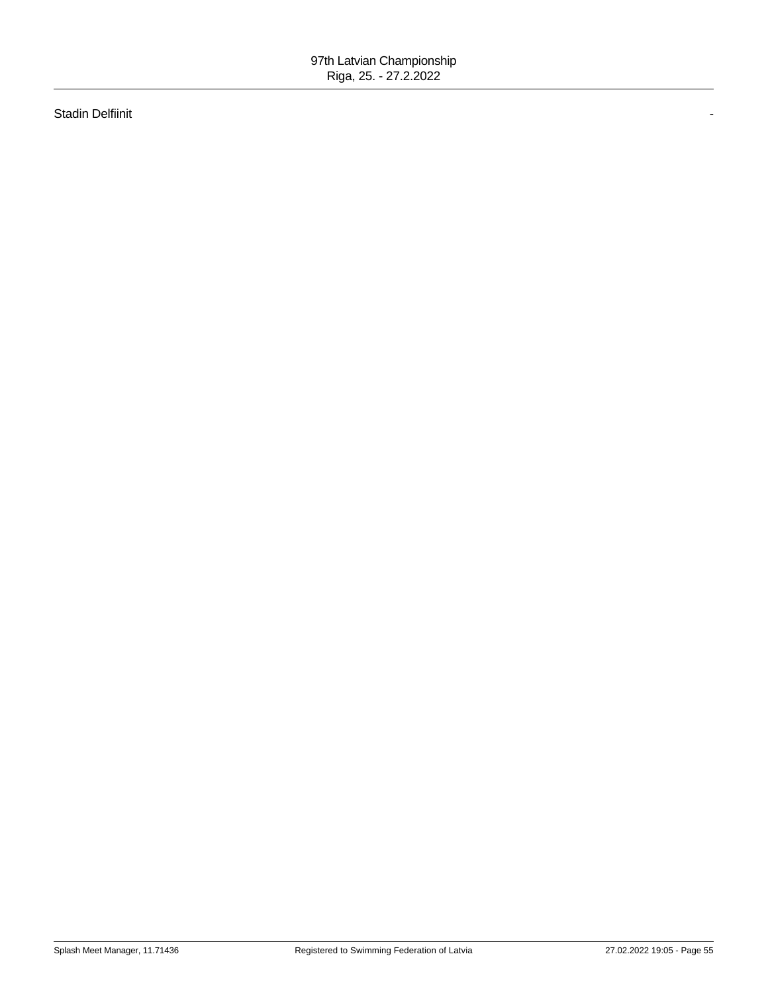Stadin Delfiinit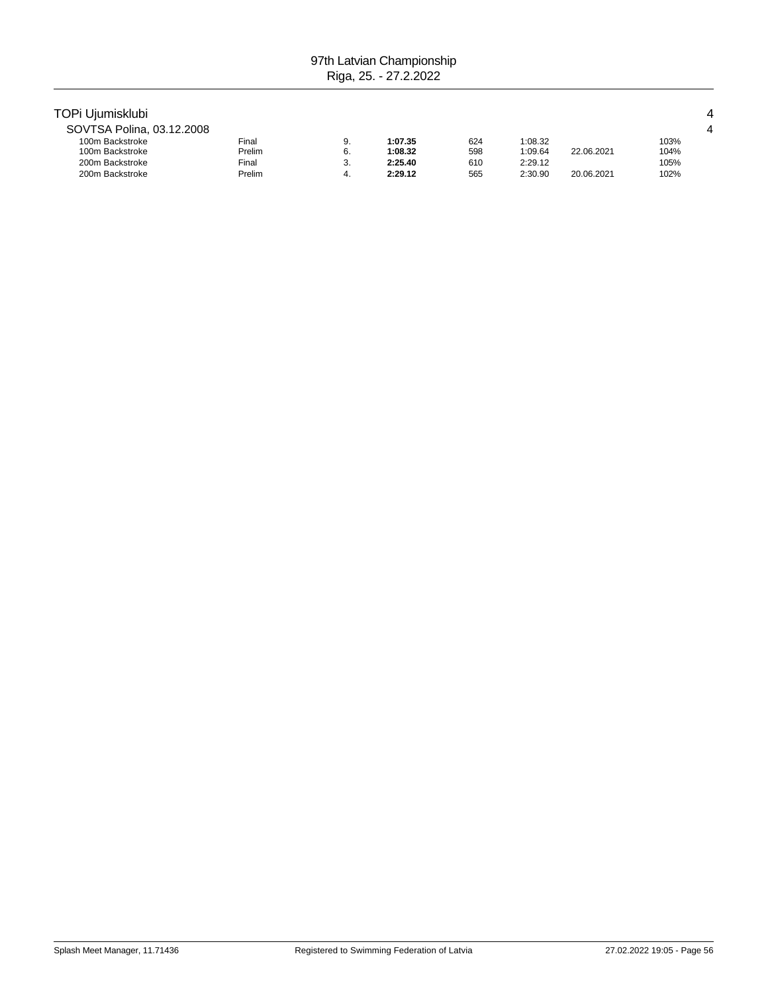# TOPi Ujumisklubi 4

| SOVTSA Polina, 03.12.2008 |        |    |         |     |         |            |      |
|---------------------------|--------|----|---------|-----|---------|------------|------|
| 100m Backstroke           | Final  | J. | 1:07.35 | 624 | 1:08.32 |            | 103% |
| 100m Backstroke           | Prelim | υ. | 1:08.32 | 598 | 1:09.64 | 22.06.2021 | 104% |
| 200m Backstroke           | Final  | υ. | 2:25.40 | 610 | 2:29.12 |            | 105% |
| 200m Backstroke           | Prelim |    | 2:29.12 | 565 | 2:30.90 | 20.06.2021 | 102% |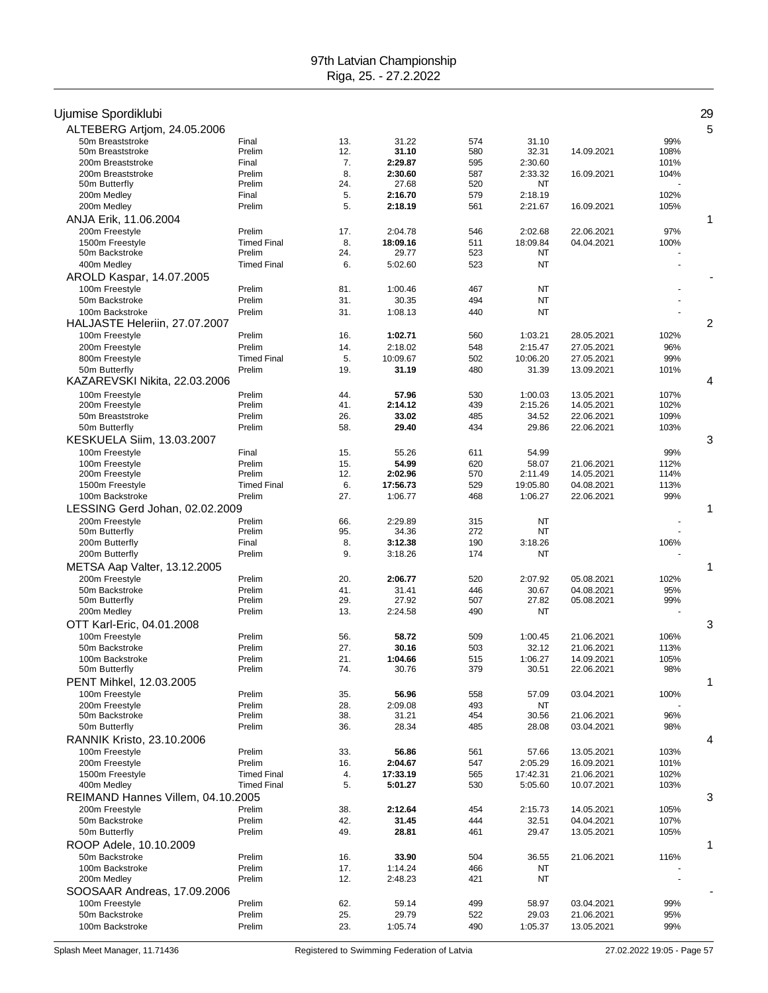| Ujumise Spordiklubi                |                    |            |                  |            |                  |                          |             | 29 |
|------------------------------------|--------------------|------------|------------------|------------|------------------|--------------------------|-------------|----|
| ALTEBERG Artjom, 24.05.2006        |                    |            |                  |            |                  |                          |             | 5  |
| 50m Breaststroke                   | Final              | 13.        | 31.22            | 574        | 31.10            |                          | 99%         |    |
| 50m Breaststroke                   | Prelim             | 12.        | 31.10            | 580        | 32.31            | 14.09.2021               | 108%        |    |
| 200m Breaststroke                  | Final              | 7.         | 2:29.87          | 595        | 2:30.60          |                          | 101%        |    |
| 200m Breaststroke<br>50m Butterfly | Prelim<br>Prelim   | 8.<br>24.  | 2:30.60<br>27.68 | 587<br>520 | 2:33.32<br>NT    | 16.09.2021               | 104%        |    |
| 200m Medley                        | Final              | 5.         | 2:16.70          | 579        | 2:18.19          |                          | 102%        |    |
| 200m Medley                        | Prelim             | 5.         | 2:18.19          | 561        | 2:21.67          | 16.09.2021               | 105%        |    |
| ANJA Erik, 11.06.2004              |                    |            |                  |            |                  |                          |             | 1  |
| 200m Freestyle                     | Prelim             | 17.        | 2:04.78          | 546        | 2:02.68          | 22.06.2021               | 97%         |    |
| 1500m Freestyle                    | <b>Timed Final</b> | 8.         | 18:09.16         | 511        | 18:09.84         | 04.04.2021               | 100%        |    |
| 50m Backstroke                     | Prelim             | 24.        | 29.77            | 523        | NT               |                          |             |    |
| 400m Medley                        | <b>Timed Final</b> | 6.         | 5:02.60          | 523        | NT               |                          |             |    |
| AROLD Kaspar, 14.07.2005           |                    |            |                  |            |                  |                          |             |    |
| 100m Freestyle                     | Prelim             | 81.        | 1:00.46          | 467        | NT               |                          |             |    |
| 50m Backstroke                     | Prelim             | 31.        | 30.35            | 494        | <b>NT</b>        |                          |             |    |
| 100m Backstroke                    | Prelim             | 31.        | 1:08.13          | 440        | <b>NT</b>        |                          |             |    |
| HALJASTE Heleriin, 27.07.2007      |                    |            |                  |            |                  |                          |             | 2  |
| 100m Freestyle                     | Prelim             | 16.        | 1:02.71          | 560        | 1:03.21          | 28.05.2021               | 102%        |    |
| 200m Freestyle                     | Prelim             | 14.        | 2:18.02          | 548        | 2:15.47          | 27.05.2021               | 96%         |    |
| 800m Freestyle                     | <b>Timed Final</b> | 5.         | 10:09.67         | 502        | 10:06.20         | 27.05.2021               | 99%         |    |
| 50m Butterfly                      | Prelim             | 19.        | 31.19            | 480        | 31.39            | 13.09.2021               | 101%        |    |
| KAZAREVSKI Nikita, 22.03.2006      |                    |            |                  |            |                  |                          |             | 4  |
| 100m Freestyle                     | Prelim             | 44.        | 57.96            | 530        | 1:00.03          | 13.05.2021               | 107%        |    |
| 200m Freestyle                     | Prelim             | 41.        | 2:14.12          | 439        | 2:15.26          | 14.05.2021               | 102%        |    |
| 50m Breaststroke                   | Prelim             | 26.        | 33.02            | 485        | 34.52            | 22.06.2021               | 109%        |    |
| 50m Butterfly                      | Prelim             | 58.        | 29.40            | 434        | 29.86            | 22.06.2021               | 103%        |    |
| KESKUELA Siim, 13.03.2007          |                    |            |                  |            |                  |                          |             | 3  |
| 100m Freestyle                     | Final              | 15.        | 55.26            | 611        | 54.99            |                          | 99%         |    |
| 100m Freestyle                     | Prelim             | 15.        | 54.99            | 620        | 58.07            | 21.06.2021               | 112%        |    |
| 200m Freestyle                     | Prelim             | 12.        | 2:02.96          | 570        | 2:11.49          | 14.05.2021               | 114%        |    |
| 1500m Freestyle                    | <b>Timed Final</b> | 6.         | 17:56.73         | 529        | 19:05.80         | 04.08.2021               | 113%        |    |
| 100m Backstroke                    | Prelim             | 27.        | 1:06.77          | 468        | 1:06.27          | 22.06.2021               | 99%         |    |
| LESSING Gerd Johan, 02.02.2009     |                    |            |                  |            |                  |                          |             | 1  |
| 200m Freestyle                     | Prelim             | 66.        | 2:29.89          | 315        | NT               |                          |             |    |
| 50m Butterfly                      | Prelim             | 95.        | 34.36            | 272        | <b>NT</b>        |                          |             |    |
| 200m Butterfly                     | Final              | 8.         | 3:12.38          | 190<br>174 | 3:18.26          |                          | 106%        |    |
| 200m Butterfly                     | Prelim             | 9.         | 3:18.26          |            | NT               |                          |             |    |
| METSA Aap Valter, 13.12.2005       |                    |            |                  |            |                  |                          |             | 1  |
| 200m Freestyle<br>50m Backstroke   | Prelim<br>Prelim   | 20.<br>41. | 2:06.77<br>31.41 | 520<br>446 | 2:07.92<br>30.67 | 05.08.2021<br>04.08.2021 | 102%<br>95% |    |
| 50m Butterfly                      | Prelim             | 29.        | 27.92            | 507        | 27.82            | 05.08.2021               | 99%         |    |
| 200m Medley                        | Prelim             | 13.        | 2:24.58          | 490        | NT               |                          |             |    |
| OTT Karl-Eric, 04.01.2008          |                    |            |                  |            |                  |                          |             | 3  |
| 100m Freestyle                     | Prelim             | 56.        | 58.72            | 509        | 1:00.45          | 21.06.2021               | 106%        |    |
| 50m Backstroke                     | Prelim             | 27.        | 30.16            | 503        | 32.12            | 21.06.2021               | 113%        |    |
| 100m Backstroke                    | Prelim             | 21.        | 1:04.66          | 515        | 1:06.27          | 14.09.2021               | 105%        |    |
| 50m Butterfly                      | Prelim             | 74.        | 30.76            | 379        | 30.51            | 22.06.2021               | 98%         |    |
| PENT Mihkel, 12.03.2005            |                    |            |                  |            |                  |                          |             | 1  |
| 100m Freestyle                     | Prelim             | 35.        | 56.96            | 558        | 57.09            | 03.04.2021               | 100%        |    |
| 200m Freestvle                     | Prelim             | 28.        | 2:09.08          | 493        | NT               |                          |             |    |
| 50m Backstroke                     | Prelim             | 38.        | 31.21            | 454        | 30.56            | 21.06.2021               | 96%         |    |
| 50m Butterfly                      | Prelim             | 36.        | 28.34            | 485        | 28.08            | 03.04.2021               | 98%         |    |
| RANNIK Kristo, 23.10.2006          |                    |            |                  |            |                  |                          |             | 4  |
| 100m Freestyle                     | Prelim             | 33.        | 56.86            | 561        | 57.66            | 13.05.2021               | 103%        |    |
| 200m Freestyle                     | Prelim             | 16.        | 2:04.67          | 547        | 2:05.29          | 16.09.2021               | 101%        |    |
| 1500m Freestyle                    | <b>Timed Final</b> | 4.         | 17:33.19         | 565        | 17:42.31         | 21.06.2021               | 102%        |    |
| 400m Medley                        | <b>Timed Final</b> | 5.         | 5:01.27          | 530        | 5:05.60          | 10.07.2021               | 103%        |    |
| REIMAND Hannes Villem, 04.10.2005  |                    |            |                  |            |                  |                          |             | 3  |
| 200m Freestyle                     | Prelim             | 38.        | 2:12.64          | 454        | 2:15.73          | 14.05.2021               | 105%        |    |
| 50m Backstroke                     | Prelim             | 42.        | 31.45            | 444        | 32.51            | 04.04.2021               | 107%        |    |
| 50m Butterfly                      | Prelim             | 49.        | 28.81            | 461        | 29.47            | 13.05.2021               | 105%        |    |
| ROOP Adele, 10.10.2009             |                    |            |                  |            |                  |                          |             | 1  |
| 50m Backstroke                     | Prelim             | 16.        | 33.90            | 504        | 36.55            | 21.06.2021               | 116%        |    |
| 100m Backstroke                    | Prelim             | 17.        | 1:14.24          | 466        | NT               |                          |             |    |
| 200m Medley                        | Prelim             | 12.        | 2:48.23          | 421        | NT               |                          |             |    |
| SOOSAAR Andreas, 17.09.2006        |                    |            |                  |            |                  |                          |             |    |
| 100m Freestyle                     | Prelim             | 62.        | 59.14            | 499        | 58.97            | 03.04.2021               | 99%         |    |
| 50m Backstroke<br>100m Backstroke  | Prelim<br>Prelim   | 25.<br>23. | 29.79            | 522<br>490 | 29.03            | 21.06.2021               | 95%<br>99%  |    |
|                                    |                    |            | 1:05.74          |            | 1:05.37          | 13.05.2021               |             |    |

Splash Meet Manager, 11.71436 **Registered to Swimming Federation of Latvia** 27.02.2022 19:05 - Page 57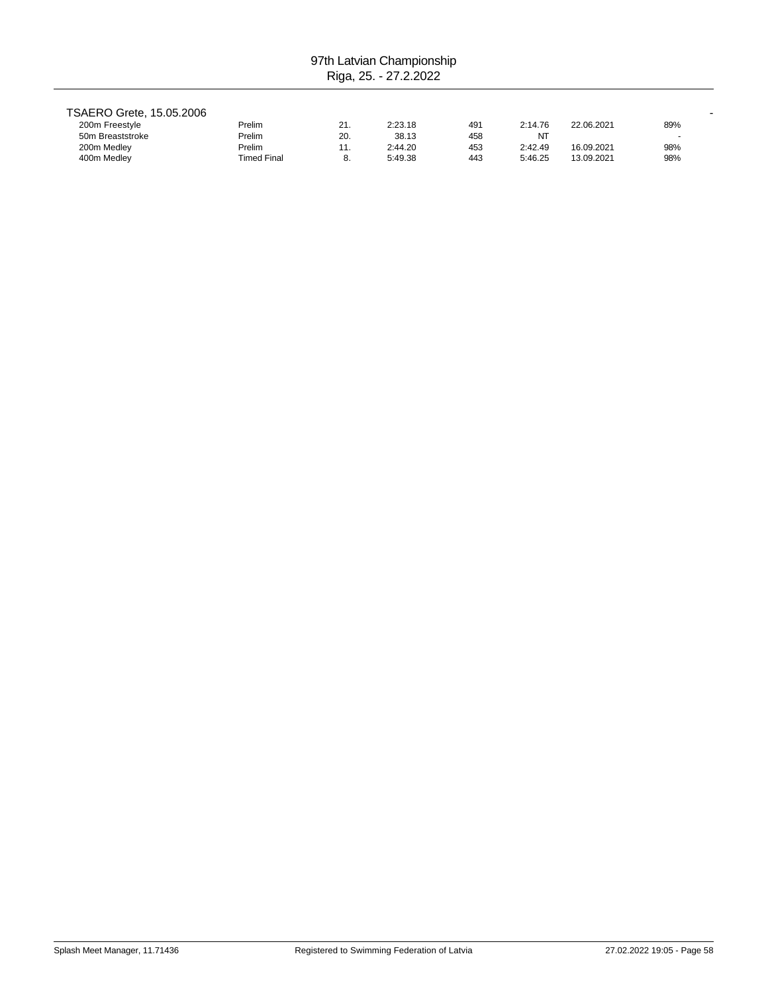| TSAERO Grete, 15.05.2006 |                    |     |         |     |         |            |     |
|--------------------------|--------------------|-----|---------|-----|---------|------------|-----|
| 200m Freestyle           | Prelim             | 21. | 2:23.18 | 491 | 2:14.76 | 22.06.2021 | 89% |
| 50m Breaststroke         | Prelim             | 20. | 38.13   | 458 | NT      |            |     |
| 200m Medley              | Prelim             | 11. | 2:44.20 | 453 | 2:42.49 | 16.09.2021 | 98% |
| 400m Medley              | <b>Timed Final</b> | 8.  | 5:49.38 | 443 | 5:46.25 | 13.09.2021 | 98% |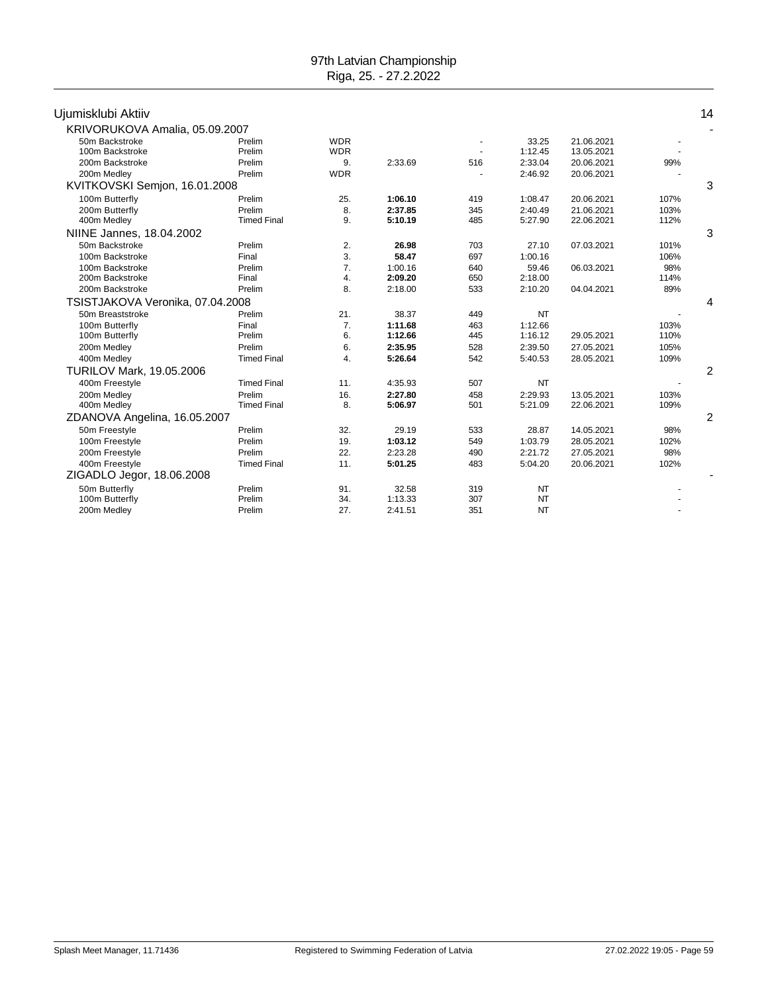|                                 |                                                                                                                           |         |                          |           |            |      | 14             |
|---------------------------------|---------------------------------------------------------------------------------------------------------------------------|---------|--------------------------|-----------|------------|------|----------------|
| KRIVORUKOVA Amalia, 05.09.2007  |                                                                                                                           |         |                          |           |            |      |                |
| Prelim                          | <b>WDR</b>                                                                                                                |         | $\overline{\phantom{a}}$ | 33.25     | 21.06.2021 |      |                |
| Prelim                          | <b>WDR</b>                                                                                                                |         |                          | 1:12.45   | 13.05.2021 |      |                |
| Prelim                          | 9.                                                                                                                        | 2:33.69 | 516                      | 2:33.04   | 20.06.2021 | 99%  |                |
| Prelim                          | <b>WDR</b>                                                                                                                |         |                          | 2:46.92   | 20.06.2021 |      |                |
| KVITKOVSKI Semjon, 16.01.2008   |                                                                                                                           |         |                          |           |            |      | 3              |
| Prelim                          | 25.                                                                                                                       | 1:06.10 | 419                      | 1:08.47   | 20.06.2021 | 107% |                |
| Prelim                          | 8.                                                                                                                        | 2:37.85 | 345                      | 2:40.49   | 21.06.2021 | 103% |                |
| <b>Timed Final</b>              | 9.                                                                                                                        | 5:10.19 | 485                      | 5:27.90   | 22.06.2021 | 112% |                |
|                                 |                                                                                                                           |         |                          |           |            |      | 3              |
| Prelim                          | 2.                                                                                                                        | 26.98   | 703                      | 27.10     | 07.03.2021 | 101% |                |
| Final                           | 3.                                                                                                                        | 58.47   | 697                      | 1:00.16   |            | 106% |                |
| Prelim                          | 7.                                                                                                                        | 1:00.16 | 640                      | 59.46     | 06.03.2021 | 98%  |                |
| Final                           | 4.                                                                                                                        | 2:09.20 | 650                      | 2:18.00   |            | 114% |                |
| Prelim                          | 8.                                                                                                                        | 2:18.00 | 533                      | 2:10.20   | 04.04.2021 | 89%  |                |
|                                 |                                                                                                                           |         |                          |           |            |      |                |
| Prelim                          | 21.                                                                                                                       | 38.37   | 449                      | <b>NT</b> |            |      |                |
| Final                           | 7.                                                                                                                        | 1:11.68 | 463                      | 1:12.66   |            | 103% |                |
| Prelim                          | 6.                                                                                                                        | 1:12.66 | 445                      | 1:16.12   | 29.05.2021 | 110% |                |
| Prelim                          | 6.                                                                                                                        | 2:35.95 | 528                      | 2:39.50   | 27.05.2021 | 105% |                |
| <b>Timed Final</b>              | 4.                                                                                                                        | 5:26.64 | 542                      | 5:40.53   | 28.05.2021 | 109% |                |
| <b>TURILOV Mark, 19.05.2006</b> |                                                                                                                           |         |                          |           |            |      | 2              |
| <b>Timed Final</b>              | 11.                                                                                                                       | 4:35.93 | 507                      | <b>NT</b> |            |      |                |
| Prelim                          | 16.                                                                                                                       | 2:27.80 | 458                      | 2:29.93   | 13.05.2021 | 103% |                |
| <b>Timed Final</b>              | 8.                                                                                                                        | 5:06.97 | 501                      | 5:21.09   | 22.06.2021 | 109% |                |
|                                 |                                                                                                                           |         |                          |           |            |      | $\overline{c}$ |
| Prelim                          | 32.                                                                                                                       | 29.19   | 533                      | 28.87     | 14.05.2021 | 98%  |                |
| Prelim                          | 19.                                                                                                                       | 1:03.12 | 549                      | 1:03.79   | 28.05.2021 | 102% |                |
| Prelim                          | 22.                                                                                                                       | 2:23.28 | 490                      | 2:21.72   | 27.05.2021 | 98%  |                |
| <b>Timed Final</b>              | 11.                                                                                                                       | 5:01.25 | 483                      | 5:04.20   | 20.06.2021 | 102% |                |
|                                 |                                                                                                                           |         |                          |           |            |      |                |
| Prelim                          |                                                                                                                           |         |                          |           |            |      |                |
| Prelim                          | 34.                                                                                                                       | 1:13.33 | 307                      | <b>NT</b> |            |      |                |
| Prelim                          | 27.                                                                                                                       | 2:41.51 | 351                      | <b>NT</b> |            |      |                |
|                                 | NIINE Jannes, 18.04.2002<br>TSISTJAKOVA Veronika, 07.04.2008<br>ZDANOVA Angelina, 16.05.2007<br>ZIGADLO Jegor, 18.06.2008 | 91.     | 32.58                    | 319       | NT         |      |                |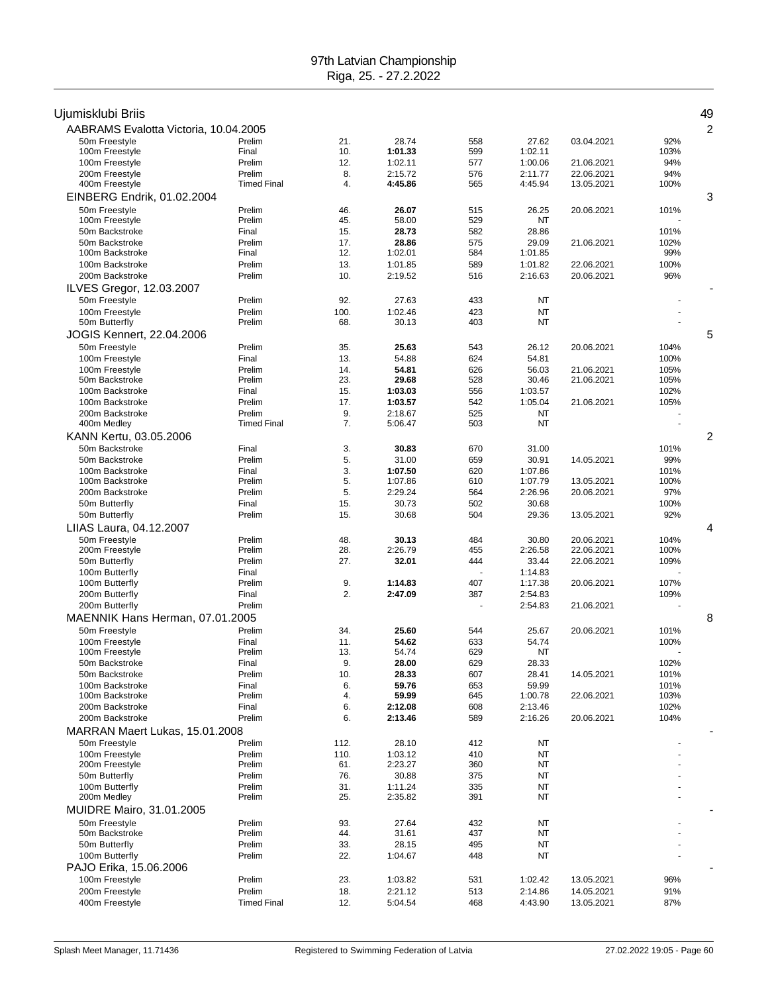| Ujumisklubi Briis                         |                    |            |                    |            |                    |            |              | 49             |
|-------------------------------------------|--------------------|------------|--------------------|------------|--------------------|------------|--------------|----------------|
| AABRAMS Evalotta Victoria, 10.04.2005     |                    |            |                    |            |                    |            |              | $\overline{c}$ |
| 50m Freestyle                             | Prelim             | 21.        | 28.74              | 558        | 27.62              | 03.04.2021 | 92%          |                |
| 100m Freestyle<br>100m Freestyle          | Final<br>Prelim    | 10.<br>12. | 1:01.33<br>1:02.11 | 599<br>577 | 1:02.11<br>1:00.06 | 21.06.2021 | 103%<br>94%  |                |
| 200m Freestyle                            | Prelim             | 8.         | 2:15.72            | 576        | 2:11.77            | 22.06.2021 | 94%          |                |
| 400m Freestyle                            | <b>Timed Final</b> | 4.         | 4:45.86            | 565        | 4:45.94            | 13.05.2021 | 100%         |                |
| EINBERG Endrik, 01.02.2004                |                    |            |                    |            |                    |            |              | 3              |
| 50m Freestyle                             | Prelim             | 46.        | 26.07              | 515        | 26.25              | 20.06.2021 | 101%         |                |
| 100m Freestyle                            | Prelim             | 45.        | 58.00              | 529        | NT                 |            |              |                |
| 50m Backstroke                            | Final              | 15.        | 28.73              | 582        | 28.86              |            | 101%         |                |
| 50m Backstroke                            | Prelim             | 17.        | 28.86              | 575        | 29.09              | 21.06.2021 | 102%         |                |
| 100m Backstroke                           | Final              | 12.        | 1:02.01            | 584        | 1:01.85            |            | 99%          |                |
| 100m Backstroke<br>200m Backstroke        | Prelim<br>Prelim   | 13.<br>10. | 1:01.85            | 589<br>516 | 1:01.82<br>2:16.63 | 22.06.2021 | 100%<br>96%  |                |
|                                           |                    |            | 2:19.52            |            |                    | 20.06.2021 |              |                |
| ILVES Gregor, 12.03.2007<br>50m Freestyle | Prelim             | 92.        | 27.63              | 433        | NT                 |            |              |                |
| 100m Freestyle                            | Prelim             | 100.       | 1:02.46            | 423        | <b>NT</b>          |            |              |                |
| 50m Butterfly                             | Prelim             | 68.        | 30.13              | 403        | NT                 |            |              |                |
| <b>JOGIS Kennert, 22.04.2006</b>          |                    |            |                    |            |                    |            |              | 5              |
| 50m Freestyle                             | Prelim             | 35.        | 25.63              | 543        | 26.12              | 20.06.2021 | 104%         |                |
| 100m Freestyle                            | Final              | 13.        | 54.88              | 624        | 54.81              |            | 100%         |                |
| 100m Freestyle                            | Prelim             | 14.        | 54.81              | 626        | 56.03              | 21.06.2021 | 105%         |                |
| 50m Backstroke                            | Prelim             | 23.        | 29.68              | 528        | 30.46              | 21.06.2021 | 105%         |                |
| 100m Backstroke                           | Final              | 15.        | 1:03.03            | 556        | 1:03.57            |            | 102%         |                |
| 100m Backstroke<br>200m Backstroke        | Prelim<br>Prelim   | 17.<br>9.  | 1:03.57<br>2:18.67 | 542<br>525 | 1:05.04<br>NT      | 21.06.2021 | 105%         |                |
| 400m Medley                               | <b>Timed Final</b> | 7.         | 5:06.47            | 503        | <b>NT</b>          |            |              |                |
| KANN Kertu, 03.05.2006                    |                    |            |                    |            |                    |            |              | $\overline{c}$ |
| 50m Backstroke                            | Final              | 3.         | 30.83              | 670        | 31.00              |            | 101%         |                |
| 50m Backstroke                            | Prelim             | 5.         | 31.00              | 659        | 30.91              | 14.05.2021 | 99%          |                |
| 100m Backstroke                           | Final              | 3.         | 1:07.50            | 620        | 1:07.86            |            | 101%         |                |
| 100m Backstroke                           | Prelim             | 5.         | 1:07.86            | 610        | 1:07.79            | 13.05.2021 | 100%         |                |
| 200m Backstroke                           | Prelim             | 5.         | 2:29.24            | 564        | 2:26.96            | 20.06.2021 | 97%          |                |
| 50m Butterfly                             | Final<br>Prelim    | 15.<br>15. | 30.73<br>30.68     | 502<br>504 | 30.68<br>29.36     |            | 100%<br>92%  |                |
| 50m Butterfly<br>LIIAS Laura, 04.12.2007  |                    |            |                    |            |                    | 13.05.2021 |              | 4              |
| 50m Freestyle                             | Prelim             | 48.        | 30.13              | 484        | 30.80              | 20.06.2021 | 104%         |                |
| 200m Freestyle                            | Prelim             | 28.        | 2:26.79            | 455        | 2:26.58            | 22.06.2021 | 100%         |                |
| 50m Butterfly                             | Prelim             | 27.        | 32.01              | 444        | 33.44              | 22.06.2021 | 109%         |                |
| 100m Butterfly                            | Final              |            |                    |            | 1:14.83            |            |              |                |
| 100m Butterfly                            | Prelim             | 9.         | 1:14.83            | 407        | 1:17.38            | 20.06.2021 | 107%         |                |
| 200m Butterfly                            | Final              | 2.         | 2:47.09            | 387        | 2:54.83            |            | 109%         |                |
| 200m Butterfly                            | Prelim             |            |                    |            | 2:54.83            | 21.06.2021 |              |                |
| MAENNIK Hans Herman, 07.01.2005           |                    |            |                    |            |                    |            |              | 8              |
| 50m Freestyle<br>100m Freestyle           | Prelim<br>Final    | 34.<br>11. | 25.60<br>54.62     | 544<br>633 | 25.67<br>54.74     | 20.06.2021 | 101%<br>100% |                |
| 100m Freestyle                            | Prelim             | 13.        | 54.74              | 629        | NT                 |            |              |                |
| 50m Backstroke                            | Final              | 9.         | 28.00              | 629        | 28.33              |            | 102%         |                |
| 50m Backstroke                            | Prelim             | 10.        | 28.33              | 607        | 28.41              | 14.05.2021 | 101%         |                |
| 100m Backstroke                           | Final              | 6.         | 59.76              | 653        | 59.99              |            | 101%         |                |
| 100m Backstroke                           | Prelim             | 4.         | 59.99              | 645        | 1:00.78            | 22.06.2021 | 103%         |                |
| 200m Backstroke<br>200m Backstroke        | Final<br>Prelim    | 6.<br>6.   | 2:12.08<br>2:13.46 | 608<br>589 | 2:13.46<br>2:16.26 | 20.06.2021 | 102%<br>104% |                |
| MARRAN Maert Lukas, 15.01.2008            |                    |            |                    |            |                    |            |              |                |
| 50m Freestyle                             | Prelim             | 112.       | 28.10              | 412        | NT                 |            |              |                |
| 100m Freestyle                            | Prelim             | 110.       | 1:03.12            | 410        | NT                 |            |              |                |
| 200m Freestyle                            | Prelim             | 61.        | 2:23.27            | 360        | NT                 |            |              |                |
| 50m Butterfly                             | Prelim             | 76.        | 30.88              | 375        | NT                 |            |              |                |
| 100m Butterfly                            | Prelim             | 31.        | 1:11.24            | 335        | NT                 |            |              |                |
| 200m Medley                               | Prelim             | 25.        | 2:35.82            | 391        | NT                 |            |              |                |
| MUIDRE Mairo, 31.01.2005                  |                    |            |                    |            |                    |            |              |                |
| 50m Freestyle                             | Prelim             | 93.        | 27.64              | 432        | NT                 |            |              |                |
| 50m Backstroke                            | Prelim<br>Prelim   | 44.        | 31.61              | 437<br>495 | NT                 |            |              |                |
| 50m Butterfly<br>100m Butterfly           | Prelim             | 33.<br>22. | 28.15<br>1:04.67   | 448        | NT<br>NT           |            |              |                |
| PAJO Erika, 15.06.2006                    |                    |            |                    |            |                    |            |              |                |
| 100m Freestyle                            | Prelim             | 23.        | 1:03.82            | 531        | 1:02.42            | 13.05.2021 | 96%          |                |
| 200m Freestyle                            | Prelim             | 18.        | 2:21.12            | 513        | 2:14.86            | 14.05.2021 | 91%          |                |
| 400m Freestyle                            | <b>Timed Final</b> | 12.        | 5:04.54            | 468        | 4:43.90            | 13.05.2021 | 87%          |                |
|                                           |                    |            |                    |            |                    |            |              |                |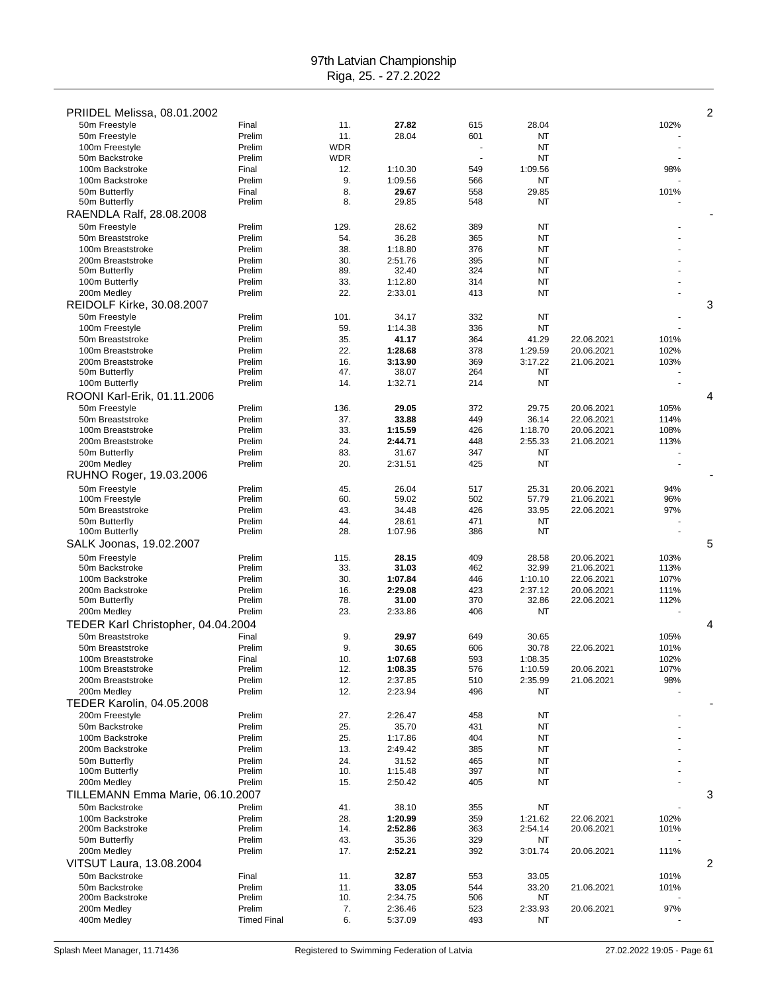| PRIIDEL Melissa, 08.01.2002        |                    |            |                  |            |                  |                          |              | $\overline{2}$ |
|------------------------------------|--------------------|------------|------------------|------------|------------------|--------------------------|--------------|----------------|
| 50m Freestyle                      | Final              | 11.        | 27.82            | 615        | 28.04            |                          | 102%         |                |
| 50m Freestyle                      | Prelim             | 11.        | 28.04            | 601        | NT               |                          |              |                |
| 100m Freestyle                     | Prelim             | <b>WDR</b> |                  |            | NT               |                          |              |                |
| 50m Backstroke                     | Prelim             | <b>WDR</b> |                  |            | NT               |                          |              |                |
| 100m Backstroke                    | Final              | 12.        | 1:10.30          | 549        | 1:09.56          |                          | 98%          |                |
| 100m Backstroke                    | Prelim             | 9.         | 1:09.56          | 566        | NT               |                          |              |                |
| 50m Butterfly                      | Final              | 8.         | 29.67            | 558        | 29.85            |                          | 101%         |                |
| 50m Butterfly                      | Prelim             | 8.         | 29.85            | 548        | NT               |                          |              |                |
| RAENDLA Ralf, 28.08.2008           |                    |            |                  |            |                  |                          |              |                |
| 50m Freestyle                      | Prelim             | 129.       | 28.62            | 389        | NT               |                          |              |                |
| 50m Breaststroke                   | Prelim             | 54.        | 36.28            | 365        | NT               |                          |              |                |
| 100m Breaststroke                  | Prelim             | 38.        | 1:18.80          | 376        | NT               |                          |              |                |
| 200m Breaststroke                  | Prelim             | 30.        | 2:51.76          | 395        | NT               |                          |              |                |
| 50m Butterfly                      | Prelim             | 89.        | 32.40            | 324        | NT               |                          |              |                |
| 100m Butterfly                     | Prelim             | 33.        | 1:12.80          | 314        | NT               |                          |              |                |
| 200m Medley                        | Prelim             | 22.        | 2:33.01          | 413        | NT               |                          |              |                |
| <b>REIDOLF Kirke, 30.08.2007</b>   |                    |            |                  |            |                  |                          |              | 3              |
| 50m Freestyle                      | Prelim             | 101.       | 34.17            | 332        | NT               |                          |              |                |
| 100m Freestyle                     | Prelim             | 59.        | 1:14.38          | 336        | NT               |                          |              |                |
| 50m Breaststroke                   | Prelim             | 35.        | 41.17            | 364        | 41.29            | 22.06.2021               | 101%         |                |
| 100m Breaststroke                  | Prelim             | 22.        | 1:28.68          | 378        | 1:29.59          | 20.06.2021               | 102%         |                |
| 200m Breaststroke                  | Prelim             | 16.        | 3:13.90          | 369        | 3:17.22          | 21.06.2021               | 103%         |                |
| 50m Butterfly                      | Prelim             | 47.        | 38.07            | 264        | NT               |                          |              |                |
| 100m Butterfly                     | Prelim             | 14.        | 1:32.71          | 214        | NT               |                          |              |                |
| ROONI Karl-Erik, 01.11.2006        |                    |            |                  |            |                  |                          |              | 4              |
| 50m Freestyle                      | Prelim             | 136.       | 29.05            | 372        | 29.75            | 20.06.2021               | 105%         |                |
| 50m Breaststroke                   | Prelim             | 37.        | 33.88            | 449        | 36.14            | 22.06.2021               | 114%         |                |
| 100m Breaststroke                  | Prelim             | 33.        | 1:15.59          | 426        | 1:18.70          | 20.06.2021               | 108%         |                |
| 200m Breaststroke                  | Prelim             | 24.        | 2:44.71          | 448        | 2:55.33          | 21.06.2021               | 113%         |                |
| 50m Butterfly                      | Prelim             | 83.        | 31.67            | 347        | NT               |                          |              |                |
| 200m Medley                        | Prelim             | 20.        | 2:31.51          | 425        | NT               |                          |              |                |
| RUHNO Roger, 19.03.2006            |                    |            |                  |            |                  |                          |              |                |
| 50m Freestyle                      |                    |            |                  |            |                  |                          |              |                |
| 100m Freestyle                     | Prelim<br>Prelim   | 45.<br>60. | 26.04<br>59.02   | 517<br>502 | 25.31<br>57.79   | 20.06.2021<br>21.06.2021 | 94%<br>96%   |                |
| 50m Breaststroke                   | Prelim             | 43.        | 34.48            | 426        | 33.95            | 22.06.2021               | 97%          |                |
|                                    | Prelim             | 44.        | 28.61            | 471        |                  |                          |              |                |
| 50m Butterfly<br>100m Butterfly    | Prelim             | 28.        | 1:07.96          | 386        | NT<br>NT         |                          |              |                |
|                                    |                    |            |                  |            |                  |                          |              |                |
| SALK Joonas, 19.02.2007            |                    |            |                  |            |                  |                          |              | 5              |
| 50m Freestyle                      | Prelim             | 115.       | 28.15            | 409        | 28.58            | 20.06.2021               | 103%         |                |
| 50m Backstroke                     | Prelim             | 33.        | 31.03            | 462        | 32.99            | 21.06.2021               | 113%         |                |
| 100m Backstroke                    | Prelim             | 30.        | 1:07.84          | 446        | 1:10.10          | 22.06.2021               | 107%         |                |
| 200m Backstroke                    | Prelim<br>Prelim   | 16.<br>78. | 2:29.08<br>31.00 | 423<br>370 | 2:37.12<br>32.86 | 20.06.2021               | 111%<br>112% |                |
| 50m Butterfly                      | Prelim             | 23.        | 2:33.86          | 406        |                  | 22.06.2021               |              |                |
| 200m Medley                        |                    |            |                  |            | NT               |                          |              |                |
| TEDER Karl Christopher, 04.04.2004 |                    |            |                  |            |                  |                          |              | 4              |
| 50m Breaststroke                   | Final              | 9.         | 29.97            | 649        | 30.65            |                          | 105%         |                |
| 50m Breaststroke                   | Prelim             | 9.         | 30.65            | 606        | 30.78            | 22.06.2021               | 101%         |                |
| 100m Breaststroke                  | Final              | 10.        | 1:07.68          | 593        | 1:08.35          |                          | 102%         |                |
| 100m Breaststroke                  | Prelim             | 12.        | 1:08.35          | 576        | 1:10.59          | 20.06.2021               | 107%         |                |
| 200m Breaststroke                  | Prelim             | 12.        | 2:37.85          | 510        | 2:35.99          | 21.06.2021               | 98%          |                |
| 200m Medley                        | Prelim             | 12.        | 2:23.94          | 496        | NT               |                          |              |                |
| <b>TEDER Karolin, 04.05.2008</b>   |                    |            |                  |            |                  |                          |              |                |
| 200m Freestyle                     | Prelim             | 27.        | 2:26.47          | 458        | NT               |                          |              |                |
| 50m Backstroke                     | Prelim             | 25.        | 35.70            | 431        | NT               |                          |              |                |
| 100m Backstroke                    | Prelim             | 25.        | 1:17.86          | 404        | NT               |                          |              |                |
| 200m Backstroke                    | Prelim             | 13.        | 2:49.42          | 385        | NT               |                          |              |                |
| 50m Butterfly                      | Prelim             | 24.        | 31.52            | 465        | NT               |                          |              |                |
| 100m Butterfly                     | Prelim             | 10.        | 1:15.48          | 397        | NT               |                          |              |                |
| 200m Medley                        | Prelim             | 15.        | 2:50.42          | 405        | NT               |                          |              |                |
| TILLEMANN Emma Marie, 06.10.2007   |                    |            |                  |            |                  |                          |              | 3              |
| 50m Backstroke                     | Prelim             | 41.        | 38.10            | 355        | NT               |                          |              |                |
| 100m Backstroke                    | Prelim             | 28.        | 1:20.99          | 359        | 1:21.62          | 22.06.2021               | 102%         |                |
| 200m Backstroke                    | Prelim             | 14.        | 2:52.86          | 363        | 2:54.14          | 20.06.2021               | 101%         |                |
| 50m Butterfly                      | Prelim             | 43.        | 35.36            | 329        | NT               |                          |              |                |
| 200m Medley                        | Prelim             | 17.        | 2:52.21          | 392        | 3:01.74          | 20.06.2021               | 111%         |                |
| VITSUT Laura, 13.08.2004           |                    |            |                  |            |                  |                          |              | 2              |
| 50m Backstroke                     | Final              | 11.        | 32.87            | 553        | 33.05            |                          | 101%         |                |
| 50m Backstroke                     | Prelim             | 11.        | 33.05            | 544        | 33.20            | 21.06.2021               | 101%         |                |
| 200m Backstroke                    | Prelim             | 10.        | 2:34.75          | 506        | NT               |                          |              |                |
| 200m Medley                        | Prelim             | 7.         | 2:36.46          | 523        | 2:33.93          | 20.06.2021               | 97%          |                |
| 400m Medley                        | <b>Timed Final</b> | 6.         | 5:37.09          | 493        | NT               |                          |              |                |
|                                    |                    |            |                  |            |                  |                          |              |                |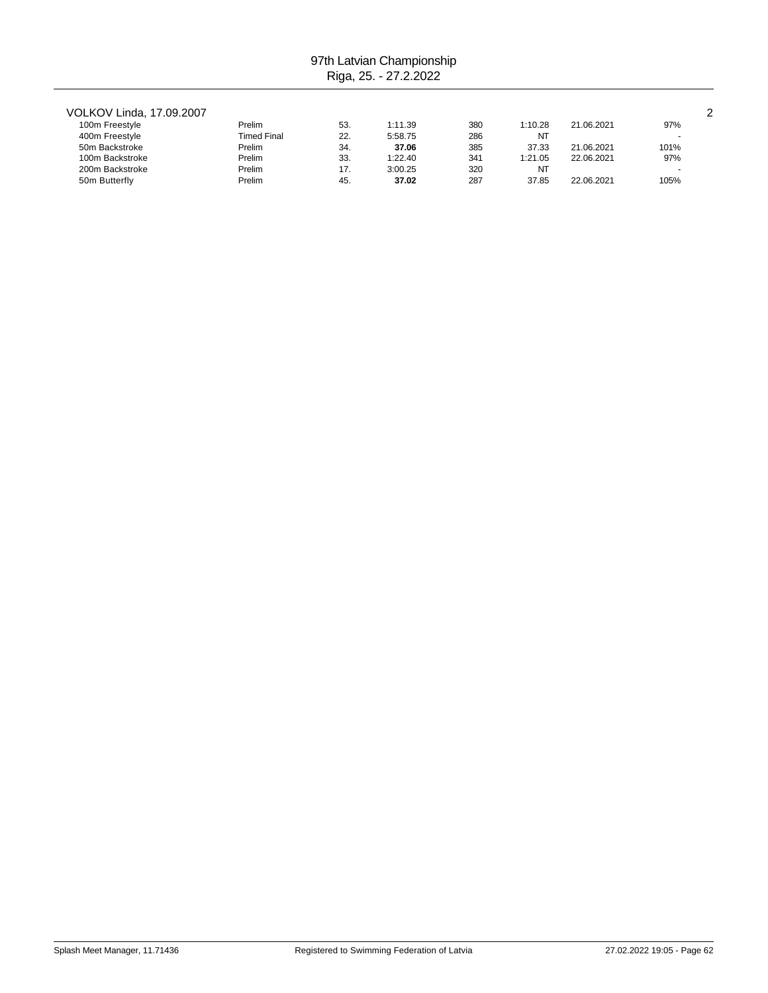### VOLKOV Linda, 17.09.2007 2

| 100m Freestyle  | Prelim      | 53. | 1:11.39 | 380 | 1:10.28 | 21.06.2021 | 97%  |
|-----------------|-------------|-----|---------|-----|---------|------------|------|
| 400m Freestyle  | Timed Final | 22  | 5:58.75 | 286 | NT      |            |      |
| 50m Backstroke  | Prelim      | 34. | 37.06   | 385 | 37.33   | 21.06.2021 | 101% |
| 100m Backstroke | Prelim      | 33. | 1:22.40 | 341 | 1:21.05 | 22.06.2021 | 97%  |
| 200m Backstroke | Prelim      | 17. | 3:00.25 | 32C | NT      |            |      |
| 50m Butterfly   | Prelim      | 45. | 37.02   | 287 | 37.85   | 22.06.2021 | 105% |
|                 |             |     |         |     |         |            |      |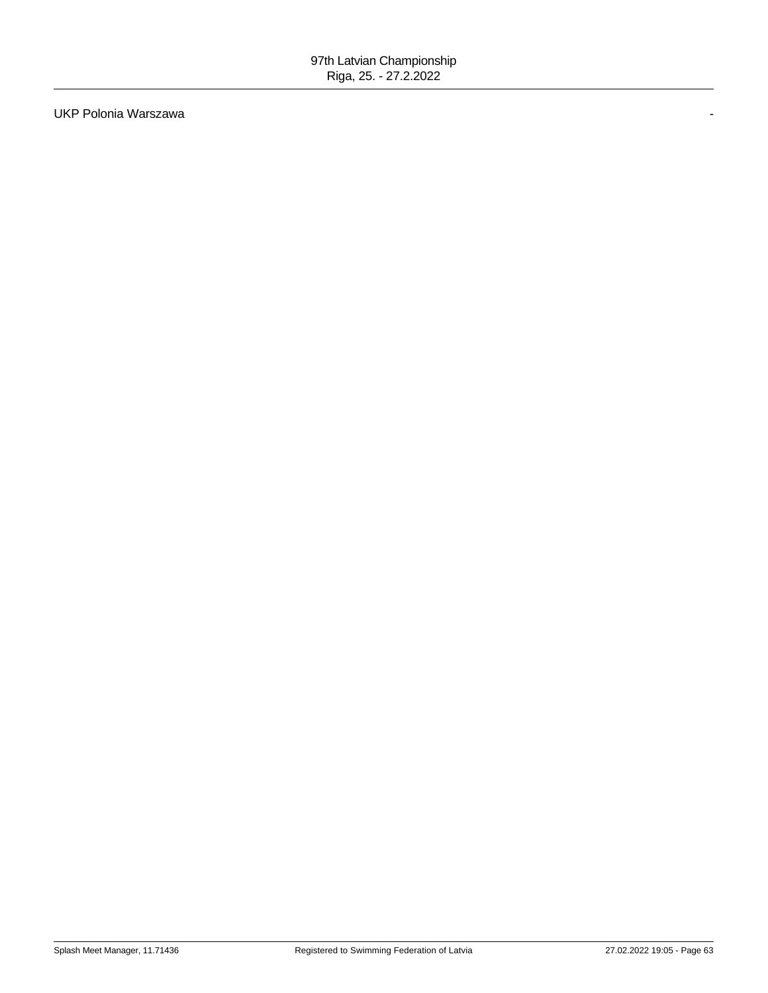UKP Polonia Warszawa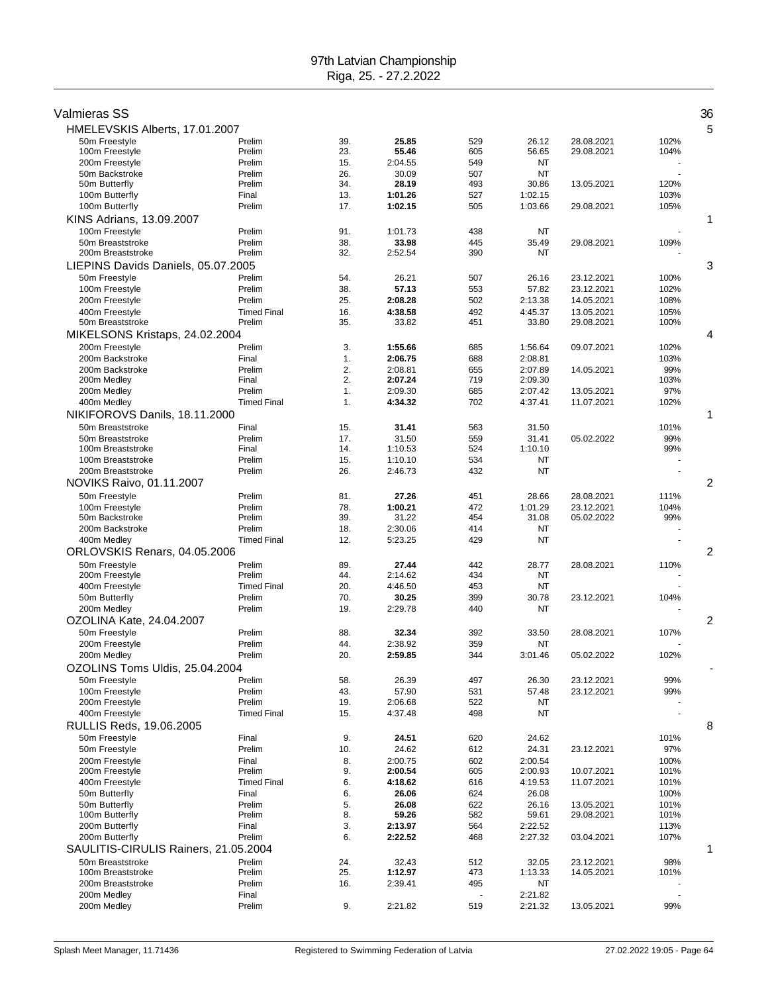| Valmieras SS                         |                              |            |                    |            |                    |                          |              | 36 |
|--------------------------------------|------------------------------|------------|--------------------|------------|--------------------|--------------------------|--------------|----|
| HMELEVSKIS Alberts, 17.01.2007       |                              |            |                    |            |                    |                          |              | 5  |
| 50m Freestyle                        | Prelim                       | 39.        | 25.85              | 529        | 26.12              | 28.08.2021               | 102%         |    |
| 100m Freestyle<br>200m Freestyle     | Prelim<br>Prelim             | 23.<br>15. | 55.46<br>2:04.55   | 605<br>549 | 56.65<br>NT        | 29.08.2021               | 104%         |    |
| 50m Backstroke                       | Prelim                       | 26.        | 30.09              | 507        | NT                 |                          |              |    |
| 50m Butterfly                        | Prelim                       | 34.        | 28.19              | 493        | 30.86              | 13.05.2021               | 120%         |    |
| 100m Butterfly                       | Final                        | 13.        | 1:01.26            | 527        | 1:02.15            |                          | 103%         |    |
| 100m Butterfly                       | Prelim                       | 17.        | 1:02.15            | 505        | 1:03.66            | 29.08.2021               | 105%         |    |
| KINS Adrians, 13.09.2007             |                              |            |                    |            |                    |                          |              | 1  |
| 100m Freestyle                       | Prelim                       | 91.        | 1:01.73            | 438        | NT                 |                          |              |    |
| 50m Breaststroke                     | Prelim                       | 38.        | 33.98              | 445        | 35.49              | 29.08.2021               | 109%         |    |
| 200m Breaststroke                    | Prelim                       | 32.        | 2:52.54            | 390        | NT                 |                          |              |    |
| LIEPINS Davids Daniels, 05.07.2005   |                              |            |                    |            |                    |                          |              | 3  |
| 50m Freestyle<br>100m Freestyle      | Prelim<br>Prelim             | 54.<br>38. | 26.21<br>57.13     | 507<br>553 | 26.16<br>57.82     | 23.12.2021<br>23.12.2021 | 100%<br>102% |    |
| 200m Freestyle                       | Prelim                       | 25.        | 2:08.28            | 502        | 2:13.38            | 14.05.2021               | 108%         |    |
| 400m Freestyle                       | <b>Timed Final</b>           | 16.        | 4:38.58            | 492        | 4:45.37            | 13.05.2021               | 105%         |    |
| 50m Breaststroke                     | Prelim                       | 35.        | 33.82              | 451        | 33.80              | 29.08.2021               | 100%         |    |
| MIKELSONS Kristaps, 24.02.2004       |                              |            |                    |            |                    |                          |              | 4  |
| 200m Freestyle                       | Prelim                       | 3.         | 1:55.66            | 685        | 1:56.64            | 09.07.2021               | 102%         |    |
| 200m Backstroke                      | Final                        | 1.         | 2:06.75            | 688        | 2:08.81            |                          | 103%         |    |
| 200m Backstroke                      | Prelim                       | 2.         | 2:08.81            | 655        | 2:07.89            | 14.05.2021               | 99%          |    |
| 200m Medley                          | Final<br>Prelim              | 2.         | 2:07.24            | 719        | 2:09.30<br>2:07.42 |                          | 103%         |    |
| 200m Medley<br>400m Medley           | <b>Timed Final</b>           | 1.<br>1.   | 2:09.30<br>4:34.32 | 685<br>702 | 4:37.41            | 13.05.2021<br>11.07.2021 | 97%<br>102%  |    |
| NIKIFOROVS Danils, 18.11.2000        |                              |            |                    |            |                    |                          |              | 1  |
| 50m Breaststroke                     | Final                        | 15.        | 31.41              | 563        | 31.50              |                          | 101%         |    |
| 50m Breaststroke                     | Prelim                       | 17.        | 31.50              | 559        | 31.41              | 05.02.2022               | 99%          |    |
| 100m Breaststroke                    | Final                        | 14.        | 1:10.53            | 524        | 1:10.10            |                          | 99%          |    |
| 100m Breaststroke                    | Prelim                       | 15.        | 1:10.10            | 534        | NT                 |                          |              |    |
| 200m Breaststroke                    | Prelim                       | 26.        | 2:46.73            | 432        | NT                 |                          |              |    |
| NOVIKS Raivo, 01.11.2007             |                              |            |                    |            |                    |                          |              | 2  |
| 50m Freestyle                        | Prelim                       | 81.        | 27.26              | 451        | 28.66              | 28.08.2021               | 111%         |    |
| 100m Freestyle                       | Prelim                       | 78.        | 1:00.21            | 472        | 1:01.29            | 23.12.2021               | 104%         |    |
| 50m Backstroke<br>200m Backstroke    | Prelim<br>Prelim             | 39.<br>18. | 31.22<br>2:30.06   | 454<br>414 | 31.08<br>NT        | 05.02.2022               | 99%          |    |
| 400m Medley                          | <b>Timed Final</b>           | 12.        | 5:23.25            | 429        | NT                 |                          |              |    |
| ORLOVSKIS Renars, 04.05.2006         |                              |            |                    |            |                    |                          |              | 2  |
| 50m Freestyle                        | Prelim                       | 89.        | 27.44              | 442        | 28.77              | 28.08.2021               | 110%         |    |
| 200m Freestyle                       | Prelim                       | 44.        | 2:14.62            | 434        | NT                 |                          |              |    |
| 400m Freestyle                       | <b>Timed Final</b>           | 20.        | 4:46.50            | 453        | NT                 |                          |              |    |
| 50m Butterfly                        | Prelim                       | 70.        | 30.25              | 399        | 30.78              | 23.12.2021               | 104%         |    |
| 200m Medley                          | Prelim                       | 19.        | 2:29.78            | 440        | NT                 |                          |              |    |
| OZOLINA Kate, 24.04.2007             |                              |            |                    |            |                    |                          |              | 2  |
| 50m Freestyle                        | Prelim                       | 88.        | 32.34              | 392        | 33.50              | 28.08.2021               | 107%         |    |
| 200m Freestyle<br>200m Medley        | Prelim<br>Prelim             | 44.<br>20. | 2:38.92<br>2:59.85 | 359<br>344 | NT<br>3:01.46      | 05.02.2022               | 102%         |    |
| OZOLINS Toms Uldis, 25.04.2004       |                              |            |                    |            |                    |                          |              |    |
| 50m Freestyle                        | Prelim                       | 58.        | 26.39              | 497        | 26.30              | 23.12.2021               | 99%          |    |
| 100m Freestyle                       | Prelim                       | 43.        | 57.90              | 531        | 57.48              | 23.12.2021               | 99%          |    |
| 200m Freestyle                       | Prelim                       | 19.        | 2:06.68            | 522        | ΝT                 |                          |              |    |
| 400m Freestyle                       | <b>Timed Final</b>           | 15.        | 4:37.48            | 498        | NT                 |                          |              |    |
| RULLIS Reds, 19.06.2005              |                              |            |                    |            |                    |                          |              | 8  |
| 50m Freestyle                        | Final                        | 9.         | 24.51              | 620        | 24.62              |                          | 101%         |    |
| 50m Freestyle                        | Prelim                       | 10.        | 24.62              | 612        | 24.31              | 23.12.2021               | 97%          |    |
| 200m Freestyle                       | Final                        | 8.         | 2:00.75            | 602        | 2:00.54            |                          | 100%         |    |
| 200m Freestyle<br>400m Freestyle     | Prelim<br><b>Timed Final</b> | 9.<br>6.   | 2:00.54<br>4:18.62 | 605<br>616 | 2:00.93<br>4:19.53 | 10.07.2021<br>11.07.2021 | 101%<br>101% |    |
| 50m Butterfly                        | Final                        | 6.         | 26.06              | 624        | 26.08              |                          | 100%         |    |
| 50m Butterfly                        | Prelim                       | 5.         | 26.08              | 622        | 26.16              | 13.05.2021               | 101%         |    |
| 100m Butterfly                       | Prelim                       | 8.         | 59.26              | 582        | 59.61              | 29.08.2021               | 101%         |    |
| 200m Butterfly                       | Final                        | 3.         | 2:13.97            | 564        | 2:22.52            |                          | 113%         |    |
| 200m Butterfly                       | Prelim                       | 6.         | 2:22.52            | 468        | 2:27.32            | 03.04.2021               | 107%         |    |
| SAULITIS-CIRULIS Rainers, 21.05.2004 |                              |            |                    |            |                    |                          |              |    |
| 50m Breaststroke                     | Prelim                       | 24.        | 32.43              | 512        | 32.05              | 23.12.2021               | 98%          |    |
| 100m Breaststroke                    | Prelim                       | 25.        | 1:12.97            | 473        | 1:13.33            | 14.05.2021               | 101%         |    |
| 200m Breaststroke<br>200m Medley     | Prelim<br>Final              | 16.        | 2:39.41            | 495        | NT<br>2:21.82      |                          |              |    |
| 200m Medley                          | Prelim                       | 9.         | 2:21.82            | 519        | 2:21.32            | 13.05.2021               | 99%          |    |
|                                      |                              |            |                    |            |                    |                          |              |    |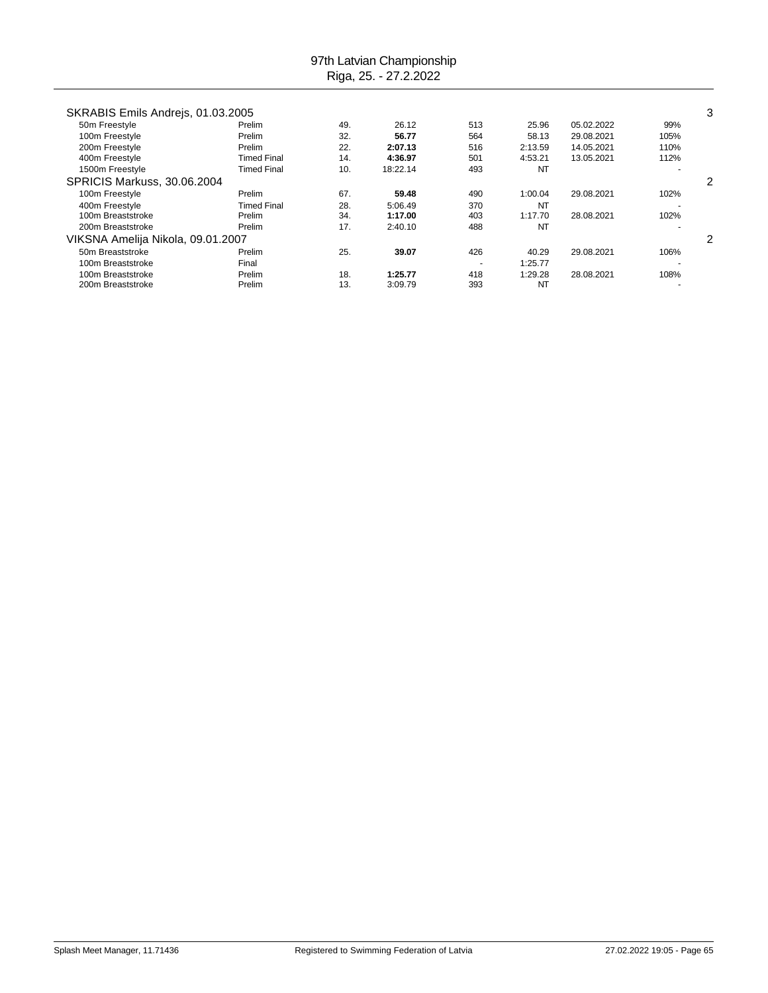| SKRABIS Emils Andrejs, 01.03.2005  |                    |     |          |     |           |            |      | 3 |
|------------------------------------|--------------------|-----|----------|-----|-----------|------------|------|---|
| 50m Freestyle                      | Prelim             | 49. | 26.12    | 513 | 25.96     | 05.02.2022 | 99%  |   |
| 100m Freestyle                     | Prelim             | 32. | 56.77    | 564 | 58.13     | 29.08.2021 | 105% |   |
| 200m Freestyle                     | Prelim             | 22. | 2:07.13  | 516 | 2:13.59   | 14.05.2021 | 110% |   |
| 400m Freestyle                     | Timed Final        | 14. | 4:36.97  | 501 | 4:53.21   | 13.05.2021 | 112% |   |
| 1500m Freestyle                    | <b>Timed Final</b> | 10. | 18:22.14 | 493 | NT        |            |      |   |
| <b>SPRICIS Markuss, 30.06.2004</b> |                    |     |          |     |           |            |      | 2 |
| 100m Freestyle                     | Prelim             | 67. | 59.48    | 490 | 1:00.04   | 29.08.2021 | 102% |   |
| 400m Freestyle                     | Timed Final        | 28. | 5:06.49  | 370 | NT        |            |      |   |
| 100m Breaststroke                  | Prelim             | 34. | 1:17.00  | 403 | 1:17.70   | 28.08.2021 | 102% |   |
| 200m Breaststroke                  | Prelim             | 17. | 2:40.10  | 488 | <b>NT</b> |            |      |   |
| VIKSNA Amelija Nikola, 09.01.2007  |                    |     |          |     |           |            | 2    |   |
| 50m Breaststroke                   | Prelim             | 25. | 39.07    | 426 | 40.29     | 29.08.2021 | 106% |   |
| 100m Breaststroke                  | Final              |     |          |     | 1:25.77   |            |      |   |
| 100m Breaststroke                  | Prelim             | 18. | 1:25.77  | 418 | 1:29.28   | 28.08.2021 | 108% |   |
| 200m Breaststroke                  | Prelim             | 13. | 3:09.79  | 393 | NT        |            |      |   |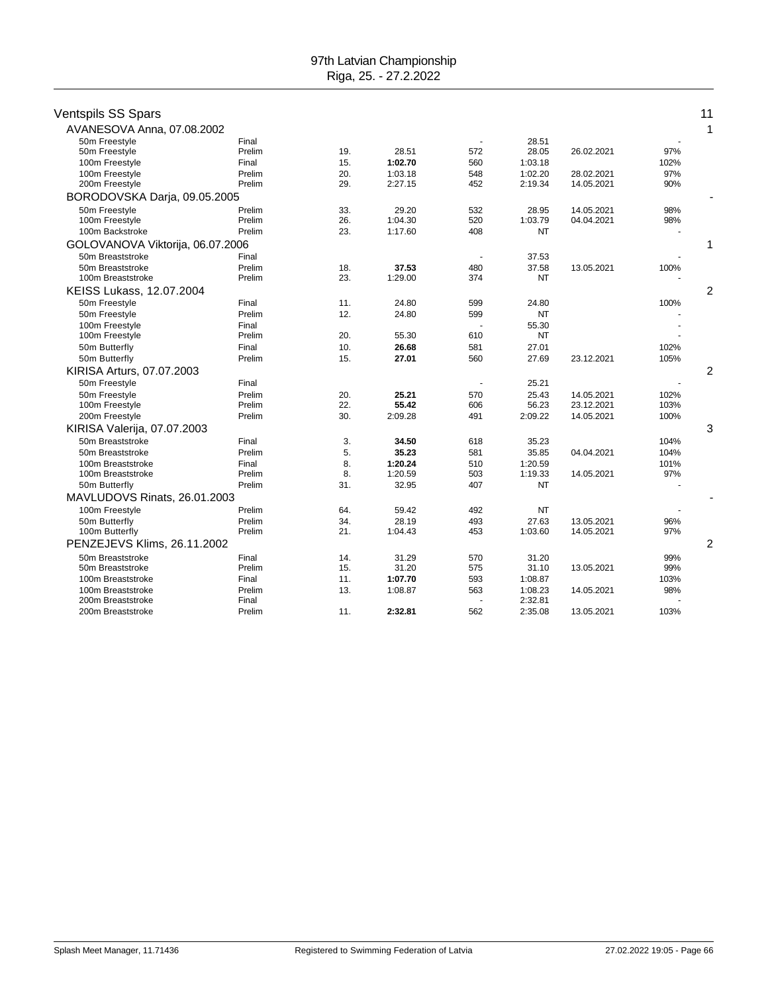| Ventspils SS Spars                    |                  |            |         |     |                    |            |      | 11 |
|---------------------------------------|------------------|------------|---------|-----|--------------------|------------|------|----|
| AVANESOVA Anna, 07.08.2002            |                  |            |         |     |                    |            |      | 1  |
| 50m Freestyle                         | Final            |            |         |     | 28.51              |            |      |    |
| 50m Freestyle                         | Prelim           | 19.        | 28.51   | 572 | 28.05              | 26.02.2021 | 97%  |    |
| 100m Freestyle                        | Final            | 15.        | 1:02.70 | 560 | 1:03.18            |            | 102% |    |
| 100m Freestyle                        | Prelim           | 20.        | 1:03.18 | 548 | 1:02.20            | 28.02.2021 | 97%  |    |
| 200m Freestyle                        | Prelim           | 29.        | 2:27.15 | 452 | 2:19.34            | 14.05.2021 | 90%  |    |
| BORODOVSKA Darja, 09.05.2005          |                  |            |         |     |                    |            |      |    |
| 50m Freestyle                         | Prelim           | 33.        | 29.20   | 532 | 28.95              | 14.05.2021 | 98%  |    |
| 100m Freestyle                        | Prelim           | 26.        | 1:04.30 | 520 | 1:03.79            | 04.04.2021 | 98%  |    |
| 100m Backstroke                       | Prelim           | 23.        | 1:17.60 | 408 | <b>NT</b>          |            |      |    |
| GOLOVANOVA Viktorija, 06.07.2006      |                  |            |         |     |                    |            |      | 1  |
| 50m Breaststroke                      | Final            |            |         |     | 37.53              |            |      |    |
| 50m Breaststroke<br>100m Breaststroke | Prelim<br>Prelim | 18.<br>23. | 37.53   | 480 | 37.58<br><b>NT</b> | 13.05.2021 | 100% |    |
|                                       |                  |            | 1:29.00 | 374 |                    |            |      |    |
| KEISS Lukass, 12.07.2004              |                  |            |         |     |                    |            |      | 2  |
| 50m Freestyle                         | Final            | 11.        | 24.80   | 599 | 24.80              |            | 100% |    |
| 50m Freestyle                         | Prelim           | 12.        | 24.80   | 599 | NT                 |            |      |    |
| 100m Freestyle<br>100m Freestyle      | Final<br>Prelim  | 20.        | 55.30   | 610 | 55.30<br>NT        |            |      |    |
| 50m Butterfly                         | Final            | 10.        | 26.68   | 581 | 27.01              |            | 102% |    |
| 50m Butterfly                         | Prelim           | 15.        | 27.01   | 560 | 27.69              | 23.12.2021 | 105% |    |
| KIRISA Arturs, 07.07.2003             |                  |            |         |     |                    |            |      | 2  |
| 50m Freestyle                         | Final            |            |         |     | 25.21              |            |      |    |
| 50m Freestyle                         | Prelim           | 20.        | 25.21   | 570 | 25.43              | 14.05.2021 | 102% |    |
| 100m Freestyle                        | Prelim           | 22.        | 55.42   | 606 | 56.23              | 23.12.2021 | 103% |    |
| 200m Freestyle                        | Prelim           | 30.        | 2:09.28 | 491 | 2:09.22            | 14.05.2021 | 100% |    |
| KIRISA Valerija, 07.07.2003           |                  |            |         |     |                    |            |      | 3  |
| 50m Breaststroke                      | Final            | 3.         | 34.50   | 618 | 35.23              |            | 104% |    |
| 50m Breaststroke                      | Prelim           | 5.         | 35.23   | 581 | 35.85              | 04.04.2021 | 104% |    |
| 100m Breaststroke                     | Final            | 8.         | 1:20.24 | 510 | 1:20.59            |            | 101% |    |
| 100m Breaststroke                     | Prelim           | 8.         | 1:20.59 | 503 | 1:19.33            | 14.05.2021 | 97%  |    |
| 50m Butterfly                         | Prelim           | 31.        | 32.95   | 407 | NT                 |            |      |    |
| MAVLUDOVS Rinats, 26.01.2003          |                  |            |         |     |                    |            |      |    |
| 100m Freestyle                        | Prelim           | 64.        | 59.42   | 492 | NT                 |            |      |    |
| 50m Butterfly                         | Prelim           | 34.        | 28.19   | 493 | 27.63              | 13.05.2021 | 96%  |    |
| 100m Butterfly                        | Prelim           | 21.        | 1:04.43 | 453 | 1:03.60            | 14.05.2021 | 97%  |    |
| PENZEJEVS Klims, 26.11.2002           |                  |            |         |     |                    |            |      | 2  |
| 50m Breaststroke                      | Final            | 14.        | 31.29   | 570 | 31.20              |            | 99%  |    |
| 50m Breaststroke                      | Prelim           | 15.        | 31.20   | 575 | 31.10              | 13.05.2021 | 99%  |    |
| 100m Breaststroke                     | Final            | 11.        | 1:07.70 | 593 | 1:08.87            |            | 103% |    |
| 100m Breaststroke                     | Prelim           | 13.        | 1:08.87 | 563 | 1:08.23            | 14.05.2021 | 98%  |    |
| 200m Breaststroke                     | Final            |            |         |     | 2:32.81            |            |      |    |
| 200m Breaststroke                     | Prelim           | 11.        | 2:32.81 | 562 | 2:35.08            | 13.05.2021 | 103% |    |